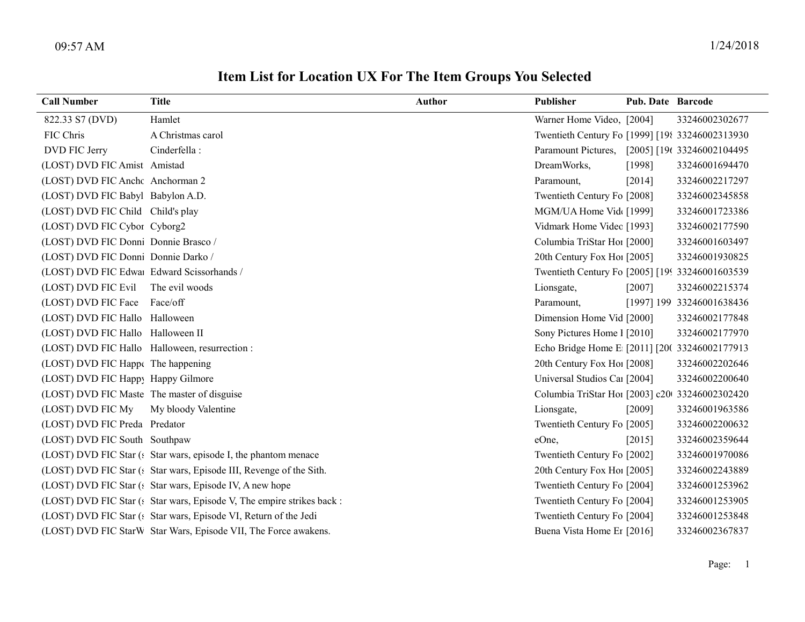| <b>Call Number</b>                          | <b>Title</b>                                                           | <b>Author</b> | Publisher                                        | Pub. Date Barcode |                           |
|---------------------------------------------|------------------------------------------------------------------------|---------------|--------------------------------------------------|-------------------|---------------------------|
| 822.33 S7 (DVD)                             | Hamlet                                                                 |               | Warner Home Video, [2004]                        |                   | 33246002302677            |
| FIC Chris                                   | A Christmas carol                                                      |               | Twentieth Century Fo [1999] [198 33246002313930] |                   |                           |
| DVD FIC Jerry                               | Cinderfella:                                                           |               | Paramount Pictures, [2005] [19( 33246002104495   |                   |                           |
| (LOST) DVD FIC Amist Amistad                |                                                                        |               | DreamWorks,                                      | [1998]            | 33246001694470            |
| (LOST) DVD FIC Anche Anchorman 2            |                                                                        |               | Paramount,                                       | [2014]            | 33246002217297            |
| (LOST) DVD FIC Babyl Babylon A.D.           |                                                                        |               | Twentieth Century Fo [2008]                      |                   | 33246002345858            |
| (LOST) DVD FIC Child Child's play           |                                                                        |               | MGM/UA Home Vid [1999]                           |                   | 33246001723386            |
| (LOST) DVD FIC Cybor Cyborg2                |                                                                        |               | Vidmark Home Videc [1993]                        |                   | 33246002177590            |
| (LOST) DVD FIC Donni Donnie Brasco /        |                                                                        |               | Columbia TriStar Hoi [2000]                      |                   | 33246001603497            |
| (LOST) DVD FIC Donni Donnie Darko /         |                                                                        |               | 20th Century Fox Ho! [2005]                      |                   | 33246001930825            |
| (LOST) DVD FIC Edwa Edward Scissorhands /   |                                                                        |               | Twentieth Century Fo [2005] [199 33246001603539  |                   |                           |
| (LOST) DVD FIC Evil                         | The evil woods                                                         |               | Lionsgate,                                       | $[2007]$          | 33246002215374            |
| (LOST) DVD FIC Face Face/off                |                                                                        |               | Paramount,                                       |                   | [1997] 199 33246001638436 |
| (LOST) DVD FIC Hallo Halloween              |                                                                        |               | Dimension Home Vid [2000]                        |                   | 33246002177848            |
| (LOST) DVD FIC Hallo Halloween II           |                                                                        |               | Sony Pictures Home 1 [2010]                      |                   | 33246002177970            |
|                                             | (LOST) DVD FIC Hallo Halloween, resurrection :                         |               | Echo Bridge Home E [2011] [20( 33246002177913    |                   |                           |
| (LOST) DVD FIC Happ( The happening          |                                                                        |               | 20th Century Fox Ho! [2008]                      |                   | 33246002202646            |
| (LOST) DVD FIC Happy Happy Gilmore          |                                                                        |               | Universal Studios Car [2004]                     |                   | 33246002200640            |
| (LOST) DVD FIC Maste The master of disguise |                                                                        |               | Columbia TriStar Ho1 [2003] c20 33246002302420   |                   |                           |
| (LOST) DVD FIC My                           | My bloody Valentine                                                    |               | Lionsgate,                                       | [2009]            | 33246001963586            |
| (LOST) DVD FIC Preda Predator               |                                                                        |               | Twentieth Century Fo [2005]                      |                   | 33246002200632            |
| (LOST) DVD FIC South Southpaw               |                                                                        |               | eOne,                                            | $[2015]$          | 33246002359644            |
|                                             | (LOST) DVD FIC Star (: Star wars, episode I, the phantom menace        |               | Twentieth Century Fo [2002]                      |                   | 33246001970086            |
|                                             | (LOST) DVD FIC Star (: Star wars, Episode III, Revenge of the Sith.    |               | 20th Century Fox Ho [2005]                       |                   | 33246002243889            |
|                                             | (LOST) DVD FIC Star (: Star wars, Episode IV, A new hope               |               | Twentieth Century Fo [2004]                      |                   | 33246001253962            |
|                                             | (LOST) DVD FIC Star (: Star wars, Episode V, The empire strikes back : |               | Twentieth Century Fo [2004]                      |                   | 33246001253905            |
|                                             | (LOST) DVD FIC Star (: Star wars, Episode VI, Return of the Jedi       |               | Twentieth Century Fo [2004]                      |                   | 33246001253848            |
|                                             | (LOST) DVD FIC StarW Star Wars, Episode VII, The Force awakens.        |               | Buena Vista Home Et [2016]                       |                   | 33246002367837            |

## Item List for Location UX For The Item Groups You Selected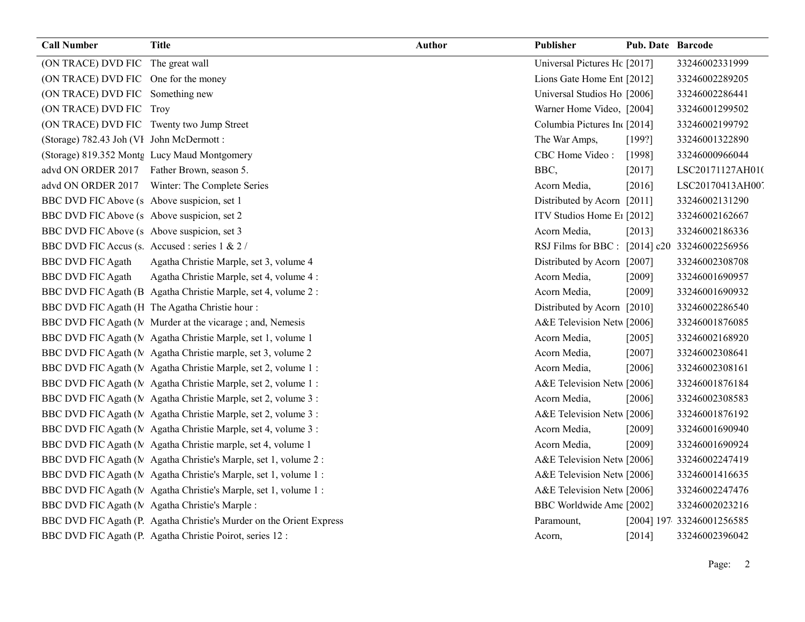| <b>Call Number</b>                             | <b>Title</b>                                                         | <b>Author</b> | Publisher                                    | <b>Pub. Date Barcode</b> |                           |
|------------------------------------------------|----------------------------------------------------------------------|---------------|----------------------------------------------|--------------------------|---------------------------|
| (ON TRACE) DVD FIC The great wall              |                                                                      |               | Universal Pictures Hc [2017]                 |                          | 33246002331999            |
| (ON TRACE) DVD FIC One for the money           |                                                                      |               | Lions Gate Home Ent [2012]                   |                          | 33246002289205            |
| (ON TRACE) DVD FIC Something new               |                                                                      |               | Universal Studios Ho [2006]                  |                          | 33246002286441            |
| (ON TRACE) DVD FIC Troy                        |                                                                      |               | Warner Home Video, [2004]                    |                          | 33246001299502            |
| (ON TRACE) DVD FIC Twenty two Jump Street      |                                                                      |               | Columbia Pictures In [2014]                  |                          | 33246002199792            |
| (Storage) 782.43 Joh (VI John McDermott:       |                                                                      |               | The War Amps,                                | [199?]                   | 33246001322890            |
|                                                | (Storage) 819.352 Montg Lucy Maud Montgomery                         |               | CBC Home Video:                              | [1998]                   | 33246000966044            |
| advd ON ORDER 2017 Father Brown, season 5.     |                                                                      |               | BBC,                                         | $[2017]$                 | LSC20171127AH010          |
|                                                | advd ON ORDER 2017 Winter: The Complete Series                       |               | Acorn Media,                                 | [2016]                   | LSC20170413AH007          |
| BBC DVD FIC Above (s Above suspicion, set 1)   |                                                                      |               | Distributed by Acorn [2011]                  |                          | 33246002131290            |
| BBC DVD FIC Above (s Above suspicion, set 2)   |                                                                      |               | ITV Studios Home E1 [2012]                   |                          | 33246002162667            |
| BBC DVD FIC Above (s Above suspicion, set 3)   |                                                                      |               | Acorn Media,                                 | [2013]                   | 33246002186336            |
| BBC DVD FIC Accus (s. Accused : series 1 & 2 / |                                                                      |               | RSJ Films for BBC: [2014] c20 33246002256956 |                          |                           |
| <b>BBC DVD FIC Agath</b>                       | Agatha Christie Marple, set 3, volume 4                              |               | Distributed by Acorn [2007]                  |                          | 33246002308708            |
| <b>BBC DVD FIC Agath</b>                       | Agatha Christie Marple, set 4, volume 4 :                            |               | Acorn Media,                                 | [2009]                   | 33246001690957            |
|                                                | BBC DVD FIC Agath (B Agatha Christie Marple, set 4, volume 2 :       |               | Acorn Media,                                 | [2009]                   | 33246001690932            |
|                                                | BBC DVD FIC Agath (H The Agatha Christie hour:                       |               | Distributed by Acorn [2010]                  |                          | 33246002286540            |
|                                                | BBC DVD FIC Agath (M Murder at the vicarage; and, Nemesis            |               | A&E Television Netw [2006]                   |                          | 33246001876085            |
|                                                | BBC DVD FIC Agath (M Agatha Christie Marple, set 1, volume 1         |               | Acorn Media,                                 | $[2005]$                 | 33246002168920            |
|                                                | BBC DVD FIC Agath (MAgatha Christie marple, set 3, volume 2          |               | Acorn Media.                                 | [2007]                   | 33246002308641            |
|                                                | BBC DVD FIC Agath (N Agatha Christie Marple, set 2, volume 1:        |               | Acorn Media,                                 | [2006]                   | 33246002308161            |
|                                                | BBC DVD FIC Agath (M Agatha Christie Marple, set 2, volume 1:        |               | A&E Television Netw [2006]                   |                          | 33246001876184            |
|                                                | BBC DVD FIC Agath (M Agatha Christie Marple, set 2, volume 3 :       |               | Acorn Media,                                 | [2006]                   | 33246002308583            |
|                                                | BBC DVD FIC Agath (M Agatha Christie Marple, set 2, volume 3 :       |               | A&E Television Netw [2006]                   |                          | 33246001876192            |
|                                                | BBC DVD FIC Agath (M Agatha Christie Marple, set 4, volume 3 :       |               | Acorn Media,                                 | [2009]                   | 33246001690940            |
|                                                | BBC DVD FIC Agath (MAgatha Christie marple, set 4, volume 1          |               | Acorn Media,                                 | [2009]                   | 33246001690924            |
|                                                | BBC DVD FIC Agath (MAgatha Christie's Marple, set 1, volume 2:       |               | A&E Television Netw [2006]                   |                          | 33246002247419            |
|                                                | BBC DVD FIC Agath (MAgatha Christie's Marple, set 1, volume 1:       |               | A&E Television Netw [2006]                   |                          | 33246001416635            |
|                                                | BBC DVD FIC Agath (MAgatha Christie's Marple, set 1, volume 1:       |               | A&E Television Netw [2006]                   |                          | 33246002247476            |
|                                                | BBC DVD FIC Agath (MAgatha Christie's Marple:                        |               | BBC Worldwide Ame [2002]                     |                          | 33246002023216            |
|                                                | BBC DVD FIC Agath (P. Agatha Christie's Murder on the Orient Express |               | Paramount,                                   |                          | [2004] 197 33246001256585 |
|                                                | BBC DVD FIC Agath (P Agatha Christie Poirot, series 12 :             |               | Acorn,                                       | [2014]                   | 33246002396042            |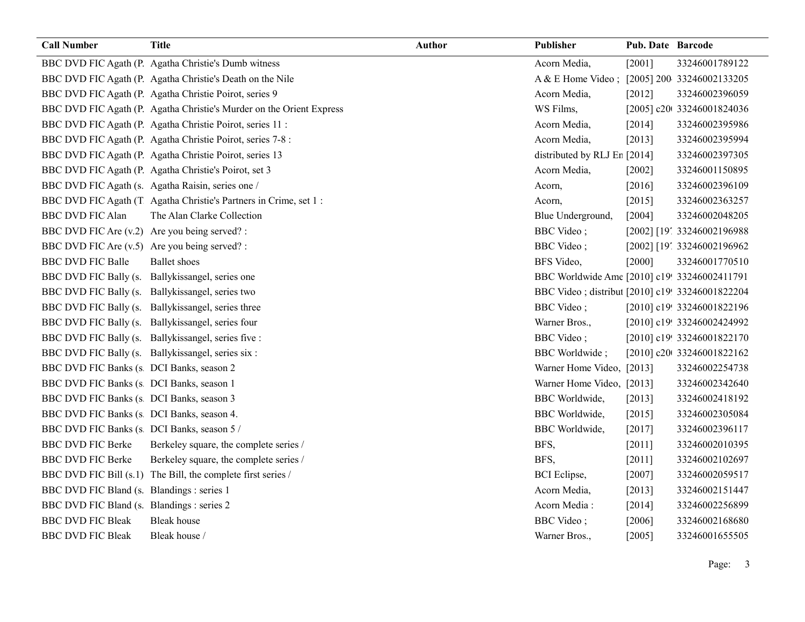| <b>Call Number</b>                            | <b>Title</b>                                                         | <b>Author</b> | Publisher                                       | Pub. Date Barcode |                            |
|-----------------------------------------------|----------------------------------------------------------------------|---------------|-------------------------------------------------|-------------------|----------------------------|
|                                               | BBC DVD FIC Agath (P Agatha Christie's Dumb witness                  |               | Acorn Media,                                    | [2001]            | 33246001789122             |
|                                               | BBC DVD FIC Agath (P. Agatha Christie's Death on the Nile            |               | A & E Home Video; [2005] 200 33246002133205     |                   |                            |
|                                               | BBC DVD FIC Agath (P. Agatha Christie Poirot, series 9               |               | Acorn Media,                                    | $[2012]$          | 33246002396059             |
|                                               | BBC DVD FIC Agath (P. Agatha Christie's Murder on the Orient Express |               | WS Films,                                       |                   | [2005] c20t 33246001824036 |
|                                               | BBC DVD FIC Agath (P Agatha Christie Poirot, series 11 :             |               | Acorn Media,                                    | [2014]            | 33246002395986             |
|                                               | BBC DVD FIC Agath (P Agatha Christie Poirot, series 7-8 :            |               | Acorn Media,                                    | [2013]            | 33246002395994             |
|                                               | BBC DVD FIC Agath (P Agatha Christie Poirot, series 13               |               | distributed by RLJ Er [2014]                    |                   | 33246002397305             |
|                                               | BBC DVD FIC Agath (P Agatha Christie's Poirot, set 3                 |               | Acorn Media,                                    | [2002]            | 33246001150895             |
|                                               | BBC DVD FIC Agath (s. Agatha Raisin, series one /                    |               | Acorn,                                          | [2016]            | 33246002396109             |
|                                               | BBC DVD FIC Agath (T Agatha Christie's Partners in Crime, set 1:     |               | Acorn,                                          | [2015]            | 33246002363257             |
| <b>BBC DVD FIC Alan</b>                       | The Alan Clarke Collection                                           |               | Blue Underground,                               | [2004]            | 33246002048205             |
| BBC DVD FIC Are (v.2) Are you being served? : |                                                                      |               | <b>BBC</b> Video;                               |                   | [2002] [19] 33246002196988 |
| BBC DVD FIC Are (v.5) Are you being served? : |                                                                      |               | <b>BBC</b> Video;                               |                   | [2002] [19' 33246002196962 |
| <b>BBC DVD FIC Balle</b>                      | <b>Ballet</b> shoes                                                  |               | BFS Video,                                      | [2000]            | 33246001770510             |
|                                               | BBC DVD FIC Bally (s. Ballykissangel, series one                     |               | BBC Worldwide Ame [2010] c19! 33246002411791    |                   |                            |
|                                               | BBC DVD FIC Bally (s. Ballykissangel, series two                     |               | BBC Video; distribut [2010] c19! 33246001822204 |                   |                            |
|                                               | BBC DVD FIC Bally (s. Ballykissangel, series three                   |               | <b>BBC</b> Video;                               |                   | [2010] c19! 33246001822196 |
|                                               | BBC DVD FIC Bally (s. Ballykissangel, series four                    |               | Warner Bros.,                                   |                   | [2010] c19! 33246002424992 |
|                                               | BBC DVD FIC Bally (s. Ballykissangel, series five :                  |               | <b>BBC</b> Video;                               |                   | [2010] c19! 33246001822170 |
|                                               | BBC DVD FIC Bally (s. Ballykissangel, series six :                   |               | <b>BBC</b> Worldwide;                           |                   | [2010] c20t 33246001822162 |
| BBC DVD FIC Banks (s DCI Banks, season 2      |                                                                      |               | Warner Home Video, [2013]                       |                   | 33246002254738             |
| BBC DVD FIC Banks (s DCI Banks, season 1      |                                                                      |               | Warner Home Video, [2013]                       |                   | 33246002342640             |
| BBC DVD FIC Banks (s DCI Banks, season 3      |                                                                      |               | <b>BBC</b> Worldwide,                           | $[2013]$          | 33246002418192             |
| BBC DVD FIC Banks (s  DCI Banks, season 4.    |                                                                      |               | <b>BBC</b> Worldwide,                           | [2015]            | 33246002305084             |
| BBC DVD FIC Banks (s DCI Banks, season 5 /    |                                                                      |               | <b>BBC</b> Worldwide,                           | [2017]            | 33246002396117             |
| <b>BBC DVD FIC Berke</b>                      | Berkeley square, the complete series /                               |               | BFS,                                            | $[2011]$          | 33246002010395             |
| <b>BBC DVD FIC Berke</b>                      | Berkeley square, the complete series /                               |               | BFS,                                            | $[2011]$          | 33246002102697             |
|                                               | BBC DVD FIC Bill (s.1) The Bill, the complete first series /         |               | <b>BCI</b> Eclipse,                             | $[2007]$          | 33246002059517             |
| BBC DVD FIC Bland (s. Blandings : series 1    |                                                                      |               | Acorn Media,                                    | [2013]            | 33246002151447             |
| BBC DVD FIC Bland (s. Blandings : series 2    |                                                                      |               | Acorn Media:                                    | [2014]            | 33246002256899             |
| <b>BBC DVD FIC Bleak</b>                      | <b>Bleak</b> house                                                   |               | <b>BBC</b> Video;                               | [2006]            | 33246002168680             |
| <b>BBC DVD FIC Bleak</b>                      | Bleak house /                                                        |               | Warner Bros.,                                   | [2005]            | 33246001655505             |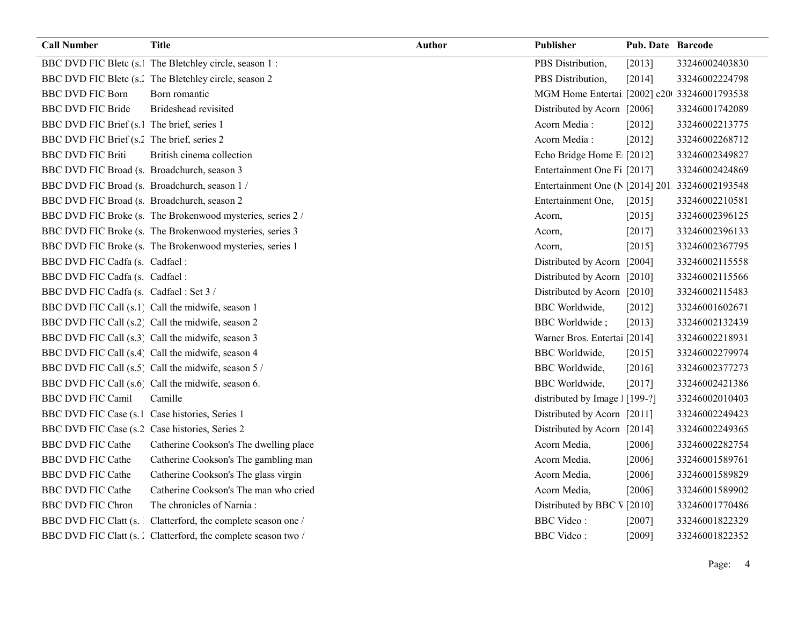| <b>Call Number</b>                             | <b>Title</b>                                                   | Author | Publisher                                      | Pub. Date Barcode |                |
|------------------------------------------------|----------------------------------------------------------------|--------|------------------------------------------------|-------------------|----------------|
|                                                | BBC DVD FIC Bletc (s. The Bletchley circle, season 1 :         |        | PBS Distribution,                              | [2013]            | 33246002403830 |
|                                                | BBC DVD FIC Bletc (s.' The Bletchley circle, season 2          |        | PBS Distribution,                              | [2014]            | 33246002224798 |
| <b>BBC DVD FIC Born</b>                        | Born romantic                                                  |        | MGM Home Entertai [2002] c20 33246001793538    |                   |                |
| <b>BBC DVD FIC Bride</b>                       | Brideshead revisited                                           |        | Distributed by Acorn [2006]                    |                   | 33246001742089 |
| BBC DVD FIC Brief (s.1 The brief, series 1     |                                                                |        | Acorn Media:                                   | [2012]            | 33246002213775 |
| BBC DVD FIC Brief (s.2 The brief, series 2     |                                                                |        | Acorn Media:                                   | $[2012]$          | 33246002268712 |
| <b>BBC DVD FIC Briti</b>                       | British cinema collection                                      |        | Echo Bridge Home E [2012]                      |                   | 33246002349827 |
| BBC DVD FIC Broad (s. Broadchurch, season 3    |                                                                |        | Entertainment One Fi [2017]                    |                   | 33246002424869 |
| BBC DVD FIC Broad (s. Broadchurch, season 1 /  |                                                                |        | Entertainment One (N [2014] 201 33246002193548 |                   |                |
| BBC DVD FIC Broad (s. Broadchurch, season 2    |                                                                |        | Entertainment One,                             | $[2015]$          | 33246002210581 |
|                                                | BBC DVD FIC Broke (s. The Brokenwood mysteries, series 2/      |        | Acorn,                                         | [2015]            | 33246002396125 |
|                                                | BBC DVD FIC Broke (s. The Brokenwood mysteries, series 3       |        | Acorn,                                         | $[2017]$          | 33246002396133 |
|                                                | BBC DVD FIC Broke (s. The Brokenwood mysteries, series 1       |        | Acorn,                                         | $[2015]$          | 33246002367795 |
| BBC DVD FIC Cadfa (s. Cadfael:                 |                                                                |        | Distributed by Acorn [2004]                    |                   | 33246002115558 |
| BBC DVD FIC Cadfa (s. Cadfael:                 |                                                                |        | Distributed by Acorn [2010]                    |                   | 33246002115566 |
| BBC DVD FIC Cadfa (s. Cadfael: Set 3 /         |                                                                |        | Distributed by Acorn [2010]                    |                   | 33246002115483 |
|                                                | BBC DVD FIC Call (s.1) Call the midwife, season 1              |        | <b>BBC</b> Worldwide,                          | $[2012]$          | 33246001602671 |
|                                                | BBC DVD FIC Call (s.2) Call the midwife, season 2              |        | <b>BBC</b> Worldwide;                          | [2013]            | 33246002132439 |
|                                                | BBC DVD FIC Call (s.3) Call the midwife, season 3              |        | Warner Bros. Entertai [2014]                   |                   | 33246002218931 |
|                                                | BBC DVD FIC Call (s.4) Call the midwife, season 4              |        | <b>BBC</b> Worldwide,                          | $[2015]$          | 33246002279974 |
|                                                | BBC DVD FIC Call (s.5) Call the midwife, season 5 /            |        | <b>BBC</b> Worldwide,                          | $[2016]$          | 33246002377273 |
|                                                | BBC DVD FIC Call (s.6) Call the midwife, season 6.             |        | <b>BBC</b> Worldwide,                          | [2017]            | 33246002421386 |
| <b>BBC DVD FIC Camil</b>                       | Camille                                                        |        | distributed by Image 1 [199-?]                 |                   | 33246002010403 |
| BBC DVD FIC Case (s.1 Case histories, Series 1 |                                                                |        | Distributed by Acorn [2011]                    |                   | 33246002249423 |
| BBC DVD FIC Case (s.2 Case histories, Series 2 |                                                                |        | Distributed by Acorn [2014]                    |                   | 33246002249365 |
| <b>BBC DVD FIC Cathe</b>                       | Catherine Cookson's The dwelling place                         |        | Acorn Media,                                   | $[2006]$          | 33246002282754 |
| <b>BBC DVD FIC Cathe</b>                       | Catherine Cookson's The gambling man                           |        | Acorn Media,                                   | $[2006]$          | 33246001589761 |
| <b>BBC DVD FIC Cathe</b>                       | Catherine Cookson's The glass virgin                           |        | Acorn Media,                                   | [2006]            | 33246001589829 |
| <b>BBC DVD FIC Cathe</b>                       | Catherine Cookson's The man who cried                          |        | Acorn Media,                                   | [2006]            | 33246001589902 |
| <b>BBC DVD FIC Chron</b>                       | The chronicles of Narnia:                                      |        | Distributed by BBC V [2010]                    |                   | 33246001770486 |
| BBC DVD FIC Clatt (s.                          | Clatterford, the complete season one /                         |        | <b>BBC</b> Video:                              | [2007]            | 33246001822329 |
|                                                | BBC DVD FIC Clatt (s. ) Clatterford, the complete season two / |        | <b>BBC</b> Video:                              | [2009]            | 33246001822352 |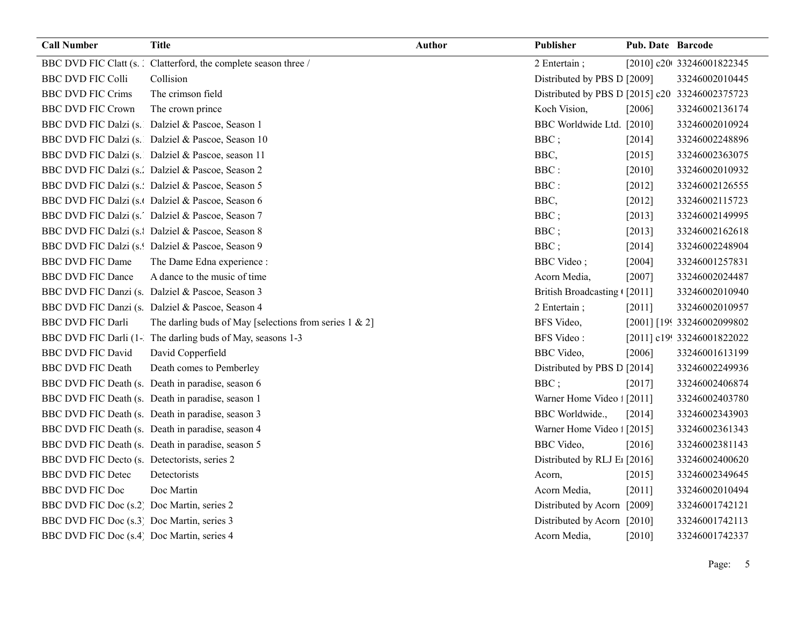| <b>Call Number</b>                           | <b>Title</b>                                                     | <b>Author</b> | Publisher                                      | Pub. Date Barcode |                            |
|----------------------------------------------|------------------------------------------------------------------|---------------|------------------------------------------------|-------------------|----------------------------|
|                                              | BBC DVD FIC Clatt (s. ) Clatterford, the complete season three / |               | 2 Entertain;                                   |                   | [2010] c20t 33246001822345 |
| <b>BBC DVD FIC Colli</b>                     | Collision                                                        |               | Distributed by PBS D [2009]                    |                   | 33246002010445             |
| <b>BBC DVD FIC Crims</b>                     | The crimson field                                                |               | Distributed by PBS D [2015] c20 33246002375723 |                   |                            |
| <b>BBC DVD FIC Crown</b>                     | The crown prince                                                 |               | Koch Vision,                                   | [2006]            | 33246002136174             |
|                                              | BBC DVD FIC Dalzi (s. Dalziel & Pascoe, Season 1                 |               | BBC Worldwide Ltd. [2010]                      |                   | 33246002010924             |
|                                              | BBC DVD FIC Dalzi (s. Dalziel & Pascoe, Season 10                |               | BBC;                                           | [2014]            | 33246002248896             |
|                                              | BBC DVD FIC Dalzi (s. Dalziel & Pascoe, season 11                |               | BBC,                                           | [2015]            | 33246002363075             |
|                                              | BBC DVD FIC Dalzi (s.'. Dalziel & Pascoe, Season 2               |               | BBC:                                           | $[2010]$          | 33246002010932             |
|                                              | BBC DVD FIC Dalzi (s.: Dalziel & Pascoe, Season 5                |               | BBC:                                           | [2012]            | 33246002126555             |
|                                              | BBC DVD FIC Dalzi (s.t Dalziel & Pascoe, Season 6                |               | BBC,                                           | [2012]            | 33246002115723             |
|                                              | BBC DVD FIC Dalzi (s.' Dalziel & Pascoe, Season 7                |               | BBC;                                           | [2013]            | 33246002149995             |
|                                              | BBC DVD FIC Dalzi (s.1 Dalziel & Pascoe, Season 8                |               | BBC;                                           | [2013]            | 33246002162618             |
|                                              | BBC DVD FIC Dalzi (s.! Dalziel & Pascoe, Season 9                |               | BBC;                                           | $[2014]$          | 33246002248904             |
| <b>BBC DVD FIC Dame</b>                      | The Dame Edna experience :                                       |               | <b>BBC</b> Video;                              | [2004]            | 33246001257831             |
| <b>BBC DVD FIC Dance</b>                     | A dance to the music of time                                     |               | Acorn Media,                                   | $[2007]$          | 33246002024487             |
|                                              | BBC DVD FIC Danzi (s. Dalziel & Pascoe, Season 3                 |               | British Broadcasting ([2011]                   |                   | 33246002010940             |
|                                              | BBC DVD FIC Danzi (s. Dalziel & Pascoe, Season 4                 |               | 2 Entertain;                                   | [2011]            | 33246002010957             |
| <b>BBC DVD FIC Darli</b>                     | The darling buds of May [selections from series $1 & 2$ ]        |               | BFS Video,                                     |                   | [2001] [199 33246002099802 |
|                                              | BBC DVD FIC Darli (1- The darling buds of May, seasons 1-3       |               | <b>BFS</b> Video:                              |                   | [2011] c19! 33246001822022 |
| <b>BBC DVD FIC David</b>                     | David Copperfield                                                |               | BBC Video,                                     | [2006]            | 33246001613199             |
| <b>BBC DVD FIC Death</b>                     | Death comes to Pemberley                                         |               | Distributed by PBS D [2014]                    |                   | 33246002249936             |
|                                              | BBC DVD FIC Death (s. Death in paradise, season 6                |               | BBC;                                           | [2017]            | 33246002406874             |
|                                              | BBC DVD FIC Death (s. Death in paradise, season 1                |               | Warner Home Video : [2011]                     |                   | 33246002403780             |
|                                              | BBC DVD FIC Death (s. Death in paradise, season 3                |               | BBC Worldwide.,                                | [2014]            | 33246002343903             |
|                                              | BBC DVD FIC Death (s. Death in paradise, season 4                |               | Warner Home Video : [2015]                     |                   | 33246002361343             |
|                                              | BBC DVD FIC Death (s. Death in paradise, season 5                |               | <b>BBC</b> Video,                              | [2016]            | 33246002381143             |
| BBC DVD FIC Decto (s. Detectorists, series 2 |                                                                  |               | Distributed by RLJ E <sub>1</sub> [2016]       |                   | 33246002400620             |
| <b>BBC DVD FIC Detec</b>                     | Detectorists                                                     |               | Acorn,                                         | $[2015]$          | 33246002349645             |
| <b>BBC DVD FIC Doc</b>                       | Doc Martin                                                       |               | Acorn Media,                                   | $[2011]$          | 33246002010494             |
| BBC DVD FIC Doc (s.2) Doc Martin, series 2   |                                                                  |               | Distributed by Acorn [2009]                    |                   | 33246001742121             |
| BBC DVD FIC Doc (s.3) Doc Martin, series 3   |                                                                  |               | Distributed by Acorn [2010]                    |                   | 33246001742113             |
| BBC DVD FIC Doc (s.4) Doc Martin, series 4   |                                                                  |               | Acorn Media,                                   | $[2010]$          | 33246001742337             |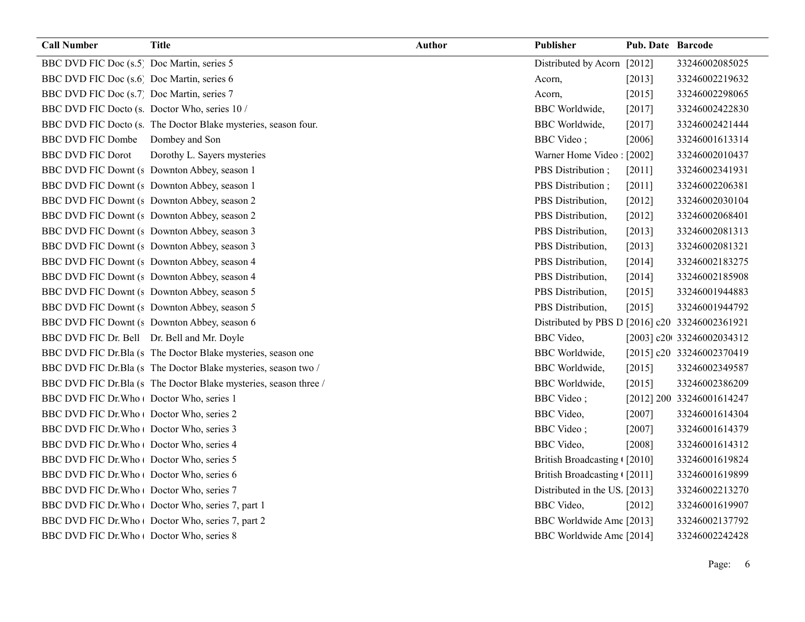| <b>Call Number</b>                            | <b>Title</b>                                                     | <b>Author</b> | Publisher                                      | <b>Pub. Date Barcode</b> |                            |
|-----------------------------------------------|------------------------------------------------------------------|---------------|------------------------------------------------|--------------------------|----------------------------|
| BBC DVD FIC Doc (s.5) Doc Martin, series 5    |                                                                  |               | Distributed by Acorn [2012]                    |                          | 33246002085025             |
| BBC DVD FIC Doc (s.6) Doc Martin, series 6    |                                                                  |               | Acorn,                                         | $[2013]$                 | 33246002219632             |
| BBC DVD FIC Doc (s.7) Doc Martin, series 7    |                                                                  |               | Acorn,                                         | [2015]                   | 33246002298065             |
| BBC DVD FIC Docto (s. Doctor Who, series 10 / |                                                                  |               | <b>BBC</b> Worldwide,                          | [2017]                   | 33246002422830             |
|                                               | BBC DVD FIC Docto (s. The Doctor Blake mysteries, season four.   |               | <b>BBC</b> Worldwide,                          | [2017]                   | 33246002421444             |
| BBC DVD FIC Dombe Dombey and Son              |                                                                  |               | <b>BBC</b> Video;                              | [2006]                   | 33246001613314             |
| <b>BBC DVD FIC Dorot</b>                      | Dorothy L. Sayers mysteries                                      |               | Warner Home Video [2002]                       |                          | 33246002010437             |
|                                               | BBC DVD FIC Downt (s Downton Abbey, season 1                     |               | PBS Distribution;                              | $[2011]$                 | 33246002341931             |
|                                               | BBC DVD FIC Downt (s Downton Abbey, season 1                     |               | PBS Distribution;                              | [2011]                   | 33246002206381             |
|                                               | BBC DVD FIC Downt (s Downton Abbey, season 2                     |               | PBS Distribution,                              | $[2012]$                 | 33246002030104             |
|                                               | BBC DVD FIC Downt (s Downton Abbey, season 2                     |               | PBS Distribution,                              | $[2012]$                 | 33246002068401             |
|                                               | BBC DVD FIC Downt (s Downton Abbey, season 3                     |               | PBS Distribution,                              | $[2013]$                 | 33246002081313             |
|                                               | BBC DVD FIC Downt (s Downton Abbey, season 3                     |               | PBS Distribution,                              | $[2013]$                 | 33246002081321             |
|                                               | BBC DVD FIC Downt (s Downton Abbey, season 4                     |               | PBS Distribution,                              | [2014]                   | 33246002183275             |
|                                               | BBC DVD FIC Downt (s Downton Abbey, season 4                     |               | PBS Distribution,                              | $[2014]$                 | 33246002185908             |
|                                               | BBC DVD FIC Downt (s Downton Abbey, season 5                     |               | PBS Distribution,                              | [2015]                   | 33246001944883             |
|                                               | BBC DVD FIC Downt (s Downton Abbey, season 5                     |               | PBS Distribution,                              | [2015]                   | 33246001944792             |
|                                               | BBC DVD FIC Downt (s Downton Abbey, season 6                     |               | Distributed by PBS D [2016] c20 33246002361921 |                          |                            |
| BBC DVD FIC Dr. Bell Dr. Bell and Mr. Doyle   |                                                                  |               | <b>BBC</b> Video,                              |                          | [2003] c20t 33246002034312 |
|                                               | BBC DVD FIC Dr.Bla (s The Doctor Blake mysteries, season one     |               | <b>BBC</b> Worldwide,                          |                          | [2015] c20 33246002370419  |
|                                               | BBC DVD FIC Dr.Bla (s The Doctor Blake mysteries, season two /   |               | <b>BBC</b> Worldwide,                          | $[2015]$                 | 33246002349587             |
|                                               | BBC DVD FIC Dr.Bla (s The Doctor Blake mysteries, season three / |               | <b>BBC</b> Worldwide,                          | [2015]                   | 33246002386209             |
| BBC DVD FIC Dr. Who   Doctor Who, series 1    |                                                                  |               | <b>BBC</b> Video;                              |                          | [2012] 200. 33246001614247 |
| BBC DVD FIC Dr. Who   Doctor Who, series 2    |                                                                  |               | <b>BBC</b> Video,                              | $[2007]$                 | 33246001614304             |
| BBC DVD FIC Dr. Who   Doctor Who, series 3    |                                                                  |               | BBC Video;                                     | $[2007]$                 | 33246001614379             |
| BBC DVD FIC Dr. Who   Doctor Who, series 4    |                                                                  |               | <b>BBC</b> Video,                              | [2008]                   | 33246001614312             |
| BBC DVD FIC Dr. Who   Doctor Who, series 5    |                                                                  |               | British Broadcasting (2010]                    |                          | 33246001619824             |
| BBC DVD FIC Dr. Who   Doctor Who, series 6    |                                                                  |               | British Broadcasting (2011]                    |                          | 33246001619899             |
| BBC DVD FIC Dr. Who   Doctor Who, series 7    |                                                                  |               | Distributed in the US. [2013]                  |                          | 33246002213270             |
|                                               | BBC DVD FIC Dr. Who   Doctor Who, series 7, part 1               |               | <b>BBC</b> Video,                              | $[2012]$                 | 33246001619907             |
|                                               | BBC DVD FIC Dr. Who   Doctor Who, series 7, part 2               |               | BBC Worldwide Ame [2013]                       |                          | 33246002137792             |
| BBC DVD FIC Dr. Who   Doctor Who, series 8    |                                                                  |               | BBC Worldwide Ame [2014]                       |                          | 33246002242428             |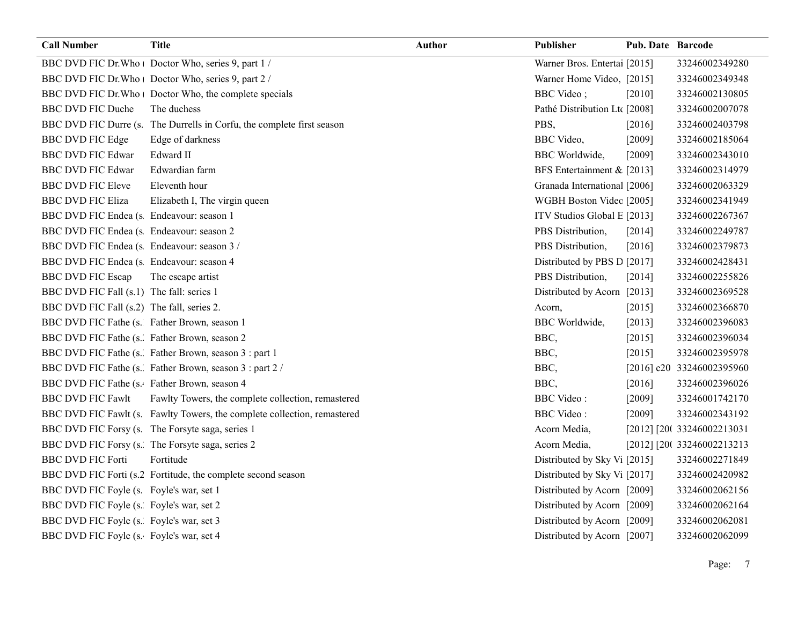| <b>Call Number</b>                           | <b>Title</b>                                                             | <b>Author</b> | Publisher                     | <b>Pub. Date Barcode</b> |                            |
|----------------------------------------------|--------------------------------------------------------------------------|---------------|-------------------------------|--------------------------|----------------------------|
|                                              | BBC DVD FIC Dr. Who   Doctor Who, series 9, part 1 /                     |               | Warner Bros. Entertai [2015]  |                          | 33246002349280             |
|                                              | BBC DVD FIC Dr. Who   Doctor Who, series 9, part 2 /                     |               | Warner Home Video, [2015]     |                          | 33246002349348             |
|                                              | BBC DVD FIC Dr. Who   Doctor Who, the complete specials                  |               | <b>BBC</b> Video;             | [2010]                   | 33246002130805             |
| <b>BBC DVD FIC Duche</b>                     | The duchess                                                              |               | Pathé Distribution Ltc [2008] |                          | 33246002007078             |
|                                              | BBC DVD FIC Durre (s. The Durrells in Corfu, the complete first season   |               | PBS.                          | [2016]                   | 33246002403798             |
| <b>BBC DVD FIC Edge</b>                      | Edge of darkness                                                         |               | BBC Video,                    | [2009]                   | 33246002185064             |
| <b>BBC DVD FIC Edwar</b>                     | Edward II                                                                |               | <b>BBC</b> Worldwide,         | [2009]                   | 33246002343010             |
| <b>BBC DVD FIC Edwar</b>                     | Edwardian farm                                                           |               | BFS Entertainment & [2013]    |                          | 33246002314979             |
| <b>BBC DVD FIC Eleve</b>                     | Eleventh hour                                                            |               | Granada International [2006]  |                          | 33246002063329             |
| <b>BBC DVD FIC Eliza</b>                     | Elizabeth I, The virgin queen                                            |               | WGBH Boston Videc [2005]      |                          | 33246002341949             |
| BBC DVD FIC Endea (s Endeavour: season 1     |                                                                          |               | ITV Studios Global E [2013]   |                          | 33246002267367             |
| BBC DVD FIC Endea (s Endeavour: season 2     |                                                                          |               | PBS Distribution,             | [2014]                   | 33246002249787             |
| BBC DVD FIC Endea (s Endeavour: season 3 /   |                                                                          |               | PBS Distribution,             | $[2016]$                 | 33246002379873             |
| BBC DVD FIC Endea (s Endeavour: season 4     |                                                                          |               | Distributed by PBS D [2017]   |                          | 33246002428431             |
| <b>BBC DVD FIC Escap</b>                     | The escape artist                                                        |               | PBS Distribution,             | [2014]                   | 33246002255826             |
| BBC DVD FIC Fall (s.1) The fall: series 1    |                                                                          |               | Distributed by Acorn [2013]   |                          | 33246002369528             |
| BBC DVD FIC Fall (s.2) The fall, series 2.   |                                                                          |               | Acorn,                        | [2015]                   | 33246002366870             |
| BBC DVD FIC Fathe (s. Father Brown, season 1 |                                                                          |               | <b>BBC</b> Worldwide,         | [2013]                   | 33246002396083             |
| BBC DVD FIC Fathe (s. Father Brown, season 2 |                                                                          |               | BBC,                          | [2015]                   | 33246002396034             |
|                                              | BBC DVD FIC Fathe (s. Father Brown, season 3 : part 1                    |               | BBC,                          | [2015]                   | 33246002395978             |
|                                              | BBC DVD FIC Fathe (s. Father Brown, season 3 : part 2 /                  |               | BBC,                          |                          | [2016] c20 33246002395960  |
| BBC DVD FIC Fathe (s. Father Brown, season 4 |                                                                          |               | BBC,                          | [2016]                   | 33246002396026             |
| <b>BBC DVD FIC Fawlt</b>                     | Fawlty Towers, the complete collection, remastered                       |               | <b>BBC</b> Video:             | [2009]                   | 33246001742170             |
|                                              | BBC DVD FIC Fawlt (s. Fawlty Towers, the complete collection, remastered |               | <b>BBC</b> Video:             | [2009]                   | 33246002343192             |
|                                              | BBC DVD FIC Forsy (s. The Forsyte saga, series 1                         |               | Acorn Media,                  |                          | [2012] [20(33246002213031] |
|                                              | BBC DVD FIC Forsy (s. The Forsyte saga, series 2                         |               | Acorn Media,                  |                          | [2012] [20(33246002213213  |
| <b>BBC DVD FIC Forti</b>                     | Fortitude                                                                |               | Distributed by Sky Vi [2015]  |                          | 33246002271849             |
|                                              | BBC DVD FIC Forti (s.2 Fortitude, the complete second season             |               | Distributed by Sky Vi [2017]  |                          | 33246002420982             |
| BBC DVD FIC Foyle (s. Foyle's war, set 1     |                                                                          |               | Distributed by Acorn [2009]   |                          | 33246002062156             |
| BBC DVD FIC Foyle (s. Foyle's war, set 2     |                                                                          |               | Distributed by Acorn [2009]   |                          | 33246002062164             |
| BBC DVD FIC Foyle (s. Foyle's war, set 3     |                                                                          |               | Distributed by Acorn [2009]   |                          | 33246002062081             |
| BBC DVD FIC Foyle (s. Foyle's war, set 4     |                                                                          |               | Distributed by Acorn [2007]   |                          | 33246002062099             |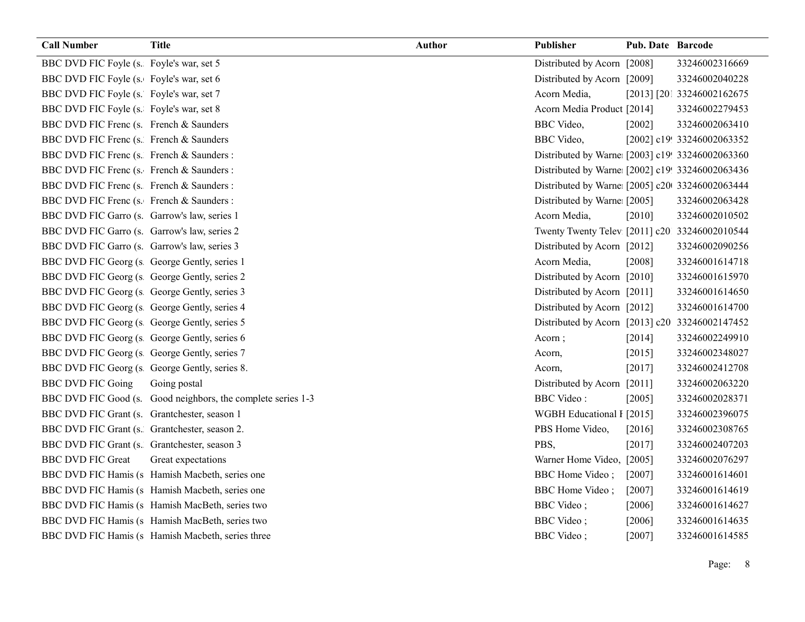| <b>Call Number</b>                            | <b>Title</b>                                                 | <b>Author</b> | Publisher                                       | Pub. Date Barcode |                            |
|-----------------------------------------------|--------------------------------------------------------------|---------------|-------------------------------------------------|-------------------|----------------------------|
| BBC DVD FIC Foyle (s. Foyle's war, set 5      |                                                              |               | Distributed by Acorn [2008]                     |                   | 33246002316669             |
| BBC DVD FIC Foyle (s. Foyle's war, set 6      |                                                              |               | Distributed by Acorn [2009]                     |                   | 33246002040228             |
| BBC DVD FIC Foyle (s. Foyle's war, set 7      |                                                              |               | Acorn Media,                                    |                   | [2013] [201 33246002162675 |
| BBC DVD FIC Foyle (s. Foyle's war, set 8      |                                                              |               | Acorn Media Product [2014]                      |                   | 33246002279453             |
| BBC DVD FIC Frenc (s. French & Saunders       |                                                              |               | <b>BBC</b> Video,                               | $[2002]$          | 33246002063410             |
| BBC DVD FIC Frenc (s. French & Saunders       |                                                              |               | <b>BBC</b> Video,                               |                   | [2002] c19! 33246002063352 |
| BBC DVD FIC Frenc (s. French & Saunders :     |                                                              |               | Distributed by Warne [2003] c19! 33246002063360 |                   |                            |
| BBC DVD FIC Frenc (s. French & Saunders :     |                                                              |               | Distributed by Warne [2002] c19! 33246002063436 |                   |                            |
| BBC DVD FIC Frenc (s. French & Saunders :     |                                                              |               | Distributed by Warne [2005] c20 33246002063444  |                   |                            |
| BBC DVD FIC Frenc (s. French & Saunders :     |                                                              |               | Distributed by Warne: [2005]                    |                   | 33246002063428             |
| BBC DVD FIC Garro (s. Garrow's law, series 1  |                                                              |               | Acorn Media,                                    | $[2010]$          | 33246002010502             |
| BBC DVD FIC Garro (s. Garrow's law, series 2  |                                                              |               | Twenty Twenty Telev [2011] c20 33246002010544   |                   |                            |
| BBC DVD FIC Garro (s. Garrow's law, series 3  |                                                              |               | Distributed by Acorn [2012]                     |                   | 33246002090256             |
| BBC DVD FIC Georg (s George Gently, series 1  |                                                              |               | Acorn Media,                                    | [2008]            | 33246001614718             |
| BBC DVD FIC Georg (s George Gently, series 2  |                                                              |               | Distributed by Acorn [2010]                     |                   | 33246001615970             |
| BBC DVD FIC Georg (s George Gently, series 3  |                                                              |               | Distributed by Acorn [2011]                     |                   | 33246001614650             |
| BBC DVD FIC Georg (s George Gently, series 4  |                                                              |               | Distributed by Acorn [2012]                     |                   | 33246001614700             |
| BBC DVD FIC Georg (s George Gently, series 5  |                                                              |               | Distributed by Acorn [2013] c20 33246002147452  |                   |                            |
| BBC DVD FIC Georg (s George Gently, series 6  |                                                              |               | Acorn;                                          | [2014]            | 33246002249910             |
| BBC DVD FIC Georg (s George Gently, series 7  |                                                              |               | Acorn,                                          | [2015]            | 33246002348027             |
| BBC DVD FIC Georg (s George Gently, series 8. |                                                              |               | Acorn,                                          | $[2017]$          | 33246002412708             |
| <b>BBC DVD FIC Going</b>                      | Going postal                                                 |               | Distributed by Acorn [2011]                     |                   | 33246002063220             |
|                                               | BBC DVD FIC Good (s. Good neighbors, the complete series 1-3 |               | <b>BBC</b> Video:                               | $[2005]$          | 33246002028371             |
| BBC DVD FIC Grant (s. Grantchester, season 1  |                                                              |               | WGBH Educational I [2015]                       |                   | 33246002396075             |
| BBC DVD FIC Grant (s. Grantchester, season 2. |                                                              |               | PBS Home Video,                                 | [2016]            | 33246002308765             |
| BBC DVD FIC Grant (s. Grantchester, season 3  |                                                              |               | PBS,                                            | $[2017]$          | 33246002407203             |
| <b>BBC DVD FIC Great</b>                      | Great expectations                                           |               | Warner Home Video, [2005]                       |                   | 33246002076297             |
|                                               | BBC DVD FIC Hamis (s Hamish Macbeth, series one              |               | BBC Home Video;                                 | $[2007]$          | 33246001614601             |
|                                               | BBC DVD FIC Hamis (s Hamish Macbeth, series one              |               | <b>BBC</b> Home Video;                          | $[2007]$          | 33246001614619             |
|                                               | BBC DVD FIC Hamis (s Hamish MacBeth, series two              |               | <b>BBC</b> Video;                               | [2006]            | 33246001614627             |
|                                               | BBC DVD FIC Hamis (s Hamish MacBeth, series two              |               | <b>BBC</b> Video;                               | [2006]            | 33246001614635             |
|                                               | BBC DVD FIC Hamis (s Hamish Macbeth, series three            |               | <b>BBC</b> Video;                               | [2007]            | 33246001614585             |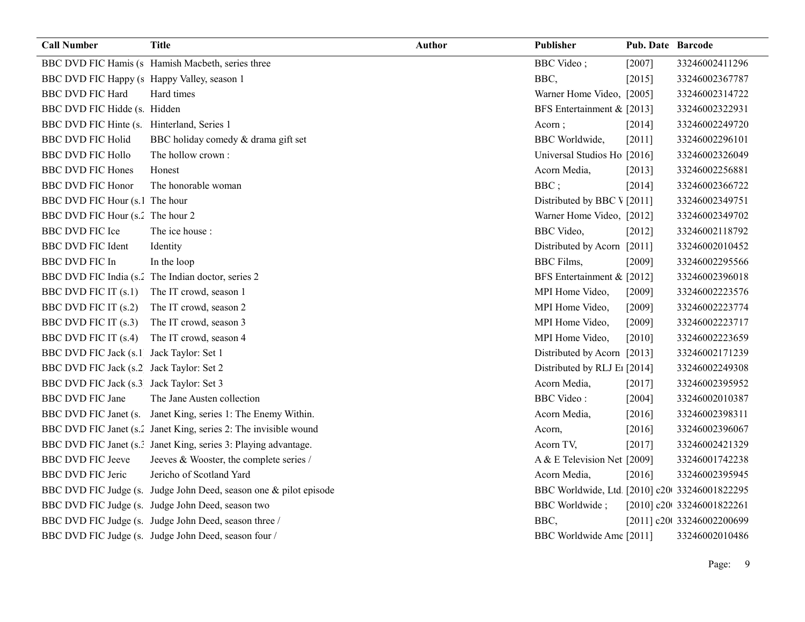| <b>Call Number</b>                          | <b>Title</b>                                                      | Author | Publisher                                    | <b>Pub. Date Barcode</b> |                            |
|---------------------------------------------|-------------------------------------------------------------------|--------|----------------------------------------------|--------------------------|----------------------------|
|                                             | BBC DVD FIC Hamis (s Hamish Macbeth, series three                 |        | <b>BBC</b> Video;                            | [2007]                   | 33246002411296             |
| BBC DVD FIC Happy (s Happy Valley, season 1 |                                                                   |        | BBC,                                         | [2015]                   | 33246002367787             |
| <b>BBC DVD FIC Hard</b>                     | Hard times                                                        |        | Warner Home Video, [2005]                    |                          | 33246002314722             |
| BBC DVD FIC Hidde (s. Hidden                |                                                                   |        | BFS Entertainment & [2013]                   |                          | 33246002322931             |
| BBC DVD FIC Hinte (s. Hinterland, Series 1  |                                                                   |        | Acorn;                                       | $[2014]$                 | 33246002249720             |
| <b>BBC DVD FIC Holid</b>                    | BBC holiday comedy & drama gift set                               |        | <b>BBC</b> Worldwide,                        | $[2011]$                 | 33246002296101             |
| <b>BBC DVD FIC Hollo</b>                    | The hollow crown:                                                 |        | Universal Studios Ho [2016]                  |                          | 33246002326049             |
| <b>BBC DVD FIC Hones</b>                    | Honest                                                            |        | Acorn Media,                                 | [2013]                   | 33246002256881             |
| <b>BBC DVD FIC Honor</b>                    | The honorable woman                                               |        | BBC;                                         | [2014]                   | 33246002366722             |
| BBC DVD FIC Hour (s.1 The hour              |                                                                   |        | Distributed by BBC V [2011]                  |                          | 33246002349751             |
| BBC DVD FIC Hour (s.2 The hour 2            |                                                                   |        | Warner Home Video, [2012]                    |                          | 33246002349702             |
| <b>BBC DVD FIC Ice</b>                      | The ice house :                                                   |        | <b>BBC</b> Video,                            | [2012]                   | 33246002118792             |
| <b>BBC DVD FIC Ident</b>                    | Identity                                                          |        | Distributed by Acorn [2011]                  |                          | 33246002010452             |
| BBC DVD FIC In                              | In the loop                                                       |        | <b>BBC</b> Films,                            | [2009]                   | 33246002295566             |
|                                             | BBC DVD FIC India (s. The Indian doctor, series 2                 |        | BFS Entertainment & [2012]                   |                          | 33246002396018             |
| BBC DVD FIC IT (s.1) The IT crowd, season 1 |                                                                   |        | MPI Home Video,                              | $[2009]$                 | 33246002223576             |
| BBC DVD FIC IT (s.2)                        | The IT crowd, season 2                                            |        | MPI Home Video,                              | $[2009]$                 | 33246002223774             |
| BBC DVD FIC IT (s.3)                        | The IT crowd, season 3                                            |        | MPI Home Video,                              | [2009]                   | 33246002223717             |
| BBC DVD FIC IT (s.4)                        | The IT crowd, season 4                                            |        | MPI Home Video,                              | $[2010]$                 | 33246002223659             |
| BBC DVD FIC Jack (s.1 Jack Taylor: Set 1    |                                                                   |        | Distributed by Acorn [2013]                  |                          | 33246002171239             |
| BBC DVD FIC Jack (s.2 Jack Taylor: Set 2    |                                                                   |        | Distributed by RLJ E <sub>1</sub> [2014]     |                          | 33246002249308             |
| BBC DVD FIC Jack (s.3 Jack Taylor: Set 3    |                                                                   |        | Acorn Media,                                 | [2017]                   | 33246002395952             |
| <b>BBC DVD FIC Jane</b>                     | The Jane Austen collection                                        |        | <b>BBC</b> Video:                            | [2004]                   | 33246002010387             |
|                                             | BBC DVD FIC Janet (s. Janet King, series 1: The Enemy Within.     |        | Acorn Media,                                 | [2016]                   | 33246002398311             |
|                                             | BBC DVD FIC Janet (s.2 Janet King, series 2: The invisible wound  |        | Acorn,                                       | [2016]                   | 33246002396067             |
|                                             | BBC DVD FIC Janet (s.: Janet King, series 3: Playing advantage.   |        | Acorn TV,                                    | [2017]                   | 33246002421329             |
| <b>BBC DVD FIC Jeeve</b>                    | Jeeves & Wooster, the complete series /                           |        | A & E Television Net [2009]                  |                          | 33246001742238             |
| <b>BBC DVD FIC Jeric</b>                    | Jericho of Scotland Yard                                          |        | Acorn Media,                                 | [2016]                   | 33246002395945             |
|                                             | BBC DVD FIC Judge (s. Judge John Deed, season one & pilot episode |        | BBC Worldwide, Ltd [2010] c20 33246001822295 |                          |                            |
|                                             | BBC DVD FIC Judge (s. Judge John Deed, season two                 |        | BBC Worldwide;                               |                          | [2010] c20t 33246001822261 |
|                                             | BBC DVD FIC Judge (s. Judge John Deed, season three /             |        | BBC,                                         |                          | [2011] c20t 33246002200699 |
|                                             | BBC DVD FIC Judge (s. Judge John Deed, season four /              |        | BBC Worldwide Ame [2011]                     |                          | 33246002010486             |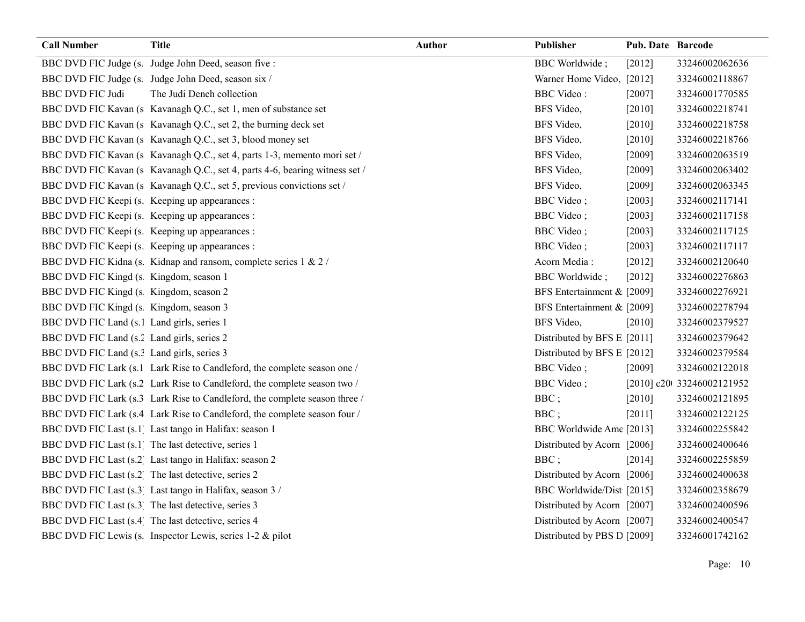| <b>Call Number</b>                         | <b>Title</b>                                                                | <b>Author</b> | Publisher                   | Pub. Date Barcode |                            |
|--------------------------------------------|-----------------------------------------------------------------------------|---------------|-----------------------------|-------------------|----------------------------|
|                                            | BBC DVD FIC Judge (s. Judge John Deed, season five :                        |               | <b>BBC</b> Worldwide;       | [2012]            | 33246002062636             |
|                                            | BBC DVD FIC Judge (s. Judge John Deed, season six /                         |               | Warner Home Video, [2012]   |                   | 33246002118867             |
| <b>BBC DVD FIC Judi</b>                    | The Judi Dench collection                                                   |               | <b>BBC</b> Video:           | $[2007]$          | 33246001770585             |
|                                            | BBC DVD FIC Kavan (s Kavanagh Q.C., set 1, men of substance set             |               | BFS Video,                  | $[2010]$          | 33246002218741             |
|                                            | BBC DVD FIC Kavan (s Kavanagh Q.C., set 2, the burning deck set             |               | BFS Video,                  | $[2010]$          | 33246002218758             |
|                                            | BBC DVD FIC Kavan (s Kavanagh Q.C., set 3, blood money set                  |               | BFS Video,                  | $[2010]$          | 33246002218766             |
|                                            | BBC DVD FIC Kavan (s Kavanagh Q.C., set 4, parts 1-3, memento mori set /    |               | BFS Video,                  | [2009]            | 33246002063519             |
|                                            | BBC DVD FIC Kavan (s Kavanagh Q.C., set 4, parts 4-6, bearing witness set / |               | BFS Video,                  | $[2009]$          | 33246002063402             |
|                                            | BBC DVD FIC Kavan (s Kavanagh Q.C., set 5, previous convictions set /       |               | BFS Video,                  | $[2009]$          | 33246002063345             |
|                                            | BBC DVD FIC Keepi (s. Keeping up appearances :                              |               | BBC Video;                  | $[2003]$          | 33246002117141             |
|                                            | BBC DVD FIC Keepi (s. Keeping up appearances :                              |               | BBC Video;                  | [2003]            | 33246002117158             |
|                                            | BBC DVD FIC Keepi (s. Keeping up appearances :                              |               | BBC Video;                  | $[2003]$          | 33246002117125             |
|                                            | BBC DVD FIC Keepi (s. Keeping up appearances :                              |               | BBC Video;                  | $[2003]$          | 33246002117117             |
|                                            | BBC DVD FIC Kidna (s. Kidnap and ransom, complete series 1 & 2 /            |               | Acorn Media:                | $[2012]$          | 33246002120640             |
| BBC DVD FIC Kingd (s Kingdom, season 1     |                                                                             |               | <b>BBC</b> Worldwide;       | $[2012]$          | 33246002276863             |
| BBC DVD FIC Kingd (s Kingdom, season 2     |                                                                             |               | BFS Entertainment & [2009]  |                   | 33246002276921             |
| BBC DVD FIC Kingd (s Kingdom, season 3     |                                                                             |               | BFS Entertainment & [2009]  |                   | 33246002278794             |
| BBC DVD FIC Land (s.1 Land girls, series 1 |                                                                             |               | BFS Video,                  | $[2010]$          | 33246002379527             |
| BBC DVD FIC Land (s.2 Land girls, series 2 |                                                                             |               | Distributed by BFS E [2011] |                   | 33246002379642             |
| BBC DVD FIC Land (s.? Land girls, series 3 |                                                                             |               | Distributed by BFS E [2012] |                   | 33246002379584             |
|                                            | BBC DVD FIC Lark (s.1 Lark Rise to Candleford, the complete season one /    |               | <b>BBC</b> Video;           | [2009]            | 33246002122018             |
|                                            | BBC DVD FIC Lark (s.2 Lark Rise to Candleford, the complete season two /    |               | BBC Video;                  |                   | [2010] c20t 33246002121952 |
|                                            | BBC DVD FIC Lark (s.3 Lark Rise to Candleford, the complete season three /  |               | BBC;                        | $[2010]$          | 33246002121895             |
|                                            | BBC DVD FIC Lark (s.4 Lark Rise to Candleford, the complete season four /   |               | BBC;                        | [2011]            | 33246002122125             |
|                                            | BBC DVD FIC Last (s.1 Last tango in Halifax: season 1                       |               | BBC Worldwide Ame [2013]    |                   | 33246002255842             |
|                                            | BBC DVD FIC Last (s.1) The last detective, series 1                         |               | Distributed by Acorn [2006] |                   | 33246002400646             |
|                                            | BBC DVD FIC Last (s.2) Last tango in Halifax: season 2                      |               | BBC;                        | [2014]            | 33246002255859             |
|                                            | BBC DVD FIC Last (s.2 The last detective, series 2                          |               | Distributed by Acorn [2006] |                   | 33246002400638             |
|                                            | BBC DVD FIC Last (s.3 Last tango in Halifax, season 3 /                     |               | BBC Worldwide/Dist [2015]   |                   | 33246002358679             |
|                                            | BBC DVD FIC Last (s.3 The last detective, series 3                          |               | Distributed by Acorn [2007] |                   | 33246002400596             |
|                                            | BBC DVD FIC Last (s.4 The last detective, series 4                          |               | Distributed by Acorn [2007] |                   | 33246002400547             |
|                                            | BBC DVD FIC Lewis (s. Inspector Lewis, series 1-2 & pilot                   |               | Distributed by PBS D [2009] |                   | 33246001742162             |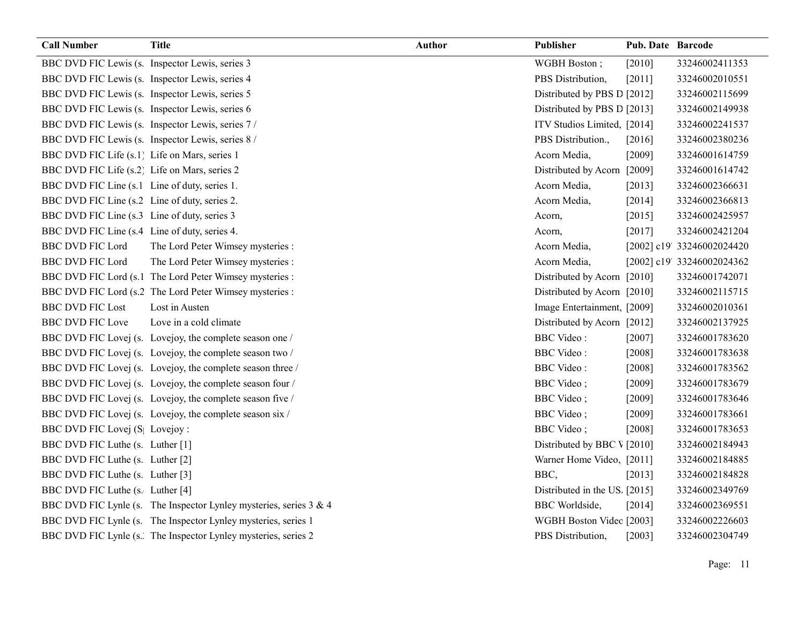| <b>Call Number</b>                              | <b>Title</b>                                                       | <b>Author</b> | <b>Publisher</b>              | Pub. Date Barcode |                            |
|-------------------------------------------------|--------------------------------------------------------------------|---------------|-------------------------------|-------------------|----------------------------|
| BBC DVD FIC Lewis (s. Inspector Lewis, series 3 |                                                                    |               | WGBH Boston;                  | $[2010]$          | 33246002411353             |
| BBC DVD FIC Lewis (s. Inspector Lewis, series 4 |                                                                    |               | PBS Distribution,             | [2011]            | 33246002010551             |
|                                                 | BBC DVD FIC Lewis (s. Inspector Lewis, series 5                    |               | Distributed by PBS D [2012]   |                   | 33246002115699             |
|                                                 | BBC DVD FIC Lewis (s. Inspector Lewis, series 6                    |               | Distributed by PBS D [2013]   |                   | 33246002149938             |
|                                                 | BBC DVD FIC Lewis (s. Inspector Lewis, series 7/                   |               | ITV Studios Limited, [2014]   |                   | 33246002241537             |
|                                                 | BBC DVD FIC Lewis (s. Inspector Lewis, series 8 /                  |               | PBS Distribution.,            | $[2016]$          | 33246002380236             |
| BBC DVD FIC Life (s.1) Life on Mars, series 1   |                                                                    |               | Acorn Media,                  | [2009]            | 33246001614759             |
| BBC DVD FIC Life (s.2) Life on Mars, series 2   |                                                                    |               | Distributed by Acorn [2009]   |                   | 33246001614742             |
| BBC DVD FIC Line (s.1 Line of duty, series 1.   |                                                                    |               | Acorn Media,                  | $[2013]$          | 33246002366631             |
| BBC DVD FIC Line (s.2 Line of duty, series 2.   |                                                                    |               | Acorn Media,                  | [2014]            | 33246002366813             |
| BBC DVD FIC Line (s.3 Line of duty, series 3    |                                                                    |               | Acorn,                        | [2015]            | 33246002425957             |
| BBC DVD FIC Line (s.4 Line of duty, series 4.   |                                                                    |               | Acorn,                        | [2017]            | 33246002421204             |
| <b>BBC DVD FIC Lord</b>                         | The Lord Peter Wimsey mysteries :                                  |               | Acorn Media,                  |                   | [2002] c19' 33246002024420 |
| <b>BBC DVD FIC Lord</b>                         | The Lord Peter Wimsey mysteries :                                  |               | Acorn Media,                  |                   | [2002] c19' 33246002024362 |
|                                                 | BBC DVD FIC Lord (s.1 The Lord Peter Wimsey mysteries :            |               | Distributed by Acorn [2010]   |                   | 33246001742071             |
|                                                 | BBC DVD FIC Lord (s.2 The Lord Peter Wimsey mysteries :            |               | Distributed by Acorn [2010]   |                   | 33246002115715             |
| <b>BBC DVD FIC Lost</b>                         | Lost in Austen                                                     |               | Image Entertainment, [2009]   |                   | 33246002010361             |
| <b>BBC DVD FIC Love</b>                         | Love in a cold climate                                             |               | Distributed by Acorn [2012]   |                   | 33246002137925             |
|                                                 | BBC DVD FIC Lovej (s. Lovejoy, the complete season one /           |               | <b>BBC</b> Video:             | $[2007]$          | 33246001783620             |
|                                                 | BBC DVD FIC Lovej (s. Lovejoy, the complete season two /           |               | <b>BBC</b> Video:             | [2008]            | 33246001783638             |
|                                                 | BBC DVD FIC Lovej (s. Lovejoy, the complete season three /         |               | <b>BBC</b> Video:             | [2008]            | 33246001783562             |
|                                                 | BBC DVD FIC Lovej (s. Lovejoy, the complete season four /          |               | <b>BBC</b> Video;             | [2009]            | 33246001783679             |
|                                                 | BBC DVD FIC Lovej (s. Lovejoy, the complete season five /          |               | <b>BBC</b> Video;             | $[2009]$          | 33246001783646             |
|                                                 | BBC DVD FIC Lovej (s. Lovejoy, the complete season six /           |               | <b>BBC</b> Video;             | [2009]            | 33246001783661             |
| BBC DVD FIC Lovej (S Lovejoy:                   |                                                                    |               | <b>BBC</b> Video;             | [2008]            | 33246001783653             |
| BBC DVD FIC Luthe (s. Luther [1]                |                                                                    |               | Distributed by BBC V [2010]   |                   | 33246002184943             |
| BBC DVD FIC Luthe (s. Luther [2]                |                                                                    |               | Warner Home Video, [2011]     |                   | 33246002184885             |
| BBC DVD FIC Luthe (s. Luther [3]                |                                                                    |               | BBC.                          | [2013]            | 33246002184828             |
| BBC DVD FIC Luthe (s. Luther [4]                |                                                                    |               | Distributed in the US. [2015] |                   | 33246002349769             |
|                                                 | BBC DVD FIC Lynle (s. The Inspector Lynley mysteries, series 3 & 4 |               | <b>BBC</b> Worldside,         | [2014]            | 33246002369551             |
|                                                 | BBC DVD FIC Lynle (s. The Inspector Lynley mysteries, series 1     |               | WGBH Boston Videc [2003]      |                   | 33246002226603             |
|                                                 | BBC DVD FIC Lynle (s. The Inspector Lynley mysteries, series 2     |               | PBS Distribution,             | $[2003]$          | 33246002304749             |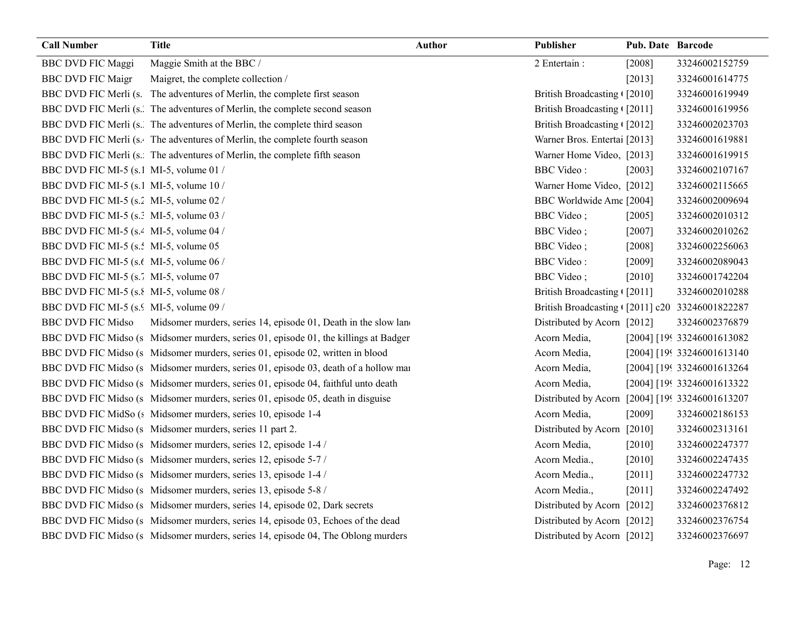| <b>Call Number</b>                                  | <b>Title</b>                                                                         | <b>Author</b> | Publisher                                      | Pub. Date Barcode |                             |
|-----------------------------------------------------|--------------------------------------------------------------------------------------|---------------|------------------------------------------------|-------------------|-----------------------------|
| <b>BBC DVD FIC Maggi</b>                            | Maggie Smith at the BBC /                                                            |               | 2 Entertain:                                   | [2008]            | 33246002152759              |
| <b>BBC DVD FIC Maigr</b>                            | Maigret, the complete collection /                                                   |               |                                                | [2013]            | 33246001614775              |
|                                                     | BBC DVD FIC Merli (s. The adventures of Merlin, the complete first season            |               | British Broadcasting [2010]                    |                   | 33246001619949              |
|                                                     | BBC DVD FIC Merli (s. The adventures of Merlin, the complete second season           |               | British Broadcasting ([2011]                   |                   | 33246001619956              |
|                                                     | BBC DVD FIC Merli (s. The adventures of Merlin, the complete third season            |               | British Broadcasting ([2012]                   |                   | 33246002023703              |
|                                                     | BBC DVD FIC Merli (s. The adventures of Merlin, the complete fourth season           |               | Warner Bros. Entertai [2013]                   |                   | 33246001619881              |
|                                                     | BBC DVD FIC Merli (s. The adventures of Merlin, the complete fifth season            |               | Warner Home Video, [2013]                      |                   | 33246001619915              |
| BBC DVD FIC MI-5 (s.1 MI-5, volume 01 /             |                                                                                      |               | <b>BBC</b> Video:                              | [2003]            | 33246002107167              |
| BBC DVD FIC MI-5 (s.1 MI-5, volume 10 /             |                                                                                      |               | Warner Home Video, [2012]                      |                   | 33246002115665              |
| BBC DVD FIC MI-5 (s. 2MI-5, volume 02/              |                                                                                      |               | BBC Worldwide Ame [2004]                       |                   | 33246002009694              |
| BBC DVD FIC MI-5 (s.: MI-5, volume 03/              |                                                                                      |               | <b>BBC</b> Video;                              | [2005]            | 33246002010312              |
| BBC DVD FIC MI-5 (s. <sup>2</sup> MI-5, volume 04 / |                                                                                      |               | <b>BBC</b> Video;                              | $[2007]$          | 33246002010262              |
| BBC DVD FIC MI-5 (s.: MI-5, volume 05               |                                                                                      |               | <b>BBC</b> Video;                              | $[2008]$          | 33246002256063              |
| BBC DVD FIC MI-5 (s.t MI-5, volume 06 /             |                                                                                      |               | <b>BBC</b> Video:                              | [2009]            | 33246002089043              |
| BBC DVD FIC MI-5 (s. MI-5, volume 07                |                                                                                      |               | <b>BBC</b> Video;                              | [2010]            | 33246001742204              |
| BBC DVD FIC MI-5 (s. 8MI-5, volume 08/              |                                                                                      |               | British Broadcasting [2011]                    |                   | 33246002010288              |
| BBC DVD FIC MI-5 (s. MI-5, volume 09 /              |                                                                                      |               | British Broadcasting (2011] c20 33246001822287 |                   |                             |
| <b>BBC DVD FIC Midso</b>                            | Midsomer murders, series 14, episode 01, Death in the slow land                      |               | Distributed by Acorn [2012]                    |                   | 33246002376879              |
|                                                     | BBC DVD FIC Midso (s Midsomer murders, series 01, episode 01, the killings at Badger |               | Acorn Media,                                   |                   | [2004] [199 33246001613082  |
|                                                     | BBC DVD FIC Midso (s Midsomer murders, series 01, episode 02, written in blood       |               | Acorn Media,                                   |                   | [2004] [199 33246001613140] |
|                                                     | BBC DVD FIC Midso (s Midsomer murders, series 01, episode 03, death of a hollow mai  |               | Acorn Media,                                   |                   | [2004] [199 33246001613264  |
|                                                     | BBC DVD FIC Midso (s Midsomer murders, series 01, episode 04, faithful unto death    |               | Acorn Media,                                   |                   | [2004] [199 33246001613322  |
|                                                     | BBC DVD FIC Midso (s Midsomer murders, series 01, episode 05, death in disguise      |               | Distributed by Acorn                           |                   | [2004] [199 33246001613207  |
|                                                     | BBC DVD FIC MidSo (s Midsomer murders, series 10, episode 1-4                        |               | Acorn Media,                                   | [2009]            | 33246002186153              |
|                                                     | BBC DVD FIC Midso (s Midsomer murders, series 11 part 2.                             |               | Distributed by Acorn [2010]                    |                   | 33246002313161              |
|                                                     | BBC DVD FIC Midso (s Midsomer murders, series 12, episode 1-4 /                      |               | Acorn Media,                                   | $[2010]$          | 33246002247377              |
|                                                     | BBC DVD FIC Midso (s Midsomer murders, series 12, episode 5-7 /                      |               | Acorn Media.,                                  | $[2010]$          | 33246002247435              |
|                                                     | BBC DVD FIC Midso (s Midsomer murders, series 13, episode 1-4 /                      |               | Acorn Media.,                                  | $[2011]$          | 33246002247732              |
|                                                     | BBC DVD FIC Midso (s Midsomer murders, series 13, episode 5-8 /                      |               | Acorn Media.,                                  | $[2011]$          | 33246002247492              |
|                                                     | BBC DVD FIC Midso (s Midsomer murders, series 14, episode 02, Dark secrets           |               | Distributed by Acorn [2012]                    |                   | 33246002376812              |
|                                                     | BBC DVD FIC Midso (s Midsomer murders, series 14, episode 03, Echoes of the dead     |               | Distributed by Acorn [2012]                    |                   | 33246002376754              |
|                                                     | BBC DVD FIC Midso (s Midsomer murders, series 14, episode 04, The Oblong murders     |               | Distributed by Acorn [2012]                    |                   | 33246002376697              |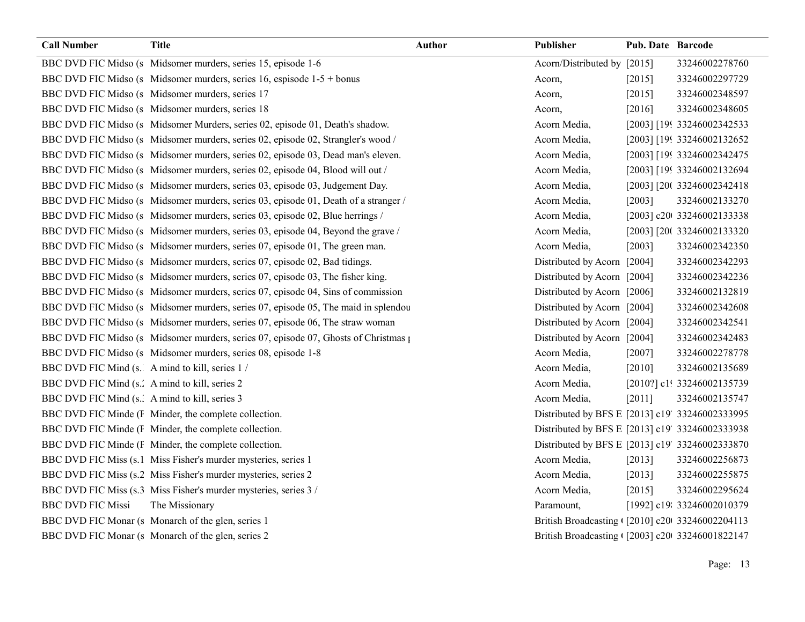| <b>Call Number</b>                             | <b>Title</b>                                                                        | <b>Author</b> | <b>Publisher</b>                                | Pub. Date Barcode |                            |
|------------------------------------------------|-------------------------------------------------------------------------------------|---------------|-------------------------------------------------|-------------------|----------------------------|
|                                                | BBC DVD FIC Midso (s Midsomer murders, series 15, episode 1-6                       |               | Acorn/Distributed by [2015]                     |                   | 33246002278760             |
|                                                | BBC DVD FIC Midso (s Midsomer murders, series 16, espisode 1-5 + bonus              |               | Acorn,                                          | $[2015]$          | 33246002297729             |
|                                                | BBC DVD FIC Midso (s Midsomer murders, series 17                                    |               | Acorn,                                          | $[2015]$          | 33246002348597             |
|                                                | BBC DVD FIC Midso (s Midsomer murders, series 18                                    |               | Acorn,                                          | [2016]            | 33246002348605             |
|                                                | BBC DVD FIC Midso (s Midsomer Murders, series 02, episode 01, Death's shadow.       |               | Acorn Media,                                    |                   | [2003] [199 33246002342533 |
|                                                | BBC DVD FIC Midso (s Midsomer murders, series 02, episode 02, Strangler's wood /    |               | Acorn Media,                                    |                   | [2003] [199 33246002132652 |
|                                                | BBC DVD FIC Midso (s Midsomer murders, series 02, episode 03, Dead man's eleven.    |               | Acorn Media,                                    |                   | [2003] [199 33246002342475 |
|                                                | BBC DVD FIC Midso (s Midsomer murders, series 02, episode 04, Blood will out /      |               | Acorn Media,                                    |                   | [2003] [199 33246002132694 |
|                                                | BBC DVD FIC Midso (s Midsomer murders, series 03, episode 03, Judgement Day.        |               | Acorn Media,                                    |                   | [2003] [200 33246002342418 |
|                                                | BBC DVD FIC Midso (s Midsomer murders, series 03, episode 01, Death of a stranger / |               | Acorn Media,                                    | [2003]            | 33246002133270             |
|                                                | BBC DVD FIC Midso (s Midsomer murders, series 03, episode 02, Blue herrings /       |               | Acorn Media,                                    |                   | [2003] c20t 33246002133338 |
|                                                | BBC DVD FIC Midso (s Midsomer murders, series 03, episode 04, Beyond the grave /    |               | Acorn Media,                                    |                   | [2003] [200 33246002133320 |
|                                                | BBC DVD FIC Midso (s Midsomer murders, series 07, episode 01, The green man.        |               | Acorn Media,                                    | [2003]            | 33246002342350             |
|                                                | BBC DVD FIC Midso (s Midsomer murders, series 07, episode 02, Bad tidings.          |               | Distributed by Acorn [2004]                     |                   | 33246002342293             |
|                                                | BBC DVD FIC Midso (s Midsomer murders, series 07, episode 03, The fisher king.      |               | Distributed by Acorn [2004]                     |                   | 33246002342236             |
|                                                | BBC DVD FIC Midso (s Midsomer murders, series 07, episode 04, Sins of commission    |               | Distributed by Acorn [2006]                     |                   | 33246002132819             |
|                                                | BBC DVD FIC Midso (s Midsomer murders, series 07, episode 05, The maid in splendou  |               | Distributed by Acorn [2004]                     |                   | 33246002342608             |
|                                                | BBC DVD FIC Midso (s Midsomer murders, series 07, episode 06, The straw woman       |               | Distributed by Acorn [2004]                     |                   | 33246002342541             |
|                                                | BBC DVD FIC Midso (s Midsomer murders, series 07, episode 07, Ghosts of Christmas 1 |               | Distributed by Acorn [2004]                     |                   | 33246002342483             |
|                                                | BBC DVD FIC Midso (s Midsomer murders, series 08, episode 1-8                       |               | Acorn Media,                                    | $[2007]$          | 33246002278778             |
| BBC DVD FIC Mind (s. A mind to kill, series 1/ |                                                                                     |               | Acorn Media,                                    | $[2010]$          | 33246002135689             |
| BBC DVD FIC Mind (s.' A mind to kill, series 2 |                                                                                     |               | Acorn Media,                                    |                   | [2010?] c1! 33246002135739 |
| BBC DVD FIC Mind (s. A mind to kill, series 3  |                                                                                     |               | Acorn Media,                                    | [2011]            | 33246002135747             |
|                                                | BBC DVD FIC Minde (I Minder, the complete collection.                               |               | Distributed by BFS E [2013] c19' 33246002333995 |                   |                            |
|                                                | BBC DVD FIC Minde (I Minder, the complete collection.                               |               | Distributed by BFS E [2013] c19' 33246002333938 |                   |                            |
|                                                | BBC DVD FIC Minde (I Minder, the complete collection.                               |               | Distributed by BFS E [2013] c19' 33246002333870 |                   |                            |
|                                                | BBC DVD FIC Miss (s.1 Miss Fisher's murder mysteries, series 1                      |               | Acorn Media,                                    | [2013]            | 33246002256873             |
|                                                | BBC DVD FIC Miss (s.2 Miss Fisher's murder mysteries, series 2                      |               | Acorn Media,                                    | $[2013]$          | 33246002255875             |
|                                                | BBC DVD FIC Miss (s.3 Miss Fisher's murder mysteries, series 3 /                    |               | Acorn Media,                                    | [2015]            | 33246002295624             |
| <b>BBC DVD FIC Missi</b>                       | The Missionary                                                                      |               | Paramount,                                      |                   | [1992] c19: 33246002010379 |
|                                                | BBC DVD FIC Monar (s Monarch of the glen, series 1                                  |               | British Broadcasting ([2010] c20 33246002204113 |                   |                            |
|                                                | BBC DVD FIC Monar (s Monarch of the glen, series 2                                  |               | British Broadcasting (2003] c20(33246001822147  |                   |                            |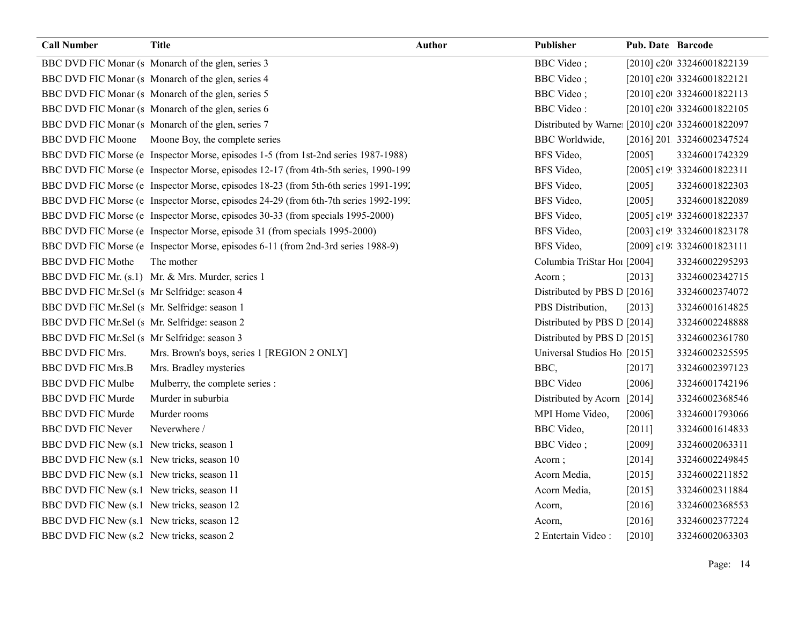| <b>Call Number</b>                            | <b>Title</b>                                                                         | <b>Author</b> | Publisher                                      | Pub. Date Barcode |                            |
|-----------------------------------------------|--------------------------------------------------------------------------------------|---------------|------------------------------------------------|-------------------|----------------------------|
|                                               | BBC DVD FIC Monar (s Monarch of the glen, series 3                                   |               | <b>BBC</b> Video;                              |                   | [2010] c20t 33246001822139 |
|                                               | BBC DVD FIC Monar (s Monarch of the glen, series 4                                   |               | <b>BBC</b> Video;                              |                   | [2010] c20 33246001822121  |
|                                               | BBC DVD FIC Monar (s Monarch of the glen, series 5                                   |               | <b>BBC</b> Video;                              |                   | [2010] c20t 33246001822113 |
|                                               | BBC DVD FIC Monar (s Monarch of the glen, series 6                                   |               | <b>BBC</b> Video:                              |                   | [2010] c20t 33246001822105 |
|                                               | BBC DVD FIC Monar (s Monarch of the glen, series 7                                   |               | Distributed by Warne [2010] c20 33246001822097 |                   |                            |
|                                               | BBC DVD FIC Moone Moone Boy, the complete series                                     |               | <b>BBC</b> Worldwide,                          |                   | [2016] 201 33246002347524  |
|                                               | BBC DVD FIC Morse (e Inspector Morse, episodes 1-5 (from 1st-2nd series 1987-1988)   |               | BFS Video,                                     | [2005]            | 33246001742329             |
|                                               | BBC DVD FIC Morse (e Inspector Morse, episodes 12-17 (from 4th-5th series, 1990-199  |               | BFS Video,                                     |                   | [2005] c19! 33246001822311 |
|                                               | BBC DVD FIC Morse (e Inspector Morse, episodes 18-23 (from 5th-6th series 1991-1992) |               | BFS Video,                                     | [2005]            | 33246001822303             |
|                                               | BBC DVD FIC Morse (e Inspector Morse, episodes 24-29 (from 6th-7th series 1992-199)  |               | BFS Video,                                     | [2005]            | 33246001822089             |
|                                               | BBC DVD FIC Morse (e Inspector Morse, episodes 30-33 (from specials 1995-2000)       |               | BFS Video,                                     |                   | [2005] c19! 33246001822337 |
|                                               | BBC DVD FIC Morse (e Inspector Morse, episode 31 (from specials 1995-2000)           |               | BFS Video,                                     |                   | [2003] c19! 33246001823178 |
|                                               | BBC DVD FIC Morse (e Inspector Morse, episodes 6-11 (from 2nd-3rd series 1988-9)     |               | BFS Video,                                     |                   | [2009] c19: 33246001823111 |
| <b>BBC DVD FIC Mothe</b>                      | The mother                                                                           |               | Columbia TriStar Ho1 [2004]                    |                   | 33246002295293             |
|                                               | BBC DVD FIC Mr. (s.1) Mr. & Mrs. Murder, series 1                                    |               | Acorn;                                         | [2013]            | 33246002342715             |
| BBC DVD FIC Mr.Sel (s Mr Selfridge: season 4  |                                                                                      |               | Distributed by PBS D [2016]                    |                   | 33246002374072             |
| BBC DVD FIC Mr.Sel (s Mr. Selfridge: season 1 |                                                                                      |               | PBS Distribution,                              | [2013]            | 33246001614825             |
| BBC DVD FIC Mr.Sel (s Mr. Selfridge: season 2 |                                                                                      |               | Distributed by PBS D [2014]                    |                   | 33246002248888             |
| BBC DVD FIC Mr.Sel (s Mr Selfridge: season 3  |                                                                                      |               | Distributed by PBS D [2015]                    |                   | 33246002361780             |
| <b>BBC DVD FIC Mrs.</b>                       | Mrs. Brown's boys, series 1 [REGION 2 ONLY]                                          |               | Universal Studios Ho [2015]                    |                   | 33246002325595             |
| <b>BBC DVD FIC Mrs.B</b>                      | Mrs. Bradley mysteries                                                               |               | BBC,                                           | [2017]            | 33246002397123             |
| <b>BBC DVD FIC Mulbe</b>                      | Mulberry, the complete series :                                                      |               | <b>BBC</b> Video                               | [2006]            | 33246001742196             |
| <b>BBC DVD FIC Murde</b>                      | Murder in suburbia                                                                   |               | Distributed by Acorn [2014]                    |                   | 33246002368546             |
| <b>BBC DVD FIC Murde</b>                      | Murder rooms                                                                         |               | MPI Home Video,                                | $[2006]$          | 33246001793066             |
| <b>BBC DVD FIC Never</b>                      | Neverwhere /                                                                         |               | <b>BBC</b> Video,                              | $[2011]$          | 33246001614833             |
| BBC DVD FIC New (s.1 New tricks, season 1     |                                                                                      |               | <b>BBC</b> Video;                              | [2009]            | 33246002063311             |
| BBC DVD FIC New (s.1 New tricks, season 10    |                                                                                      |               | Acorn;                                         | $[2014]$          | 33246002249845             |
| BBC DVD FIC New (s.1 New tricks, season 11    |                                                                                      |               | Acorn Media,                                   | [2015]            | 33246002211852             |
| BBC DVD FIC New (s.1 New tricks, season 11    |                                                                                      |               | Acorn Media,                                   | [2015]            | 33246002311884             |
| BBC DVD FIC New (s.1 New tricks, season 12    |                                                                                      |               | Acorn,                                         | [2016]            | 33246002368553             |
| BBC DVD FIC New (s.1 New tricks, season 12    |                                                                                      |               | Acorn,                                         | [2016]            | 33246002377224             |
| BBC DVD FIC New (s.2 New tricks, season 2     |                                                                                      |               | 2 Entertain Video:                             | [2010]            | 33246002063303             |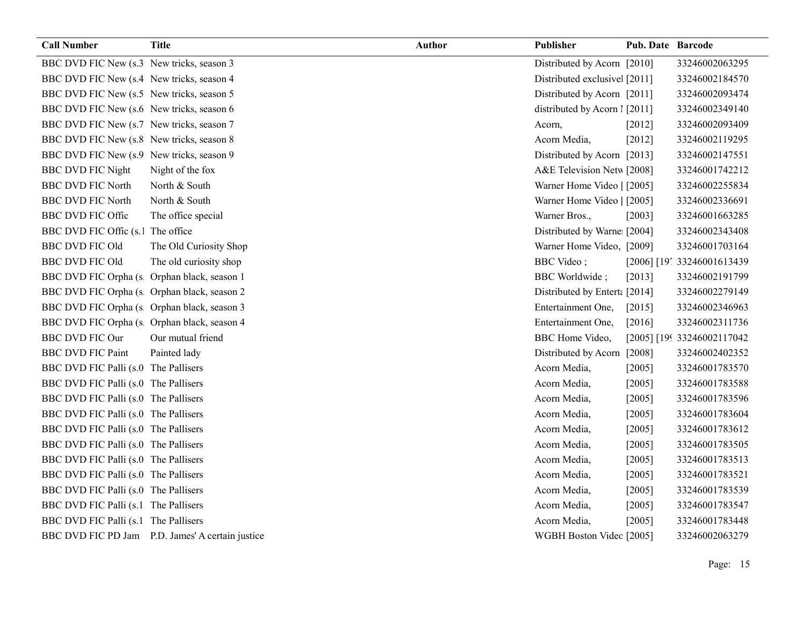| <b>Call Number</b>                          | <b>Title</b>                                     | <b>Author</b> | Publisher                     | Pub. Date Barcode |                              |
|---------------------------------------------|--------------------------------------------------|---------------|-------------------------------|-------------------|------------------------------|
| BBC DVD FIC New (s.3 New tricks, season 3   |                                                  |               | Distributed by Acorn [2010]   |                   | 33246002063295               |
| BBC DVD FIC New (s.4 New tricks, season 4   |                                                  |               | Distributed exclusive [2011]  |                   | 33246002184570               |
| BBC DVD FIC New (s.5 New tricks, season 5   |                                                  |               | Distributed by Acorn [2011]   |                   | 33246002093474               |
| BBC DVD FIC New (s.6 New tricks, season 6   |                                                  |               | distributed by Acorn 1 [2011] |                   | 33246002349140               |
| BBC DVD FIC New (s.7 New tricks, season 7   |                                                  |               | Acorn,                        | $[2012]$          | 33246002093409               |
| BBC DVD FIC New (s.8 New tricks, season 8   |                                                  |               | Acorn Media,                  | [2012]            | 33246002119295               |
| BBC DVD FIC New (s.9 New tricks, season 9   |                                                  |               | Distributed by Acorn [2013]   |                   | 33246002147551               |
| <b>BBC DVD FIC Night</b>                    | Night of the fox                                 |               | A&E Television Netw [2008]    |                   | 33246001742212               |
| <b>BBC DVD FIC North</b>                    | North & South                                    |               | Warner Home Video   [2005]    |                   | 33246002255834               |
| <b>BBC DVD FIC North</b>                    | North & South                                    |               | Warner Home Video   [2005]    |                   | 33246002336691               |
| <b>BBC DVD FIC Offic</b>                    | The office special                               |               | Warner Bros.,                 | [2003]            | 33246001663285               |
| BBC DVD FIC Offic (s.1 The office           |                                                  |               | Distributed by Warne [2004]   |                   | 33246002343408               |
| <b>BBC DVD FIC Old</b>                      | The Old Curiosity Shop                           |               | Warner Home Video, [2009]     |                   | 33246001703164               |
| <b>BBC DVD FIC Old</b>                      | The old curiosity shop                           |               | <b>BBC</b> Video;             |                   | [2006] [19', 33246001613439] |
| BBC DVD FIC Orpha (s Orphan black, season 1 |                                                  |               | <b>BBC</b> Worldwide;         | [2013]            | 33246002191799               |
| BBC DVD FIC Orpha (s Orphan black, season 2 |                                                  |               | Distributed by Entert: [2014] |                   | 33246002279149               |
| BBC DVD FIC Orpha (s Orphan black, season 3 |                                                  |               | Entertainment One,            | [2015]            | 33246002346963               |
| BBC DVD FIC Orpha (s Orphan black, season 4 |                                                  |               | Entertainment One,            | [2016]            | 33246002311736               |
| <b>BBC DVD FIC Our</b>                      | Our mutual friend                                |               | BBC Home Video,               |                   | [2005] [199 33246002117042   |
| <b>BBC DVD FIC Paint</b>                    | Painted lady                                     |               | Distributed by Acorn [2008]   |                   | 33246002402352               |
| BBC DVD FIC Palli (s.0 The Pallisers        |                                                  |               | Acorn Media,                  | [2005]            | 33246001783570               |
| BBC DVD FIC Palli (s.0 The Pallisers        |                                                  |               | Acorn Media,                  | [2005]            | 33246001783588               |
| BBC DVD FIC Palli (s.0 The Pallisers        |                                                  |               | Acorn Media,                  | [2005]            | 33246001783596               |
| BBC DVD FIC Palli (s.0 The Pallisers        |                                                  |               | Acorn Media,                  | [2005]            | 33246001783604               |
| BBC DVD FIC Palli (s.0 The Pallisers        |                                                  |               | Acorn Media,                  | [2005]            | 33246001783612               |
| BBC DVD FIC Palli (s.0 The Pallisers        |                                                  |               | Acorn Media,                  | [2005]            | 33246001783505               |
| BBC DVD FIC Palli (s.0 The Pallisers        |                                                  |               | Acorn Media,                  | $[2005]$          | 33246001783513               |
| BBC DVD FIC Palli (s.0 The Pallisers        |                                                  |               | Acorn Media,                  | $[2005]$          | 33246001783521               |
| BBC DVD FIC Palli (s.0 The Pallisers        |                                                  |               | Acorn Media,                  | $[2005]$          | 33246001783539               |
| BBC DVD FIC Palli (s.1 The Pallisers        |                                                  |               | Acorn Media,                  | [2005]            | 33246001783547               |
| BBC DVD FIC Palli (s.1 The Pallisers        |                                                  |               | Acorn Media,                  | [2005]            | 33246001783448               |
|                                             | BBC DVD FIC PD Jam P.D. James' A certain justice |               | WGBH Boston Videc [2005]      |                   | 33246002063279               |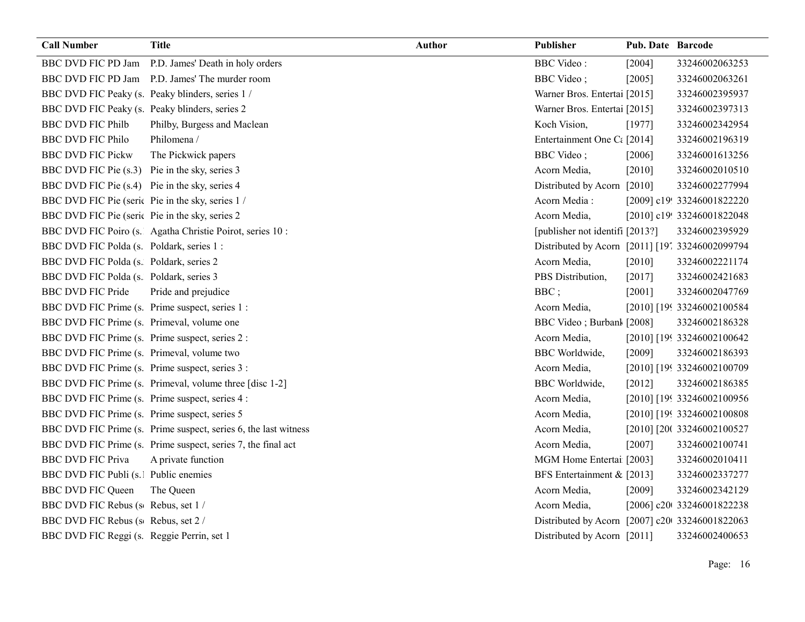| <b>Call Number</b>                               | <b>Title</b>                                                    | <b>Author</b> | Publisher                                       | Pub. Date Barcode |                            |
|--------------------------------------------------|-----------------------------------------------------------------|---------------|-------------------------------------------------|-------------------|----------------------------|
| BBC DVD FIC PD Jam                               | P.D. James' Death in holy orders                                |               | <b>BBC</b> Video:                               | [2004]            | 33246002063253             |
| <b>BBC DVD FIC PD Jam</b>                        | P.D. James' The murder room                                     |               | <b>BBC</b> Video;                               | [2005]            | 33246002063261             |
|                                                  | BBC DVD FIC Peaky (s. Peaky blinders, series 1/                 |               | Warner Bros. Entertai [2015]                    |                   | 33246002395937             |
| BBC DVD FIC Peaky (s. Peaky blinders, series 2   |                                                                 |               | Warner Bros. Entertai [2015]                    |                   | 33246002397313             |
| <b>BBC DVD FIC Philb</b>                         | Philby, Burgess and Maclean                                     |               | Koch Vision,                                    | [1977]            | 33246002342954             |
| <b>BBC DVD FIC Philo</b>                         | Philomena /                                                     |               | Entertainment One Ct [2014]                     |                   | 33246002196319             |
| <b>BBC DVD FIC Pickw</b>                         | The Pickwick papers                                             |               | BBC Video;                                      | [2006]            | 33246001613256             |
| BBC DVD FIC Pie (s.3) Pie in the sky, series 3   |                                                                 |               | Acorn Media,                                    | [2010]            | 33246002010510             |
| BBC DVD FIC Pie (s.4) Pie in the sky, series 4   |                                                                 |               | Distributed by Acorn                            | $[2010]$          | 33246002277994             |
| BBC DVD FIC Pie (seric Pie in the sky, series 1/ |                                                                 |               | Acorn Media:                                    |                   | [2009] c19! 33246001822220 |
| BBC DVD FIC Pie (seric Pie in the sky, series 2  |                                                                 |               | Acorn Media,                                    |                   | [2010] c19! 33246001822048 |
|                                                  | BBC DVD FIC Poiro (s. Agatha Christie Poirot, series 10 :       |               | [publisher not identifi [2013?]                 |                   | 33246002395929             |
| BBC DVD FIC Polda (s. Poldark, series 1:         |                                                                 |               | Distributed by Acorn [2011] [197 33246002099794 |                   |                            |
| BBC DVD FIC Polda (s. Poldark, series 2          |                                                                 |               | Acorn Media,                                    | $[2010]$          | 33246002221174             |
| BBC DVD FIC Polda (s. Poldark, series 3          |                                                                 |               | PBS Distribution,                               | [2017]            | 33246002421683             |
| <b>BBC DVD FIC Pride</b>                         | Pride and prejudice                                             |               | BBC;                                            | [2001]            | 33246002047769             |
| BBC DVD FIC Prime (s. Prime suspect, series 1:   |                                                                 |               | Acorn Media,                                    |                   | [2010] [199 33246002100584 |
| BBC DVD FIC Prime (s. Primeval, volume one       |                                                                 |               | BBC Video; Burbanl [2008]                       |                   | 33246002186328             |
| BBC DVD FIC Prime (s. Prime suspect, series 2 :  |                                                                 |               | Acorn Media,                                    |                   | [2010] [199 33246002100642 |
| BBC DVD FIC Prime (s. Primeval, volume two       |                                                                 |               | <b>BBC</b> Worldwide,                           | [2009]            | 33246002186393             |
| BBC DVD FIC Prime (s. Prime suspect, series 3 :  |                                                                 |               | Acorn Media,                                    |                   | [2010] [199 33246002100709 |
|                                                  | BBC DVD FIC Prime (s. Primeval, volume three [disc 1-2]         |               | <b>BBC</b> Worldwide,                           | [2012]            | 33246002186385             |
| BBC DVD FIC Prime (s. Prime suspect, series 4 :  |                                                                 |               | Acorn Media,                                    |                   | [2010] [199 33246002100956 |
| BBC DVD FIC Prime (s. Prime suspect, series 5    |                                                                 |               | Acorn Media,                                    |                   | [2010] [199 33246002100808 |
|                                                  | BBC DVD FIC Prime (s. Prime suspect, series 6, the last witness |               | Acorn Media,                                    |                   | [2010] [20( 33246002100527 |
|                                                  | BBC DVD FIC Prime (s. Prime suspect, series 7, the final act    |               | Acorn Media,                                    | [2007]            | 33246002100741             |
| <b>BBC DVD FIC Priva</b>                         | A private function                                              |               | MGM Home Entertai [2003]                        |                   | 33246002010411             |
| BBC DVD FIC Publi (s. Public enemies             |                                                                 |               | BFS Entertainment & [2013]                      |                   | 33246002337277             |
| <b>BBC DVD FIC Queen</b>                         | The Queen                                                       |               | Acorn Media,                                    | [2009]            | 33246002342129             |
| BBC DVD FIC Rebus (s Rebus, set 1/               |                                                                 |               | Acorn Media,                                    |                   | [2006] c20t 33246001822238 |
| BBC DVD FIC Rebus (s Rebus, set 2 /              |                                                                 |               | Distributed by Acorn [2007] c20 33246001822063  |                   |                            |
| BBC DVD FIC Reggi (s. Reggie Perrin, set 1       |                                                                 |               | Distributed by Acorn [2011]                     |                   | 33246002400653             |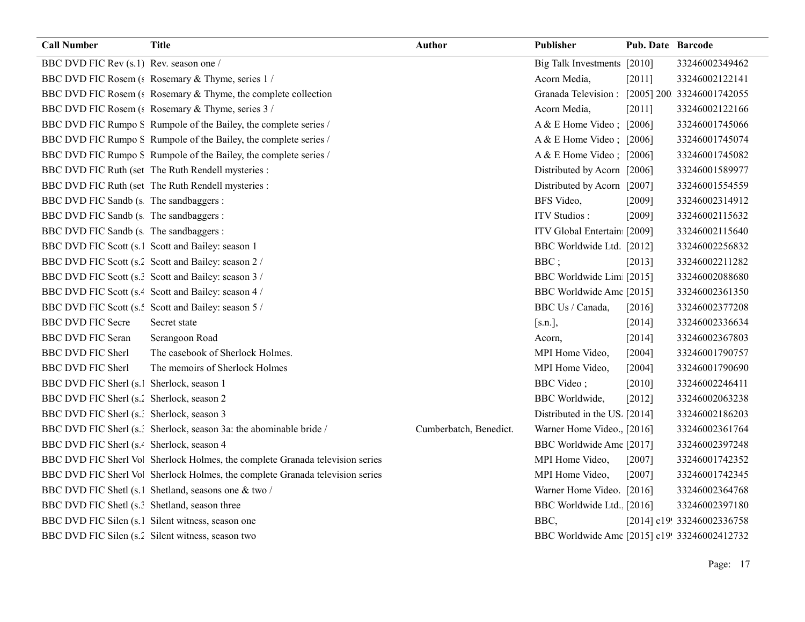| <b>Call Number</b>                                    | <b>Title</b>                                                                 | Author                 | Publisher                                     | <b>Pub. Date Barcode</b> |                            |
|-------------------------------------------------------|------------------------------------------------------------------------------|------------------------|-----------------------------------------------|--------------------------|----------------------------|
| BBC DVD FIC Rev (s.1) Rev. season one /               |                                                                              |                        | Big Talk Investments [2010]                   |                          | 33246002349462             |
|                                                       | BBC DVD FIC Rosem (: Rosemary & Thyme, series 1/                             |                        | Acorn Media,                                  | [2011]                   | 33246002122141             |
|                                                       | BBC DVD FIC Rosem (: Rosemary & Thyme, the complete collection               |                        | Granada Television: [2005] 200 33246001742055 |                          |                            |
|                                                       | BBC DVD FIC Rosem (: Rosemary & Thyme, series 3 /                            |                        | Acorn Media,                                  | [2011]                   | 33246002122166             |
|                                                       | BBC DVD FIC Rumpo S Rumpole of the Bailey, the complete series /             |                        | A & E Home Video; [2006]                      |                          | 33246001745066             |
|                                                       | BBC DVD FIC Rumpo S Rumpole of the Bailey, the complete series /             |                        | A & E Home Video; $[2006]$                    |                          | 33246001745074             |
|                                                       | BBC DVD FIC Rumpo S Rumpole of the Bailey, the complete series /             |                        | A & E Home Video; [2006]                      |                          | 33246001745082             |
|                                                       | BBC DVD FIC Ruth (set The Ruth Rendell mysteries :                           |                        | Distributed by Acorn [2006]                   |                          | 33246001589977             |
|                                                       | BBC DVD FIC Ruth (set The Ruth Rendell mysteries :                           |                        | Distributed by Acorn [2007]                   |                          | 33246001554559             |
| BBC DVD FIC Sandb (s The sandbaggers :                |                                                                              |                        | BFS Video,                                    | [2009]                   | 33246002314912             |
| BBC DVD FIC Sandb (s The sandbaggers :                |                                                                              |                        | <b>ITV</b> Studios:                           | $[2009]$                 | 33246002115632             |
| BBC DVD FIC Sandb (s The sandbaggers :                |                                                                              |                        | ITV Global Entertain [2009]                   |                          | 33246002115640             |
|                                                       | BBC DVD FIC Scott (s.1 Scott and Bailey: season 1                            |                        | BBC Worldwide Ltd. [2012]                     |                          | 33246002256832             |
|                                                       | BBC DVD FIC Scott (s.2 Scott and Bailey: season 2 /                          |                        | $BBC$ ;                                       | [2013]                   | 33246002211282             |
|                                                       | BBC DVD FIC Scott (s.: Scott and Bailey: season 3 /                          |                        | BBC Worldwide Lim [2015]                      |                          | 33246002088680             |
|                                                       | BBC DVD FIC Scott (s. <sup>2</sup> Scott and Bailey: season 4 /              |                        | BBC Worldwide Ame [2015]                      |                          | 33246002361350             |
|                                                       | BBC DVD FIC Scott (s.: Scott and Bailey: season 5 /                          |                        | BBC Us / Canada,                              | [2016]                   | 33246002377208             |
| <b>BBC DVD FIC Secre</b>                              | Secret state                                                                 |                        | [s.n.],                                       | [2014]                   | 33246002336634             |
| <b>BBC DVD FIC Seran</b>                              | Serangoon Road                                                               |                        | Acorn,                                        | [2014]                   | 33246002367803             |
| <b>BBC DVD FIC Sherl</b>                              | The casebook of Sherlock Holmes.                                             |                        | MPI Home Video,                               | $[2004]$                 | 33246001790757             |
| <b>BBC DVD FIC Sherl</b>                              | The memoirs of Sherlock Holmes                                               |                        | MPI Home Video,                               | $[2004]$                 | 33246001790690             |
| BBC DVD FIC Sherl (s. Sherlock, season 1              |                                                                              |                        | <b>BBC</b> Video;                             | [2010]                   | 33246002246411             |
| BBC DVD FIC Sherl (s.' Sherlock, season 2             |                                                                              |                        | <b>BBC</b> Worldwide,                         | $[2012]$                 | 33246002063238             |
| BBC DVD FIC Sherl (s.: Sherlock, season 3             |                                                                              |                        | Distributed in the US. [2014]                 |                          | 33246002186203             |
|                                                       | BBC DVD FIC Sherl (s.) Sherlock, season 3a: the abominable bride /           | Cumberbatch, Benedict. | Warner Home Video., [2016]                    |                          | 33246002361764             |
| BBC DVD FIC Sherl (s. <sup>2</sup> Sherlock, season 4 |                                                                              |                        | BBC Worldwide Ame [2017]                      |                          | 33246002397248             |
|                                                       | BBC DVD FIC Sherl Vo Sherlock Holmes, the complete Granada television series |                        | MPI Home Video,                               | $[2007]$                 | 33246001742352             |
|                                                       | BBC DVD FIC Sherl Vo Sherlock Holmes, the complete Granada television series |                        | MPI Home Video,                               | [2007]                   | 33246001742345             |
|                                                       | BBC DVD FIC Shetl (s.1 Shetland, seasons one & two /                         |                        | Warner Home Video. [2016]                     |                          | 33246002364768             |
| BBC DVD FIC Shetl (s.? Shetland, season three         |                                                                              |                        | BBC Worldwide Ltd. [2016]                     |                          | 33246002397180             |
|                                                       | BBC DVD FIC Silen (s.1 Silent witness, season one                            |                        | BBC,                                          |                          | [2014] c19! 33246002336758 |
|                                                       | BBC DVD FIC Silen (s.2 Silent witness, season two                            |                        | BBC Worldwide Ame [2015] c19! 33246002412732  |                          |                            |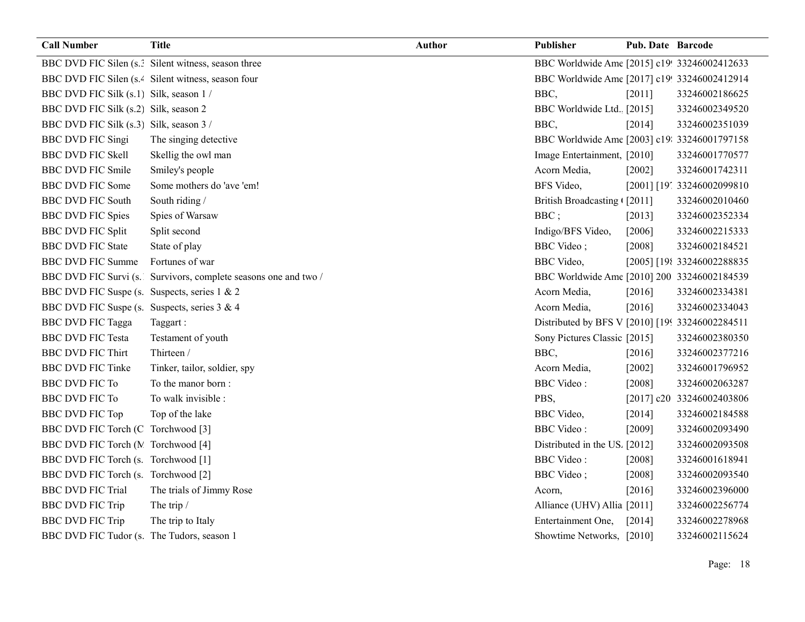| <b>Call Number</b>                           | <b>Title</b>                                                   | <b>Author</b> | Publisher                                       | <b>Pub. Date Barcode</b> |                             |
|----------------------------------------------|----------------------------------------------------------------|---------------|-------------------------------------------------|--------------------------|-----------------------------|
|                                              | BBC DVD FIC Silen (s.? Silent witness, season three            |               | BBC Worldwide Ame [2015] c19! 33246002412633    |                          |                             |
|                                              | BBC DVD FIC Silen (s. <sup>2</sup> Silent witness, season four |               | BBC Worldwide Ame [2017] c19! 33246002412914    |                          |                             |
| BBC DVD FIC Silk (s.1) Silk, season 1 /      |                                                                |               | BBC,                                            | [2011]                   | 33246002186625              |
| BBC DVD FIC Silk (s.2) Silk, season 2        |                                                                |               | BBC Worldwide Ltd. [2015]                       |                          | 33246002349520              |
| BBC DVD FIC Silk (s.3) Silk, season 3 /      |                                                                |               | BBC,                                            | [2014]                   | 33246002351039              |
| <b>BBC DVD FIC Singi</b>                     | The singing detective                                          |               | BBC Worldwide Ame [2003] c19: 33246001797158    |                          |                             |
| <b>BBC DVD FIC Skell</b>                     | Skellig the owl man                                            |               | Image Entertainment, [2010]                     |                          | 33246001770577              |
| <b>BBC DVD FIC Smile</b>                     | Smiley's people                                                |               | Acorn Media,                                    | $[2002]$                 | 33246001742311              |
| <b>BBC DVD FIC Some</b>                      | Some mothers do 'ave 'em!                                      |               | BFS Video,                                      |                          | [2001] [19] 33246002099810  |
| <b>BBC DVD FIC South</b>                     | South riding /                                                 |               | British Broadcasting [2011]                     |                          | 33246002010460              |
| <b>BBC DVD FIC Spies</b>                     | Spies of Warsaw                                                |               | BBC;                                            | [2013]                   | 33246002352334              |
| <b>BBC DVD FIC Split</b>                     | Split second                                                   |               | Indigo/BFS Video,                               | [2006]                   | 33246002215333              |
| <b>BBC DVD FIC State</b>                     | State of play                                                  |               | <b>BBC</b> Video;                               | [2008]                   | 33246002184521              |
| <b>BBC DVD FIC Summe</b>                     | Fortunes of war                                                |               | <b>BBC</b> Video,                               |                          | [2005] [198 33246002288835] |
| BBC DVD FIC Survi (s.                        | Survivors, complete seasons one and two /                      |               | BBC Worldwide Ame [2010] 200 33246002184539     |                          |                             |
| BBC DVD FIC Suspe (s. Suspects, series 1 & 2 |                                                                |               | Acorn Media,                                    | [2016]                   | 33246002334381              |
| BBC DVD FIC Suspe (s. Suspects, series 3 & 4 |                                                                |               | Acorn Media,                                    | [2016]                   | 33246002334043              |
| <b>BBC DVD FIC Tagga</b>                     | Taggart:                                                       |               | Distributed by BFS V [2010] [199 33246002284511 |                          |                             |
| <b>BBC DVD FIC Testa</b>                     | Testament of youth                                             |               | Sony Pictures Classic [2015]                    |                          | 33246002380350              |
| <b>BBC DVD FIC Thirt</b>                     | Thirteen /                                                     |               | BBC,                                            | $[2016]$                 | 33246002377216              |
| <b>BBC DVD FIC Tinke</b>                     | Tinker, tailor, soldier, spy                                   |               | Acorn Media,                                    | $[2002]$                 | 33246001796952              |
| <b>BBC DVD FIC To</b>                        | To the manor born:                                             |               | <b>BBC</b> Video:                               | [2008]                   | 33246002063287              |
| <b>BBC DVD FIC To</b>                        | To walk invisible :                                            |               | PBS,                                            |                          | [2017] c20 33246002403806   |
| <b>BBC DVD FIC Top</b>                       | Top of the lake                                                |               | <b>BBC</b> Video,                               | [2014]                   | 33246002184588              |
| BBC DVD FIC Torch (C Torchwood [3]           |                                                                |               | <b>BBC</b> Video:                               | [2009]                   | 33246002093490              |
| BBC DVD FIC Torch (M Torchwood [4]           |                                                                |               | Distributed in the US. [2012]                   |                          | 33246002093508              |
| BBC DVD FIC Torch (s. Torchwood [1]          |                                                                |               | <b>BBC</b> Video:                               | [2008]                   | 33246001618941              |
| BBC DVD FIC Torch (s. Torchwood [2]          |                                                                |               | <b>BBC</b> Video;                               | [2008]                   | 33246002093540              |
| <b>BBC DVD FIC Trial</b>                     | The trials of Jimmy Rose                                       |               | Acorn,                                          | [2016]                   | 33246002396000              |
| <b>BBC DVD FIC Trip</b>                      | The trip /                                                     |               | Alliance (UHV) Allia [2011]                     |                          | 33246002256774              |
| <b>BBC DVD FIC Trip</b>                      | The trip to Italy                                              |               | Entertainment One,                              | [2014]                   | 33246002278968              |
| BBC DVD FIC Tudor (s. The Tudors, season 1   |                                                                |               | Showtime Networks, [2010]                       |                          | 33246002115624              |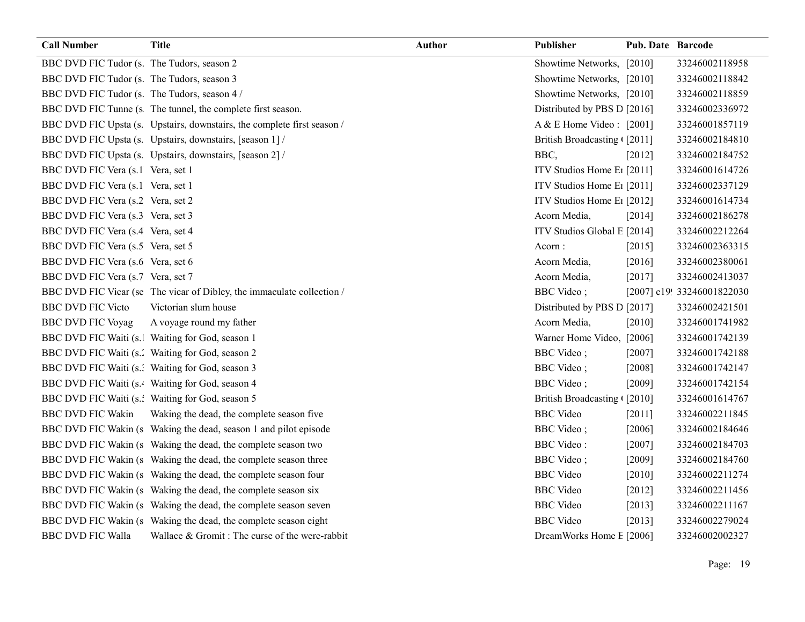| <b>Call Number</b>                           | <b>Title</b>                                                            | <b>Author</b> | Publisher                              | Pub. Date Barcode |                            |
|----------------------------------------------|-------------------------------------------------------------------------|---------------|----------------------------------------|-------------------|----------------------------|
| BBC DVD FIC Tudor (s. The Tudors, season 2   |                                                                         |               | Showtime Networks, [2010]              |                   | 33246002118958             |
| BBC DVD FIC Tudor (s. The Tudors, season 3   |                                                                         |               | Showtime Networks, [2010]              |                   | 33246002118842             |
| BBC DVD FIC Tudor (s. The Tudors, season 4 / |                                                                         |               | Showtime Networks, [2010]              |                   | 33246002118859             |
|                                              | BBC DVD FIC Tunne (s The tunnel, the complete first season.             |               | Distributed by PBS D [2016]            |                   | 33246002336972             |
|                                              | BBC DVD FIC Upsta (s. Upstairs, downstairs, the complete first season / |               | A & E Home Video : [2001]              |                   | 33246001857119             |
|                                              | BBC DVD FIC Upsta (s. Upstairs, downstairs, [season 1] /                |               | British Broadcasting [2011]            |                   | 33246002184810             |
|                                              | BBC DVD FIC Upsta (s. Upstairs, downstairs, [season 2] /                |               | BBC,                                   | [2012]            | 33246002184752             |
| BBC DVD FIC Vera (s.1 Vera, set 1            |                                                                         |               | ITV Studios Home E1 [2011]             |                   | 33246001614726             |
| BBC DVD FIC Vera (s.1 Vera, set 1            |                                                                         |               | ITV Studios Home E1 [2011]             |                   | 33246002337129             |
| BBC DVD FIC Vera (s.2 Vera, set 2)           |                                                                         |               | ITV Studios Home E <sub>1</sub> [2012] |                   | 33246001614734             |
| BBC DVD FIC Vera (s.3 Vera, set 3            |                                                                         |               | Acorn Media,                           | [2014]            | 33246002186278             |
| BBC DVD FIC Vera (s.4 Vera, set 4            |                                                                         |               | ITV Studios Global E [2014]            |                   | 33246002212264             |
| BBC DVD FIC Vera (s.5 Vera, set 5            |                                                                         |               | Acorn:                                 | [2015]            | 33246002363315             |
| BBC DVD FIC Vera (s.6 Vera, set 6            |                                                                         |               | Acorn Media,                           | [2016]            | 33246002380061             |
| BBC DVD FIC Vera (s.7 Vera, set 7            |                                                                         |               | Acorn Media,                           | [2017]            | 33246002413037             |
|                                              | BBC DVD FIC Vicar (se The vicar of Dibley, the immaculate collection /  |               | BBC Video;                             |                   | [2007] c19! 33246001822030 |
| <b>BBC DVD FIC Victo</b>                     | Victorian slum house                                                    |               | Distributed by PBS D [2017]            |                   | 33246002421501             |
| <b>BBC DVD FIC Voyag</b>                     | A voyage round my father                                                |               | Acorn Media,                           | $[2010]$          | 33246001741982             |
|                                              | BBC DVD FIC Waiti (s. Waiting for God, season 1                         |               | Warner Home Video, [2006]              |                   | 33246001742139             |
|                                              | BBC DVD FIC Waiti (s.' Waiting for God, season 2                        |               | <b>BBC</b> Video;                      | [2007]            | 33246001742188             |
|                                              | BBC DVD FIC Waiti (s Waiting for God, season 3                          |               | <b>BBC</b> Video;                      | [2008]            | 33246001742147             |
|                                              | BBC DVD FIC Waiti (s.4 Waiting for God, season 4                        |               | BBC Video;                             | [2009]            | 33246001742154             |
|                                              | BBC DVD FIC Waiti (s.: Waiting for God, season 5                        |               | British Broadcasting ([2010]           |                   | 33246001614767             |
| <b>BBC DVD FIC Wakin</b>                     | Waking the dead, the complete season five                               |               | <b>BBC</b> Video                       | $[2011]$          | 33246002211845             |
|                                              | BBC DVD FIC Wakin (s Waking the dead, season 1 and pilot episode        |               | <b>BBC</b> Video;                      | $[2006]$          | 33246002184646             |
|                                              | BBC DVD FIC Wakin (s Waking the dead, the complete season two           |               | <b>BBC</b> Video:                      | [2007]            | 33246002184703             |
|                                              | BBC DVD FIC Wakin (s Waking the dead, the complete season three         |               | <b>BBC</b> Video;                      | $[2009]$          | 33246002184760             |
|                                              | BBC DVD FIC Wakin (s Waking the dead, the complete season four          |               | <b>BBC</b> Video                       | [2010]            | 33246002211274             |
|                                              | BBC DVD FIC Wakin (s  Waking the dead, the complete season six          |               | <b>BBC</b> Video                       | $[2012]$          | 33246002211456             |
|                                              | BBC DVD FIC Wakin (s  Waking the dead, the complete season seven        |               | <b>BBC</b> Video                       | [2013]            | 33246002211167             |
|                                              | BBC DVD FIC Wakin (s Waking the dead, the complete season eight         |               | <b>BBC</b> Video                       | [2013]            | 33246002279024             |
| <b>BBC DVD FIC Walla</b>                     | Wallace & Gromit: The curse of the were-rabbit                          |               | DreamWorks Home E [2006]               |                   | 33246002002327             |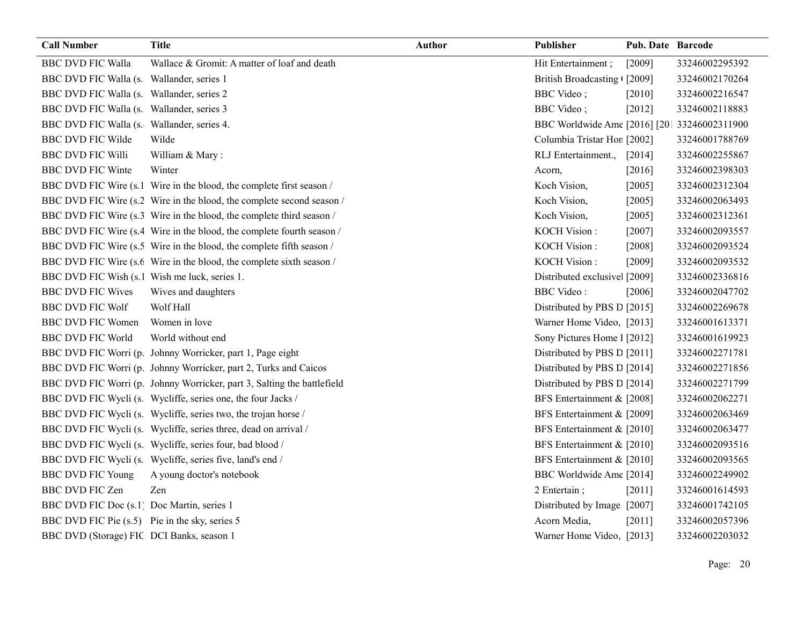| <b>Call Number</b>                             | <b>Title</b>                                                            | <b>Author</b> | Publisher                                    | <b>Pub. Date Barcode</b> |                |
|------------------------------------------------|-------------------------------------------------------------------------|---------------|----------------------------------------------|--------------------------|----------------|
| <b>BBC DVD FIC Walla</b>                       | Wallace & Gromit: A matter of loaf and death                            |               | Hit Entertainment;                           | [2009]                   | 33246002295392 |
| BBC DVD FIC Walla (s. Wallander, series 1      |                                                                         |               | British Broadcasting (2009]                  |                          | 33246002170264 |
| BBC DVD FIC Walla (s. Wallander, series 2      |                                                                         |               | <b>BBC</b> Video;                            | $[2010]$                 | 33246002216547 |
| BBC DVD FIC Walla (s. Wallander, series 3      |                                                                         |               | <b>BBC</b> Video;                            | [2012]                   | 33246002118883 |
| BBC DVD FIC Walla (s. Wallander, series 4.     |                                                                         |               | BBC Worldwide Ame [2016] [201 33246002311900 |                          |                |
| <b>BBC DVD FIC Wilde</b>                       | Wilde                                                                   |               | Columbia Tristar Hor [2002]                  |                          | 33246001788769 |
| <b>BBC DVD FIC Willi</b>                       | William & Mary:                                                         |               | RLJ Entertainment.,                          | [2014]                   | 33246002255867 |
| <b>BBC DVD FIC Winte</b>                       | Winter                                                                  |               | Acorn,                                       | [2016]                   | 33246002398303 |
|                                                | BBC DVD FIC Wire (s.1 Wire in the blood, the complete first season /    |               | Koch Vision,                                 | [2005]                   | 33246002312304 |
|                                                | BBC DVD FIC Wire (s.2 Wire in the blood, the complete second season /   |               | Koch Vision,                                 | $[2005]$                 | 33246002063493 |
|                                                | BBC DVD FIC Wire (s.3 Wire in the blood, the complete third season /    |               | Koch Vision,                                 | [2005]                   | 33246002312361 |
|                                                | BBC DVD FIC Wire (s.4 Wire in the blood, the complete fourth season /   |               | KOCH Vision:                                 | $[2007]$                 | 33246002093557 |
|                                                | BBC DVD FIC Wire (s.5 Wire in the blood, the complete fifth season /    |               | <b>KOCH Vision:</b>                          | [2008]                   | 33246002093524 |
|                                                | BBC DVD FIC Wire (s.6 Wire in the blood, the complete sixth season /    |               | <b>KOCH Vision:</b>                          | [2009]                   | 33246002093532 |
| BBC DVD FIC Wish (s.1 Wish me luck, series 1.  |                                                                         |               | Distributed exclusivel [2009]                |                          | 33246002336816 |
| <b>BBC DVD FIC Wives</b>                       | Wives and daughters                                                     |               | <b>BBC</b> Video:                            | [2006]                   | 33246002047702 |
| <b>BBC DVD FIC Wolf</b>                        | Wolf Hall                                                               |               | Distributed by PBS D [2015]                  |                          | 33246002269678 |
| <b>BBC DVD FIC Women</b>                       | Women in love                                                           |               | Warner Home Video, [2013]                    |                          | 33246001613371 |
| <b>BBC DVD FIC World</b>                       | World without end                                                       |               | Sony Pictures Home 1 [2012]                  |                          | 33246001619923 |
|                                                | BBC DVD FIC Worri (p. Johnny Worricker, part 1, Page eight              |               | Distributed by PBS D [2011]                  |                          | 33246002271781 |
|                                                | BBC DVD FIC Worri (p. Johnny Worricker, part 2, Turks and Caicos        |               | Distributed by PBS D [2014]                  |                          | 33246002271856 |
|                                                | BBC DVD FIC Worri (p. Johnny Worricker, part 3, Salting the battlefield |               | Distributed by PBS D [2014]                  |                          | 33246002271799 |
|                                                | BBC DVD FIC Wycli (s. Wycliffe, series one, the four Jacks /            |               | BFS Entertainment & [2008]                   |                          | 33246002062271 |
|                                                | BBC DVD FIC Wycli (s. Wycliffe, series two, the trojan horse /          |               | BFS Entertainment & [2009]                   |                          | 33246002063469 |
|                                                | BBC DVD FIC Wycli (s. Wycliffe, series three, dead on arrival /         |               | BFS Entertainment & [2010]                   |                          | 33246002063477 |
|                                                | BBC DVD FIC Wycli (s. Wycliffe, series four, bad blood /                |               | BFS Entertainment & [2010]                   |                          | 33246002093516 |
|                                                | BBC DVD FIC Wycli (s. Wycliffe, series five, land's end /               |               | BFS Entertainment & [2010]                   |                          | 33246002093565 |
| <b>BBC DVD FIC Young</b>                       | A young doctor's notebook                                               |               | BBC Worldwide Ame [2014]                     |                          | 33246002249902 |
| <b>BBC DVD FIC Zen</b>                         | Zen                                                                     |               | 2 Entertain;                                 | [2011]                   | 33246001614593 |
| BBC DVD FIC Doc (s.1) Doc Martin, series 1     |                                                                         |               | Distributed by Image [2007]                  |                          | 33246001742105 |
| BBC DVD FIC Pie (s.5) Pie in the sky, series 5 |                                                                         |               | Acorn Media,                                 | [2011]                   | 33246002057396 |
| BBC DVD (Storage) FIC DCI Banks, season 1      |                                                                         |               | Warner Home Video, [2013]                    |                          | 33246002203032 |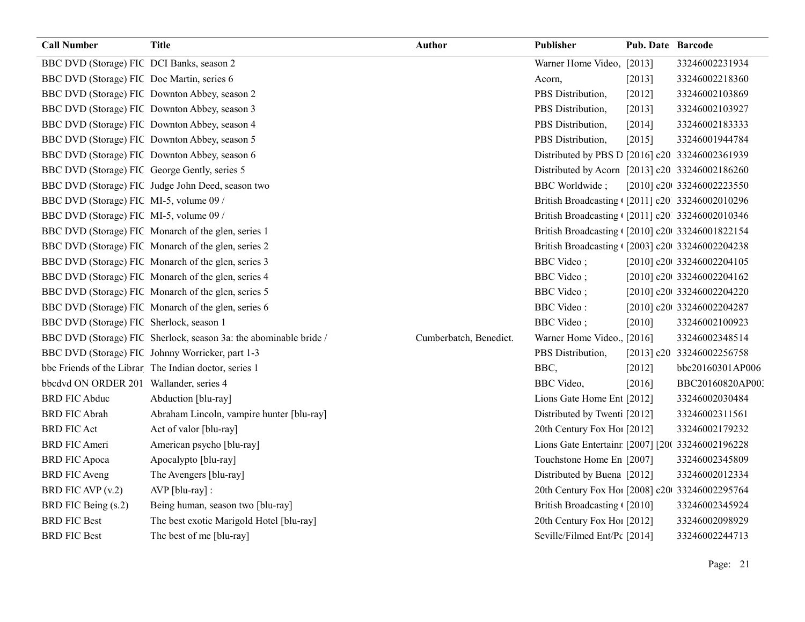| <b>Call Number</b>                            | <b>Title</b>                                                      | <b>Author</b>          | Publisher                                        | <b>Pub. Date Barcode</b> |                            |
|-----------------------------------------------|-------------------------------------------------------------------|------------------------|--------------------------------------------------|--------------------------|----------------------------|
| BBC DVD (Storage) FIC DCI Banks, season 2     |                                                                   |                        | Warner Home Video, [2013]                        |                          | 33246002231934             |
| BBC DVD (Storage) FIC Doc Martin, series 6    |                                                                   |                        | Acorn,                                           | [2013]                   | 33246002218360             |
|                                               | BBC DVD (Storage) FIC Downton Abbey, season 2                     |                        | PBS Distribution,                                | $[2012]$                 | 33246002103869             |
|                                               | BBC DVD (Storage) FIC Downton Abbey, season 3                     |                        | PBS Distribution,                                | $[2013]$                 | 33246002103927             |
|                                               | BBC DVD (Storage) FIC Downton Abbey, season 4                     |                        | PBS Distribution,                                | [2014]                   | 33246002183333             |
|                                               | BBC DVD (Storage) FIC Downton Abbey, season 5                     |                        | PBS Distribution,                                | [2015]                   | 33246001944784             |
|                                               | BBC DVD (Storage) FIC Downton Abbey, season 6                     |                        | Distributed by PBS D [2016] c20 33246002361939   |                          |                            |
| BBC DVD (Storage) FIC George Gently, series 5 |                                                                   |                        | Distributed by Acorn [2013] c20 33246002186260   |                          |                            |
|                                               | BBC DVD (Storage) FIC Judge John Deed, season two                 |                        | <b>BBC</b> Worldwide;                            |                          | [2010] c20 33246002223550  |
| BBC DVD (Storage) FIC MI-5, volume 09 /       |                                                                   |                        | British Broadcasting ([2011] c20 33246002010296  |                          |                            |
| BBC DVD (Storage) FIC MI-5, volume 09 /       |                                                                   |                        | British Broadcasting ([2011] c20 33246002010346  |                          |                            |
|                                               | BBC DVD (Storage) FIC Monarch of the glen, series 1               |                        | British Broadcasting (2010] c20 33246001822154   |                          |                            |
|                                               | BBC DVD (Storage) FIC Monarch of the glen, series 2               |                        | British Broadcasting (2003] c20(33246002204238   |                          |                            |
|                                               | BBC DVD (Storage) FIC Monarch of the glen, series 3               |                        | <b>BBC</b> Video;                                |                          | [2010] c20t 33246002204105 |
|                                               | BBC DVD (Storage) FIC Monarch of the glen, series 4               |                        | <b>BBC</b> Video;                                |                          | [2010] c20t 33246002204162 |
|                                               | BBC DVD (Storage) FIC Monarch of the glen, series 5               |                        | <b>BBC</b> Video;                                |                          | [2010] c20t 33246002204220 |
|                                               | BBC DVD (Storage) FIC Monarch of the glen, series 6               |                        | <b>BBC</b> Video:                                |                          | [2010] c20t 33246002204287 |
| BBC DVD (Storage) FIC Sherlock, season 1      |                                                                   |                        | <b>BBC</b> Video;                                | $[2010]$                 | 33246002100923             |
|                                               | BBC DVD (Storage) FIC Sherlock, season 3a: the abominable bride / | Cumberbatch, Benedict. | Warner Home Video. [2016]                        |                          | 33246002348514             |
|                                               | BBC DVD (Storage) FIC Johnny Worricker, part 1-3                  |                        | PBS Distribution,                                |                          | [2013] c20 33246002256758  |
|                                               | bbc Friends of the Librar The Indian doctor, series 1             |                        | BBC,                                             | $[2012]$                 | bbc20160301AP006           |
| bbcdvd ON ORDER 201 Wallander, series 4       |                                                                   |                        | BBC Video,                                       | [2016]                   | BBC20160820AP003           |
| <b>BRD FIC Abduc</b>                          | Abduction [blu-ray]                                               |                        | Lions Gate Home Ent [2012]                       |                          | 33246002030484             |
| <b>BRD FIC Abrah</b>                          | Abraham Lincoln, vampire hunter [blu-ray]                         |                        | Distributed by Twenti [2012]                     |                          | 33246002311561             |
| <b>BRD FIC Act</b>                            | Act of valor [blu-ray]                                            |                        | 20th Century Fox Ho! [2012]                      |                          | 33246002179232             |
| <b>BRD FIC Ameri</b>                          | American psycho [blu-ray]                                         |                        | Lions Gate Entertainr [2007] [20( 33246002196228 |                          |                            |
| <b>BRD FIC Apoca</b>                          | Apocalypto [blu-ray]                                              |                        | Touchstone Home En [2007]                        |                          | 33246002345809             |
| <b>BRD FIC Aveng</b>                          | The Avengers [blu-ray]                                            |                        | Distributed by Buena [2012]                      |                          | 33246002012334             |
| BRD FIC AVP (v.2)                             | AVP [blu-ray] :                                                   |                        | 20th Century Fox Ho! [2008] c20 33246002295764   |                          |                            |
| BRD FIC Being (s.2)                           | Being human, season two [blu-ray]                                 |                        | British Broadcasting ([2010]                     |                          | 33246002345924             |
| <b>BRD FIC Best</b>                           | The best exotic Marigold Hotel [blu-ray]                          |                        | 20th Century Fox Ho! [2012]                      |                          | 33246002098929             |
| <b>BRD FIC Best</b>                           | The best of me [blu-ray]                                          |                        | Seville/Filmed Ent/Pc [2014]                     |                          | 33246002244713             |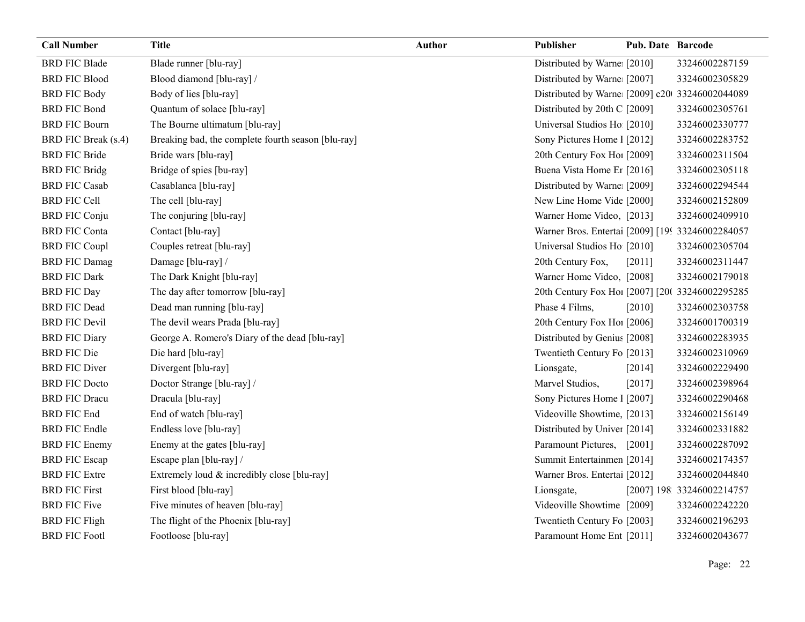| <b>Call Number</b>   | <b>Title</b>                                       | <b>Author</b> | Publisher                                        | <b>Pub. Date Barcode</b> |                            |
|----------------------|----------------------------------------------------|---------------|--------------------------------------------------|--------------------------|----------------------------|
| <b>BRD FIC Blade</b> | Blade runner [blu-ray]                             |               | Distributed by Warne [2010]                      |                          | 33246002287159             |
| <b>BRD FIC Blood</b> | Blood diamond [blu-ray] /                          |               | Distributed by Warne [2007]                      |                          | 33246002305829             |
| <b>BRD FIC Body</b>  | Body of lies [blu-ray]                             |               | Distributed by Warne [2009] c20 33246002044089   |                          |                            |
| <b>BRD FIC Bond</b>  | Quantum of solace [blu-ray]                        |               | Distributed by 20th C [2009]                     |                          | 33246002305761             |
| <b>BRD FIC Bourn</b> | The Bourne ultimatum [blu-ray]                     |               | Universal Studios Ho [2010]                      |                          | 33246002330777             |
| BRD FIC Break (s.4)  | Breaking bad, the complete fourth season [blu-ray] |               | Sony Pictures Home 1 [2012]                      |                          | 33246002283752             |
| <b>BRD FIC Bride</b> | Bride wars [blu-ray]                               |               | 20th Century Fox Ho! [2009]                      |                          | 33246002311504             |
| <b>BRD FIC Bridg</b> | Bridge of spies [bu-ray]                           |               | Buena Vista Home Er [2016]                       |                          | 33246002305118             |
| <b>BRD FIC Casab</b> | Casablanca [blu-ray]                               |               | Distributed by Warne [2009]                      |                          | 33246002294544             |
| <b>BRD FIC Cell</b>  | The cell [blu-ray]                                 |               | New Line Home Vide [2000]                        |                          | 33246002152809             |
| <b>BRD FIC Conju</b> | The conjuring [blu-ray]                            |               | Warner Home Video, [2013]                        |                          | 33246002409910             |
| <b>BRD FIC Conta</b> | Contact [blu-ray]                                  |               | Warner Bros. Entertai [2009] [199 33246002284057 |                          |                            |
| <b>BRD FIC Coupl</b> | Couples retreat [blu-ray]                          |               | Universal Studios Ho [2010]                      |                          | 33246002305704             |
| <b>BRD FIC Damag</b> | Damage [blu-ray] /                                 |               | 20th Century Fox,                                | [2011]                   | 33246002311447             |
| <b>BRD FIC Dark</b>  | The Dark Knight [blu-ray]                          |               | Warner Home Video, [2008]                        |                          | 33246002179018             |
| <b>BRD FIC Day</b>   | The day after tomorrow [blu-ray]                   |               | 20th Century Fox Ho! [2007] [200 33246002295285  |                          |                            |
| <b>BRD FIC Dead</b>  | Dead man running [blu-ray]                         |               | Phase 4 Films,                                   | [2010]                   | 33246002303758             |
| <b>BRD FIC Devil</b> | The devil wears Prada [blu-ray]                    |               | 20th Century Fox Ho! [2006]                      |                          | 33246001700319             |
| <b>BRD FIC Diary</b> | George A. Romero's Diary of the dead [blu-ray]     |               | Distributed by Genius [2008]                     |                          | 33246002283935             |
| <b>BRD FIC Die</b>   | Die hard [blu-ray]                                 |               | Twentieth Century Fo [2013]                      |                          | 33246002310969             |
| <b>BRD FIC Diver</b> | Divergent [blu-ray]                                |               | Lionsgate,                                       | [2014]                   | 33246002229490             |
| <b>BRD FIC Docto</b> | Doctor Strange [blu-ray] /                         |               | Marvel Studios,                                  | [2017]                   | 33246002398964             |
| <b>BRD FIC Dracu</b> | Dracula [blu-ray]                                  |               | Sony Pictures Home 1 [2007]                      |                          | 33246002290468             |
| <b>BRD FIC End</b>   | End of watch [blu-ray]                             |               | Videoville Showtime, [2013]                      |                          | 33246002156149             |
| <b>BRD FIC Endle</b> | Endless love [blu-ray]                             |               | Distributed by Univer [2014]                     |                          | 33246002331882             |
| <b>BRD FIC Enemy</b> | Enemy at the gates [blu-ray]                       |               | Paramount Pictures, [2001]                       |                          | 33246002287092             |
| <b>BRD FIC Escap</b> | Escape plan [blu-ray] /                            |               | Summit Entertainmen [2014]                       |                          | 33246002174357             |
| <b>BRD FIC Extre</b> | Extremely loud & incredibly close [blu-ray]        |               | Warner Bros. Entertai [2012]                     |                          | 33246002044840             |
| <b>BRD FIC First</b> | First blood [blu-ray]                              |               | Lionsgate,                                       |                          | [2007] 198. 33246002214757 |
| <b>BRD FIC Five</b>  | Five minutes of heaven [blu-ray]                   |               | Videoville Showtime [2009]                       |                          | 33246002242220             |
| <b>BRD FIC Fligh</b> | The flight of the Phoenix [blu-ray]                |               | Twentieth Century Fo [2003]                      |                          | 33246002196293             |
| <b>BRD FIC Footl</b> | Footloose [blu-ray]                                |               | Paramount Home Ent [2011]                        |                          | 33246002043677             |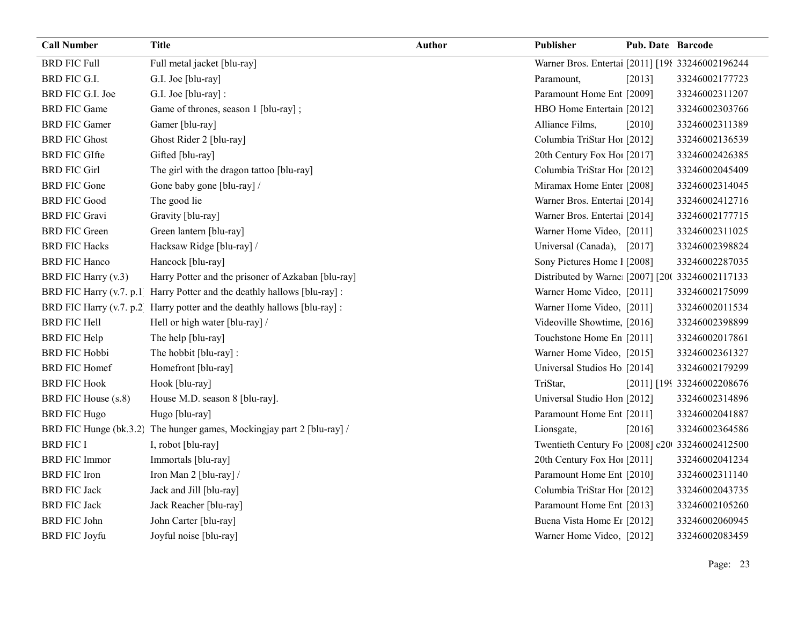| <b>Call Number</b>   | <b>Title</b>                                                             | <b>Author</b> | Publisher                                        | Pub. Date Barcode |                            |
|----------------------|--------------------------------------------------------------------------|---------------|--------------------------------------------------|-------------------|----------------------------|
| <b>BRD FIC Full</b>  | Full metal jacket [blu-ray]                                              |               | Warner Bros. Entertai [2011] [198 33246002196244 |                   |                            |
| BRD FIC G.I.         | G.I. Joe [blu-ray]                                                       |               | Paramount,                                       | $[2013]$          | 33246002177723             |
| BRD FIC G.I. Joe     | G.I. Joe [blu-ray] :                                                     |               | Paramount Home Ent [2009]                        |                   | 33246002311207             |
| <b>BRD FIC Game</b>  | Game of thrones, season 1 [blu-ray];                                     |               | HBO Home Entertain [2012]                        |                   | 33246002303766             |
| <b>BRD FIC Gamer</b> | Gamer [blu-ray]                                                          |               | Alliance Films,                                  | [2010]            | 33246002311389             |
| <b>BRD FIC Ghost</b> | Ghost Rider 2 [blu-ray]                                                  |               | Columbia TriStar Hoi [2012]                      |                   | 33246002136539             |
| <b>BRD FIC GIfte</b> | Gifted [blu-ray]                                                         |               | 20th Century Fox Ho! [2017]                      |                   | 33246002426385             |
| <b>BRD FIC Girl</b>  | The girl with the dragon tattoo [blu-ray]                                |               | Columbia TriStar Hoi [2012]                      |                   | 33246002045409             |
| <b>BRD FIC Gone</b>  | Gone baby gone [blu-ray] /                                               |               | Miramax Home Enter [2008]                        |                   | 33246002314045             |
| <b>BRD FIC Good</b>  | The good lie                                                             |               | Warner Bros. Entertai [2014]                     |                   | 33246002412716             |
| <b>BRD FIC Gravi</b> | Gravity [blu-ray]                                                        |               | Warner Bros. Entertai [2014]                     |                   | 33246002177715             |
| <b>BRD FIC Green</b> | Green lantern [blu-ray]                                                  |               | Warner Home Video, [2011]                        |                   | 33246002311025             |
| <b>BRD FIC Hacks</b> | Hacksaw Ridge [blu-ray] /                                                |               | Universal (Canada),                              | $[2017]$          | 33246002398824             |
| <b>BRD FIC Hanco</b> | Hancock [blu-ray]                                                        |               | Sony Pictures Home 1 [2008]                      |                   | 33246002287035             |
| BRD FIC Harry (v.3)  | Harry Potter and the prisoner of Azkaban [blu-ray]                       |               | Distributed by Warne: [2007] [20( 33246002117133 |                   |                            |
|                      | BRD FIC Harry (v.7. p.1 Harry Potter and the deathly hallows [blu-ray] : |               | Warner Home Video, [2011]                        |                   | 33246002175099             |
|                      | BRD FIC Harry (v.7. p.2 Harry potter and the deathly hallows [blu-ray] : |               | Warner Home Video, [2011]                        |                   | 33246002011534             |
| <b>BRD FIC Hell</b>  | Hell or high water [blu-ray] /                                           |               | Videoville Showtime, [2016]                      |                   | 33246002398899             |
| <b>BRD FIC Help</b>  | The help [blu-ray]                                                       |               | Touchstone Home En [2011]                        |                   | 33246002017861             |
| <b>BRD FIC Hobbi</b> | The hobbit [blu-ray]:                                                    |               | Warner Home Video, [2015]                        |                   | 33246002361327             |
| <b>BRD FIC Homef</b> | Homefront [blu-ray]                                                      |               | Universal Studios Ho [2014]                      |                   | 33246002179299             |
| <b>BRD FIC Hook</b>  | Hook [blu-ray]                                                           |               | TriStar,                                         |                   | [2011] [199 33246002208676 |
| BRD FIC House (s.8)  | House M.D. season 8 [blu-ray].                                           |               | Universal Studio Hon [2012]                      |                   | 33246002314896             |
| <b>BRD FIC Hugo</b>  | Hugo [blu-ray]                                                           |               | Paramount Home Ent [2011]                        |                   | 33246002041887             |
|                      | BRD FIC Hunge (bk.3.2) The hunger games, Mockingjay part 2 [blu-ray] /   |               | Lionsgate,                                       | [2016]            | 33246002364586             |
| <b>BRD FIC I</b>     | I, robot [blu-ray]                                                       |               | Twentieth Century Fo [2008] c20 33246002412500   |                   |                            |
| <b>BRD FIC Immor</b> | Immortals [blu-ray]                                                      |               | 20th Century Fox Ho! [2011]                      |                   | 33246002041234             |
| <b>BRD FIC Iron</b>  | Iron Man 2 [blu-ray] /                                                   |               | Paramount Home Ent [2010]                        |                   | 33246002311140             |
| <b>BRD FIC Jack</b>  | Jack and Jill [blu-ray]                                                  |               | Columbia TriStar Hoi [2012]                      |                   | 33246002043735             |
| <b>BRD FIC Jack</b>  | Jack Reacher [blu-ray]                                                   |               | Paramount Home Ent [2013]                        |                   | 33246002105260             |
| <b>BRD FIC John</b>  | John Carter [blu-ray]                                                    |               | Buena Vista Home Er [2012]                       |                   | 33246002060945             |
| <b>BRD FIC Joyfu</b> | Joyful noise [blu-ray]                                                   |               | Warner Home Video, [2012]                        |                   | 33246002083459             |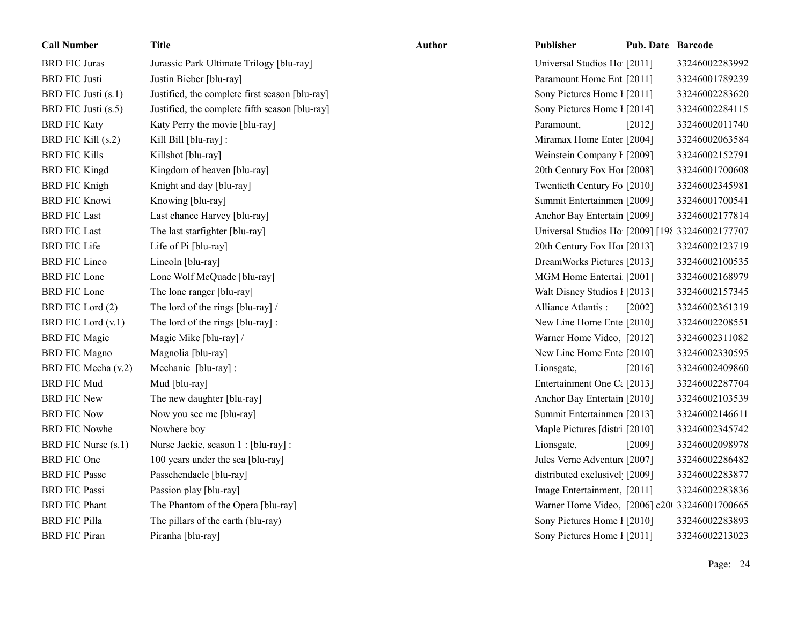| <b>Call Number</b>        | <b>Title</b>                                   | <b>Author</b> | Publisher                                       | Pub. Date Barcode |                |
|---------------------------|------------------------------------------------|---------------|-------------------------------------------------|-------------------|----------------|
| <b>BRD FIC Juras</b>      | Jurassic Park Ultimate Trilogy [blu-ray]       |               | Universal Studios Ho [2011]                     |                   | 33246002283992 |
| <b>BRD FIC Justi</b>      | Justin Bieber [blu-ray]                        |               | Paramount Home Ent [2011]                       |                   | 33246001789239 |
| BRD FIC Justi (s.1)       | Justified, the complete first season [blu-ray] |               | Sony Pictures Home 1 [2011]                     |                   | 33246002283620 |
| BRD FIC Justi (s.5)       | Justified, the complete fifth season [blu-ray] |               | Sony Pictures Home 1 [2014]                     |                   | 33246002284115 |
| <b>BRD FIC Katy</b>       | Katy Perry the movie [blu-ray]                 |               | Paramount,                                      | [2012]            | 33246002011740 |
| <b>BRD FIC Kill (s.2)</b> | Kill Bill [blu-ray] :                          |               | Miramax Home Enter [2004]                       |                   | 33246002063584 |
| <b>BRD FIC Kills</b>      | Killshot [blu-ray]                             |               | Weinstein Company I [2009]                      |                   | 33246002152791 |
| <b>BRD FIC Kingd</b>      | Kingdom of heaven [blu-ray]                    |               | 20th Century Fox Ho! [2008]                     |                   | 33246001700608 |
| <b>BRD FIC Knigh</b>      | Knight and day [blu-ray]                       |               | Twentieth Century Fo [2010]                     |                   | 33246002345981 |
| <b>BRD FIC Knowi</b>      | Knowing [blu-ray]                              |               | Summit Entertainmen [2009]                      |                   | 33246001700541 |
| <b>BRD FIC Last</b>       | Last chance Harvey [blu-ray]                   |               | Anchor Bay Entertain [2009]                     |                   | 33246002177814 |
| <b>BRD FIC Last</b>       | The last starfighter [blu-ray]                 |               | Universal Studios Ho [2009] [198 33246002177707 |                   |                |
| <b>BRD FIC Life</b>       | Life of Pi [blu-ray]                           |               | 20th Century Fox Ho! [2013]                     |                   | 33246002123719 |
| <b>BRD FIC Linco</b>      | Lincoln [blu-ray]                              |               | DreamWorks Pictures [2013]                      |                   | 33246002100535 |
| <b>BRD FIC Lone</b>       | Lone Wolf McQuade [blu-ray]                    |               | MGM Home Entertai [2001]                        |                   | 33246002168979 |
| <b>BRD FIC Lone</b>       | The lone ranger [blu-ray]                      |               | Walt Disney Studios 1 [2013]                    |                   | 33246002157345 |
| BRD FIC Lord (2)          | The lord of the rings [blu-ray] /              |               | Alliance Atlantis:                              | [2002]            | 33246002361319 |
| BRD FIC Lord (v.1)        | The lord of the rings [blu-ray] :              |               | New Line Home Ente [2010]                       |                   | 33246002208551 |
| <b>BRD FIC Magic</b>      | Magic Mike [blu-ray] /                         |               | Warner Home Video, [2012]                       |                   | 33246002311082 |
| <b>BRD FIC Magno</b>      | Magnolia [blu-ray]                             |               | New Line Home Ente [2010]                       |                   | 33246002330595 |
| BRD FIC Mecha (v.2)       | Mechanic [blu-ray]:                            |               | Lionsgate,                                      | [2016]            | 33246002409860 |
| <b>BRD FIC Mud</b>        | Mud [blu-ray]                                  |               | Entertainment One C <sub>i</sub> [2013]         |                   | 33246002287704 |
| <b>BRD FIC New</b>        | The new daughter [blu-ray]                     |               | Anchor Bay Entertain [2010]                     |                   | 33246002103539 |
| <b>BRD FIC Now</b>        | Now you see me [blu-ray]                       |               | Summit Entertainmen [2013]                      |                   | 33246002146611 |
| <b>BRD FIC Nowhe</b>      | Nowhere boy                                    |               | Maple Pictures [distri [2010]                   |                   | 33246002345742 |
| BRD FIC Nurse (s.1)       | Nurse Jackie, season 1 : [blu-ray] :           |               | Lionsgate,                                      | [2009]            | 33246002098978 |
| <b>BRD FIC One</b>        | 100 years under the sea [blu-ray]              |               | Jules Verne Adventur [2007]                     |                   | 33246002286482 |
| <b>BRD FIC Passc</b>      | Passchendaele [blu-ray]                        |               | distributed exclusivel [2009]                   |                   | 33246002283877 |
| <b>BRD FIC Passi</b>      | Passion play [blu-ray]                         |               | Image Entertainment, [2011]                     |                   | 33246002283836 |
| <b>BRD FIC Phant</b>      | The Phantom of the Opera [blu-ray]             |               | Warner Home Video, [2006] c20 33246001700665    |                   |                |
| <b>BRD FIC Pilla</b>      | The pillars of the earth (blu-ray)             |               | Sony Pictures Home 1 [2010]                     |                   | 33246002283893 |
| <b>BRD FIC Piran</b>      | Piranha [blu-ray]                              |               | Sony Pictures Home 1 [2011]                     |                   | 33246002213023 |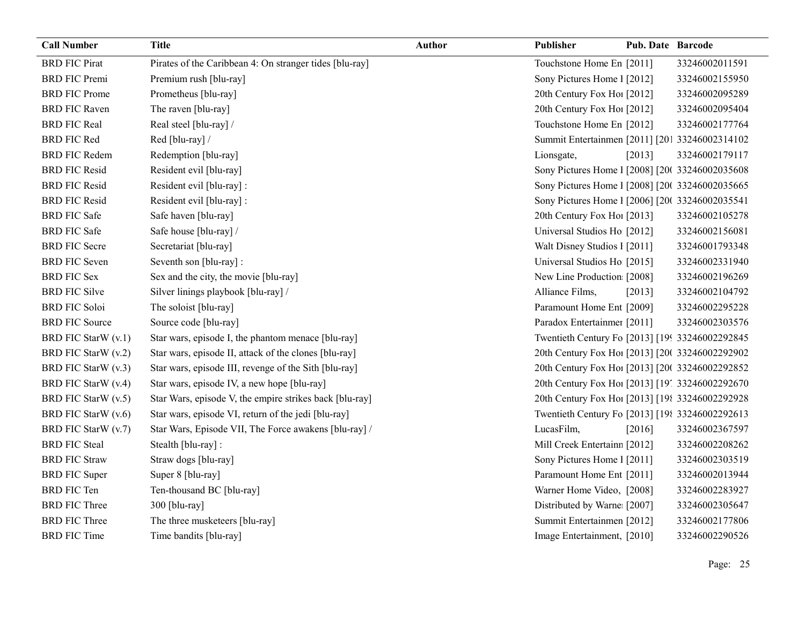| <b>Call Number</b>    | <b>Title</b>                                            | Author | Publisher                                       | <b>Pub. Date Barcode</b> |                |
|-----------------------|---------------------------------------------------------|--------|-------------------------------------------------|--------------------------|----------------|
| <b>BRD FIC Pirat</b>  | Pirates of the Caribbean 4: On stranger tides [blu-ray] |        | Touchstone Home En [2011]                       |                          | 33246002011591 |
| <b>BRD FIC Premi</b>  | Premium rush [blu-ray]                                  |        | Sony Pictures Home 1 [2012]                     |                          | 33246002155950 |
| <b>BRD FIC Prome</b>  | Prometheus [blu-ray]                                    |        | 20th Century Fox Ho! [2012]                     |                          | 33246002095289 |
| <b>BRD FIC Raven</b>  | The raven [blu-ray]                                     |        | 20th Century Fox Ho! [2012]                     |                          | 33246002095404 |
| <b>BRD FIC Real</b>   | Real steel [blu-ray] /                                  |        | Touchstone Home En [2012]                       |                          | 33246002177764 |
| <b>BRD FIC Red</b>    | Red [blu-ray] /                                         |        | Summit Entertainmen [2011] [201 33246002314102  |                          |                |
| <b>BRD FIC Redem</b>  | Redemption [blu-ray]                                    |        | Lionsgate,                                      | [2013]                   | 33246002179117 |
| <b>BRD FIC Resid</b>  | Resident evil [blu-ray]                                 |        | Sony Pictures Home 1 [2008] [200 33246002035608 |                          |                |
| <b>BRD FIC Resid</b>  | Resident evil [blu-ray] :                               |        | Sony Pictures Home 1 [2008] [20( 33246002035665 |                          |                |
| <b>BRD FIC Resid</b>  | Resident evil [blu-ray] :                               |        | Sony Pictures Home 1 [2006] [200 33246002035541 |                          |                |
| <b>BRD FIC Safe</b>   | Safe haven [blu-ray]                                    |        | 20th Century Fox Ho! [2013]                     |                          | 33246002105278 |
| <b>BRD FIC Safe</b>   | Safe house [blu-ray] /                                  |        | Universal Studios Ho [2012]                     |                          | 33246002156081 |
| <b>BRD FIC Secre</b>  | Secretariat [blu-ray]                                   |        | Walt Disney Studios 1 [2011]                    |                          | 33246001793348 |
| <b>BRD FIC Seven</b>  | Seventh son [blu-ray] :                                 |        | Universal Studios Ho [2015]                     |                          | 33246002331940 |
| <b>BRD FIC Sex</b>    | Sex and the city, the movie [blu-ray]                   |        | New Line Production [2008]                      |                          | 33246002196269 |
| <b>BRD FIC Silve</b>  | Silver linings playbook [blu-ray] /                     |        | Alliance Films,                                 | [2013]                   | 33246002104792 |
| <b>BRD FIC Soloi</b>  | The soloist [blu-ray]                                   |        | Paramount Home Ent [2009]                       |                          | 33246002295228 |
| <b>BRD FIC Source</b> | Source code [blu-ray]                                   |        | Paradox Entertainmer [2011]                     |                          | 33246002303576 |
| BRD FIC StarW (v.1)   | Star wars, episode I, the phantom menace [blu-ray]      |        | Twentieth Century Fo [2013] [199 33246002292845 |                          |                |
| BRD FIC StarW (v.2)   | Star wars, episode II, attack of the clones [blu-ray]   |        | 20th Century Fox Hoi [2013] [20( 33246002292902 |                          |                |
| BRD FIC StarW (v.3)   | Star wars, episode III, revenge of the Sith [blu-ray]   |        | 20th Century Fox Hoi [2013] [20( 33246002292852 |                          |                |
| BRD FIC StarW (v.4)   | Star wars, episode IV, a new hope [blu-ray]             |        | 20th Century Fox Ho! [2013] [19] 33246002292670 |                          |                |
| BRD FIC StarW (v.5)   | Star Wars, episode V, the empire strikes back [blu-ray] |        | 20th Century Fox Ho! [2013] [198 33246002292928 |                          |                |
| BRD FIC StarW (v.6)   | Star wars, episode VI, return of the jedi [blu-ray]     |        | Twentieth Century Fo [2013] [198 33246002292613 |                          |                |
| BRD FIC StarW (v.7)   | Star Wars, Episode VII, The Force awakens [blu-ray] /   |        | LucasFilm,                                      | [2016]                   | 33246002367597 |
| <b>BRD FIC Steal</b>  | Stealth [blu-ray] :                                     |        | Mill Creek Entertainn [2012]                    |                          | 33246002208262 |
| <b>BRD FIC Straw</b>  | Straw dogs [blu-ray]                                    |        | Sony Pictures Home 1 [2011]                     |                          | 33246002303519 |
| <b>BRD FIC Super</b>  | Super 8 [blu-ray]                                       |        | Paramount Home Ent [2011]                       |                          | 33246002013944 |
| <b>BRD FIC Ten</b>    | Ten-thousand BC [blu-ray]                               |        | Warner Home Video, [2008]                       |                          | 33246002283927 |
| <b>BRD FIC Three</b>  | 300 [blu-ray]                                           |        | Distributed by Warne [2007]                     |                          | 33246002305647 |
| <b>BRD FIC Three</b>  | The three musketeers [blu-ray]                          |        | Summit Entertainmen [2012]                      |                          | 33246002177806 |
| <b>BRD FIC Time</b>   | Time bandits [blu-ray]                                  |        | Image Entertainment, [2010]                     |                          | 33246002290526 |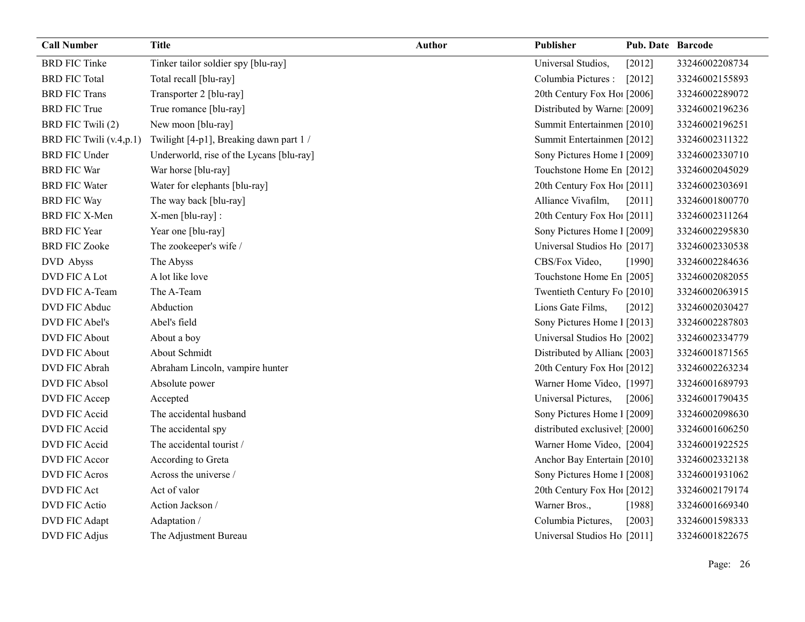| <b>Call Number</b>      | <b>Title</b>                             | <b>Author</b> | Publisher                     | <b>Pub. Date Barcode</b> |                |
|-------------------------|------------------------------------------|---------------|-------------------------------|--------------------------|----------------|
| <b>BRD FIC Tinke</b>    | Tinker tailor soldier spy [blu-ray]      |               | Universal Studios,            | [2012]                   | 33246002208734 |
| <b>BRD FIC Total</b>    | Total recall [blu-ray]                   |               | Columbia Pictures :           | $[2012]$                 | 33246002155893 |
| <b>BRD FIC Trans</b>    | Transporter 2 [blu-ray]                  |               | 20th Century Fox Ho! [2006]   |                          | 33246002289072 |
| <b>BRD FIC True</b>     | True romance [blu-ray]                   |               | Distributed by Warne [2009]   |                          | 33246002196236 |
| BRD FIC Twili (2)       | New moon [blu-ray]                       |               | Summit Entertainmen [2010]    |                          | 33246002196251 |
| BRD FIC Twili (v.4,p.1) | Twilight [4-p1], Breaking dawn part 1 /  |               | Summit Entertainmen [2012]    |                          | 33246002311322 |
| <b>BRD FIC Under</b>    | Underworld, rise of the Lycans [blu-ray] |               | Sony Pictures Home 1 [2009]   |                          | 33246002330710 |
| <b>BRD FIC War</b>      | War horse [blu-ray]                      |               | Touchstone Home En [2012]     |                          | 33246002045029 |
| <b>BRD FIC Water</b>    | Water for elephants [blu-ray]            |               | 20th Century Fox Ho! [2011]   |                          | 33246002303691 |
| <b>BRD FIC Way</b>      | The way back [blu-ray]                   |               | Alliance Vivafilm,            | [2011]                   | 33246001800770 |
| BRD FIC X-Men           | X-men [blu-ray] :                        |               | 20th Century Fox Ho! [2011]   |                          | 33246002311264 |
| <b>BRD FIC Year</b>     | Year one [blu-ray]                       |               | Sony Pictures Home 1 [2009]   |                          | 33246002295830 |
| <b>BRD FIC Zooke</b>    | The zookeeper's wife /                   |               | Universal Studios Ho [2017]   |                          | 33246002330538 |
| DVD Abyss               | The Abyss                                |               | CBS/Fox Video,                | [1990]                   | 33246002284636 |
| DVD FIC A Lot           | A lot like love                          |               | Touchstone Home En [2005]     |                          | 33246002082055 |
| DVD FIC A-Team          | The A-Team                               |               | Twentieth Century Fo [2010]   |                          | 33246002063915 |
| DVD FIC Abduc           | Abduction                                |               | Lions Gate Films,             | [2012]                   | 33246002030427 |
| DVD FIC Abel's          | Abel's field                             |               | Sony Pictures Home 1 [2013]   |                          | 33246002287803 |
| <b>DVD FIC About</b>    | About a boy                              |               | Universal Studios Ho [2002]   |                          | 33246002334779 |
| <b>DVD FIC About</b>    | About Schmidt                            |               | Distributed by Allian [2003]  |                          | 33246001871565 |
| DVD FIC Abrah           | Abraham Lincoln, vampire hunter          |               | 20th Century Fox Ho! [2012]   |                          | 33246002263234 |
| <b>DVD FIC Absol</b>    | Absolute power                           |               | Warner Home Video, [1997]     |                          | 33246001689793 |
| DVD FIC Accep           | Accepted                                 |               | Universal Pictures,           | [2006]                   | 33246001790435 |
| DVD FIC Accid           | The accidental husband                   |               | Sony Pictures Home 1 [2009]   |                          | 33246002098630 |
| DVD FIC Accid           | The accidental spy                       |               | distributed exclusivel [2000] |                          | 33246001606250 |
| DVD FIC Accid           | The accidental tourist /                 |               | Warner Home Video, [2004]     |                          | 33246001922525 |
| <b>DVD FIC Accor</b>    | According to Greta                       |               | Anchor Bay Entertain [2010]   |                          | 33246002332138 |
| <b>DVD FIC Acros</b>    | Across the universe /                    |               | Sony Pictures Home 1 [2008]   |                          | 33246001931062 |
| <b>DVD FIC Act</b>      | Act of valor                             |               | 20th Century Fox Ho! [2012]   |                          | 33246002179174 |
| <b>DVD FIC Actio</b>    | Action Jackson /                         |               | Warner Bros.,                 | [1988]                   | 33246001669340 |
| DVD FIC Adapt           | Adaptation /                             |               | Columbia Pictures,            | $[2003]$                 | 33246001598333 |
| DVD FIC Adjus           | The Adjustment Bureau                    |               | Universal Studios Ho [2011]   |                          | 33246001822675 |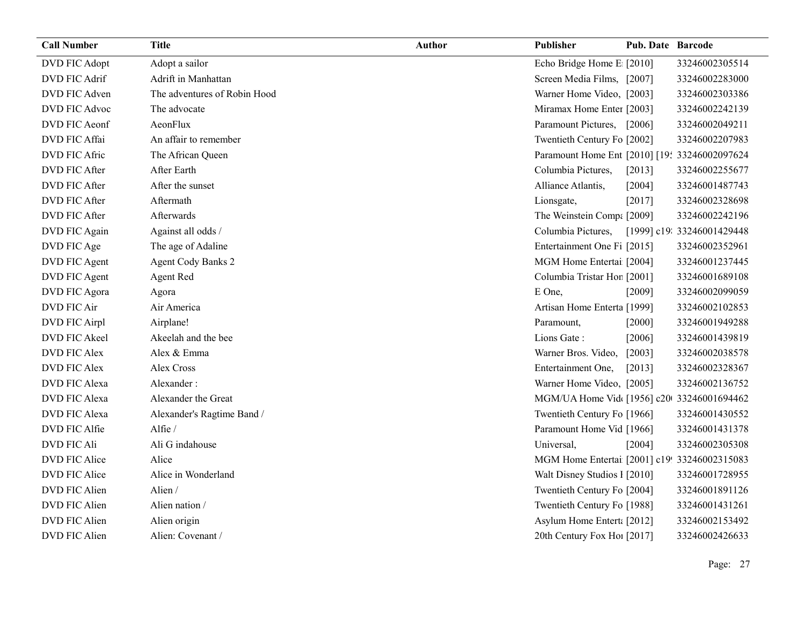| <b>Call Number</b>   | <b>Title</b>                 | <b>Author</b> | Publisher                                     | <b>Pub. Date Barcode</b> |                            |
|----------------------|------------------------------|---------------|-----------------------------------------------|--------------------------|----------------------------|
| DVD FIC Adopt        | Adopt a sailor               |               | Echo Bridge Home E [2010]                     |                          | 33246002305514             |
| DVD FIC Adrif        | Adrift in Manhattan          |               | Screen Media Films, [2007]                    |                          | 33246002283000             |
| DVD FIC Adven        | The adventures of Robin Hood |               | Warner Home Video, [2003]                     |                          | 33246002303386             |
| DVD FIC Advoc        | The advocate                 |               | Miramax Home Enter [2003]                     |                          | 33246002242139             |
| DVD FIC Aeonf        | AeonFlux                     |               | Paramount Pictures, [2006]                    |                          | 33246002049211             |
| <b>DVD FIC Affai</b> | An affair to remember        |               | Twentieth Century Fo [2002]                   |                          | 33246002207983             |
| DVD FIC Afric        | The African Queen            |               | Paramount Home Ent [2010] [19: 33246002097624 |                          |                            |
| DVD FIC After        | After Earth                  |               | Columbia Pictures,                            | [2013]                   | 33246002255677             |
| DVD FIC After        | After the sunset             |               | Alliance Atlantis,                            | [2004]                   | 33246001487743             |
| DVD FIC After        | Aftermath                    |               | Lionsgate,                                    | [2017]                   | 33246002328698             |
| DVD FIC After        | Afterwards                   |               | The Weinstein Compa [2009]                    |                          | 33246002242196             |
| DVD FIC Again        | Against all odds /           |               | Columbia Pictures,                            |                          | [1999] c19: 33246001429448 |
| DVD FIC Age          | The age of Adaline           |               | Entertainment One Fi [2015]                   |                          | 33246002352961             |
| DVD FIC Agent        | <b>Agent Cody Banks 2</b>    |               | MGM Home Entertai [2004]                      |                          | 33246001237445             |
| DVD FIC Agent        | Agent Red                    |               | Columbia Tristar Hor [2001]                   |                          | 33246001689108             |
| DVD FIC Agora        | Agora                        |               | E One,                                        | [2009]                   | 33246002099059             |
| DVD FIC Air          | Air America                  |               | Artisan Home Enterta [1999]                   |                          | 33246002102853             |
| DVD FIC Airpl        | Airplane!                    |               | Paramount,                                    | $[2000]$                 | 33246001949288             |
| DVD FIC Akeel        | Akeelah and the bee          |               | Lions Gate:                                   | [2006]                   | 33246001439819             |
| <b>DVD FIC Alex</b>  | Alex & Emma                  |               | Warner Bros. Video,                           | $[2003]$                 | 33246002038578             |
| <b>DVD FIC Alex</b>  | Alex Cross                   |               | Entertainment One,                            | [2013]                   | 33246002328367             |
| <b>DVD FIC Alexa</b> | Alexander:                   |               | Warner Home Video, [2005]                     |                          | 33246002136752             |
| <b>DVD FIC Alexa</b> | Alexander the Great          |               | MGM/UA Home Vid [1956] c20 33246001694462     |                          |                            |
| <b>DVD FIC Alexa</b> | Alexander's Ragtime Band /   |               | Twentieth Century Fo [1966]                   |                          | 33246001430552             |
| DVD FIC Alfie        | Alfie /                      |               | Paramount Home Vid [1966]                     |                          | 33246001431378             |
| <b>DVD FIC Ali</b>   | Ali G indahouse              |               | Universal,                                    | [2004]                   | 33246002305308             |
| DVD FIC Alice        | Alice                        |               | MGM Home Entertai [2001] c19! 33246002315083  |                          |                            |
| DVD FIC Alice        | Alice in Wonderland          |               | Walt Disney Studios I [2010]                  |                          | 33246001728955             |
| DVD FIC Alien        | Alien /                      |               | Twentieth Century Fo [2004]                   |                          | 33246001891126             |
| DVD FIC Alien        | Alien nation /               |               | Twentieth Century Fo [1988]                   |                          | 33246001431261             |
| DVD FIC Alien        | Alien origin                 |               | Asylum Home Entert: [2012]                    |                          | 33246002153492             |
| DVD FIC Alien        | Alien: Covenant /            |               | 20th Century Fox Ho! [2017]                   |                          | 33246002426633             |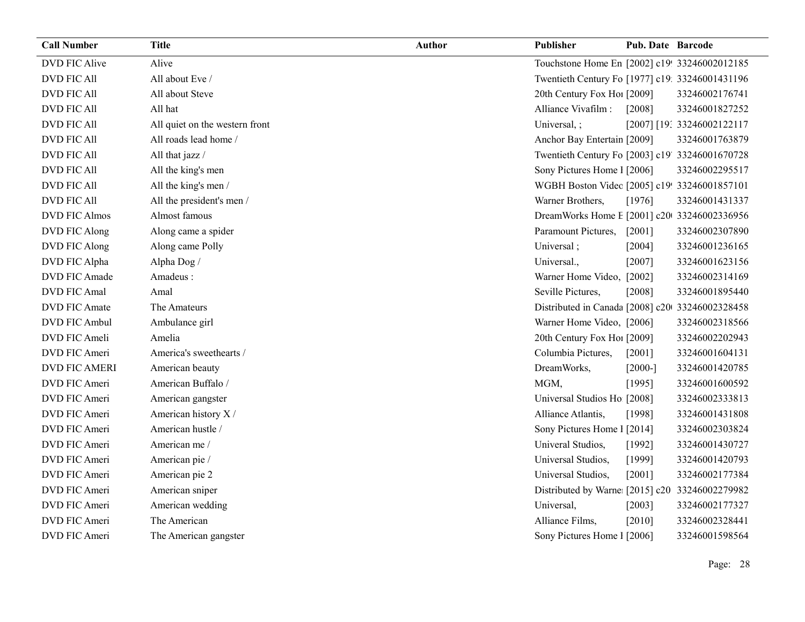| <b>Call Number</b>   | <b>Title</b>                   | <b>Author</b> | Publisher                                       | <b>Pub. Date Barcode</b> |                            |
|----------------------|--------------------------------|---------------|-------------------------------------------------|--------------------------|----------------------------|
| <b>DVD FIC Alive</b> | Alive                          |               | Touchstone Home En [2002] c19! 33246002012185   |                          |                            |
| <b>DVD FIC All</b>   | All about Eve /                |               | Twentieth Century Fo [1977] c19: 33246001431196 |                          |                            |
| <b>DVD FIC All</b>   | All about Steve                |               | 20th Century Fox Ho! [2009]                     |                          | 33246002176741             |
| <b>DVD FIC All</b>   | All hat                        |               | Alliance Vivafilm :                             | [2008]                   | 33246001827252             |
| <b>DVD FIC All</b>   | All quiet on the western front |               | Universal, ;                                    |                          | [2007] [19: 33246002122117 |
| <b>DVD FIC All</b>   | All roads lead home /          |               | Anchor Bay Entertain [2009]                     |                          | 33246001763879             |
| <b>DVD FIC All</b>   | All that jazz /                |               | Twentieth Century Fo [2003] c19' 33246001670728 |                          |                            |
| <b>DVD FIC All</b>   | All the king's men             |               | Sony Pictures Home 1 [2006]                     |                          | 33246002295517             |
| <b>DVD FIC All</b>   | All the king's men/            |               | WGBH Boston Videc [2005] c19! 33246001857101    |                          |                            |
| <b>DVD FIC All</b>   | All the president's men /      |               | Warner Brothers,                                | [1976]                   | 33246001431337             |
| <b>DVD FIC Almos</b> | Almost famous                  |               | DreamWorks Home E [2001] c20 33246002336956     |                          |                            |
| DVD FIC Along        | Along came a spider            |               | Paramount Pictures,                             | $[2001]$                 | 33246002307890             |
| DVD FIC Along        | Along came Polly               |               | Universal;                                      | [2004]                   | 33246001236165             |
| DVD FIC Alpha        | Alpha Dog /                    |               | Universal.,                                     | [2007]                   | 33246001623156             |
| DVD FIC Amade        | Amadeus:                       |               | Warner Home Video, [2002]                       |                          | 33246002314169             |
| DVD FIC Amal         | Amal                           |               | Seville Pictures,                               | [2008]                   | 33246001895440             |
| DVD FIC Amate        | The Amateurs                   |               | Distributed in Canada [2008] c20 33246002328458 |                          |                            |
| DVD FIC Ambul        | Ambulance girl                 |               | Warner Home Video, [2006]                       |                          | 33246002318566             |
| DVD FIC Ameli        | Amelia                         |               | 20th Century Fox Hol [2009]                     |                          | 33246002202943             |
| DVD FIC Ameri        | America's sweethearts /        |               | Columbia Pictures,                              | [2001]                   | 33246001604131             |
| <b>DVD FIC AMERI</b> | American beauty                |               | DreamWorks,                                     | $[2000-]$                | 33246001420785             |
| DVD FIC Ameri        | American Buffalo /             |               | MGM,                                            | [1995]                   | 33246001600592             |
| DVD FIC Ameri        | American gangster              |               | Universal Studios Ho [2008]                     |                          | 33246002333813             |
| DVD FIC Ameri        | American history X /           |               | Alliance Atlantis,                              | [1998]                   | 33246001431808             |
| DVD FIC Ameri        | American hustle /              |               | Sony Pictures Home 1 [2014]                     |                          | 33246002303824             |
| DVD FIC Ameri        | American me /                  |               | Univeral Studios,                               | [1992]                   | 33246001430727             |
| DVD FIC Ameri        | American pie /                 |               | Universal Studios,                              | [1999]                   | 33246001420793             |
| DVD FIC Ameri        | American pie 2                 |               | Universal Studios,                              | $[2001]$                 | 33246002177384             |
| DVD FIC Ameri        | American sniper                |               | Distributed by Warne [2015] c20 33246002279982  |                          |                            |
| DVD FIC Ameri        | American wedding               |               | Universal,                                      | $[2003]$                 | 33246002177327             |
| DVD FIC Ameri        | The American                   |               | Alliance Films,                                 | [2010]                   | 33246002328441             |
| DVD FIC Ameri        | The American gangster          |               | Sony Pictures Home 1 [2006]                     |                          | 33246001598564             |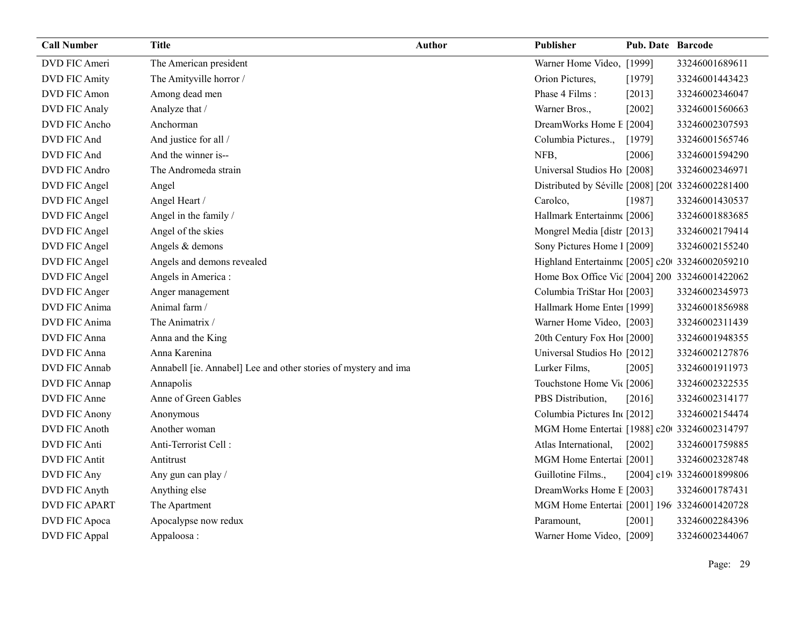| <b>Call Number</b>   | <b>Title</b>                                                    | <b>Author</b> | Publisher                                         | <b>Pub. Date Barcode</b> |                           |
|----------------------|-----------------------------------------------------------------|---------------|---------------------------------------------------|--------------------------|---------------------------|
| DVD FIC Ameri        | The American president                                          |               | Warner Home Video, [1999]                         |                          | 33246001689611            |
| <b>DVD FIC Amity</b> | The Amityville horror /                                         |               | Orion Pictures,                                   | [1979]                   | 33246001443423            |
| DVD FIC Amon         | Among dead men                                                  |               | Phase 4 Films:                                    | [2013]                   | 33246002346047            |
| <b>DVD FIC Analy</b> | Analyze that /                                                  |               | Warner Bros.,                                     | [2002]                   | 33246001560663            |
| DVD FIC Ancho        | Anchorman                                                       |               | DreamWorks Home E [2004]                          |                          | 33246002307593            |
| DVD FIC And          | And justice for all /                                           |               | Columbia Pictures.,                               | [1979]                   | 33246001565746            |
| DVD FIC And          | And the winner is--                                             |               | NFB,                                              | [2006]                   | 33246001594290            |
| DVD FIC Andro        | The Andromeda strain                                            |               | Universal Studios Ho [2008]                       |                          | 33246002346971            |
| DVD FIC Angel        | Angel                                                           |               | Distributed by Séville [2008] [20( 33246002281400 |                          |                           |
| DVD FIC Angel        | Angel Heart /                                                   |               | Carolco,                                          | [1987]                   | 33246001430537            |
| DVD FIC Angel        | Angel in the family /                                           |               | Hallmark Entertainm [2006]                        |                          | 33246001883685            |
| DVD FIC Angel        | Angel of the skies                                              |               | Mongrel Media [distr [2013]                       |                          | 33246002179414            |
| DVD FIC Angel        | Angels & demons                                                 |               | Sony Pictures Home 1 [2009]                       |                          | 33246002155240            |
| DVD FIC Angel        | Angels and demons revealed                                      |               | Highland Entertainm [2005] c20 33246002059210     |                          |                           |
| DVD FIC Angel        | Angels in America :                                             |               | Home Box Office Vic [2004] 200 33246001422062     |                          |                           |
| DVD FIC Anger        | Anger management                                                |               | Columbia TriStar Hoi [2003]                       |                          | 33246002345973            |
| DVD FIC Anima        | Animal farm /                                                   |               | Hallmark Home Enter [1999]                        |                          | 33246001856988            |
| DVD FIC Anima        | The Animatrix /                                                 |               | Warner Home Video, [2003]                         |                          | 33246002311439            |
| DVD FIC Anna         | Anna and the King                                               |               | 20th Century Fox Ho! [2000]                       |                          | 33246001948355            |
| <b>DVD FIC Anna</b>  | Anna Karenina                                                   |               | Universal Studios Ho [2012]                       |                          | 33246002127876            |
| DVD FIC Annab        | Annabell [ie. Annabel] Lee and other stories of mystery and ima |               | Lurker Films,                                     | [2005]                   | 33246001911973            |
| DVD FIC Annap        | Annapolis                                                       |               | Touchstone Home Vic [2006]                        |                          | 33246002322535            |
| DVD FIC Anne         | Anne of Green Gables                                            |               | PBS Distribution,                                 | [2016]                   | 33246002314177            |
| <b>DVD FIC Anony</b> | Anonymous                                                       |               | Columbia Pictures In [2012]                       |                          | 33246002154474            |
| <b>DVD FIC Anoth</b> | Another woman                                                   |               | MGM Home Entertai [1988] c20 33246002314797       |                          |                           |
| <b>DVD FIC Anti</b>  | Anti-Terrorist Cell:                                            |               | Atlas International,                              | $[2002]$                 | 33246001759885            |
| <b>DVD FIC Antit</b> | Antitrust                                                       |               | MGM Home Entertai [2001]                          |                          | 33246002328748            |
| DVD FIC Any          | Any gun can play /                                              |               | Guillotine Films.,                                |                          | [2004] c19(33246001899806 |
| DVD FIC Anyth        | Anything else                                                   |               | DreamWorks Home E [2003]                          |                          | 33246001787431            |
| <b>DVD FIC APART</b> | The Apartment                                                   |               | MGM Home Entertai [2001] 196 33246001420728       |                          |                           |
| DVD FIC Apoca        | Apocalypse now redux                                            |               | Paramount,                                        | [2001]                   | 33246002284396            |
| DVD FIC Appal        | Appaloosa:                                                      |               | Warner Home Video, [2009]                         |                          | 33246002344067            |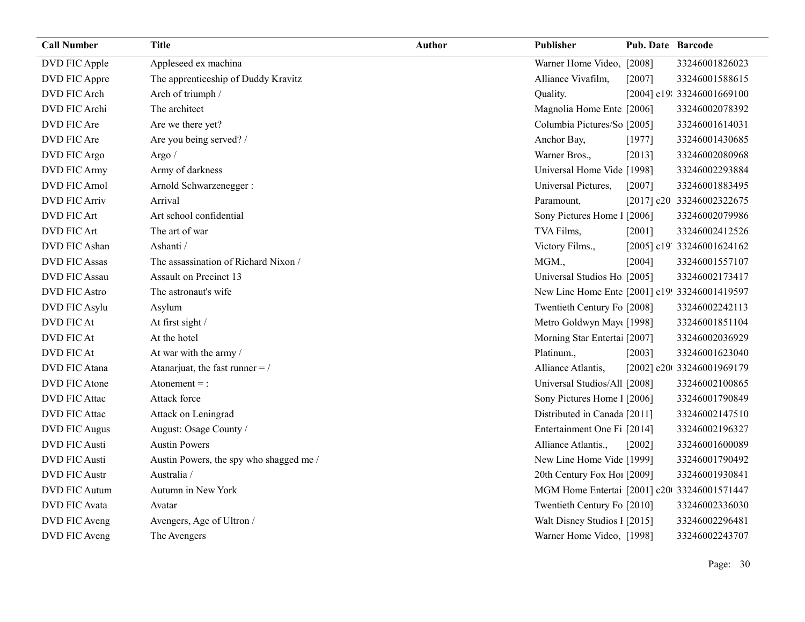| <b>Call Number</b>   | <b>Title</b>                            | <b>Author</b> | Publisher                                     | <b>Pub. Date Barcode</b> |                            |
|----------------------|-----------------------------------------|---------------|-----------------------------------------------|--------------------------|----------------------------|
| DVD FIC Apple        | Appleseed ex machina                    |               | Warner Home Video, [2008]                     |                          | 33246001826023             |
| DVD FIC Appre        | The apprenticeship of Duddy Kravitz     |               | Alliance Vivafilm,                            | [2007]                   | 33246001588615             |
| DVD FIC Arch         | Arch of triumph /                       |               | Quality.                                      |                          | [2004] c19: 33246001669100 |
| DVD FIC Archi        | The architect                           |               | Magnolia Home Ente [2006]                     |                          | 33246002078392             |
| DVD FIC Are          | Are we there yet?                       |               | Columbia Pictures/So [2005]                   |                          | 33246001614031             |
| DVD FIC Are          | Are you being served? /                 |               | Anchor Bay,                                   | [1977]                   | 33246001430685             |
| DVD FIC Argo         | Argo /                                  |               | Warner Bros.,                                 | $[2013]$                 | 33246002080968             |
| DVD FIC Army         | Army of darkness                        |               | Universal Home Vide [1998]                    |                          | 33246002293884             |
| <b>DVD FIC Arnol</b> | Arnold Schwarzenegger :                 |               | Universal Pictures,                           | $[2007]$                 | 33246001883495             |
| <b>DVD FIC Arriv</b> | Arrival                                 |               | Paramount,                                    |                          | [2017] c20 33246002322675  |
| DVD FIC Art          | Art school confidential                 |               | Sony Pictures Home 1 [2006]                   |                          | 33246002079986             |
| <b>DVD FIC Art</b>   | The art of war                          |               | TVA Films,                                    | [2001]                   | 33246002412526             |
| DVD FIC Ashan        | Ashanti /                               |               | Victory Films.,                               |                          | [2005] c19' 33246001624162 |
| <b>DVD FIC Assas</b> | The assassination of Richard Nixon /    |               | MGM.,                                         | [2004]                   | 33246001557107             |
| <b>DVD FIC Assau</b> | Assault on Precinct 13                  |               | Universal Studios Ho [2005]                   |                          | 33246002173417             |
| <b>DVD FIC Astro</b> | The astronaut's wife                    |               | New Line Home Ente [2001] c19! 33246001419597 |                          |                            |
| DVD FIC Asylu        | Asylum                                  |               | Twentieth Century Fo [2008]                   |                          | 33246002242113             |
| <b>DVD FIC At</b>    | At first sight /                        |               | Metro Goldwyn May([1998]                      |                          | 33246001851104             |
| DVD FIC At           | At the hotel                            |               | Morning Star Enterta [2007]                   |                          | 33246002036929             |
| DVD FIC At           | At war with the army /                  |               | Platinum.,                                    | [2003]                   | 33246001623040             |
| DVD FIC Atana        | Atanarjuat, the fast runner $=$ /       |               | Alliance Atlantis,                            |                          | [2002] c20t 33246001969179 |
| <b>DVD FIC Atone</b> | Atonement $=$ :                         |               | Universal Studios/All [2008]                  |                          | 33246002100865             |
| DVD FIC Attac        | Attack force                            |               | Sony Pictures Home 1 [2006]                   |                          | 33246001790849             |
| DVD FIC Attac        | Attack on Leningrad                     |               | Distributed in Canada [2011]                  |                          | 33246002147510             |
| <b>DVD FIC Augus</b> | August: Osage County /                  |               | Entertainment One Fi [2014]                   |                          | 33246002196327             |
| <b>DVD FIC Austi</b> | <b>Austin Powers</b>                    |               | Alliance Atlantis.,                           | [2002]                   | 33246001600089             |
| <b>DVD FIC Austi</b> | Austin Powers, the spy who shagged me / |               | New Line Home Vide [1999]                     |                          | 33246001790492             |
| <b>DVD FIC Austr</b> | Australia /                             |               | 20th Century Fox Ho! [2009]                   |                          | 33246001930841             |
| <b>DVD FIC Autum</b> | Autumn in New York                      |               | MGM Home Entertai [2001] c20 33246001571447   |                          |                            |
| DVD FIC Avata        | Avatar                                  |               | Twentieth Century Fo [2010]                   |                          | 33246002336030             |
| DVD FIC Aveng        | Avengers, Age of Ultron /               |               | Walt Disney Studios 1 [2015]                  |                          | 33246002296481             |
| DVD FIC Aveng        | The Avengers                            |               | Warner Home Video, [1998]                     |                          | 33246002243707             |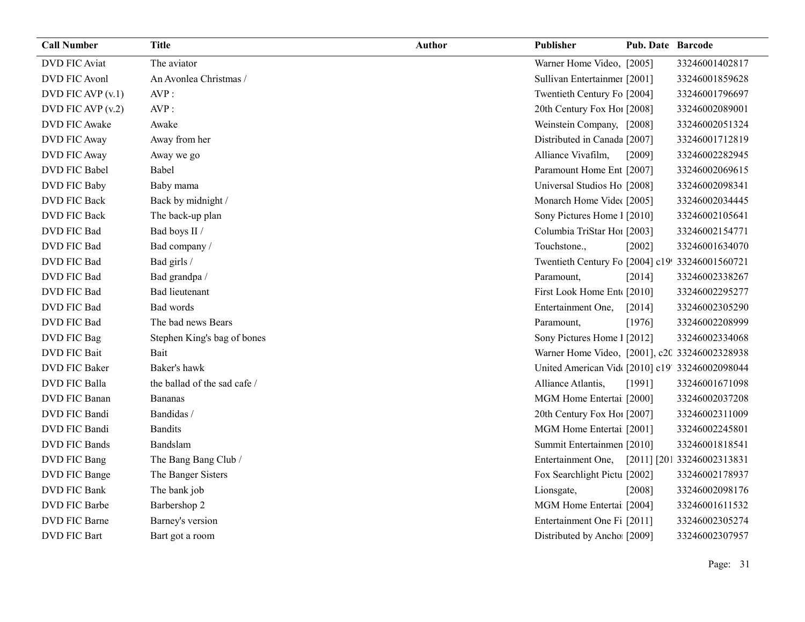| <b>Call Number</b>   | <b>Title</b>                 | Author | Publisher                                       | <b>Pub. Date Barcode</b> |                            |
|----------------------|------------------------------|--------|-------------------------------------------------|--------------------------|----------------------------|
| <b>DVD FIC Aviat</b> | The aviator                  |        | Warner Home Video, [2005]                       |                          | 33246001402817             |
| DVD FIC Avonl        | An Avonlea Christmas /       |        | Sullivan Entertainmer [2001]                    |                          | 33246001859628             |
| DVD FIC AVP $(v.1)$  | AVP:                         |        | Twentieth Century Fo [2004]                     |                          | 33246001796697             |
| DVD FIC AVP $(v.2)$  | AVP:                         |        | 20th Century Fox Hol [2008]                     |                          | 33246002089001             |
| DVD FIC Awake        | Awake                        |        | Weinstein Company, [2008]                       |                          | 33246002051324             |
| DVD FIC Away         | Away from her                |        | Distributed in Canada [2007]                    |                          | 33246001712819             |
| DVD FIC Away         | Away we go                   |        | Alliance Vivafilm,                              | [2009]                   | 33246002282945             |
| DVD FIC Babel        | Babel                        |        | Paramount Home Ent [2007]                       |                          | 33246002069615             |
| DVD FIC Baby         | Baby mama                    |        | Universal Studios Ho [2008]                     |                          | 33246002098341             |
| <b>DVD FIC Back</b>  | Back by midnight /           |        | Monarch Home Vide([2005]                        |                          | 33246002034445             |
| <b>DVD FIC Back</b>  | The back-up plan             |        | Sony Pictures Home 1 [2010]                     |                          | 33246002105641             |
| DVD FIC Bad          | Bad boys II /                |        | Columbia TriStar Hoi [2003]                     |                          | 33246002154771             |
| DVD FIC Bad          | Bad company /                |        | Touchstone.,                                    | [2002]                   | 33246001634070             |
| DVD FIC Bad          | Bad girls /                  |        | Twentieth Century Fo [2004] c19! 33246001560721 |                          |                            |
| DVD FIC Bad          | Bad grandpa /                |        | Paramount,                                      | [2014]                   | 33246002338267             |
| DVD FIC Bad          | <b>Bad lieutenant</b>        |        | First Look Home Ent [2010]                      |                          | 33246002295277             |
| DVD FIC Bad          | Bad words                    |        | Entertainment One,                              | [2014]                   | 33246002305290             |
| DVD FIC Bad          | The bad news Bears           |        | Paramount,                                      | [1976]                   | 33246002208999             |
| DVD FIC Bag          | Stephen King's bag of bones  |        | Sony Pictures Home 1 [2012]                     |                          | 33246002334068             |
| <b>DVD</b> FIC Bait  | Bait                         |        | Warner Home Video, [2001], c20 33246002328938   |                          |                            |
| DVD FIC Baker        | Baker's hawk                 |        | United American Vid [2010] c19' 33246002098044  |                          |                            |
| DVD FIC Balla        | the ballad of the sad cafe / |        | Alliance Atlantis,                              | [1991]                   | 33246001671098             |
| DVD FIC Banan        | <b>Bananas</b>               |        | MGM Home Entertai [2000]                        |                          | 33246002037208             |
| DVD FIC Bandi        | Bandidas /                   |        | 20th Century Fox Ho! [2007]                     |                          | 33246002311009             |
| DVD FIC Bandi        | <b>Bandits</b>               |        | MGM Home Entertai [2001]                        |                          | 33246002245801             |
| <b>DVD FIC Bands</b> | Bandslam                     |        | Summit Entertainmen [2010]                      |                          | 33246001818541             |
| DVD FIC Bang         | The Bang Bang Club /         |        | Entertainment One,                              |                          | [2011] [201 33246002313831 |
| DVD FIC Bange        | The Banger Sisters           |        | Fox Searchlight Pictu [2002]                    |                          | 33246002178937             |
| DVD FIC Bank         | The bank job                 |        | Lionsgate,                                      | $[2008]$                 | 33246002098176             |
| DVD FIC Barbe        | Barbershop 2                 |        | MGM Home Entertai [2004]                        |                          | 33246001611532             |
| DVD FIC Barne        | Barney's version             |        | Entertainment One Fi [2011]                     |                          | 33246002305274             |
| <b>DVD FIC Bart</b>  | Bart got a room              |        | Distributed by Ancho [2009]                     |                          | 33246002307957             |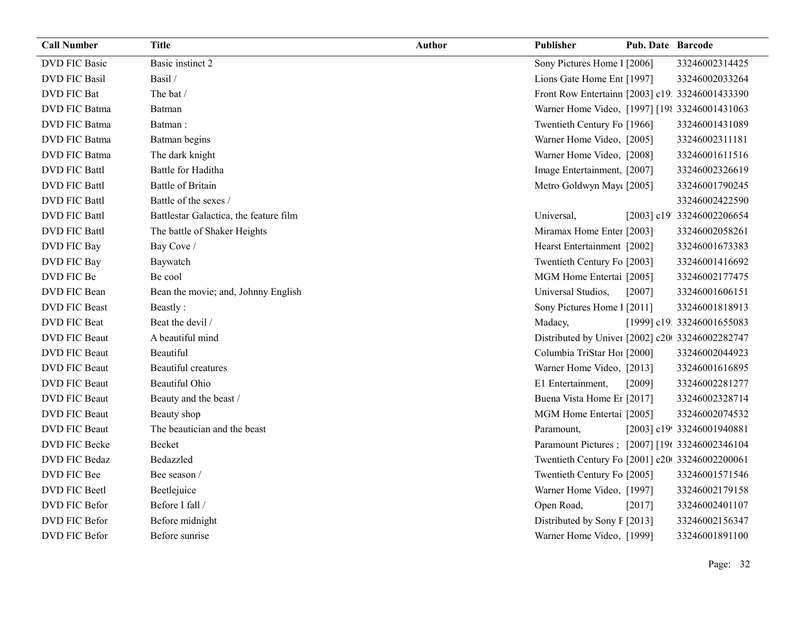| <b>Call Number</b>   | <b>Title</b>                           | <b>Author</b> | <b>Publisher</b>                                | Pub. Date Barcode |                            |
|----------------------|----------------------------------------|---------------|-------------------------------------------------|-------------------|----------------------------|
| <b>DVD FIC Basic</b> | Basic instinct 2                       |               | Sony Pictures Home 1 [2006]                     |                   | 33246002314425             |
| <b>DVD FIC Basil</b> | Basil /                                |               | Lions Gate Home Ent [1997]                      |                   | 33246002033264             |
| DVD FIC Bat          | The bat /                              |               | Front Row Entertainn [2003] c19: 33246001433390 |                   |                            |
| DVD FIC Batma        | Batman                                 |               | Warner Home Video, [1997] [198 33246001431063   |                   |                            |
| DVD FIC Batma        | Batman:                                |               | Twentieth Century Fo [1966]                     |                   | 33246001431089             |
| DVD FIC Batma        | Batman begins                          |               | Warner Home Video, [2005]                       |                   | 33246002311181             |
| DVD FIC Batma        | The dark knight                        |               | Warner Home Video, [2008]                       |                   | 33246001611516             |
| <b>DVD FIC Battl</b> | Battle for Haditha                     |               | Image Entertainment, [2007]                     |                   | 33246002326619             |
| <b>DVD FIC Battl</b> | <b>Battle of Britain</b>               |               | Metro Goldwyn May([2005]                        |                   | 33246001790245             |
| <b>DVD FIC Battl</b> | Battle of the sexes /                  |               |                                                 |                   | 33246002422590             |
| <b>DVD FIC Battl</b> | Battlestar Galactica, the feature film |               | Universal,                                      |                   | [2003] c19' 33246002206654 |
| <b>DVD FIC Battl</b> | The battle of Shaker Heights           |               | Miramax Home Enter [2003]                       |                   | 33246002058261             |
| DVD FIC Bay          | Bay Cove /                             |               | Hearst Entertainment [2002]                     |                   | 33246001673383             |
| DVD FIC Bay          | Baywatch                               |               | Twentieth Century Fo [2003]                     |                   | 33246001416692             |
| DVD FIC Be           | Be cool                                |               | MGM Home Entertai [2005]                        |                   | 33246002177475             |
| DVD FIC Bean         | Bean the movie; and, Johnny English    |               | Universal Studios,                              | [2007]            | 33246001606151             |
| <b>DVD FIC Beast</b> | Beastly:                               |               | Sony Pictures Home 1 [2011]                     |                   | 33246001818913             |
| <b>DVD FIC Beat</b>  | Beat the devil /                       |               | Madacy,                                         |                   | [1999] c19: 33246001655083 |
| DVD FIC Beaut        | A beautiful mind                       |               | Distributed by Univer [2002] c20 33246002282747 |                   |                            |
| DVD FIC Beaut        | Beautiful                              |               | Columbia TriStar Hoi [2000]                     |                   | 33246002044923             |
| DVD FIC Beaut        | <b>Beautiful</b> creatures             |               | Warner Home Video, [2013]                       |                   | 33246001616895             |
| DVD FIC Beaut        | Beautiful Ohio                         |               | E1 Entertainment,                               | [2009]            | 33246002281277             |
| DVD FIC Beaut        | Beauty and the beast /                 |               | Buena Vista Home Er [2017]                      |                   | 33246002328714             |
| DVD FIC Beaut        | Beauty shop                            |               | MGM Home Entertai [2005]                        |                   | 33246002074532             |
| DVD FIC Beaut        | The beautician and the beast           |               | Paramount,                                      |                   | [2003] c19! 33246001940881 |
| DVD FIC Becke        | Becket                                 |               | Paramount Pictures; [2007] [196 33246002346104  |                   |                            |
| DVD FIC Bedaz        | Bedazzled                              |               | Twentieth Century Fo [2001] c20 33246002200061  |                   |                            |
| DVD FIC Bee          | Bee season /                           |               | Twentieth Century Fo [2005]                     |                   | 33246001571546             |
| DVD FIC Beetl        | Beetlejuice                            |               | Warner Home Video, [1997]                       |                   | 33246002179158             |
| DVD FIC Befor        | Before I fall /                        |               | Open Road,                                      | $[2017]$          | 33246002401107             |
| DVD FIC Befor        | Before midnight                        |               | Distributed by Sony F [2013]                    |                   | 33246002156347             |
| DVD FIC Befor        | Before sunrise                         |               | Warner Home Video, [1999]                       |                   | 33246001891100             |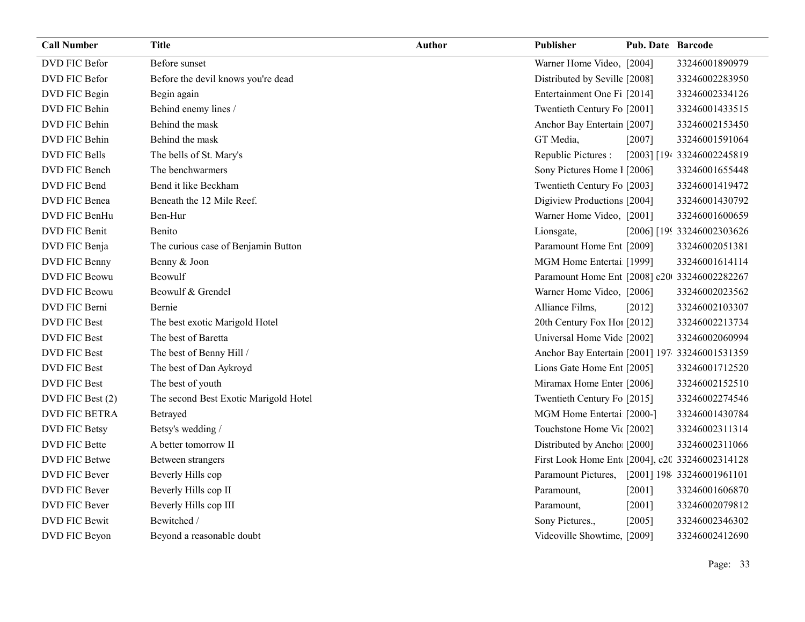| <b>Call Number</b>   | <b>Title</b>                          | <b>Author</b> | Publisher                                      | <b>Pub. Date Barcode</b> |                            |
|----------------------|---------------------------------------|---------------|------------------------------------------------|--------------------------|----------------------------|
| DVD FIC Befor        | Before sunset                         |               | Warner Home Video, [2004]                      |                          | 33246001890979             |
| DVD FIC Befor        | Before the devil knows you're dead    |               | Distributed by Seville [2008]                  |                          | 33246002283950             |
| DVD FIC Begin        | Begin again                           |               | Entertainment One Fi [2014]                    |                          | 33246002334126             |
| DVD FIC Behin        | Behind enemy lines /                  |               | Twentieth Century Fo [2001]                    |                          | 33246001433515             |
| DVD FIC Behin        | Behind the mask                       |               | Anchor Bay Entertain [2007]                    |                          | 33246002153450             |
| DVD FIC Behin        | Behind the mask                       |               | GT Media,                                      | [2007]                   | 33246001591064             |
| DVD FIC Bells        | The bells of St. Mary's               |               | Republic Pictures :                            |                          | [2003] [194 33246002245819 |
| DVD FIC Bench        | The benchwarmers                      |               | Sony Pictures Home 1 [2006]                    |                          | 33246001655448             |
| DVD FIC Bend         | Bend it like Beckham                  |               | Twentieth Century Fo [2003]                    |                          | 33246001419472             |
| DVD FIC Benea        | Beneath the 12 Mile Reef.             |               | Digiview Productions [2004]                    |                          | 33246001430792             |
| DVD FIC BenHu        | Ben-Hur                               |               | Warner Home Video, [2001]                      |                          | 33246001600659             |
| DVD FIC Benit        | Benito                                |               | Lionsgate,                                     |                          | [2006] [199 33246002303626 |
| DVD FIC Benja        | The curious case of Benjamin Button   |               | Paramount Home Ent [2009]                      |                          | 33246002051381             |
| DVD FIC Benny        | Benny & Joon                          |               | MGM Home Entertai [1999]                       |                          | 33246001614114             |
| <b>DVD FIC Beowu</b> | Beowulf                               |               | Paramount Home Ent [2008] c20 33246002282267   |                          |                            |
| DVD FIC Beowu        | Beowulf & Grendel                     |               | Warner Home Video, [2006]                      |                          | 33246002023562             |
| DVD FIC Berni        | Bernie                                |               | Alliance Films,                                | [2012]                   | 33246002103307             |
| DVD FIC Best         | The best exotic Marigold Hotel        |               | 20th Century Fox Ho [2012]                     |                          | 33246002213734             |
| <b>DVD FIC Best</b>  | The best of Baretta                   |               | Universal Home Vide [2002]                     |                          | 33246002060994             |
| <b>DVD FIC Best</b>  | The best of Benny Hill /              |               | Anchor Bay Entertain [2001] 197 33246001531359 |                          |                            |
| <b>DVD FIC Best</b>  | The best of Dan Aykroyd               |               | Lions Gate Home Ent [2005]                     |                          | 33246001712520             |
| <b>DVD FIC Best</b>  | The best of youth                     |               | Miramax Home Enter [2006]                      |                          | 33246002152510             |
| DVD FIC Best (2)     | The second Best Exotic Marigold Hotel |               | Twentieth Century Fo [2015]                    |                          | 33246002274546             |
| <b>DVD FIC BETRA</b> | Betrayed                              |               | MGM Home Entertai [2000-]                      |                          | 33246001430784             |
| <b>DVD FIC Betsy</b> | Betsy's wedding /                     |               | Touchstone Home Vic [2002]                     |                          | 33246002311314             |
| DVD FIC Bette        | A better tomorrow II                  |               | Distributed by Ancho [2000]                    |                          | 33246002311066             |
| DVD FIC Betwe        | Between strangers                     |               | First Look Home Ent [2004], c20 33246002314128 |                          |                            |
| DVD FIC Bever        | Beverly Hills cop                     |               | Paramount Pictures,                            |                          | [2001] 198 33246001961101  |
| DVD FIC Bever        | Beverly Hills cop II                  |               | Paramount,                                     | [2001]                   | 33246001606870             |
| DVD FIC Bever        | Beverly Hills cop III                 |               | Paramount,                                     | $[2001]$                 | 33246002079812             |
| <b>DVD FIC Bewit</b> | Bewitched /                           |               | Sony Pictures.,                                | $[2005]$                 | 33246002346302             |
| DVD FIC Beyon        | Beyond a reasonable doubt             |               | Videoville Showtime, [2009]                    |                          | 33246002412690             |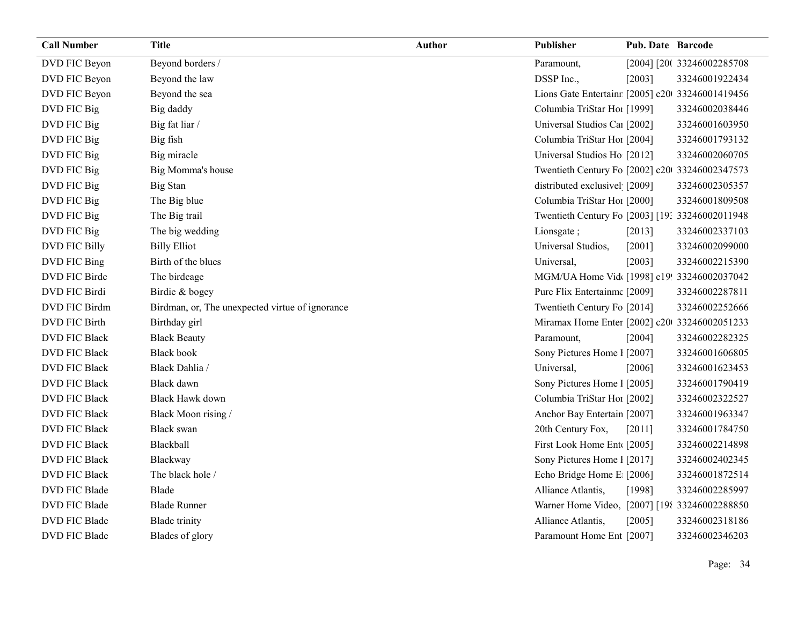| <b>Call Number</b>   | <b>Title</b>                                    | Author | Publisher                                       | Pub. Date Barcode |                            |
|----------------------|-------------------------------------------------|--------|-------------------------------------------------|-------------------|----------------------------|
| DVD FIC Beyon        | Beyond borders /                                |        | Paramount,                                      |                   | [2004] [200 33246002285708 |
| DVD FIC Beyon        | Beyond the law                                  |        | DSSP Inc.,                                      | [2003]            | 33246001922434             |
| DVD FIC Beyon        | Beyond the sea                                  |        | Lions Gate Entertainr [2005] c20 33246001419456 |                   |                            |
| DVD FIC Big          | Big daddy                                       |        | Columbia TriStar Hoi [1999]                     |                   | 33246002038446             |
| DVD FIC Big          | Big fat liar /                                  |        | Universal Studios Caı [2002]                    |                   | 33246001603950             |
| DVD FIC Big          | Big fish                                        |        | Columbia TriStar Hoi [2004]                     |                   | 33246001793132             |
| DVD FIC Big          | Big miracle                                     |        | Universal Studios Ho [2012]                     |                   | 33246002060705             |
| DVD FIC Big          | Big Momma's house                               |        | Twentieth Century Fo [2002] c20 33246002347573  |                   |                            |
| DVD FIC Big          | <b>Big Stan</b>                                 |        | distributed exclusivel [2009]                   |                   | 33246002305357             |
| DVD FIC Big          | The Big blue                                    |        | Columbia TriStar Ho1 [2000]                     |                   | 33246001809508             |
| DVD FIC Big          | The Big trail                                   |        | Twentieth Century Fo [2003] [19: 33246002011948 |                   |                            |
| DVD FIC Big          | The big wedding                                 |        | Lionsgate;                                      | [2013]            | 33246002337103             |
| <b>DVD FIC Billy</b> | <b>Billy Elliot</b>                             |        | Universal Studios,                              | [2001]            | 33246002099000             |
| DVD FIC Bing         | Birth of the blues                              |        | Universal,                                      | [2003]            | 33246002215390             |
| DVD FIC Birde        | The birdcage                                    |        | MGM/UA Home Vid [1998] c19! 33246002037042      |                   |                            |
| DVD FIC Birdi        | Birdie & bogey                                  |        | Pure Flix Entertainme [2009]                    |                   | 33246002287811             |
| DVD FIC Birdm        | Birdman, or, The unexpected virtue of ignorance |        | Twentieth Century Fo [2014]                     |                   | 33246002252666             |
| DVD FIC Birth        | Birthday girl                                   |        | Miramax Home Enter [2002] c20 33246002051233    |                   |                            |
| <b>DVD FIC Black</b> | <b>Black Beauty</b>                             |        | Paramount,                                      | [2004]            | 33246002282325             |
| <b>DVD FIC Black</b> | <b>Black book</b>                               |        | Sony Pictures Home 1 [2007]                     |                   | 33246001606805             |
| <b>DVD FIC Black</b> | Black Dahlia /                                  |        | Universal,                                      | [2006]            | 33246001623453             |
| <b>DVD FIC Black</b> | Black dawn                                      |        | Sony Pictures Home 1 [2005]                     |                   | 33246001790419             |
| <b>DVD FIC Black</b> | <b>Black Hawk down</b>                          |        | Columbia TriStar Hoi [2002]                     |                   | 33246002322527             |
| <b>DVD FIC Black</b> | Black Moon rising /                             |        | Anchor Bay Entertain [2007]                     |                   | 33246001963347             |
| <b>DVD FIC Black</b> | <b>Black</b> swan                               |        | 20th Century Fox,                               | [2011]            | 33246001784750             |
| <b>DVD FIC Black</b> | Blackball                                       |        | First Look Home Ent [2005]                      |                   | 33246002214898             |
| <b>DVD FIC Black</b> | Blackway                                        |        | Sony Pictures Home 1 [2017]                     |                   | 33246002402345             |
| <b>DVD FIC Black</b> | The black hole /                                |        | Echo Bridge Home E [2006]                       |                   | 33246001872514             |
| DVD FIC Blade        | Blade                                           |        | Alliance Atlantis,                              | [1998]            | 33246002285997             |
| DVD FIC Blade        | <b>Blade Runner</b>                             |        | Warner Home Video, [2007] [198 33246002288850   |                   |                            |
| DVD FIC Blade        | <b>Blade</b> trinity                            |        | Alliance Atlantis,                              | [2005]            | 33246002318186             |
| DVD FIC Blade        | Blades of glory                                 |        | Paramount Home Ent [2007]                       |                   | 33246002346203             |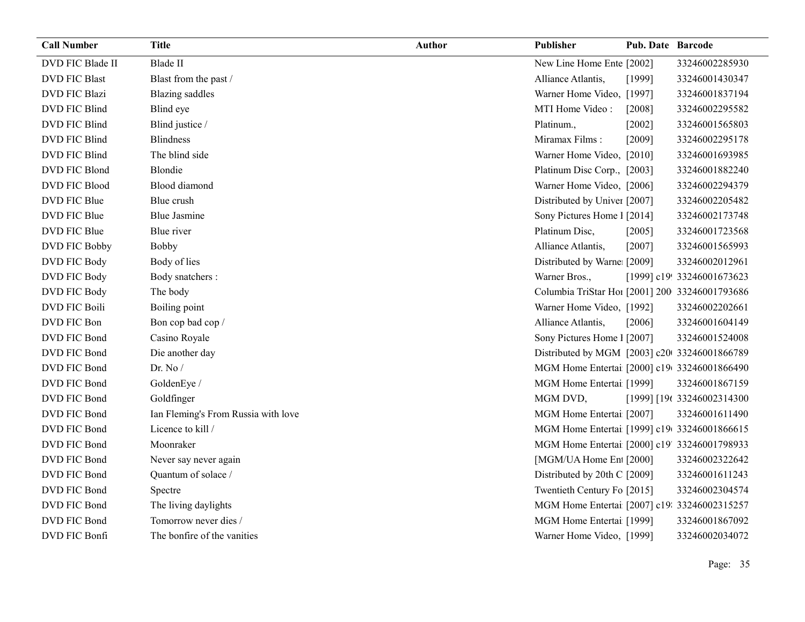| <b>Call Number</b>   | <b>Title</b>                        | <b>Author</b> | Publisher                                      | <b>Pub. Date Barcode</b> |                            |
|----------------------|-------------------------------------|---------------|------------------------------------------------|--------------------------|----------------------------|
| DVD FIC Blade II     | Blade II                            |               | New Line Home Ente [2002]                      |                          | 33246002285930             |
| <b>DVD FIC Blast</b> | Blast from the past /               |               | Alliance Atlantis,                             | [1999]                   | 33246001430347             |
| <b>DVD FIC Blazi</b> | <b>Blazing</b> saddles              |               | Warner Home Video, [1997]                      |                          | 33246001837194             |
| DVD FIC Blind        | Blind eye                           |               | MTI Home Video:                                | [2008]                   | 33246002295582             |
| DVD FIC Blind        | Blind justice /                     |               | Platinum.,                                     | [2002]                   | 33246001565803             |
| DVD FIC Blind        | <b>Blindness</b>                    |               | Miramax Films:                                 | [2009]                   | 33246002295178             |
| DVD FIC Blind        | The blind side                      |               | Warner Home Video, [2010]                      |                          | 33246001693985             |
| DVD FIC Blond        | Blondie                             |               | Platinum Disc Corp., [2003]                    |                          | 33246001882240             |
| <b>DVD FIC Blood</b> | Blood diamond                       |               | Warner Home Video, [2006]                      |                          | 33246002294379             |
| DVD FIC Blue         | Blue crush                          |               | Distributed by Univer [2007]                   |                          | 33246002205482             |
| DVD FIC Blue         | <b>Blue Jasmine</b>                 |               | Sony Pictures Home 1 [2014]                    |                          | 33246002173748             |
| DVD FIC Blue         | Blue river                          |               | Platinum Disc,                                 | [2005]                   | 33246001723568             |
| DVD FIC Bobby        | Bobby                               |               | Alliance Atlantis,                             | [2007]                   | 33246001565993             |
| DVD FIC Body         | Body of lies                        |               | Distributed by Warne [2009]                    |                          | 33246002012961             |
| DVD FIC Body         | Body snatchers :                    |               | Warner Bros.,                                  |                          | [1999] c19! 33246001673623 |
| DVD FIC Body         | The body                            |               | Columbia TriStar Ho1 [2001] 200 33246001793686 |                          |                            |
| <b>DVD FIC Boili</b> | Boiling point                       |               | Warner Home Video, [1992]                      |                          | 33246002202661             |
| DVD FIC Bon          | Bon cop bad cop /                   |               | Alliance Atlantis,                             | [2006]                   | 33246001604149             |
| DVD FIC Bond         | Casino Royale                       |               | Sony Pictures Home 1 [2007]                    |                          | 33246001524008             |
| DVD FIC Bond         | Die another day                     |               | Distributed by MGM [2003] c20 33246001866789   |                          |                            |
| DVD FIC Bond         | Dr. No $/$                          |               | MGM Home Entertai [2000] c19(33246001866490    |                          |                            |
| DVD FIC Bond         | GoldenEye /                         |               | MGM Home Entertai [1999]                       |                          | 33246001867159             |
| DVD FIC Bond         | Goldfinger                          |               | MGM DVD,                                       |                          | [1999] [196 33246002314300 |
| DVD FIC Bond         | Ian Fleming's From Russia with love |               | MGM Home Entertai [2007]                       |                          | 33246001611490             |
| DVD FIC Bond         | Licence to kill /                   |               | MGM Home Entertai [1999] c19 33246001866615    |                          |                            |
| DVD FIC Bond         | Moonraker                           |               | MGM Home Entertai [2000] c19' 33246001798933   |                          |                            |
| DVD FIC Bond         | Never say never again               |               | [MGM/UA Home En [2000]                         |                          | 33246002322642             |
| DVD FIC Bond         | Quantum of solace /                 |               | Distributed by 20th C [2009]                   |                          | 33246001611243             |
| DVD FIC Bond         | Spectre                             |               | Twentieth Century Fo [2015]                    |                          | 33246002304574             |
| DVD FIC Bond         | The living daylights                |               | MGM Home Entertai [2007] c19: 33246002315257   |                          |                            |
| DVD FIC Bond         | Tomorrow never dies /               |               | MGM Home Entertai [1999]                       |                          | 33246001867092             |
| DVD FIC Bonfi        | The bonfire of the vanities         |               | Warner Home Video, [1999]                      |                          | 33246002034072             |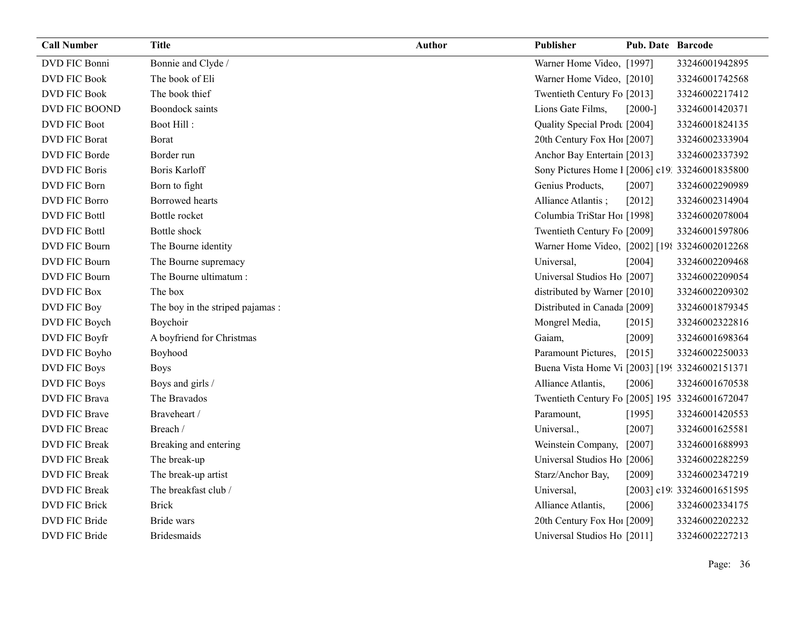| <b>Call Number</b>   | <b>Title</b>                     | <b>Author</b> | Publisher                                       | <b>Pub. Date Barcode</b> |                            |
|----------------------|----------------------------------|---------------|-------------------------------------------------|--------------------------|----------------------------|
| <b>DVD FIC Bonni</b> | Bonnie and Clyde /               |               | Warner Home Video, [1997]                       |                          | 33246001942895             |
| <b>DVD FIC Book</b>  | The book of Eli                  |               | Warner Home Video, [2010]                       |                          | 33246001742568             |
| <b>DVD FIC Book</b>  | The book thief                   |               | Twentieth Century Fo [2013]                     |                          | 33246002217412             |
| DVD FIC BOOND        | <b>Boondock</b> saints           |               | Lions Gate Films,                               | $[2000-]$                | 33246001420371             |
| <b>DVD FIC Boot</b>  | Boot Hill:                       |               | Quality Special Prodt [2004]                    |                          | 33246001824135             |
| <b>DVD FIC Borat</b> | Borat                            |               | 20th Century Fox Ho! [2007]                     |                          | 33246002333904             |
| DVD FIC Borde        | Border run                       |               | Anchor Bay Entertain [2013]                     |                          | 33246002337392             |
| <b>DVD FIC Boris</b> | <b>Boris Karloff</b>             |               | Sony Pictures Home 1 [2006] c19. 33246001835800 |                          |                            |
| DVD FIC Born         | Born to fight                    |               | Genius Products,                                | [2007]                   | 33246002290989             |
| <b>DVD FIC Borro</b> | Borrowed hearts                  |               | Alliance Atlantis;                              | $[2012]$                 | 33246002314904             |
| <b>DVD FIC Bottl</b> | Bottle rocket                    |               | Columbia TriStar Hoi [1998]                     |                          | 33246002078004             |
| <b>DVD FIC Bottl</b> | Bottle shock                     |               | Twentieth Century Fo [2009]                     |                          | 33246001597806             |
| DVD FIC Bourn        | The Bourne identity              |               | Warner Home Video, [2002] [198 33246002012268   |                          |                            |
| <b>DVD FIC Bourn</b> | The Bourne supremacy             |               | Universal,                                      | [2004]                   | 33246002209468             |
| <b>DVD FIC Bourn</b> | The Bourne ultimatum:            |               | Universal Studios Ho [2007]                     |                          | 33246002209054             |
| <b>DVD FIC Box</b>   | The box                          |               | distributed by Warner [2010]                    |                          | 33246002209302             |
| DVD FIC Boy          | The boy in the striped pajamas : |               | Distributed in Canada [2009]                    |                          | 33246001879345             |
| DVD FIC Boych        | Boychoir                         |               | Mongrel Media,                                  | [2015]                   | 33246002322816             |
| DVD FIC Boyfr        | A boyfriend for Christmas        |               | Gaiam,                                          | [2009]                   | 33246001698364             |
| DVD FIC Boyho        | Boyhood                          |               | Paramount Pictures,                             | $[2015]$                 | 33246002250033             |
| <b>DVD FIC Boys</b>  | <b>Boys</b>                      |               | Buena Vista Home Vi [2003] [199 33246002151371  |                          |                            |
| <b>DVD FIC Boys</b>  | Boys and girls /                 |               | Alliance Atlantis,                              | [2006]                   | 33246001670538             |
| <b>DVD FIC Brava</b> | The Bravados                     |               | Twentieth Century Fo [2005] 195 33246001672047  |                          |                            |
| <b>DVD FIC Brave</b> | Braveheart /                     |               | Paramount,                                      | [1995]                   | 33246001420553             |
| DVD FIC Breac        | Breach /                         |               | Universal.,                                     | [2007]                   | 33246001625581             |
| <b>DVD FIC Break</b> | Breaking and entering            |               | Weinstein Company,                              | $[2007]$                 | 33246001688993             |
| <b>DVD FIC Break</b> | The break-up                     |               | Universal Studios Ho [2006]                     |                          | 33246002282259             |
| <b>DVD FIC Break</b> | The break-up artist              |               | Starz/Anchor Bay,                               | [2009]                   | 33246002347219             |
| <b>DVD FIC Break</b> | The breakfast club /             |               | Universal,                                      |                          | [2003] c19: 33246001651595 |
| DVD FIC Brick        | <b>Brick</b>                     |               | Alliance Atlantis,                              | [2006]                   | 33246002334175             |
| DVD FIC Bride        | <b>Bride</b> wars                |               | 20th Century Fox Ho! [2009]                     |                          | 33246002202232             |
| DVD FIC Bride        | <b>Bridesmaids</b>               |               | Universal Studios Ho [2011]                     |                          | 33246002227213             |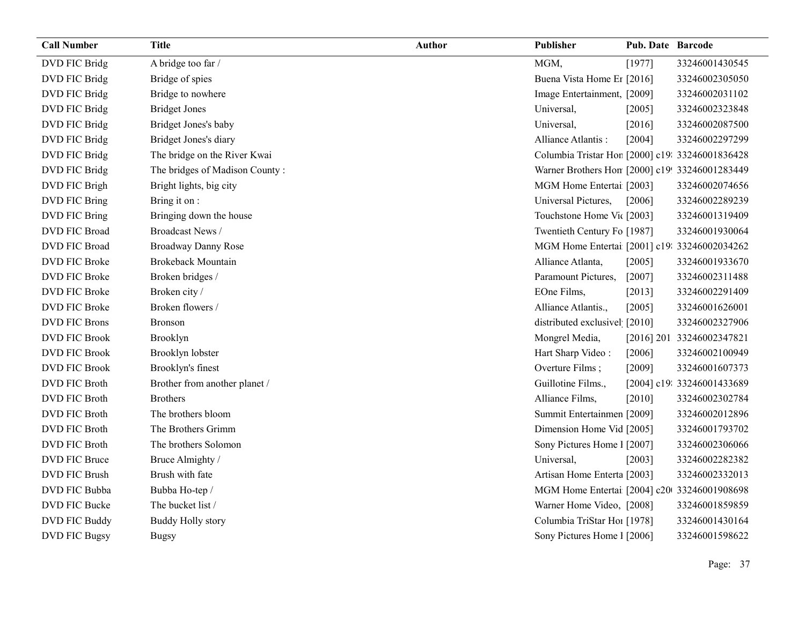| <b>Call Number</b>   | <b>Title</b>                   | Author | Publisher                                      | Pub. Date Barcode |                            |
|----------------------|--------------------------------|--------|------------------------------------------------|-------------------|----------------------------|
| DVD FIC Bridg        | A bridge too far /             |        | MGM,                                           | [1977]            | 33246001430545             |
| DVD FIC Bridg        | Bridge of spies                |        | Buena Vista Home Er [2016]                     |                   | 33246002305050             |
| DVD FIC Bridg        | Bridge to nowhere              |        | Image Entertainment, [2009]                    |                   | 33246002031102             |
| DVD FIC Bridg        | <b>Bridget Jones</b>           |        | Universal,                                     | [2005]            | 33246002323848             |
| DVD FIC Bridg        | Bridget Jones's baby           |        | Universal,                                     | [2016]            | 33246002087500             |
| DVD FIC Bridg        | Bridget Jones's diary          |        | Alliance Atlantis:                             | [2004]            | 33246002297299             |
| DVD FIC Bridg        | The bridge on the River Kwai   |        | Columbia Tristar Hor [2000] c19 33246001836428 |                   |                            |
| DVD FIC Bridg        | The bridges of Madison County: |        | Warner Brothers Hon [2000] c19! 33246001283449 |                   |                            |
| DVD FIC Brigh        | Bright lights, big city        |        | MGM Home Entertai [2003]                       |                   | 33246002074656             |
| DVD FIC Bring        | Bring it on :                  |        | Universal Pictures,                            | [2006]            | 33246002289239             |
| DVD FIC Bring        | Bringing down the house        |        | Touchstone Home Vic [2003]                     |                   | 33246001319409             |
| <b>DVD FIC Broad</b> | Broadcast News /               |        | Twentieth Century Fo [1987]                    |                   | 33246001930064             |
| DVD FIC Broad        | <b>Broadway Danny Rose</b>     |        | MGM Home Entertai [2001] c19: 33246002034262   |                   |                            |
| DVD FIC Broke        | <b>Brokeback Mountain</b>      |        | Alliance Atlanta,                              | [2005]            | 33246001933670             |
| DVD FIC Broke        | Broken bridges /               |        | Paramount Pictures,                            | $[2007]$          | 33246002311488             |
| <b>DVD FIC Broke</b> | Broken city /                  |        | EOne Films,                                    | [2013]            | 33246002291409             |
| DVD FIC Broke        | Broken flowers /               |        | Alliance Atlantis.,                            | [2005]            | 33246001626001             |
| <b>DVD FIC Brons</b> | <b>Bronson</b>                 |        | distributed exclusivel [2010]                  |                   | 33246002327906             |
| <b>DVD FIC Brook</b> | Brooklyn                       |        | Mongrel Media,                                 |                   | [2016] 201: 33246002347821 |
| DVD FIC Brook        | Brooklyn lobster               |        | Hart Sharp Video:                              | [2006]            | 33246002100949             |
| <b>DVD FIC Brook</b> | Brooklyn's finest              |        | Overture Films;                                | [2009]            | 33246001607373             |
| DVD FIC Broth        | Brother from another planet /  |        | Guillotine Films.,                             |                   | [2004] c19: 33246001433689 |
| DVD FIC Broth        | <b>Brothers</b>                |        | Alliance Films,                                | [2010]            | 33246002302784             |
| DVD FIC Broth        | The brothers bloom             |        | Summit Entertainmen [2009]                     |                   | 33246002012896             |
| <b>DVD FIC Broth</b> | The Brothers Grimm             |        | Dimension Home Vid [2005]                      |                   | 33246001793702             |
| <b>DVD FIC Broth</b> | The brothers Solomon           |        | Sony Pictures Home 1 [2007]                    |                   | 33246002306066             |
| DVD FIC Bruce        | Bruce Almighty /               |        | Universal,                                     | [2003]            | 33246002282382             |
| <b>DVD FIC Brush</b> | Brush with fate                |        | Artisan Home Enterta [2003]                    |                   | 33246002332013             |
| DVD FIC Bubba        | Bubba Ho-tep /                 |        | MGM Home Entertai [2004] c20 33246001908698    |                   |                            |
| DVD FIC Bucke        | The bucket list /              |        | Warner Home Video, [2008]                      |                   | 33246001859859             |
| DVD FIC Buddy        | <b>Buddy Holly story</b>       |        | Columbia TriStar Hos [1978]                    |                   | 33246001430164             |
|                      |                                |        |                                                |                   |                            |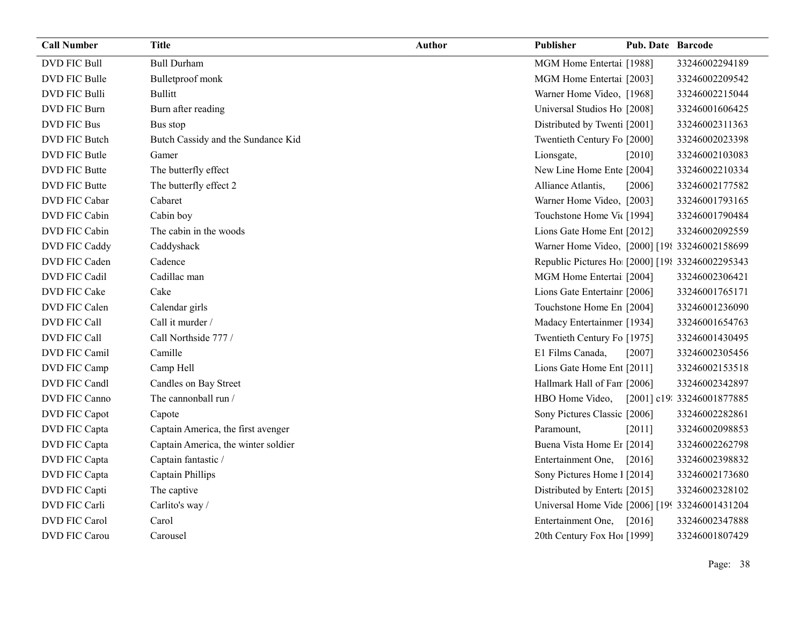| <b>Call Number</b>   | <b>Title</b>                        | <b>Author</b> | Publisher                                       | <b>Pub. Date Barcode</b> |                            |
|----------------------|-------------------------------------|---------------|-------------------------------------------------|--------------------------|----------------------------|
| <b>DVD FIC Bull</b>  | <b>Bull Durham</b>                  |               | MGM Home Entertai [1988]                        |                          | 33246002294189             |
| DVD FIC Bulle        | Bulletproof monk                    |               | MGM Home Entertai [2003]                        |                          | 33246002209542             |
| <b>DVD FIC Bulli</b> | <b>Bullitt</b>                      |               | Warner Home Video, [1968]                       |                          | 33246002215044             |
| <b>DVD FIC Burn</b>  | Burn after reading                  |               | Universal Studios Ho [2008]                     |                          | 33246001606425             |
| DVD FIC Bus          | Bus stop                            |               | Distributed by Twenti [2001]                    |                          | 33246002311363             |
| <b>DVD FIC Butch</b> | Butch Cassidy and the Sundance Kid  |               | Twentieth Century Fo [2000]                     |                          | 33246002023398             |
| DVD FIC Butle        | Gamer                               |               | Lionsgate,                                      | [2010]                   | 33246002103083             |
| DVD FIC Butte        | The butterfly effect                |               | New Line Home Ente [2004]                       |                          | 33246002210334             |
| <b>DVD FIC Butte</b> | The butterfly effect 2              |               | Alliance Atlantis,                              | [2006]                   | 33246002177582             |
| <b>DVD FIC Cabar</b> | Cabaret                             |               | Warner Home Video, [2003]                       |                          | 33246001793165             |
| <b>DVD FIC Cabin</b> | Cabin boy                           |               | Touchstone Home Vic [1994]                      |                          | 33246001790484             |
| DVD FIC Cabin        | The cabin in the woods              |               | Lions Gate Home Ent [2012]                      |                          | 33246002092559             |
| DVD FIC Caddy        | Caddyshack                          |               | Warner Home Video, [2000] [198 33246002158699   |                          |                            |
| DVD FIC Caden        | Cadence                             |               | Republic Pictures Ho [2000] [198 33246002295343 |                          |                            |
| DVD FIC Cadil        | Cadillac man                        |               | MGM Home Entertai [2004]                        |                          | 33246002306421             |
| DVD FIC Cake         | Cake                                |               | Lions Gate Entertainr [2006]                    |                          | 33246001765171             |
| DVD FIC Calen        | Calendar girls                      |               | Touchstone Home En [2004]                       |                          | 33246001236090             |
| DVD FIC Call         | Call it murder /                    |               | Madacy Entertainmer [1934]                      |                          | 33246001654763             |
| DVD FIC Call         | Call Northside 777 /                |               | Twentieth Century Fo [1975]                     |                          | 33246001430495             |
| <b>DVD FIC Camil</b> | Camille                             |               | E1 Films Canada,                                | [2007]                   | 33246002305456             |
| DVD FIC Camp         | Camp Hell                           |               | Lions Gate Home Ent [2011]                      |                          | 33246002153518             |
| DVD FIC Candl        | Candles on Bay Street               |               | Hallmark Hall of Fan [2006]                     |                          | 33246002342897             |
| DVD FIC Canno        | The cannonball run /                |               | HBO Home Video,                                 |                          | [2001] c19: 33246001877885 |
| DVD FIC Capot        | Capote                              |               | Sony Pictures Classic [2006]                    |                          | 33246002282861             |
| DVD FIC Capta        | Captain America, the first avenger  |               | Paramount,                                      | $[2011]$                 | 33246002098853             |
| DVD FIC Capta        | Captain America, the winter soldier |               | Buena Vista Home Er [2014]                      |                          | 33246002262798             |
| DVD FIC Capta        | Captain fantastic /                 |               | Entertainment One,                              | $[2016]$                 | 33246002398832             |
| DVD FIC Capta        | Captain Phillips                    |               | Sony Pictures Home 1 [2014]                     |                          | 33246002173680             |
| DVD FIC Capti        | The captive                         |               | Distributed by Enterta [2015]                   |                          | 33246002328102             |
| DVD FIC Carli        | Carlito's way /                     |               | Universal Home Vide [2006] [199 33246001431204  |                          |                            |
| <b>DVD FIC Carol</b> | Carol                               |               | Entertainment One,                              | $[2016]$                 | 33246002347888             |
| <b>DVD FIC Carou</b> | Carousel                            |               | 20th Century Fox Hol [1999]                     |                          | 33246001807429             |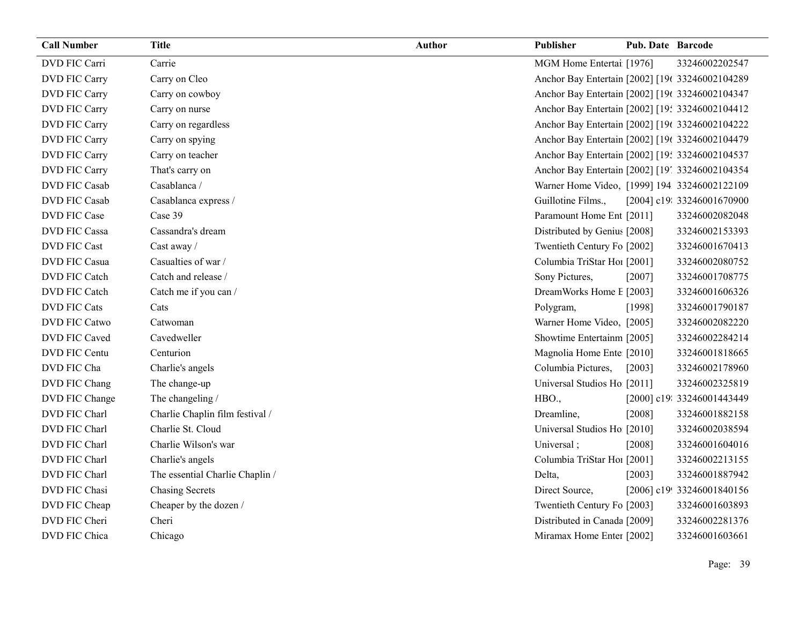| <b>Call Number</b>   | <b>Title</b>                    | <b>Author</b> | Publisher                                       | <b>Pub. Date Barcode</b> |                            |
|----------------------|---------------------------------|---------------|-------------------------------------------------|--------------------------|----------------------------|
| DVD FIC Carri        | Carrie                          |               | MGM Home Entertai [1976]                        |                          | 33246002202547             |
| DVD FIC Carry        | Carry on Cleo                   |               | Anchor Bay Entertain [2002] [19( 33246002104289 |                          |                            |
| DVD FIC Carry        | Carry on cowboy                 |               | Anchor Bay Entertain [2002] [19( 33246002104347 |                          |                            |
| DVD FIC Carry        | Carry on nurse                  |               | Anchor Bay Entertain [2002] [19: 33246002104412 |                          |                            |
| DVD FIC Carry        | Carry on regardless             |               | Anchor Bay Entertain [2002] [19( 33246002104222 |                          |                            |
| DVD FIC Carry        | Carry on spying                 |               | Anchor Bay Entertain [2002] [19( 33246002104479 |                          |                            |
| DVD FIC Carry        | Carry on teacher                |               | Anchor Bay Entertain [2002] [19: 33246002104537 |                          |                            |
| DVD FIC Carry        | That's carry on                 |               | Anchor Bay Entertain [2002] [19] 33246002104354 |                          |                            |
| <b>DVD FIC Casab</b> | Casablanca /                    |               | Warner Home Video, [1999] 194 33246002122109    |                          |                            |
| <b>DVD FIC Casab</b> | Casablanca express /            |               | Guillotine Films.,                              |                          | [2004] c19: 33246001670900 |
| DVD FIC Case         | Case 39                         |               | Paramount Home Ent [2011]                       |                          | 33246002082048             |
| <b>DVD FIC Cassa</b> | Cassandra's dream               |               | Distributed by Genius [2008]                    |                          | 33246002153393             |
| DVD FIC Cast         | Cast away /                     |               | Twentieth Century Fo [2002]                     |                          | 33246001670413             |
| DVD FIC Casua        | Casualties of war /             |               | Columbia TriStar Hoi [2001]                     |                          | 33246002080752             |
| DVD FIC Catch        | Catch and release /             |               | Sony Pictures,                                  | [2007]                   | 33246001708775             |
| DVD FIC Catch        | Catch me if you can /           |               | DreamWorks Home E [2003]                        |                          | 33246001606326             |
| DVD FIC Cats         | Cats                            |               | Polygram,                                       | [1998]                   | 33246001790187             |
| DVD FIC Catwo        | Catwoman                        |               | Warner Home Video, [2005]                       |                          | 33246002082220             |
| DVD FIC Caved        | Cavedweller                     |               | Showtime Entertainm [2005]                      |                          | 33246002284214             |
| DVD FIC Centu        | Centurion                       |               | Magnolia Home Ente [2010]                       |                          | 33246001818665             |
| DVD FIC Cha          | Charlie's angels                |               | Columbia Pictures,                              | [2003]                   | 33246002178960             |
| DVD FIC Chang        | The change-up                   |               | Universal Studios Ho [2011]                     |                          | 33246002325819             |
| DVD FIC Change       | The changeling /                |               | HBO.,                                           |                          | [2000] c19: 33246001443449 |
| DVD FIC Charl        | Charlie Chaplin film festival / |               | Dreamline,                                      | [2008]                   | 33246001882158             |
| DVD FIC Charl        | Charlie St. Cloud               |               | Universal Studios Ho [2010]                     |                          | 33246002038594             |
| DVD FIC Charl        | Charlie Wilson's war            |               | Universal;                                      | [2008]                   | 33246001604016             |
| DVD FIC Charl        | Charlie's angels                |               | Columbia TriStar Hoi [2001]                     |                          | 33246002213155             |
| DVD FIC Charl        | The essential Charlie Chaplin / |               | Delta,                                          | [2003]                   | 33246001887942             |
| DVD FIC Chasi        | <b>Chasing Secrets</b>          |               | Direct Source,                                  |                          | [2006] c19! 33246001840156 |
| DVD FIC Cheap        | Cheaper by the dozen /          |               | Twentieth Century Fo [2003]                     |                          | 33246001603893             |
| DVD FIC Cheri        | Cheri                           |               | Distributed in Canada [2009]                    |                          | 33246002281376             |
| DVD FIC Chica        | Chicago                         |               | Miramax Home Enter [2002]                       |                          | 33246001603661             |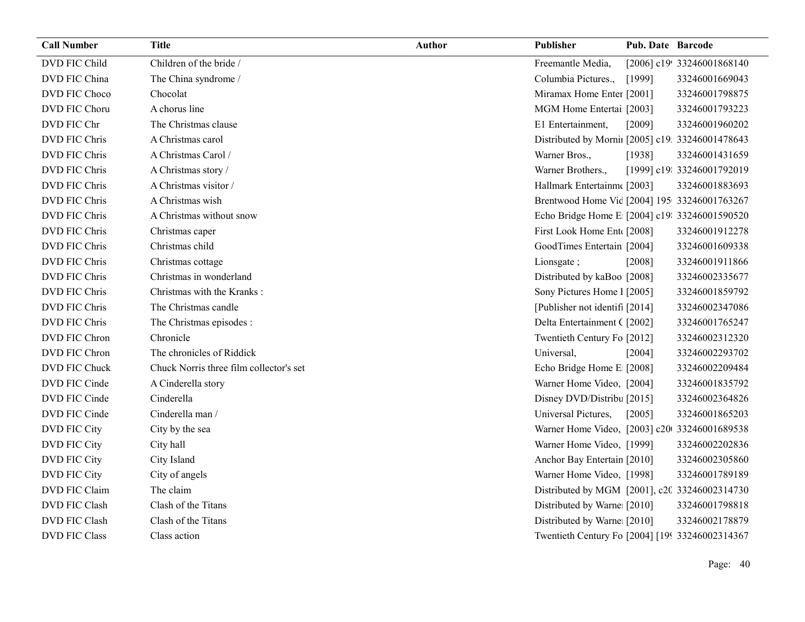| <b>Call Number</b>   | <b>Title</b>                            | <b>Author</b> | Publisher                                        | <b>Pub. Date Barcode</b> |                            |
|----------------------|-----------------------------------------|---------------|--------------------------------------------------|--------------------------|----------------------------|
| DVD FIC Child        | Children of the bride /                 |               | Freemantle Media,                                |                          | [2006] c19! 33246001868140 |
| DVD FIC China        | The China syndrome /                    |               | Columbia Pictures.,                              | [1999]                   | 33246001669043             |
| DVD FIC Choco        | Chocolat                                |               | Miramax Home Enter [2001]                        |                          | 33246001798875             |
| DVD FIC Choru        | A chorus line                           |               | MGM Home Entertai [2003]                         |                          | 33246001793223             |
| DVD FIC Chr          | The Christmas clause                    |               | E1 Entertainment,                                | [2009]                   | 33246001960202             |
| DVD FIC Chris        | A Christmas carol                       |               | Distributed by Mornii [2005] c19: 33246001478643 |                          |                            |
| DVD FIC Chris        | A Christmas Carol /                     |               | Warner Bros.,                                    | [1938]                   | 33246001431659             |
| DVD FIC Chris        | A Christmas story /                     |               | Warner Brothers.,                                |                          | [1999] c19: 33246001792019 |
| DVD FIC Chris        | A Christmas visitor /                   |               | Hallmark Entertainm([2003]                       |                          | 33246001883693             |
| DVD FIC Chris        | A Christmas wish                        |               | Brentwood Home Vic [2004] 195 33246001763267     |                          |                            |
| DVD FIC Chris        | A Christmas without snow                |               | Echo Bridge Home E [2004] c19: 33246001590520    |                          |                            |
| DVD FIC Chris        | Christmas caper                         |               | First Look Home Ent [2008]                       |                          | 33246001912278             |
| DVD FIC Chris        | Christmas child                         |               | GoodTimes Entertain [2004]                       |                          | 33246001609338             |
| DVD FIC Chris        | Christmas cottage                       |               | Lionsgate;                                       | [2008]                   | 33246001911866             |
| DVD FIC Chris        | Christmas in wonderland                 |               | Distributed by kaBoo [2008]                      |                          | 33246002335677             |
| DVD FIC Chris        | Christmas with the Kranks:              |               | Sony Pictures Home 1 [2005]                      |                          | 33246001859792             |
| DVD FIC Chris        | The Christmas candle                    |               | [Publisher not identif] [2014]                   |                          | 33246002347086             |
| DVD FIC Chris        | The Christmas episodes :                |               | Delta Entertainment ([2002]                      |                          | 33246001765247             |
| DVD FIC Chron        | Chronicle                               |               | Twentieth Century Fo [2012]                      |                          | 33246002312320             |
| DVD FIC Chron        | The chronicles of Riddick               |               | Universal,                                       | [2004]                   | 33246002293702             |
| DVD FIC Chuck        | Chuck Norris three film collector's set |               | Echo Bridge Home E [2008]                        |                          | 33246002209484             |
| DVD FIC Cinde        | A Cinderella story                      |               | Warner Home Video, [2004]                        |                          | 33246001835792             |
| DVD FIC Cinde        | Cinderella                              |               | Disney DVD/Distribu [2015]                       |                          | 33246002364826             |
| DVD FIC Cinde        | Cinderella man /                        |               | Universal Pictures,                              | $[2005]$                 | 33246001865203             |
| DVD FIC City         | City by the sea                         |               | Warner Home Video, [2003] c20 33246001689538     |                          |                            |
| DVD FIC City         | City hall                               |               | Warner Home Video, [1999]                        |                          | 33246002202836             |
| DVD FIC City         | City Island                             |               | Anchor Bay Entertain [2010]                      |                          | 33246002305860             |
| DVD FIC City         | City of angels                          |               | Warner Home Video, [1998]                        |                          | 33246001789189             |
| DVD FIC Claim        | The claim                               |               | Distributed by MGM [2001], c20 33246002314730    |                          |                            |
| DVD FIC Clash        | Clash of the Titans                     |               | Distributed by Warne [2010]                      |                          | 33246001798818             |
| <b>DVD FIC Clash</b> | Clash of the Titans                     |               | Distributed by Warne [2010]                      |                          | 33246002178879             |
| <b>DVD FIC Class</b> | Class action                            |               | Twentieth Century Fo [2004] [199 33246002314367  |                          |                            |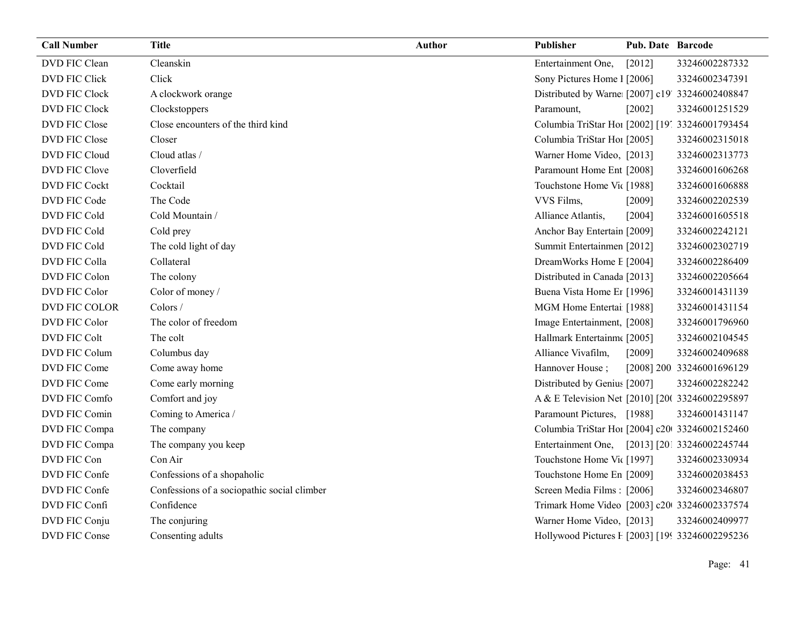| <b>Call Number</b>   | <b>Title</b>                                | <b>Author</b> | Publisher                                       | Pub. Date Barcode |                            |
|----------------------|---------------------------------------------|---------------|-------------------------------------------------|-------------------|----------------------------|
| DVD FIC Clean        | Cleanskin                                   |               | Entertainment One,                              | [2012]            | 33246002287332             |
| DVD FIC Click        | Click                                       |               | Sony Pictures Home 1 [2006]                     |                   | 33246002347391             |
| <b>DVD FIC Clock</b> | A clockwork orange                          |               | Distributed by Warne [2007] c19' 33246002408847 |                   |                            |
| DVD FIC Clock        | Clockstoppers                               |               | Paramount,                                      | [2002]            | 33246001251529             |
| DVD FIC Close        | Close encounters of the third kind          |               | Columbia TriStar Ho1 [2002] [19] 33246001793454 |                   |                            |
| DVD FIC Close        | Closer                                      |               | Columbia TriStar Ho1 [2005]                     |                   | 33246002315018             |
| DVD FIC Cloud        | Cloud atlas /                               |               | Warner Home Video, [2013]                       |                   | 33246002313773             |
| DVD FIC Clove        | Cloverfield                                 |               | Paramount Home Ent [2008]                       |                   | 33246001606268             |
| <b>DVD FIC Cockt</b> | Cocktail                                    |               | Touchstone Home Vit [1988]                      |                   | 33246001606888             |
| DVD FIC Code         | The Code                                    |               | VVS Films,                                      | [2009]            | 33246002202539             |
| DVD FIC Cold         | Cold Mountain /                             |               | Alliance Atlantis,                              | [2004]            | 33246001605518             |
| DVD FIC Cold         | Cold prey                                   |               | Anchor Bay Entertain [2009]                     |                   | 33246002242121             |
| DVD FIC Cold         | The cold light of day                       |               | Summit Entertainmen [2012]                      |                   | 33246002302719             |
| DVD FIC Colla        | Collateral                                  |               | DreamWorks Home E [2004]                        |                   | 33246002286409             |
| DVD FIC Colon        | The colony                                  |               | Distributed in Canada [2013]                    |                   | 33246002205664             |
| DVD FIC Color        | Color of money /                            |               | Buena Vista Home Er [1996]                      |                   | 33246001431139             |
| DVD FIC COLOR        | $\text{Colors} /$                           |               | MGM Home Entertai [1988]                        |                   | 33246001431154             |
| DVD FIC Color        | The color of freedom                        |               | Image Entertainment, [2008]                     |                   | 33246001796960             |
| <b>DVD FIC Colt</b>  | The colt                                    |               | Hallmark Entertainm [2005]                      |                   | 33246002104545             |
| DVD FIC Colum        | Columbus day                                |               | Alliance Vivafilm,                              | [2009]            | 33246002409688             |
| DVD FIC Come         | Come away home                              |               | Hannover House;                                 |                   | [2008] 200 33246001696129  |
| DVD FIC Come         | Come early morning                          |               | Distributed by Genius [2007]                    |                   | 33246002282242             |
| DVD FIC Comfo        | Comfort and joy                             |               | A & E Television Net [2010] [20( 33246002295897 |                   |                            |
| DVD FIC Comin        | Coming to America /                         |               | Paramount Pictures, [1988]                      |                   | 33246001431147             |
| DVD FIC Compa        | The company                                 |               | Columbia TriStar Hoi [2004] c20 33246002152460  |                   |                            |
| DVD FIC Compa        | The company you keep                        |               | Entertainment One,                              |                   | [2013] [201 33246002245744 |
| DVD FIC Con          | Con Air                                     |               | Touchstone Home Vit [1997]                      |                   | 33246002330934             |
| DVD FIC Confe        | Confessions of a shopaholic                 |               | Touchstone Home En [2009]                       |                   | 33246002038453             |
| DVD FIC Confe        | Confessions of a sociopathic social climber |               | Screen Media Films: [2006]                      |                   | 33246002346807             |
| DVD FIC Confi        | Confidence                                  |               | Trimark Home Video [2003] c20 33246002337574    |                   |                            |
| DVD FIC Conju        | The conjuring                               |               | Warner Home Video, [2013]                       |                   | 33246002409977             |
| DVD FIC Conse        | Consenting adults                           |               | Hollywood Pictures F [2003] [199 33246002295236 |                   |                            |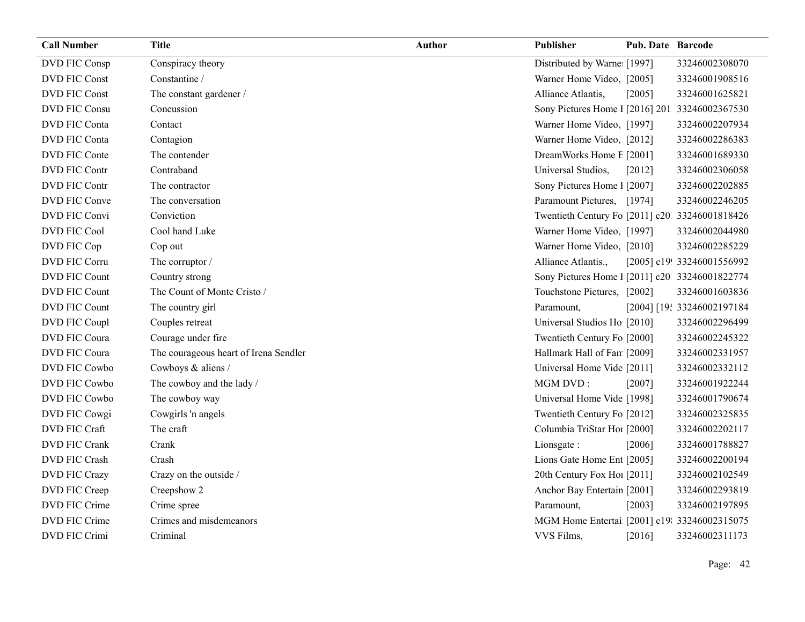| <b>Call Number</b>   | <b>Title</b>                          | <b>Author</b> | Publisher                                      | <b>Pub. Date Barcode</b> |                            |
|----------------------|---------------------------------------|---------------|------------------------------------------------|--------------------------|----------------------------|
| DVD FIC Consp        | Conspiracy theory                     |               | Distributed by Warne [1997]                    |                          | 33246002308070             |
| DVD FIC Const        | Constantine /                         |               | Warner Home Video, [2005]                      |                          | 33246001908516             |
| DVD FIC Const        | The constant gardener /               |               | Alliance Atlantis,                             | [2005]                   | 33246001625821             |
| DVD FIC Consu        | Concussion                            |               | Sony Pictures Home 1 [2016] 201 33246002367530 |                          |                            |
| DVD FIC Conta        | Contact                               |               | Warner Home Video, [1997]                      |                          | 33246002207934             |
| DVD FIC Conta        | Contagion                             |               | Warner Home Video, [2012]                      |                          | 33246002286383             |
| DVD FIC Conte        | The contender                         |               | DreamWorks Home E [2001]                       |                          | 33246001689330             |
| DVD FIC Contr        | Contraband                            |               | Universal Studios,                             | [2012]                   | 33246002306058             |
| <b>DVD FIC Contr</b> | The contractor                        |               | Sony Pictures Home 1 [2007]                    |                          | 33246002202885             |
| DVD FIC Conve        | The conversation                      |               | Paramount Pictures, [1974]                     |                          | 33246002246205             |
| DVD FIC Convi        | Conviction                            |               | Twentieth Century Fo [2011] c20 33246001818426 |                          |                            |
| <b>DVD FIC Cool</b>  | Cool hand Luke                        |               | Warner Home Video, [1997]                      |                          | 33246002044980             |
| DVD FIC Cop          | Cop out                               |               | Warner Home Video, [2010]                      |                          | 33246002285229             |
| DVD FIC Corru        | The corruptor /                       |               | Alliance Atlantis.,                            |                          | [2005] c19! 33246001556992 |
| DVD FIC Count        | Country strong                        |               | Sony Pictures Home 1 [2011] c20 33246001822774 |                          |                            |
| DVD FIC Count        | The Count of Monte Cristo /           |               | Touchstone Pictures, [2002]                    |                          | 33246001603836             |
| DVD FIC Count        | The country girl                      |               | Paramount,                                     |                          | [2004] [19: 33246002197184 |
| DVD FIC Coupl        | Couples retreat                       |               | Universal Studios Ho [2010]                    |                          | 33246002296499             |
| DVD FIC Coura        | Courage under fire                    |               | Twentieth Century Fo [2000]                    |                          | 33246002245322             |
| DVD FIC Coura        | The courageous heart of Irena Sendler |               | Hallmark Hall of Fan [2009]                    |                          | 33246002331957             |
| DVD FIC Cowbo        | Cowboys & aliens /                    |               | Universal Home Vide [2011]                     |                          | 33246002332112             |
| DVD FIC Cowbo        | The cowboy and the lady /             |               | MGM DVD:                                       | [2007]                   | 33246001922244             |
| DVD FIC Cowbo        | The cowboy way                        |               | Universal Home Vide [1998]                     |                          | 33246001790674             |
| DVD FIC Cowgi        | Cowgirls 'n angels                    |               | Twentieth Century Fo [2012]                    |                          | 33246002325835             |
| DVD FIC Craft        | The craft                             |               | Columbia TriStar Ho1 [2000]                    |                          | 33246002202117             |
| <b>DVD FIC Crank</b> | Crank                                 |               | Lionsgate:                                     | [2006]                   | 33246001788827             |
| <b>DVD FIC Crash</b> | Crash                                 |               | Lions Gate Home Ent [2005]                     |                          | 33246002200194             |
| DVD FIC Crazy        | Crazy on the outside /                |               | 20th Century Fox Ho! [2011]                    |                          | 33246002102549             |
| DVD FIC Creep        | Creepshow 2                           |               | Anchor Bay Entertain [2001]                    |                          | 33246002293819             |
| DVD FIC Crime        | Crime spree                           |               | Paramount,                                     | [2003]                   | 33246002197895             |
| DVD FIC Crime        | Crimes and misdemeanors               |               | MGM Home Entertai [2001] c19: 33246002315075   |                          |                            |
| DVD FIC Crimi        | Criminal                              |               | VVS Films,                                     | [2016]                   | 33246002311173             |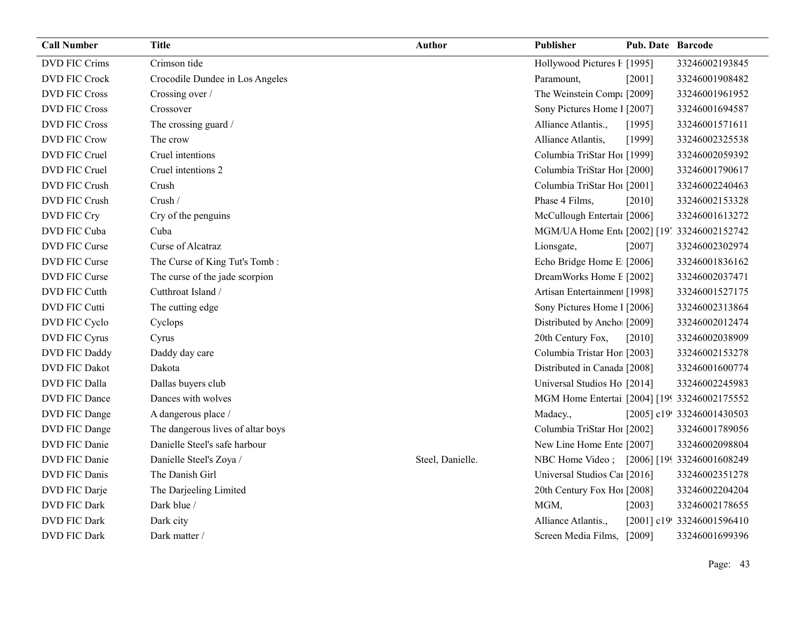| <b>Call Number</b>   | <b>Title</b>                      | <b>Author</b>    | <b>Publisher</b>                             | <b>Pub. Date Barcode</b> |                            |
|----------------------|-----------------------------------|------------------|----------------------------------------------|--------------------------|----------------------------|
| <b>DVD FIC Crims</b> | Crimson tide                      |                  | Hollywood Pictures F [1995]                  |                          | 33246002193845             |
| <b>DVD FIC Crock</b> | Crocodile Dundee in Los Angeles   |                  | Paramount,                                   | [2001]                   | 33246001908482             |
| <b>DVD FIC Cross</b> | Crossing over /                   |                  | The Weinstein Comp: [2009]                   |                          | 33246001961952             |
| <b>DVD FIC Cross</b> | Crossover                         |                  | Sony Pictures Home 1 [2007]                  |                          | 33246001694587             |
| <b>DVD FIC Cross</b> | The crossing guard /              |                  | Alliance Atlantis.,                          | [1995]                   | 33246001571611             |
| <b>DVD FIC Crow</b>  | The crow                          |                  | Alliance Atlantis,                           | [1999]                   | 33246002325538             |
| DVD FIC Cruel        | Cruel intentions                  |                  | Columbia TriStar Hoi [1999]                  |                          | 33246002059392             |
| DVD FIC Cruel        | Cruel intentions 2                |                  | Columbia TriStar Hoi [2000]                  |                          | 33246001790617             |
| DVD FIC Crush        | Crush                             |                  | Columbia TriStar Hoi [2001]                  |                          | 33246002240463             |
| DVD FIC Crush        | Crush /                           |                  | Phase 4 Films,                               | [2010]                   | 33246002153328             |
| DVD FIC Cry          | Cry of the penguins               |                  | McCullough Entertail [2006]                  |                          | 33246001613272             |
| DVD FIC Cuba         | Cuba                              |                  | MGM/UA Home Ent [2002] [19] 33246002152742   |                          |                            |
| DVD FIC Curse        | Curse of Alcatraz                 |                  | Lionsgate,                                   | $[2007]$                 | 33246002302974             |
| DVD FIC Curse        | The Curse of King Tut's Tomb:     |                  | Echo Bridge Home E [2006]                    |                          | 33246001836162             |
| DVD FIC Curse        | The curse of the jade scorpion    |                  | DreamWorks Home E [2002]                     |                          | 33246002037471             |
| <b>DVD FIC Cutth</b> | Cutthroat Island /                |                  | Artisan Entertainmen [1998]                  |                          | 33246001527175             |
| DVD FIC Cutti        | The cutting edge                  |                  | Sony Pictures Home 1 [2006]                  |                          | 33246002313864             |
| DVD FIC Cyclo        | Cyclops                           |                  | Distributed by Ancho [2009]                  |                          | 33246002012474             |
| DVD FIC Cyrus        | Cyrus                             |                  | 20th Century Fox,                            | [2010]                   | 33246002038909             |
| DVD FIC Daddy        | Daddy day care                    |                  | Columbia Tristar Hor [2003]                  |                          | 33246002153278             |
| <b>DVD FIC Dakot</b> | Dakota                            |                  | Distributed in Canada [2008]                 |                          | 33246001600774             |
| DVD FIC Dalla        | Dallas buyers club                |                  | Universal Studios Ho [2014]                  |                          | 33246002245983             |
| DVD FIC Dance        | Dances with wolves                |                  | MGM Home Entertai [2004] [199 33246002175552 |                          |                            |
| DVD FIC Dange        | A dangerous place /               |                  | Madacy.,                                     |                          | [2005] c19! 33246001430503 |
| DVD FIC Dange        | The dangerous lives of altar boys |                  | Columbia TriStar Hoi [2002]                  |                          | 33246001789056             |
| DVD FIC Danie        | Danielle Steel's safe harbour     |                  | New Line Home Ente [2007]                    |                          | 33246002098804             |
| DVD FIC Danie        | Danielle Steel's Zoya /           | Steel, Danielle. | NBC Home Video; [2006] [199 33246001608249]  |                          |                            |
| <b>DVD FIC Danis</b> | The Danish Girl                   |                  | Universal Studios Car [2016]                 |                          | 33246002351278             |
| DVD FIC Darje        | The Darjeeling Limited            |                  | 20th Century Fox Ho! [2008]                  |                          | 33246002204204             |
| <b>DVD FIC Dark</b>  | Dark blue /                       |                  | MGM,                                         | [2003]                   | 33246002178655             |
| <b>DVD FIC Dark</b>  | Dark city                         |                  | Alliance Atlantis.,                          |                          | [2001] c19! 33246001596410 |
| <b>DVD FIC Dark</b>  | Dark matter /                     |                  | Screen Media Films, [2009]                   |                          | 33246001699396             |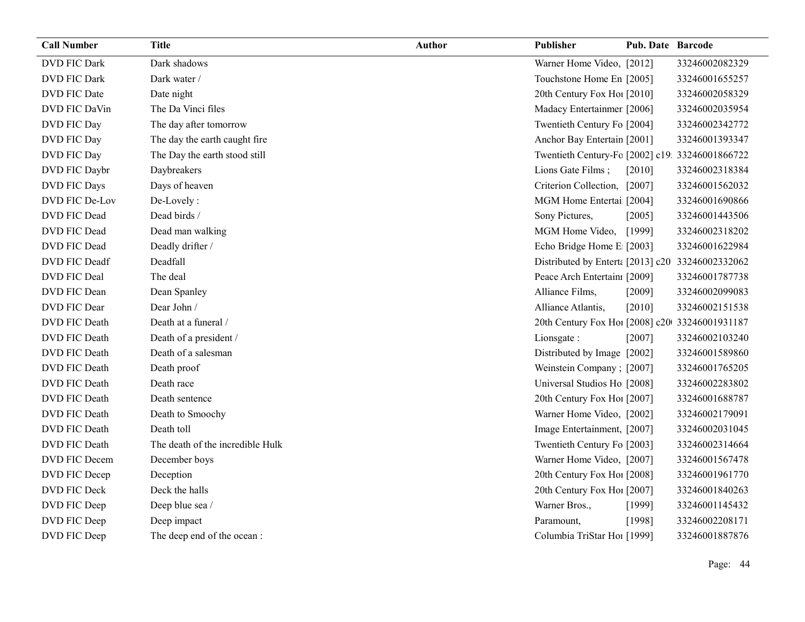| <b>Call Number</b>   | <b>Title</b>                     | <b>Author</b> | Publisher                                        | <b>Pub. Date Barcode</b> |                |
|----------------------|----------------------------------|---------------|--------------------------------------------------|--------------------------|----------------|
| <b>DVD FIC Dark</b>  | Dark shadows                     |               | Warner Home Video, [2012]                        |                          | 33246002082329 |
| DVD FIC Dark         | Dark water /                     |               | Touchstone Home En [2005]                        |                          | 33246001655257 |
| <b>DVD FIC Date</b>  | Date night                       |               | 20th Century Fox Ho! [2010]                      |                          | 33246002058329 |
| DVD FIC DaVin        | The Da Vinci files               |               | Madacy Entertainmer [2006]                       |                          | 33246002035954 |
| DVD FIC Day          | The day after tomorrow           |               | Twentieth Century Fo [2004]                      |                          | 33246002342772 |
| DVD FIC Day          | The day the earth caught fire    |               | Anchor Bay Entertain [2001]                      |                          | 33246001393347 |
| DVD FIC Day          | The Day the earth stood still    |               | Twentieth Century-Fc [2002] c19: 33246001866722  |                          |                |
| DVD FIC Daybr        | Daybreakers                      |               | Lions Gate Films;                                | $[2010]$                 | 33246002318384 |
| DVD FIC Days         | Days of heaven                   |               | Criterion Collection, [2007]                     |                          | 33246001562032 |
| DVD FIC De-Lov       | De-Lovely:                       |               | MGM Home Entertai [2004]                         |                          | 33246001690866 |
| DVD FIC Dead         | Dead birds /                     |               | Sony Pictures,                                   | [2005]                   | 33246001443506 |
| DVD FIC Dead         | Dead man walking                 |               | MGM Home Video, [1999]                           |                          | 33246002318202 |
| DVD FIC Dead         | Deadly drifter /                 |               | Echo Bridge Home E [2003]                        |                          | 33246001622984 |
| DVD FIC Deadf        | Deadfall                         |               | Distributed by Enterta [2013] c20 33246002332062 |                          |                |
| DVD FIC Deal         | The deal                         |               | Peace Arch Entertain [2009]                      |                          | 33246001787738 |
| DVD FIC Dean         | Dean Spanley                     |               | Alliance Films,                                  | [2009]                   | 33246002099083 |
| DVD FIC Dear         | Dear John /                      |               | Alliance Atlantis,                               | $[2010]$                 | 33246002151538 |
| <b>DVD FIC Death</b> | Death at a funeral /             |               | 20th Century Fox Ho! [2008] c20 33246001931187   |                          |                |
| DVD FIC Death        | Death of a president /           |               | Lionsgate:                                       | [2007]                   | 33246002103240 |
| DVD FIC Death        | Death of a salesman              |               | Distributed by Image [2002]                      |                          | 33246001589860 |
| <b>DVD FIC Death</b> | Death proof                      |               | Weinstein Company; [2007]                        |                          | 33246001765205 |
| DVD FIC Death        | Death race                       |               | Universal Studios Ho [2008]                      |                          | 33246002283802 |
| DVD FIC Death        | Death sentence                   |               | 20th Century Fox Ho! [2007]                      |                          | 33246001688787 |
| <b>DVD FIC Death</b> | Death to Smoochy                 |               | Warner Home Video, [2002]                        |                          | 33246002179091 |
| DVD FIC Death        | Death toll                       |               | Image Entertainment, [2007]                      |                          | 33246002031045 |
| DVD FIC Death        | The death of the incredible Hulk |               | Twentieth Century Fo [2003]                      |                          | 33246002314664 |
| DVD FIC Decem        | December boys                    |               | Warner Home Video, [2007]                        |                          | 33246001567478 |
| DVD FIC Decep        | Deception                        |               | 20th Century Fox Ho! [2008]                      |                          | 33246001961770 |
| DVD FIC Deck         | Deck the halls                   |               | 20th Century Fox Ho! [2007]                      |                          | 33246001840263 |
| DVD FIC Deep         | Deep blue sea /                  |               | Warner Bros.,                                    | [1999]                   | 33246001145432 |
| DVD FIC Deep         | Deep impact                      |               | Paramount,                                       | [1998]                   | 33246002208171 |
| DVD FIC Deep         | The deep end of the ocean :      |               | Columbia TriStar Hoi [1999]                      |                          | 33246001887876 |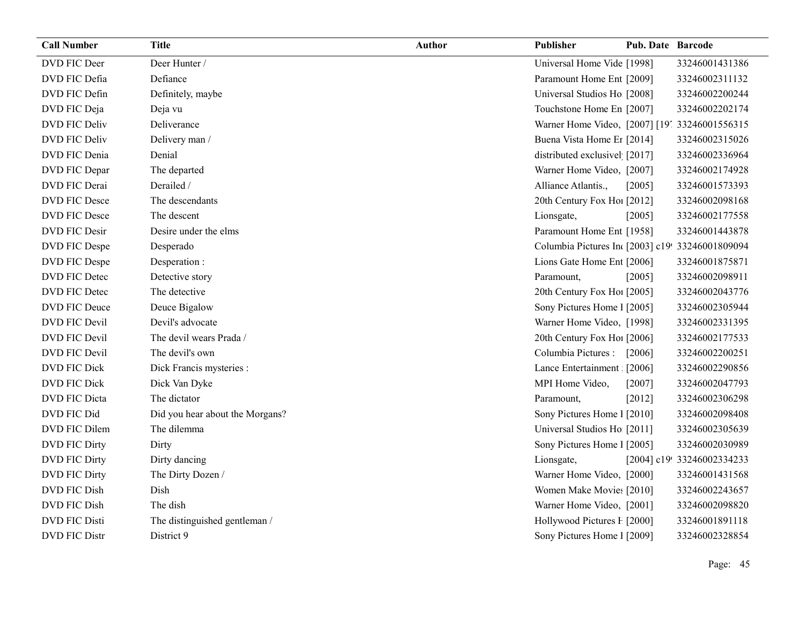| <b>Call Number</b>   | <b>Title</b>                    | <b>Author</b> | Publisher                                       | Pub. Date Barcode |                            |
|----------------------|---------------------------------|---------------|-------------------------------------------------|-------------------|----------------------------|
| DVD FIC Deer         | Deer Hunter /                   |               | Universal Home Vide [1998]                      |                   | 33246001431386             |
| DVD FIC Defia        | Defiance                        |               | Paramount Home Ent [2009]                       |                   | 33246002311132             |
| DVD FIC Defin        | Definitely, maybe               |               | Universal Studios Ho [2008]                     |                   | 33246002200244             |
| DVD FIC Deja         | Deja vu                         |               | Touchstone Home En [2007]                       |                   | 33246002202174             |
| DVD FIC Deliv        | Deliverance                     |               | Warner Home Video, [2007] [19] 33246001556315   |                   |                            |
| DVD FIC Deliv        | Delivery man /                  |               | Buena Vista Home Er [2014]                      |                   | 33246002315026             |
| DVD FIC Denia        | Denial                          |               | distributed exclusivel [2017]                   |                   | 33246002336964             |
| DVD FIC Depar        | The departed                    |               | Warner Home Video, [2007]                       |                   | 33246002174928             |
| DVD FIC Derai        | Derailed /                      |               | Alliance Atlantis.,                             | [2005]            | 33246001573393             |
| <b>DVD FIC Desce</b> | The descendants                 |               | 20th Century Fox Ho! [2012]                     |                   | 33246002098168             |
| DVD FIC Desce        | The descent                     |               | Lionsgate,                                      | [2005]            | 33246002177558             |
| DVD FIC Desir        | Desire under the elms           |               | Paramount Home Ent [1958]                       |                   | 33246001443878             |
| DVD FIC Despe        | Desperado                       |               | Columbia Pictures In [2003] c19! 33246001809094 |                   |                            |
| DVD FIC Despe        | Desperation :                   |               | Lions Gate Home Ent [2006]                      |                   | 33246001875871             |
| <b>DVD FIC Detec</b> | Detective story                 |               | Paramount,                                      | [2005]            | 33246002098911             |
| DVD FIC Detec        | The detective                   |               | 20th Century Fox Ho! [2005]                     |                   | 33246002043776             |
| DVD FIC Deuce        | Deuce Bigalow                   |               | Sony Pictures Home 1 [2005]                     |                   | 33246002305944             |
| DVD FIC Devil        | Devil's advocate                |               | Warner Home Video, [1998]                       |                   | 33246002331395             |
| DVD FIC Devil        | The devil wears Prada /         |               | 20th Century Fox Ho! [2006]                     |                   | 33246002177533             |
| DVD FIC Devil        | The devil's own                 |               | Columbia Pictures :                             | $[2006]$          | 33246002200251             |
| DVD FIC Dick         | Dick Francis mysteries :        |               | Lance Entertainment [2006]                      |                   | 33246002290856             |
| <b>DVD FIC Dick</b>  | Dick Van Dyke                   |               | MPI Home Video,                                 | [2007]            | 33246002047793             |
| DVD FIC Dicta        | The dictator                    |               | Paramount,                                      | $[2012]$          | 33246002306298             |
| DVD FIC Did          | Did you hear about the Morgans? |               | Sony Pictures Home 1 [2010]                     |                   | 33246002098408             |
| DVD FIC Dilem        | The dilemma                     |               | Universal Studios Ho [2011]                     |                   | 33246002305639             |
| <b>DVD FIC Dirty</b> | Dirty                           |               | Sony Pictures Home 1 [2005]                     |                   | 33246002030989             |
| DVD FIC Dirty        | Dirty dancing                   |               | Lionsgate,                                      |                   | [2004] c19! 33246002334233 |
| DVD FIC Dirty        | The Dirty Dozen /               |               | Warner Home Video, [2000]                       |                   | 33246001431568             |
| DVD FIC Dish         | Dish                            |               | Women Make Movies [2010]                        |                   | 33246002243657             |
| DVD FIC Dish         | The dish                        |               | Warner Home Video, [2001]                       |                   | 33246002098820             |
| <b>DVD FIC Disti</b> | The distinguished gentleman /   |               | Hollywood Pictures F [2000]                     |                   | 33246001891118             |
| <b>DVD FIC Distr</b> | District 9                      |               | Sony Pictures Home 1 [2009]                     |                   | 33246002328854             |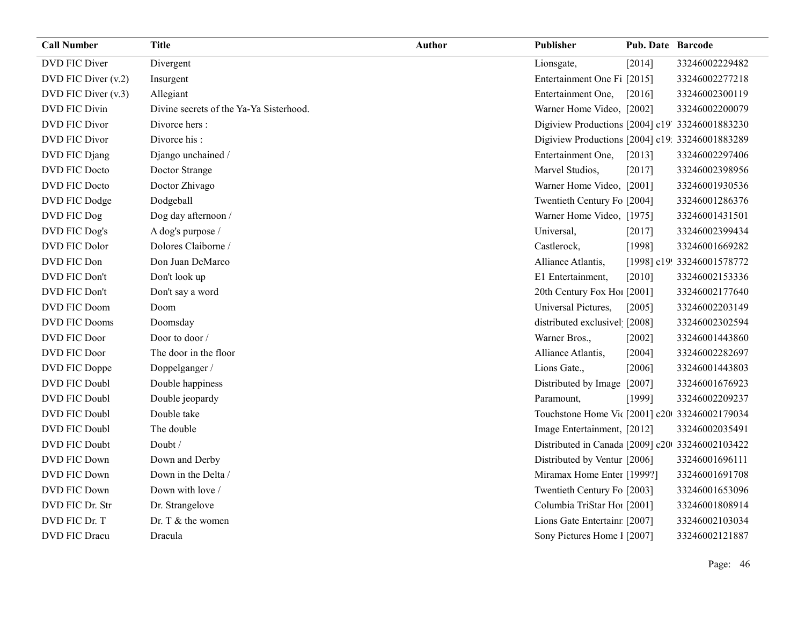| <b>Call Number</b>   | <b>Title</b>                            | Author | <b>Publisher</b>                                | <b>Pub. Date Barcode</b> |                            |
|----------------------|-----------------------------------------|--------|-------------------------------------------------|--------------------------|----------------------------|
| DVD FIC Diver        | Divergent                               |        | Lionsgate,                                      | [2014]                   | 33246002229482             |
| DVD FIC Diver (v.2)  | Insurgent                               |        | Entertainment One Fi [2015]                     |                          | 33246002277218             |
| DVD FIC Diver (v.3)  | Allegiant                               |        | Entertainment One,                              | [2016]                   | 33246002300119             |
| DVD FIC Divin        | Divine secrets of the Ya-Ya Sisterhood. |        | Warner Home Video, [2002]                       |                          | 33246002200079             |
| <b>DVD FIC Divor</b> | Divorce hers:                           |        | Digiview Productions [2004] c19' 33246001883230 |                          |                            |
| <b>DVD FIC Divor</b> | Divorce his:                            |        | Digiview Productions [2004] c19: 33246001883289 |                          |                            |
| DVD FIC Djang        | Django unchained /                      |        | Entertainment One,                              | [2013]                   | 33246002297406             |
| DVD FIC Docto        | Doctor Strange                          |        | Marvel Studios,                                 | [2017]                   | 33246002398956             |
| <b>DVD FIC Docto</b> | Doctor Zhivago                          |        | Warner Home Video, [2001]                       |                          | 33246001930536             |
| DVD FIC Dodge        | Dodgeball                               |        | Twentieth Century Fo [2004]                     |                          | 33246001286376             |
| DVD FIC Dog          | Dog day afternoon /                     |        | Warner Home Video, [1975]                       |                          | 33246001431501             |
| DVD FIC Dog's        | A dog's purpose /                       |        | Universal,                                      | [2017]                   | 33246002399434             |
| DVD FIC Dolor        | Dolores Claiborne /                     |        | Castlerock,                                     | [1998]                   | 33246001669282             |
| DVD FIC Don          | Don Juan DeMarco                        |        | Alliance Atlantis,                              |                          | [1998] c19! 33246001578772 |
| DVD FIC Don't        | Don't look up                           |        | E1 Entertainment,                               | [2010]                   | 33246002153336             |
| DVD FIC Don't        | Don't say a word                        |        | 20th Century Fox Ho! [2001]                     |                          | 33246002177640             |
| DVD FIC Doom         | Doom                                    |        | Universal Pictures,                             | [2005]                   | 33246002203149             |
| <b>DVD FIC Dooms</b> | Doomsday                                |        | distributed exclusivel [2008]                   |                          | 33246002302594             |
| DVD FIC Door         | Door to door /                          |        | Warner Bros.,                                   | $[2002]$                 | 33246001443860             |
| DVD FIC Door         | The door in the floor                   |        | Alliance Atlantis,                              | [2004]                   | 33246002282697             |
| DVD FIC Doppe        | Doppelganger /                          |        | Lions Gate.,                                    | [2006]                   | 33246001443803             |
| DVD FIC Doubl        | Double happiness                        |        | Distributed by Image [2007]                     |                          | 33246001676923             |
| DVD FIC Doubl        | Double jeopardy                         |        | Paramount,                                      | [1999]                   | 33246002209237             |
| DVD FIC Doubl        | Double take                             |        | Touchstone Home Vi( [2001] c20 33246002179034   |                          |                            |
| DVD FIC Doubl        | The double                              |        | Image Entertainment, [2012]                     |                          | 33246002035491             |
| DVD FIC Doubt        | Doubt /                                 |        | Distributed in Canada [2009] c20 33246002103422 |                          |                            |
| <b>DVD FIC Down</b>  | Down and Derby                          |        | Distributed by Ventur [2006]                    |                          | 33246001696111             |
| <b>DVD FIC Down</b>  | Down in the Delta /                     |        | Miramax Home Enter [1999?]                      |                          | 33246001691708             |
| <b>DVD FIC Down</b>  | Down with love /                        |        | Twentieth Century Fo [2003]                     |                          | 33246001653096             |
| DVD FIC Dr. Str      | Dr. Strangelove                         |        | Columbia TriStar Ho1 [2001]                     |                          | 33246001808914             |
| DVD FIC Dr. T        | Dr. T & the women                       |        | Lions Gate Entertainr [2007]                    |                          | 33246002103034             |
| <b>DVD FIC Dracu</b> | Dracula                                 |        | Sony Pictures Home 1 [2007]                     |                          | 33246002121887             |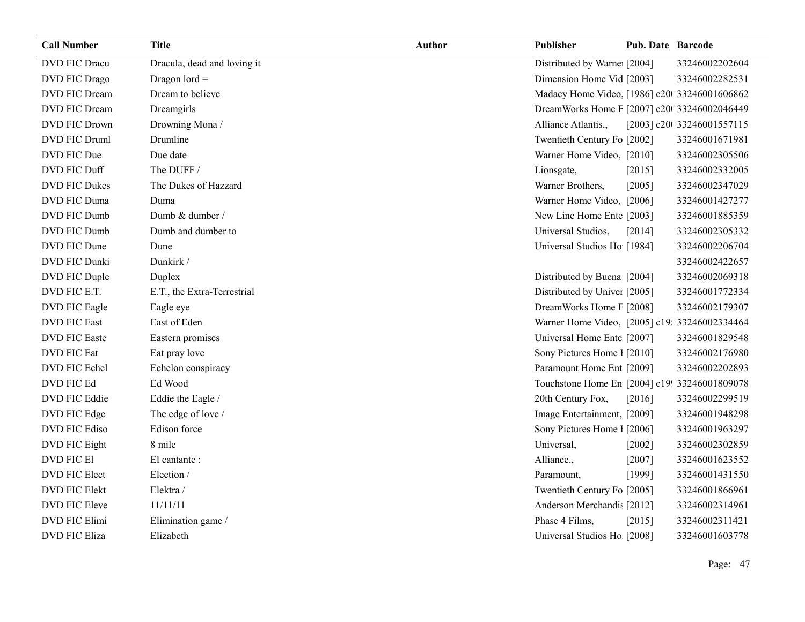| <b>Call Number</b>   | <b>Title</b>                | <b>Author</b> | Publisher                                     | Pub. Date Barcode |                           |
|----------------------|-----------------------------|---------------|-----------------------------------------------|-------------------|---------------------------|
| DVD FIC Dracu        | Dracula, dead and loving it |               | Distributed by Warne [2004]                   |                   | 33246002202604            |
| DVD FIC Drago        | Dragon $\text{Iord} =$      |               | Dimension Home Vid [2003]                     |                   | 33246002282531            |
| DVD FIC Dream        | Dream to believe            |               | Madacy Home Video [1986] c20 33246001606862   |                   |                           |
| DVD FIC Dream        | Dreamgirls                  |               | DreamWorks Home E [2007] c20 33246002046449   |                   |                           |
| <b>DVD FIC Drown</b> | Drowning Mona /             |               | Alliance Atlantis.,                           |                   | [2003] c20 33246001557115 |
| DVD FIC Druml        | Drumline                    |               | Twentieth Century Fo [2002]                   |                   | 33246001671981            |
| DVD FIC Due          | Due date                    |               | Warner Home Video, [2010]                     |                   | 33246002305506            |
| DVD FIC Duff         | The DUFF /                  |               | Lionsgate,                                    | $[2015]$          | 33246002332005            |
| <b>DVD FIC Dukes</b> | The Dukes of Hazzard        |               | Warner Brothers,                              | [2005]            | 33246002347029            |
| DVD FIC Duma         | Duma                        |               | Warner Home Video, [2006]                     |                   | 33246001427277            |
| DVD FIC Dumb         | Dumb & dumber /             |               | New Line Home Ente [2003]                     |                   | 33246001885359            |
| DVD FIC Dumb         | Dumb and dumber to          |               | Universal Studios,                            | [2014]            | 33246002305332            |
| DVD FIC Dune         | Dune                        |               | Universal Studios Ho [1984]                   |                   | 33246002206704            |
| DVD FIC Dunki        | Dunkirk /                   |               |                                               |                   | 33246002422657            |
| DVD FIC Duple        | Duplex                      |               | Distributed by Buena [2004]                   |                   | 33246002069318            |
| DVD FIC E.T.         | E.T., the Extra-Terrestrial |               | Distributed by Univer [2005]                  |                   | 33246001772334            |
| <b>DVD FIC Eagle</b> | Eagle eye                   |               | DreamWorks Home E [2008]                      |                   | 33246002179307            |
| <b>DVD FIC East</b>  | East of Eden                |               | Warner Home Video, [2005] c19: 33246002334464 |                   |                           |
| <b>DVD FIC Easte</b> | Eastern promises            |               | Universal Home Ente [2007]                    |                   | 33246001829548            |
| <b>DVD FIC Eat</b>   | Eat pray love               |               | Sony Pictures Home 1 [2010]                   |                   | 33246002176980            |
| DVD FIC Echel        | Echelon conspiracy          |               | Paramount Home Ent [2009]                     |                   | 33246002202893            |
| DVD FIC Ed           | Ed Wood                     |               | Touchstone Home En [2004] c19! 33246001809078 |                   |                           |
| DVD FIC Eddie        | Eddie the Eagle /           |               | 20th Century Fox,                             | [2016]            | 33246002299519            |
| DVD FIC Edge         | The edge of love /          |               | Image Entertainment, [2009]                   |                   | 33246001948298            |
| <b>DVD FIC Ediso</b> | Edison force                |               | Sony Pictures Home 1 [2006]                   |                   | 33246001963297            |
| DVD FIC Eight        | 8 mile                      |               | Universal,                                    | [2002]            | 33246002302859            |
| <b>DVD FIC EI</b>    | El cantante :               |               | Alliance.,                                    | [2007]            | 33246001623552            |
| <b>DVD FIC Elect</b> | Election/                   |               | Paramount,                                    | [1999]            | 33246001431550            |
| <b>DVD FIC Elekt</b> | Elektra /                   |               | Twentieth Century Fo [2005]                   |                   | 33246001866961            |
| <b>DVD FIC Eleve</b> | 11/11/11                    |               | Anderson Merchandis [2012]                    |                   | 33246002314961            |
| <b>DVD FIC Elimi</b> | Elimination game /          |               | Phase 4 Films,                                | [2015]            | 33246002311421            |
| <b>DVD FIC Eliza</b> | Elizabeth                   |               | Universal Studios Ho [2008]                   |                   | 33246001603778            |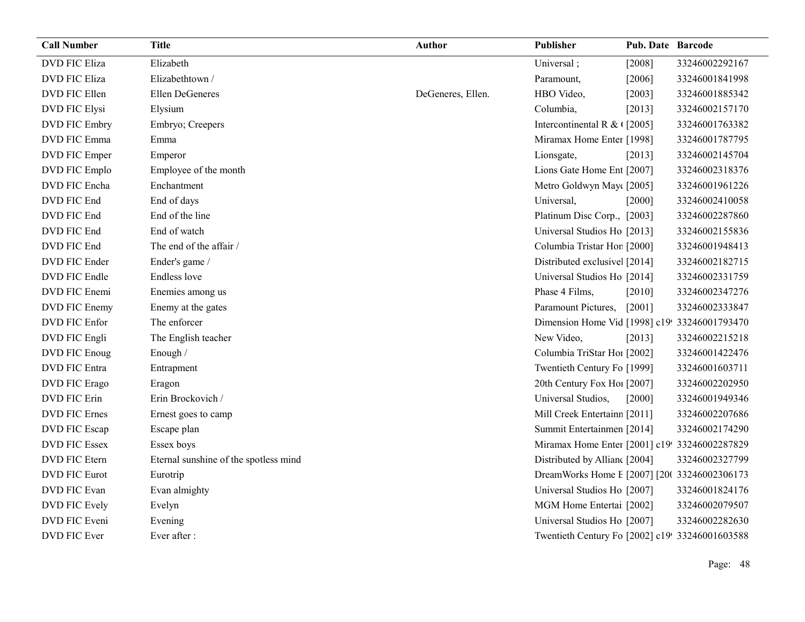| <b>Call Number</b>   | <b>Title</b>                          | <b>Author</b>     | Publisher                                       | <b>Pub. Date Barcode</b> |                |
|----------------------|---------------------------------------|-------------------|-------------------------------------------------|--------------------------|----------------|
| <b>DVD FIC Eliza</b> | Elizabeth                             |                   | Universal;                                      | $[2008]$                 | 33246002292167 |
| <b>DVD FIC Eliza</b> | Elizabethtown /                       |                   | Paramount,                                      | [2006]                   | 33246001841998 |
| DVD FIC Ellen        | <b>Ellen DeGeneres</b>                | DeGeneres, Ellen. | HBO Video,                                      | [2003]                   | 33246001885342 |
| <b>DVD FIC Elysi</b> | Elysium                               |                   | Columbia,                                       | [2013]                   | 33246002157170 |
| <b>DVD FIC Embry</b> | Embryo; Creepers                      |                   | Intercontinental R & $\sqrt{2005}$              |                          | 33246001763382 |
| DVD FIC Emma         | Emma                                  |                   | Miramax Home Enter [1998]                       |                          | 33246001787795 |
| DVD FIC Emper        | Emperor                               |                   | Lionsgate,                                      | [2013]                   | 33246002145704 |
| DVD FIC Emplo        | Employee of the month                 |                   | Lions Gate Home Ent [2007]                      |                          | 33246002318376 |
| DVD FIC Encha        | Enchantment                           |                   | Metro Goldwyn May([2005]                        |                          | 33246001961226 |
| DVD FIC End          | End of days                           |                   | Universal,                                      | [2000]                   | 33246002410058 |
| DVD FIC End          | End of the line                       |                   | Platinum Disc Corp., [2003]                     |                          | 33246002287860 |
| DVD FIC End          | End of watch                          |                   | Universal Studios Ho [2013]                     |                          | 33246002155836 |
| DVD FIC End          | The end of the affair /               |                   | Columbia Tristar Hor [2000]                     |                          | 33246001948413 |
| DVD FIC Ender        | Ender's game /                        |                   | Distributed exclusive [2014]                    |                          | 33246002182715 |
| DVD FIC Endle        | Endless love                          |                   | Universal Studios Ho [2014]                     |                          | 33246002331759 |
| DVD FIC Enemi        | Enemies among us                      |                   | Phase 4 Films,                                  | [2010]                   | 33246002347276 |
| DVD FIC Enemy        | Enemy at the gates                    |                   | Paramount Pictures,                             | $[2001]$                 | 33246002333847 |
| DVD FIC Enfor        | The enforcer                          |                   | Dimension Home Vid [1998] c19! 33246001793470   |                          |                |
| DVD FIC Engli        | The English teacher                   |                   | New Video,                                      | [2013]                   | 33246002215218 |
| DVD FIC Enoug        | Enough /                              |                   | Columbia TriStar Hoi [2002]                     |                          | 33246001422476 |
| <b>DVD FIC Entra</b> | Entrapment                            |                   | Twentieth Century Fo [1999]                     |                          | 33246001603711 |
| DVD FIC Erago        | Eragon                                |                   | 20th Century Fox Ho! [2007]                     |                          | 33246002202950 |
| <b>DVD FIC Erin</b>  | Erin Brockovich /                     |                   | Universal Studios,                              | [2000]                   | 33246001949346 |
| <b>DVD FIC Ernes</b> | Ernest goes to camp                   |                   | Mill Creek Entertainn [2011]                    |                          | 33246002207686 |
| DVD FIC Escap        | Escape plan                           |                   | Summit Entertainmen [2014]                      |                          | 33246002174290 |
| <b>DVD FIC Essex</b> | Essex boys                            |                   | Miramax Home Enter [2001] c19! 33246002287829   |                          |                |
| <b>DVD FIC Etern</b> | Eternal sunshine of the spotless mind |                   | Distributed by Allian [2004]                    |                          | 33246002327799 |
| <b>DVD FIC Eurot</b> | Eurotrip                              |                   | DreamWorks Home E [2007] [200 33246002306173    |                          |                |
| DVD FIC Evan         | Evan almighty                         |                   | Universal Studios Ho [2007]                     |                          | 33246001824176 |
| <b>DVD FIC Evely</b> | Evelyn                                |                   | MGM Home Entertai [2002]                        |                          | 33246002079507 |
| DVD FIC Eveni        | Evening                               |                   | Universal Studios Ho [2007]                     |                          | 33246002282630 |
| DVD FIC Ever         | Ever after :                          |                   | Twentieth Century Fo [2002] c19! 33246001603588 |                          |                |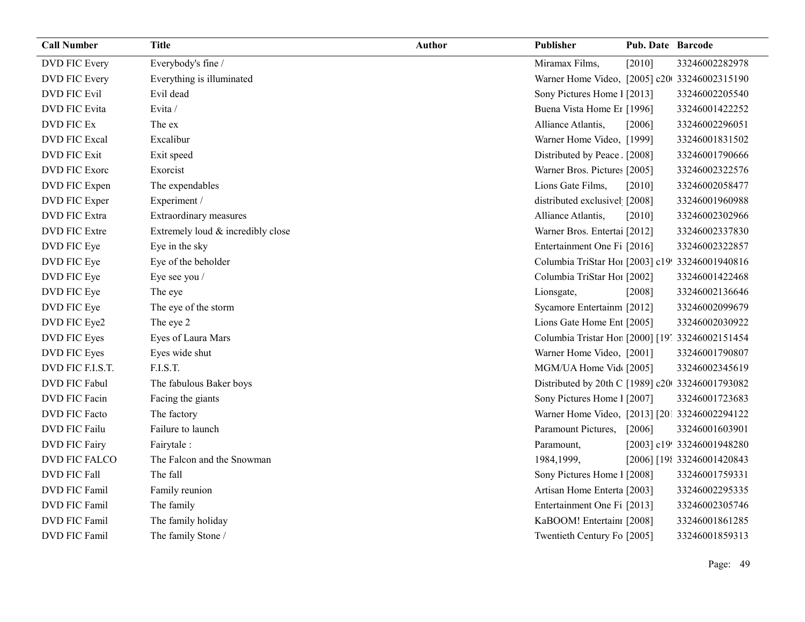| <b>Call Number</b>   | <b>Title</b>                      | <b>Author</b> | Publisher                                       | <b>Pub. Date Barcode</b> |                            |
|----------------------|-----------------------------------|---------------|-------------------------------------------------|--------------------------|----------------------------|
| DVD FIC Every        | Everybody's fine /                |               | Miramax Films,                                  | $[2010]$                 | 33246002282978             |
| <b>DVD FIC Every</b> | Everything is illuminated         |               | Warner Home Video, [2005] c20 33246002315190    |                          |                            |
| <b>DVD FIC Evil</b>  | Evil dead                         |               | Sony Pictures Home 1 [2013]                     |                          | 33246002205540             |
| <b>DVD FIC Evita</b> | Evita /                           |               | Buena Vista Home Er [1996]                      |                          | 33246001422252             |
| DVD FIC Ex           | The ex                            |               | Alliance Atlantis,                              | [2006]                   | 33246002296051             |
| <b>DVD FIC Excal</b> | Excalibur                         |               | Warner Home Video, [1999]                       |                          | 33246001831502             |
| <b>DVD FIC Exit</b>  | Exit speed                        |               | Distributed by Peace. [2008]                    |                          | 33246001790666             |
| <b>DVD FIC Exore</b> | Exorcist                          |               | Warner Bros. Pictures [2005]                    |                          | 33246002322576             |
| DVD FIC Expen        | The expendables                   |               | Lions Gate Films,                               | [2010]                   | 33246002058477             |
| DVD FIC Exper        | Experiment /                      |               | distributed exclusivel [2008]                   |                          | 33246001960988             |
| <b>DVD FIC Extra</b> | Extraordinary measures            |               | Alliance Atlantis,                              | $[2010]$                 | 33246002302966             |
| <b>DVD FIC Extre</b> | Extremely loud & incredibly close |               | Warner Bros. Entertai [2012]                    |                          | 33246002337830             |
| DVD FIC Eye          | Eye in the sky                    |               | Entertainment One Fi [2016]                     |                          | 33246002322857             |
| DVD FIC Eye          | Eye of the beholder               |               | Columbia TriStar Hoi [2003] c19! 33246001940816 |                          |                            |
| DVD FIC Eye          | Eye see you /                     |               | Columbia TriStar Ho1 [2002]                     |                          | 33246001422468             |
| DVD FIC Eye          | The eye                           |               | Lionsgate,                                      | [2008]                   | 33246002136646             |
| DVD FIC Eye          | The eye of the storm              |               | Sycamore Entertainm [2012]                      |                          | 33246002099679             |
| DVD FIC Eye2         | The eye 2                         |               | Lions Gate Home Ent [2005]                      |                          | 33246002030922             |
| DVD FIC Eyes         | Eyes of Laura Mars                |               | Columbia Tristar Hor [2000] [19] 33246002151454 |                          |                            |
| DVD FIC Eyes         | Eyes wide shut                    |               | Warner Home Video, [2001]                       |                          | 33246001790807             |
| DVD FIC F.I.S.T.     | F.I.S.T.                          |               | MGM/UA Home Vid [2005]                          |                          | 33246002345619             |
| DVD FIC Fabul        | The fabulous Baker boys           |               | Distributed by 20th C [1989] c20 33246001793082 |                          |                            |
| DVD FIC Facin        | Facing the giants                 |               | Sony Pictures Home 1 [2007]                     |                          | 33246001723683             |
| DVD FIC Facto        | The factory                       |               | Warner Home Video, [2013] [201 33246002294122   |                          |                            |
| <b>DVD FIC Failu</b> | Failure to launch                 |               | Paramount Pictures,                             | [2006]                   | 33246001603901             |
| <b>DVD FIC Fairy</b> | Fairytale:                        |               | Paramount,                                      |                          | [2003] c19! 33246001948280 |
| DVD FIC FALCO        | The Falcon and the Snowman        |               | 1984,1999,                                      |                          | [2006] [198 33246001420843 |
| <b>DVD FIC Fall</b>  | The fall                          |               | Sony Pictures Home 1 [2008]                     |                          | 33246001759331             |
| DVD FIC Famil        | Family reunion                    |               | Artisan Home Enterta [2003]                     |                          | 33246002295335             |
| <b>DVD FIC Famil</b> | The family                        |               | Entertainment One Fi [2013]                     |                          | 33246002305746             |
| DVD FIC Famil        | The family holiday                |               | KaBOOM! Entertainı [2008]                       |                          | 33246001861285             |
| DVD FIC Famil        | The family Stone /                |               | Twentieth Century Fo [2005]                     |                          | 33246001859313             |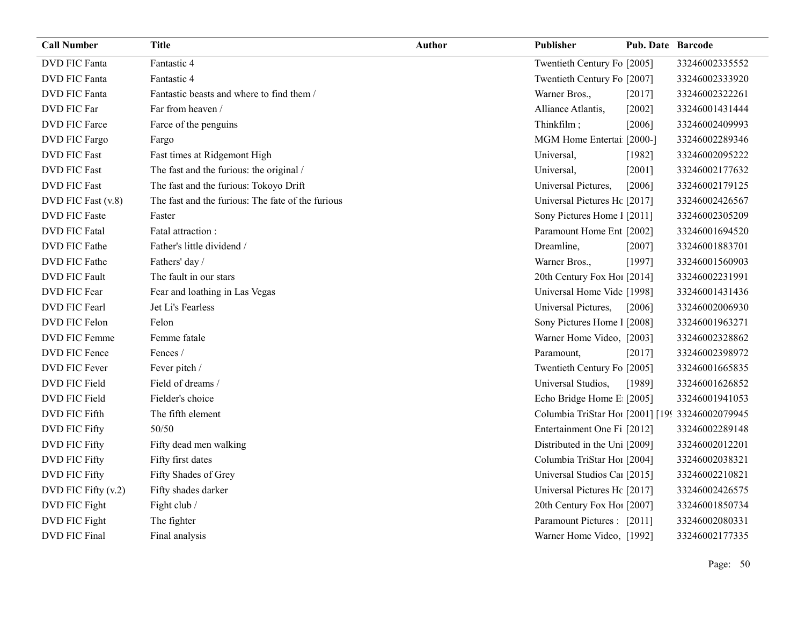| <b>Call Number</b>   | <b>Title</b>                                      | <b>Author</b> | <b>Publisher</b>                                | <b>Pub. Date Barcode</b> |                |
|----------------------|---------------------------------------------------|---------------|-------------------------------------------------|--------------------------|----------------|
| <b>DVD FIC Fanta</b> | Fantastic 4                                       |               | Twentieth Century Fo [2005]                     |                          | 33246002335552 |
| <b>DVD FIC Fanta</b> | Fantastic 4                                       |               | Twentieth Century Fo [2007]                     |                          | 33246002333920 |
| <b>DVD FIC Fanta</b> | Fantastic beasts and where to find them /         |               | Warner Bros.,                                   | [2017]                   | 33246002322261 |
| DVD FIC Far          | Far from heaven /                                 |               | Alliance Atlantis,                              | $[2002]$                 | 33246001431444 |
| DVD FIC Farce        | Farce of the penguins                             |               | Thinkfilm;                                      | [2006]                   | 33246002409993 |
| DVD FIC Fargo        | Fargo                                             |               | MGM Home Entertai [2000-]                       |                          | 33246002289346 |
| <b>DVD FIC Fast</b>  | Fast times at Ridgemont High                      |               | Universal,                                      | [1982]                   | 33246002095222 |
| <b>DVD FIC Fast</b>  | The fast and the furious: the original /          |               | Universal,                                      | $[2001]$                 | 33246002177632 |
| <b>DVD FIC Fast</b>  | The fast and the furious: Tokoyo Drift            |               | Universal Pictures,                             | [2006]                   | 33246002179125 |
| DVD FIC Fast (v.8)   | The fast and the furious: The fate of the furious |               | Universal Pictures Hc [2017]                    |                          | 33246002426567 |
| <b>DVD FIC Faste</b> | Faster                                            |               | Sony Pictures Home 1 [2011]                     |                          | 33246002305209 |
| <b>DVD FIC Fatal</b> | Fatal attraction:                                 |               | Paramount Home Ent [2002]                       |                          | 33246001694520 |
| DVD FIC Fathe        | Father's little dividend /                        |               | Dreamline,                                      | $[2007]$                 | 33246001883701 |
| DVD FIC Fathe        | Fathers' day /                                    |               | Warner Bros.,                                   | [1997]                   | 33246001560903 |
| <b>DVD FIC Fault</b> | The fault in our stars                            |               | 20th Century Fox Ho! [2014]                     |                          | 33246002231991 |
| DVD FIC Fear         | Fear and loathing in Las Vegas                    |               | Universal Home Vide [1998]                      |                          | 33246001431436 |
| DVD FIC Fearl        | Jet Li's Fearless                                 |               | Universal Pictures,                             | [2006]                   | 33246002006930 |
| DVD FIC Felon        | Felon                                             |               | Sony Pictures Home 1 [2008]                     |                          | 33246001963271 |
| DVD FIC Femme        | Femme fatale                                      |               | Warner Home Video, [2003]                       |                          | 33246002328862 |
| DVD FIC Fence        | Fences /                                          |               | Paramount,                                      | [2017]                   | 33246002398972 |
| <b>DVD FIC Fever</b> | Fever pitch /                                     |               | Twentieth Century Fo [2005]                     |                          | 33246001665835 |
| DVD FIC Field        | Field of dreams /                                 |               | Universal Studios,                              | [1989]                   | 33246001626852 |
| DVD FIC Field        | Fielder's choice                                  |               | Echo Bridge Home E [2005]                       |                          | 33246001941053 |
| DVD FIC Fifth        | The fifth element                                 |               | Columbia TriStar Hoi [2001] [199 33246002079945 |                          |                |
| DVD FIC Fifty        | 50/50                                             |               | Entertainment One Fi [2012]                     |                          | 33246002289148 |
| <b>DVD FIC Fifty</b> | Fifty dead men walking                            |               | Distributed in the Uni [2009]                   |                          | 33246002012201 |
| <b>DVD FIC Fifty</b> | Fifty first dates                                 |               | Columbia TriStar Hoi [2004]                     |                          | 33246002038321 |
| <b>DVD FIC Fifty</b> | Fifty Shades of Grey                              |               | Universal Studios Cal [2015]                    |                          | 33246002210821 |
| DVD FIC Fifty (v.2)  | Fifty shades darker                               |               | Universal Pictures Hc [2017]                    |                          | 33246002426575 |
| DVD FIC Fight        | Fight club /                                      |               | 20th Century Fox Ho! [2007]                     |                          | 33246001850734 |
| DVD FIC Fight        | The fighter                                       |               | Paramount Pictures : [2011]                     |                          | 33246002080331 |
| <b>DVD FIC Final</b> | Final analysis                                    |               | Warner Home Video, [1992]                       |                          | 33246002177335 |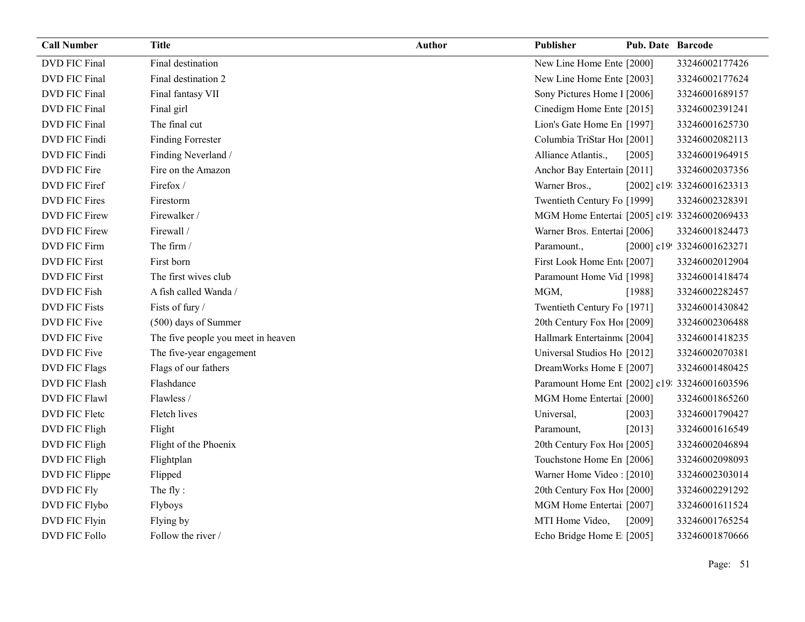| <b>Call Number</b>   | <b>Title</b>                       | <b>Author</b> | Publisher                                     | <b>Pub. Date Barcode</b> |                            |
|----------------------|------------------------------------|---------------|-----------------------------------------------|--------------------------|----------------------------|
| <b>DVD FIC Final</b> | Final destination                  |               | New Line Home Ente [2000]                     |                          | 33246002177426             |
| DVD FIC Final        | Final destination 2                |               | New Line Home Ente [2003]                     |                          | 33246002177624             |
| DVD FIC Final        | Final fantasy VII                  |               | Sony Pictures Home 1 [2006]                   |                          | 33246001689157             |
| DVD FIC Final        | Final girl                         |               | Cinedigm Home Ente [2015]                     |                          | 33246002391241             |
| <b>DVD FIC Final</b> | The final cut                      |               | Lion's Gate Home En [1997]                    |                          | 33246001625730             |
| DVD FIC Findi        | <b>Finding Forrester</b>           |               | Columbia TriStar Hoi [2001]                   |                          | 33246002082113             |
| DVD FIC Findi        | Finding Neverland /                |               | Alliance Atlantis.,                           | [2005]                   | 33246001964915             |
| DVD FIC Fire         | Fire on the Amazon                 |               | Anchor Bay Entertain [2011]                   |                          | 33246002037356             |
| DVD FIC Firef        | Firefox/                           |               | Warner Bros.,                                 |                          | [2002] c19: 33246001623313 |
| DVD FIC Fires        | Firestorm                          |               | Twentieth Century Fo [1999]                   |                          | 33246002328391             |
| DVD FIC Firew        | Firewalker /                       |               | MGM Home Entertai [2005] c19: 33246002069433  |                          |                            |
| DVD FIC Firew        | Firewall /                         |               | Warner Bros. Entertai [2006]                  |                          | 33246001824473             |
| DVD FIC Firm         | The firm /                         |               | Paramount.,                                   |                          | [2000] c19! 33246001623271 |
| <b>DVD FIC First</b> | First born                         |               | First Look Home Ent [2007]                    |                          | 33246002012904             |
| <b>DVD FIC First</b> | The first wives club               |               | Paramount Home Vid [1998]                     |                          | 33246001418474             |
| DVD FIC Fish         | A fish called Wanda /              |               | MGM,                                          | [1988]                   | 33246002282457             |
| <b>DVD FIC Fists</b> | Fists of fury /                    |               | Twentieth Century Fo [1971]                   |                          | 33246001430842             |
| DVD FIC Five         | (500) days of Summer               |               | 20th Century Fox Ho [2009]                    |                          | 33246002306488             |
| DVD FIC Five         | The five people you meet in heaven |               | Hallmark Entertainm [2004]                    |                          | 33246001418235             |
| DVD FIC Five         | The five-year engagement           |               | Universal Studios Ho [2012]                   |                          | 33246002070381             |
| <b>DVD FIC Flags</b> | Flags of our fathers               |               | DreamWorks Home E [2007]                      |                          | 33246001480425             |
| <b>DVD FIC Flash</b> | Flashdance                         |               | Paramount Home Ent [2002] c19: 33246001603596 |                          |                            |
| <b>DVD FIC Flawl</b> | Flawless /                         |               | MGM Home Entertai [2000]                      |                          | 33246001865260             |
| DVD FIC Fletc        | Fletch lives                       |               | Universal,                                    | [2003]                   | 33246001790427             |
| DVD FIC Fligh        | Flight                             |               | Paramount,                                    | [2013]                   | 33246001616549             |
| DVD FIC Fligh        | Flight of the Phoenix              |               | 20th Century Fox Ho [2005]                    |                          | 33246002046894             |
| DVD FIC Fligh        | Flightplan                         |               | Touchstone Home En [2006]                     |                          | 33246002098093             |
| DVD FIC Flippe       | Flipped                            |               | Warner Home Video: [2010]                     |                          | 33246002303014             |
| <b>DVD FIC Fly</b>   | The fly:                           |               | 20th Century Fox Ho! [2000]                   |                          | 33246002291292             |
| DVD FIC Flybo        | Flyboys                            |               | MGM Home Entertai [2007]                      |                          | 33246001611524             |
| DVD FIC Flyin        | Flying by                          |               | MTI Home Video,                               | [2009]                   | 33246001765254             |
| DVD FIC Follo        | Follow the river /                 |               | Echo Bridge Home E [2005]                     |                          | 33246001870666             |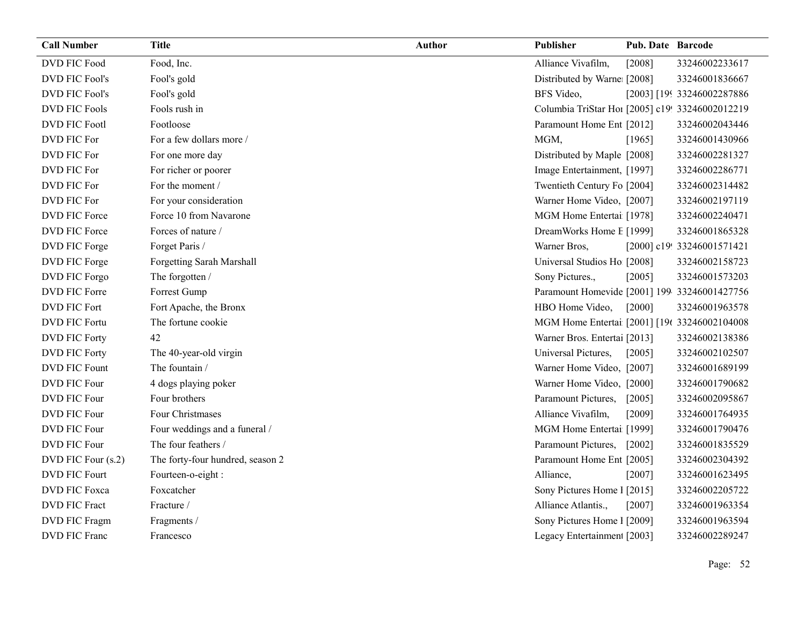| <b>Call Number</b>    | <b>Title</b>                     | <b>Author</b> | Publisher                                       | Pub. Date Barcode |                            |
|-----------------------|----------------------------------|---------------|-------------------------------------------------|-------------------|----------------------------|
| DVD FIC Food          | Food, Inc.                       |               | Alliance Vivafilm,                              | [2008]            | 33246002233617             |
| <b>DVD FIC Fool's</b> | Fool's gold                      |               | Distributed by Warne [2008]                     |                   | 33246001836667             |
| <b>DVD FIC Fool's</b> | Fool's gold                      |               | BFS Video,                                      |                   | [2003] [199 33246002287886 |
| <b>DVD FIC Fools</b>  | Fools rush in                    |               | Columbia TriStar Hoi [2005] c19! 33246002012219 |                   |                            |
| <b>DVD FIC Footl</b>  | Footloose                        |               | Paramount Home Ent [2012]                       |                   | 33246002043446             |
| DVD FIC For           | For a few dollars more /         |               | MGM,                                            | [1965]            | 33246001430966             |
| DVD FIC For           | For one more day                 |               | Distributed by Maple [2008]                     |                   | 33246002281327             |
| DVD FIC For           | For richer or poorer             |               | Image Entertainment, [1997]                     |                   | 33246002286771             |
| DVD FIC For           | For the moment /                 |               | Twentieth Century Fo [2004]                     |                   | 33246002314482             |
| DVD FIC For           | For your consideration           |               | Warner Home Video, [2007]                       |                   | 33246002197119             |
| <b>DVD FIC Force</b>  | Force 10 from Navarone           |               | MGM Home Entertai [1978]                        |                   | 33246002240471             |
| <b>DVD FIC Force</b>  | Forces of nature /               |               | DreamWorks Home I [1999]                        |                   | 33246001865328             |
| DVD FIC Forge         | Forget Paris /                   |               | Warner Bros,                                    |                   | [2000] c19! 33246001571421 |
| DVD FIC Forge         | Forgetting Sarah Marshall        |               | Universal Studios Ho [2008]                     |                   | 33246002158723             |
| DVD FIC Forgo         | The forgotten /                  |               | Sony Pictures.,                                 | [2005]            | 33246001573203             |
| DVD FIC Forre         | Forrest Gump                     |               | Paramount Homevide [2001] 199-33246001427756    |                   |                            |
| DVD FIC Fort          | Fort Apache, the Bronx           |               | HBO Home Video,                                 | $[2000]$          | 33246001963578             |
| <b>DVD FIC Fortu</b>  | The fortune cookie               |               | MGM Home Entertai [2001] [196 33246002104008    |                   |                            |
| <b>DVD FIC Forty</b>  | 42                               |               | Warner Bros. Entertai [2013]                    |                   | 33246002138386             |
| <b>DVD FIC Forty</b>  | The 40-year-old virgin           |               | Universal Pictures,                             | [2005]            | 33246002102507             |
| <b>DVD FIC Fount</b>  | The fountain /                   |               | Warner Home Video, [2007]                       |                   | 33246001689199             |
| DVD FIC Four          | 4 dogs playing poker             |               | Warner Home Video, [2000]                       |                   | 33246001790682             |
| <b>DVD FIC Four</b>   | Four brothers                    |               | Paramount Pictures,                             | [2005]            | 33246002095867             |
| DVD FIC Four          | Four Christmases                 |               | Alliance Vivafilm,                              | [2009]            | 33246001764935             |
| DVD FIC Four          | Four weddings and a funeral /    |               | MGM Home Entertai [1999]                        |                   | 33246001790476             |
| <b>DVD FIC Four</b>   | The four feathers /              |               | Paramount Pictures,                             | $[2002]$          | 33246001835529             |
| DVD FIC Four (s.2)    | The forty-four hundred, season 2 |               | Paramount Home Ent [2005]                       |                   | 33246002304392             |
| <b>DVD FIC Fourt</b>  | Fourteen-o-eight:                |               | Alliance,                                       | [2007]            | 33246001623495             |
| DVD FIC Foxca         | Foxcatcher                       |               | Sony Pictures Home 1 [2015]                     |                   | 33246002205722             |
| <b>DVD FIC Fract</b>  | Fracture /                       |               | Alliance Atlantis.,                             | [2007]            | 33246001963354             |
| <b>DVD FIC Fragm</b>  | Fragments /                      |               | Sony Pictures Home 1 [2009]                     |                   | 33246001963594             |
| DVD FIC Franc         | Francesco                        |               | Legacy Entertainmen [2003]                      |                   | 33246002289247             |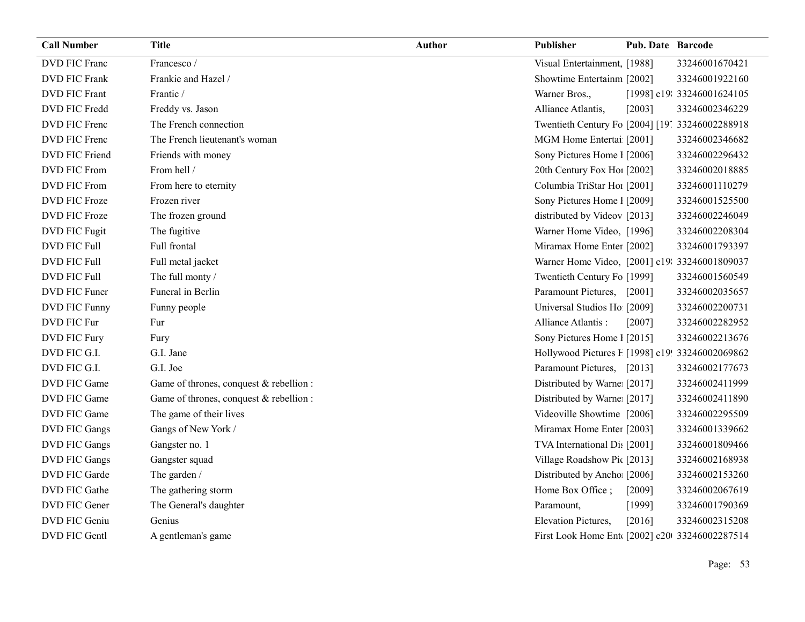| <b>Call Number</b>   | <b>Title</b>                            | Author | Publisher                                       | <b>Pub. Date Barcode</b> |                            |
|----------------------|-----------------------------------------|--------|-------------------------------------------------|--------------------------|----------------------------|
| DVD FIC Franc        | Francesco /                             |        | Visual Entertainment, [1988]                    |                          | 33246001670421             |
| <b>DVD FIC Frank</b> | Frankie and Hazel /                     |        | Showtime Entertainm [2002]                      |                          | 33246001922160             |
| <b>DVD FIC Frant</b> | Frantic /                               |        | Warner Bros.,                                   |                          | [1998] c19: 33246001624105 |
| DVD FIC Fredd        | Freddy vs. Jason                        |        | Alliance Atlantis,                              | [2003]                   | 33246002346229             |
| DVD FIC Frenc        | The French connection                   |        | Twentieth Century Fo [2004] [19] 33246002288918 |                          |                            |
| DVD FIC Frenc        | The French lieutenant's woman           |        | MGM Home Entertai [2001]                        |                          | 33246002346682             |
| DVD FIC Friend       | Friends with money                      |        | Sony Pictures Home 1 [2006]                     |                          | 33246002296432             |
| DVD FIC From         | From hell /                             |        | 20th Century Fox Ho! [2002]                     |                          | 33246002018885             |
| <b>DVD FIC From</b>  | From here to eternity                   |        | Columbia TriStar Hoi [2001]                     |                          | 33246001110279             |
| DVD FIC Froze        | Frozen river                            |        | Sony Pictures Home 1 [2009]                     |                          | 33246001525500             |
| DVD FIC Froze        | The frozen ground                       |        | distributed by Videov [2013]                    |                          | 33246002246049             |
| DVD FIC Fugit        | The fugitive                            |        | Warner Home Video, [1996]                       |                          | 33246002208304             |
| DVD FIC Full         | Full frontal                            |        | Miramax Home Enter [2002]                       |                          | 33246001793397             |
| <b>DVD FIC Full</b>  | Full metal jacket                       |        | Warner Home Video, [2001] c19: 33246001809037   |                          |                            |
| <b>DVD FIC Full</b>  | The full monty /                        |        | Twentieth Century Fo [1999]                     |                          | 33246001560549             |
| DVD FIC Funer        | Funeral in Berlin                       |        | Paramount Pictures,                             | $[2001]$                 | 33246002035657             |
| DVD FIC Funny        | Funny people                            |        | Universal Studios Ho [2009]                     |                          | 33246002200731             |
| DVD FIC Fur          | Fur                                     |        | Alliance Atlantis:                              | [2007]                   | 33246002282952             |
| DVD FIC Fury         | Fury                                    |        | Sony Pictures Home 1 [2015]                     |                          | 33246002213676             |
| DVD FIC G.I.         | G.I. Jane                               |        | Hollywood Pictures F [1998] c19! 33246002069862 |                          |                            |
| DVD FIC G.I.         | G.I. Joe                                |        | Paramount Pictures, [2013]                      |                          | 33246002177673             |
| DVD FIC Game         | Game of thrones, conquest & rebellion : |        | Distributed by Warne [2017]                     |                          | 33246002411999             |
| DVD FIC Game         | Game of thrones, conquest & rebellion : |        | Distributed by Warne: [2017]                    |                          | 33246002411890             |
| DVD FIC Game         | The game of their lives                 |        | Videoville Showtime [2006]                      |                          | 33246002295509             |
| DVD FIC Gangs        | Gangs of New York /                     |        | Miramax Home Enter [2003]                       |                          | 33246001339662             |
| DVD FIC Gangs        | Gangster no. 1                          |        | TVA International Dis [2001]                    |                          | 33246001809466             |
| DVD FIC Gangs        | Gangster squad                          |        | Village Roadshow Pic [2013]                     |                          | 33246002168938             |
| DVD FIC Garde        | The garden /                            |        | Distributed by Ancho [2006]                     |                          | 33246002153260             |
| DVD FIC Gathe        | The gathering storm                     |        | Home Box Office;                                | [2009]                   | 33246002067619             |
| DVD FIC Gener        | The General's daughter                  |        | Paramount,                                      | [1999]                   | 33246001790369             |
| DVD FIC Geniu        | Genius                                  |        | <b>Elevation Pictures,</b>                      | [2016]                   | 33246002315208             |
| DVD FIC Gentl        | A gentleman's game                      |        | First Look Home Ent [2002] c20 33246002287514   |                          |                            |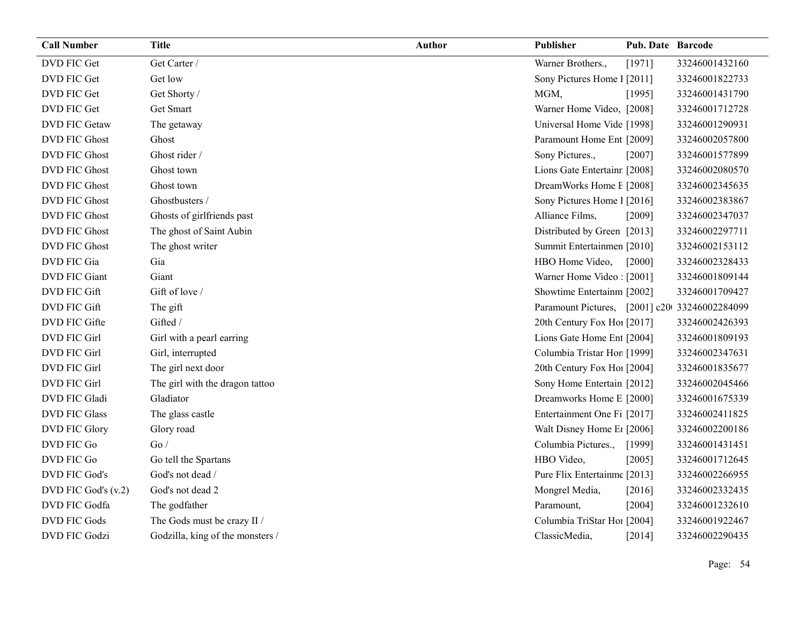| <b>Call Number</b>   | <b>Title</b>                     | <b>Author</b> | Publisher                                     | <b>Pub. Date Barcode</b> |                |
|----------------------|----------------------------------|---------------|-----------------------------------------------|--------------------------|----------------|
| DVD FIC Get          | Get Carter /                     |               | Warner Brothers.,                             | [1971]                   | 33246001432160 |
| DVD FIC Get          | Get low                          |               | Sony Pictures Home 1 [2011]                   |                          | 33246001822733 |
| DVD FIC Get          | Get Shorty /                     |               | MGM,                                          | [1995]                   | 33246001431790 |
| DVD FIC Get          | Get Smart                        |               | Warner Home Video, [2008]                     |                          | 33246001712728 |
| <b>DVD FIC Getaw</b> | The getaway                      |               | Universal Home Vide [1998]                    |                          | 33246001290931 |
| <b>DVD FIC Ghost</b> | Ghost                            |               | Paramount Home Ent [2009]                     |                          | 33246002057800 |
| <b>DVD FIC Ghost</b> | Ghost rider /                    |               | Sony Pictures.,                               | [2007]                   | 33246001577899 |
| <b>DVD FIC Ghost</b> | Ghost town                       |               | Lions Gate Entertainr [2008]                  |                          | 33246002080570 |
| <b>DVD FIC Ghost</b> | Ghost town                       |               | DreamWorks Home E [2008]                      |                          | 33246002345635 |
| <b>DVD FIC Ghost</b> | Ghostbusters /                   |               | Sony Pictures Home 1 [2016]                   |                          | 33246002383867 |
| <b>DVD FIC Ghost</b> | Ghosts of girlfriends past       |               | Alliance Films,                               | [2009]                   | 33246002347037 |
| <b>DVD FIC Ghost</b> | The ghost of Saint Aubin         |               | Distributed by Green [2013]                   |                          | 33246002297711 |
| <b>DVD FIC Ghost</b> | The ghost writer                 |               | Summit Entertainmen [2010]                    |                          | 33246002153112 |
| DVD FIC Gia          | Gia                              |               | HBO Home Video,                               | [2000]                   | 33246002328433 |
| DVD FIC Giant        | Giant                            |               | Warner Home Video: [2001]                     |                          | 33246001809144 |
| DVD FIC Gift         | Gift of love /                   |               | Showtime Entertainm [2002]                    |                          | 33246001709427 |
| DVD FIC Gift         | The gift                         |               | Paramount Pictures, [2001] c20 33246002284099 |                          |                |
| DVD FIC Gifte        | Gifted /                         |               | 20th Century Fox Ho! [2017]                   |                          | 33246002426393 |
| <b>DVD FIC Girl</b>  | Girl with a pearl earring        |               | Lions Gate Home Ent [2004]                    |                          | 33246001809193 |
| <b>DVD FIC Girl</b>  | Girl, interrupted                |               | Columbia Tristar Hor [1999]                   |                          | 33246002347631 |
| DVD FIC Girl         | The girl next door               |               | 20th Century Fox Ho! [2004]                   |                          | 33246001835677 |
| DVD FIC Girl         | The girl with the dragon tattoo  |               | Sony Home Entertain [2012]                    |                          | 33246002045466 |
| DVD FIC Gladi        | Gladiator                        |               | Dreamworks Home E [2000]                      |                          | 33246001675339 |
| <b>DVD FIC Glass</b> | The glass castle                 |               | Entertainment One Fi [2017]                   |                          | 33246002411825 |
| DVD FIC Glory        | Glory road                       |               | Walt Disney Home E1 [2006]                    |                          | 33246002200186 |
| DVD FIC Go           | Go/                              |               | Columbia Pictures.,                           | [1999]                   | 33246001431451 |
| DVD FIC Go           | Go tell the Spartans             |               | HBO Video,                                    | [2005]                   | 33246001712645 |
| DVD FIC God's        | God's not dead /                 |               | Pure Flix Entertainme [2013]                  |                          | 33246002266955 |
| DVD FIC God's (v.2)  | God's not dead 2                 |               | Mongrel Media,                                | [2016]                   | 33246002332435 |
| DVD FIC Godfa        | The godfather                    |               | Paramount,                                    | [2004]                   | 33246001232610 |
| <b>DVD FIC Gods</b>  | The Gods must be crazy II /      |               | Columbia TriStar Ho1 [2004]                   |                          | 33246001922467 |
| <b>DVD FIC Godzi</b> | Godzilla, king of the monsters / |               | ClassicMedia,                                 | [2014]                   | 33246002290435 |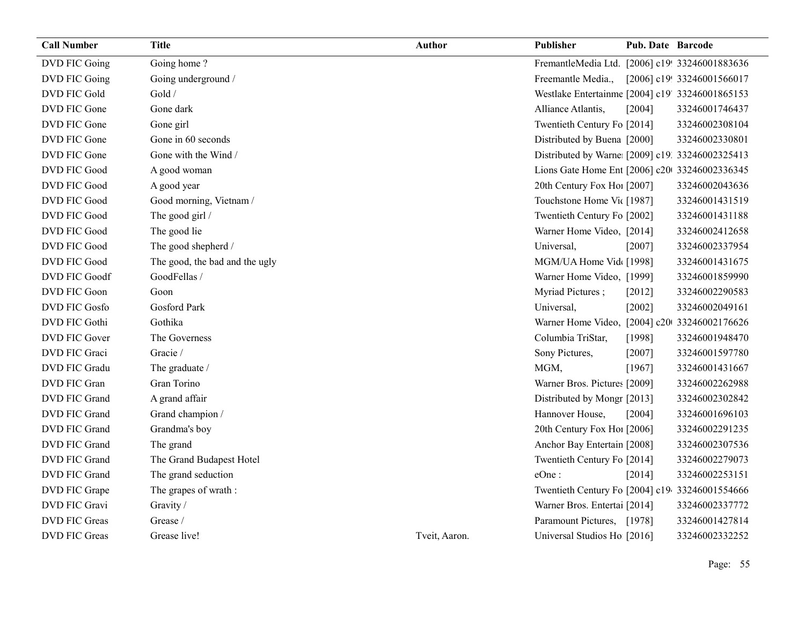| <b>Call Number</b>   | Title                          | Author        | <b>Publisher</b>                                 | <b>Pub. Date Barcode</b> |                            |
|----------------------|--------------------------------|---------------|--------------------------------------------------|--------------------------|----------------------------|
| DVD FIC Going        | Going home?                    |               | FremantleMedia Ltd. [2006] c19! 33246001883636   |                          |                            |
| DVD FIC Going        | Going underground /            |               | Freemantle Media.,                               |                          | [2006] c19! 33246001566017 |
| DVD FIC Gold         | Gold /                         |               | Westlake Entertainme [2004] c19' 33246001865153  |                          |                            |
| DVD FIC Gone         | Gone dark                      |               | Alliance Atlantis,                               | [2004]                   | 33246001746437             |
| DVD FIC Gone         | Gone girl                      |               | Twentieth Century Fo [2014]                      |                          | 33246002308104             |
| DVD FIC Gone         | Gone in 60 seconds             |               | Distributed by Buena [2000]                      |                          | 33246002330801             |
| DVD FIC Gone         | Gone with the Wind /           |               | Distributed by Warne: [2009] c19. 33246002325413 |                          |                            |
| DVD FIC Good         | A good woman                   |               | Lions Gate Home Ent [2006] c20 33246002336345    |                          |                            |
| DVD FIC Good         | A good year                    |               | 20th Century Fox Ho! [2007]                      |                          | 33246002043636             |
| DVD FIC Good         | Good morning, Vietnam /        |               | Touchstone Home Vic [1987]                       |                          | 33246001431519             |
| <b>DVD FIC Good</b>  | The good girl /                |               | Twentieth Century Fo [2002]                      |                          | 33246001431188             |
| DVD FIC Good         | The good lie                   |               | Warner Home Video, [2014]                        |                          | 33246002412658             |
| <b>DVD FIC Good</b>  | The good shepherd /            |               | Universal,                                       | [2007]                   | 33246002337954             |
| DVD FIC Good         | The good, the bad and the ugly |               | MGM/UA Home Vid [1998]                           |                          | 33246001431675             |
| <b>DVD FIC Goodf</b> | GoodFellas /                   |               | Warner Home Video, [1999]                        |                          | 33246001859990             |
| DVD FIC Goon         | Goon                           |               | Myriad Pictures;                                 | [2012]                   | 33246002290583             |
| <b>DVD FIC Gosfo</b> | <b>Gosford Park</b>            |               | Universal,                                       | [2002]                   | 33246002049161             |
| DVD FIC Gothi        | Gothika                        |               | Warner Home Video, [2004] c20 33246002176626     |                          |                            |
| DVD FIC Gover        | The Governess                  |               | Columbia TriStar,                                | [1998]                   | 33246001948470             |
| DVD FIC Graci        | Gracie /                       |               | Sony Pictures,                                   | [2007]                   | 33246001597780             |
| DVD FIC Gradu        | The graduate /                 |               | MGM,                                             | [1967]                   | 33246001431667             |
| DVD FIC Gran         | Gran Torino                    |               | Warner Bros. Pictures [2009]                     |                          | 33246002262988             |
| DVD FIC Grand        | A grand affair                 |               | Distributed by Mongr [2013]                      |                          | 33246002302842             |
| DVD FIC Grand        | Grand champion /               |               | Hannover House,                                  | [2004]                   | 33246001696103             |
| DVD FIC Grand        | Grandma's boy                  |               | 20th Century Fox Ho! [2006]                      |                          | 33246002291235             |
| DVD FIC Grand        | The grand                      |               | Anchor Bay Entertain [2008]                      |                          | 33246002307536             |
| DVD FIC Grand        | The Grand Budapest Hotel       |               | Twentieth Century Fo [2014]                      |                          | 33246002279073             |
| DVD FIC Grand        | The grand seduction            |               | eOne:                                            | [2014]                   | 33246002253151             |
| DVD FIC Grape        | The grapes of wrath:           |               | Twentieth Century Fo [2004] c19 33246001554666   |                          |                            |
| DVD FIC Gravi        | Gravity /                      |               | Warner Bros. Entertai [2014]                     |                          | 33246002337772             |
| <b>DVD FIC Greas</b> | Grease /                       |               | Paramount Pictures, [1978]                       |                          | 33246001427814             |
| <b>DVD FIC Greas</b> | Grease live!                   | Tveit, Aaron. | Universal Studios Ho [2016]                      |                          | 33246002332252             |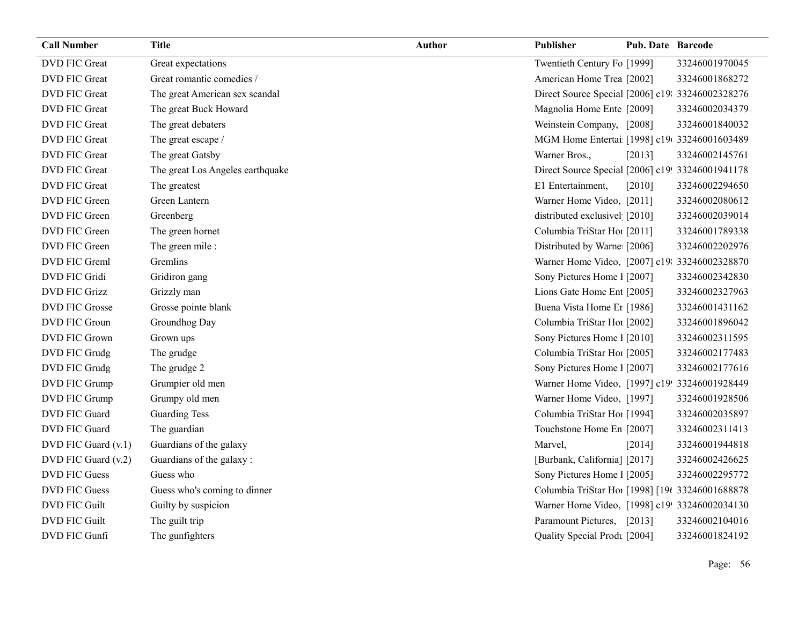| <b>Call Number</b>   | <b>Title</b>                     | Author | Publisher                                        | <b>Pub. Date Barcode</b> |                |
|----------------------|----------------------------------|--------|--------------------------------------------------|--------------------------|----------------|
| DVD FIC Great        | Great expectations               |        | Twentieth Century Fo [1999]                      |                          | 33246001970045 |
| <b>DVD FIC Great</b> | Great romantic comedies /        |        | American Home Trea [2002]                        |                          | 33246001868272 |
| DVD FIC Great        | The great American sex scandal   |        | Direct Source Special [2006] c19: 33246002328276 |                          |                |
| DVD FIC Great        | The great Buck Howard            |        | Magnolia Home Ente [2009]                        |                          | 33246002034379 |
| DVD FIC Great        | The great debaters               |        | Weinstein Company, [2008]                        |                          | 33246001840032 |
| DVD FIC Great        | The great escape /               |        | MGM Home Entertai [1998] c19(33246001603489)     |                          |                |
| DVD FIC Great        | The great Gatsby                 |        | Warner Bros.,                                    | [2013]                   | 33246002145761 |
| DVD FIC Great        | The great Los Angeles earthquake |        | Direct Source Special [2006] c19! 33246001941178 |                          |                |
| DVD FIC Great        | The greatest                     |        | E1 Entertainment,                                | [2010]                   | 33246002294650 |
| DVD FIC Green        | Green Lantern                    |        | Warner Home Video, [2011]                        |                          | 33246002080612 |
| DVD FIC Green        | Greenberg                        |        | distributed exclusivel [2010]                    |                          | 33246002039014 |
| DVD FIC Green        | The green hornet                 |        | Columbia TriStar Hoi [2011]                      |                          | 33246001789338 |
| DVD FIC Green        | The green mile:                  |        | Distributed by Warne [2006]                      |                          | 33246002202976 |
| DVD FIC Greml        | Gremlins                         |        | Warner Home Video, [2007] c19: 33246002328870    |                          |                |
| DVD FIC Gridi        | Gridiron gang                    |        | Sony Pictures Home 1 [2007]                      |                          | 33246002342830 |
| <b>DVD FIC Grizz</b> | Grizzly man                      |        | Lions Gate Home Ent [2005]                       |                          | 33246002327963 |
| DVD FIC Grosse       | Grosse pointe blank              |        | Buena Vista Home Er [1986]                       |                          | 33246001431162 |
| DVD FIC Groun        | Groundhog Day                    |        | Columbia TriStar Ho1 [2002]                      |                          | 33246001896042 |
| DVD FIC Grown        | Grown ups                        |        | Sony Pictures Home 1 [2010]                      |                          | 33246002311595 |
| DVD FIC Grudg        | The grudge                       |        | Columbia TriStar Hoi [2005]                      |                          | 33246002177483 |
| DVD FIC Grudg        | The grudge 2                     |        | Sony Pictures Home 1 [2007]                      |                          | 33246002177616 |
| DVD FIC Grump        | Grumpier old men                 |        | Warner Home Video, [1997] c19! 33246001928449    |                          |                |
| DVD FIC Grump        | Grumpy old men                   |        | Warner Home Video, [1997]                        |                          | 33246001928506 |
| DVD FIC Guard        | <b>Guarding Tess</b>             |        | Columbia TriStar Hoi [1994]                      |                          | 33246002035897 |
| DVD FIC Guard        | The guardian                     |        | Touchstone Home En [2007]                        |                          | 33246002311413 |
| DVD FIC Guard (v.1)  | Guardians of the galaxy          |        | Marvel,                                          | [2014]                   | 33246001944818 |
| DVD FIC Guard (v.2)  | Guardians of the galaxy:         |        | [Burbank, California] [2017]                     |                          | 33246002426625 |
| <b>DVD FIC Guess</b> | Guess who                        |        | Sony Pictures Home 1 [2005]                      |                          | 33246002295772 |
| <b>DVD FIC Guess</b> | Guess who's coming to dinner     |        | Columbia TriStar Hoi [1998] [196 33246001688878  |                          |                |
| <b>DVD FIC Guilt</b> | Guilty by suspicion              |        | Warner Home Video, [1998] c19! 33246002034130    |                          |                |
| <b>DVD FIC Guilt</b> | The guilt trip                   |        | Paramount Pictures, [2013]                       |                          | 33246002104016 |
| DVD FIC Gunfi        | The gunfighters                  |        | Quality Special Prodt [2004]                     |                          | 33246001824192 |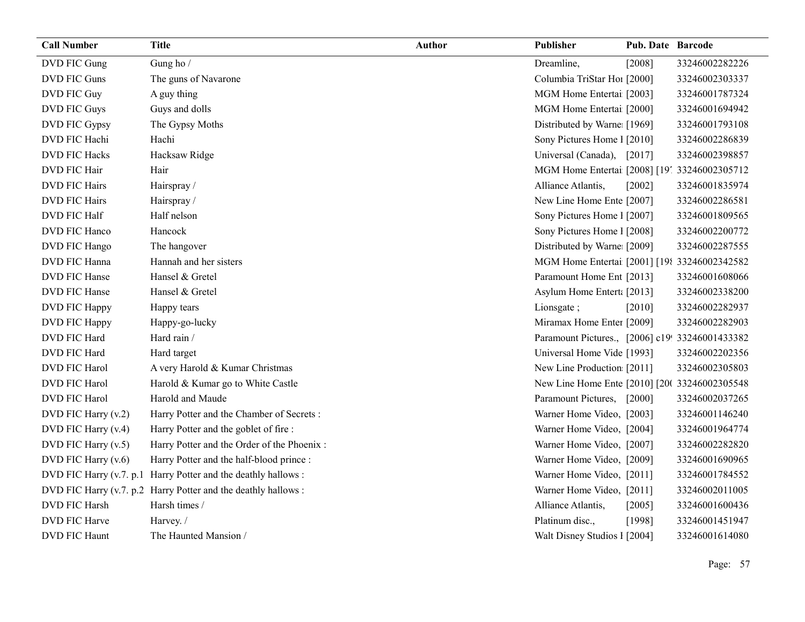| <b>Call Number</b>   | <b>Title</b>                                                  | <b>Author</b> | Publisher                                       | Pub. Date Barcode |                |
|----------------------|---------------------------------------------------------------|---------------|-------------------------------------------------|-------------------|----------------|
| DVD FIC Gung         | Gung ho /                                                     |               | Dreamline,                                      | [2008]            | 33246002282226 |
| DVD FIC Guns         | The guns of Navarone                                          |               | Columbia TriStar Ho1 [2000]                     |                   | 33246002303337 |
| DVD FIC Guy          | A guy thing                                                   |               | MGM Home Entertai [2003]                        |                   | 33246001787324 |
| DVD FIC Guys         | Guys and dolls                                                |               | MGM Home Entertai [2000]                        |                   | 33246001694942 |
| DVD FIC Gypsy        | The Gypsy Moths                                               |               | Distributed by Warne [1969]                     |                   | 33246001793108 |
| DVD FIC Hachi        | Hachi                                                         |               | Sony Pictures Home 1 [2010]                     |                   | 33246002286839 |
| <b>DVD FIC Hacks</b> | Hacksaw Ridge                                                 |               | Universal (Canada),                             | [2017]            | 33246002398857 |
| DVD FIC Hair         | Hair                                                          |               | MGM Home Entertai [2008] [19] 33246002305712    |                   |                |
| DVD FIC Hairs        | Hairspray /                                                   |               | Alliance Atlantis,                              | $[2002]$          | 33246001835974 |
| <b>DVD FIC Hairs</b> | Hairspray/                                                    |               | New Line Home Ente [2007]                       |                   | 33246002286581 |
| DVD FIC Half         | Half nelson                                                   |               | Sony Pictures Home 1 [2007]                     |                   | 33246001809565 |
| DVD FIC Hanco        | Hancock                                                       |               | Sony Pictures Home 1 [2008]                     |                   | 33246002200772 |
| DVD FIC Hango        | The hangover                                                  |               | Distributed by Warne [2009]                     |                   | 33246002287555 |
| DVD FIC Hanna        | Hannah and her sisters                                        |               | MGM Home Entertai [2001] [198 33246002342582    |                   |                |
| DVD FIC Hanse        | Hansel & Gretel                                               |               | Paramount Home Ent [2013]                       |                   | 33246001608066 |
| DVD FIC Hanse        | Hansel & Gretel                                               |               | Asylum Home Entert: [2013]                      |                   | 33246002338200 |
| DVD FIC Happy        | Happy tears                                                   |               | Lionsgate;                                      | $[2010]$          | 33246002282937 |
| DVD FIC Happy        | Happy-go-lucky                                                |               | Miramax Home Enter [2009]                       |                   | 33246002282903 |
| DVD FIC Hard         | Hard rain /                                                   |               | Paramount Pictures., [2006] c19! 33246001433382 |                   |                |
| DVD FIC Hard         | Hard target                                                   |               | Universal Home Vide [1993]                      |                   | 33246002202356 |
| DVD FIC Harol        | A very Harold & Kumar Christmas                               |               | New Line Production [2011]                      |                   | 33246002305803 |
| DVD FIC Harol        | Harold & Kumar go to White Castle                             |               | New Line Home Ente [2010] [20( 33246002305548   |                   |                |
| DVD FIC Harol        | Harold and Maude                                              |               | Paramount Pictures, [2000]                      |                   | 33246002037265 |
| DVD FIC Harry (v.2)  | Harry Potter and the Chamber of Secrets :                     |               | Warner Home Video, [2003]                       |                   | 33246001146240 |
| DVD FIC Harry (v.4)  | Harry Potter and the goblet of fire :                         |               | Warner Home Video, [2004]                       |                   | 33246001964774 |
| DVD FIC Harry (v.5)  | Harry Potter and the Order of the Phoenix :                   |               | Warner Home Video, [2007]                       |                   | 33246002282820 |
| DVD FIC Harry (v.6)  | Harry Potter and the half-blood prince :                      |               | Warner Home Video, [2009]                       |                   | 33246001690965 |
|                      | DVD FIC Harry (v.7. p.1 Harry Potter and the deathly hallows: |               | Warner Home Video, [2011]                       |                   | 33246001784552 |
|                      | DVD FIC Harry (v.7. p.2 Harry Potter and the deathly hallows: |               | Warner Home Video, [2011]                       |                   | 33246002011005 |
| DVD FIC Harsh        | Harsh times /                                                 |               | Alliance Atlantis,                              | [2005]            | 33246001600436 |
| DVD FIC Harve        | Harvey. /                                                     |               | Platinum disc.,                                 | [1998]            | 33246001451947 |
| <b>DVD FIC Haunt</b> | The Haunted Mansion /                                         |               | Walt Disney Studios 1 [2004]                    |                   | 33246001614080 |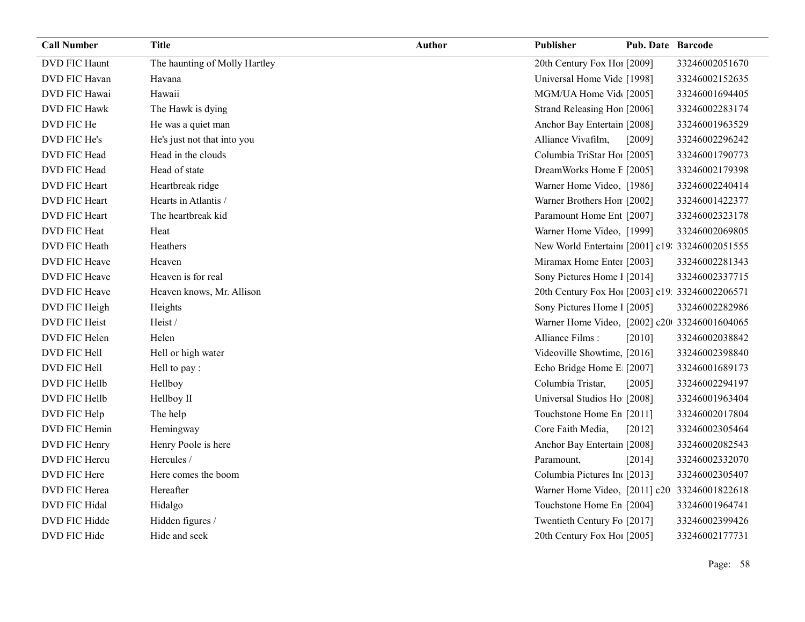| <b>Call Number</b>   | <b>Title</b>                  | <b>Author</b> | Publisher                                       | <b>Pub. Date Barcode</b> |                |
|----------------------|-------------------------------|---------------|-------------------------------------------------|--------------------------|----------------|
| <b>DVD FIC Haunt</b> | The haunting of Molly Hartley |               | 20th Century Fox Hol [2009]                     |                          | 33246002051670 |
| <b>DVD FIC Havan</b> | Havana                        |               | Universal Home Vide [1998]                      |                          | 33246002152635 |
| DVD FIC Hawai        | Hawaii                        |               | MGM/UA Home Vid [2005]                          |                          | 33246001694405 |
| <b>DVD FIC Hawk</b>  | The Hawk is dying             |               | Strand Releasing Hon [2006]                     |                          | 33246002283174 |
| DVD FIC He           | He was a quiet man            |               | Anchor Bay Entertain [2008]                     |                          | 33246001963529 |
| DVD FIC He's         | He's just not that into you   |               | Alliance Vivafilm,                              | [2009]                   | 33246002296242 |
| DVD FIC Head         | Head in the clouds            |               | Columbia TriStar Hoi [2005]                     |                          | 33246001790773 |
| DVD FIC Head         | Head of state                 |               | DreamWorks Home E [2005]                        |                          | 33246002179398 |
| DVD FIC Heart        | Heartbreak ridge              |               | Warner Home Video, [1986]                       |                          | 33246002240414 |
| <b>DVD FIC Heart</b> | Hearts in Atlantis /          |               | Warner Brothers Hon [2002]                      |                          | 33246001422377 |
| DVD FIC Heart        | The heartbreak kid            |               | Paramount Home Ent [2007]                       |                          | 33246002323178 |
| DVD FIC Heat         | Heat                          |               | Warner Home Video, [1999]                       |                          | 33246002069805 |
| <b>DVD FIC Heath</b> | Heathers                      |               | New World Entertain: [2001] c19: 33246002051555 |                          |                |
| DVD FIC Heave        | Heaven                        |               | Miramax Home Enter [2003]                       |                          | 33246002281343 |
| DVD FIC Heave        | Heaven is for real            |               | Sony Pictures Home 1 [2014]                     |                          | 33246002337715 |
| DVD FIC Heave        | Heaven knows, Mr. Allison     |               | 20th Century Fox Ho! [2003] c19: 33246002206571 |                          |                |
| DVD FIC Heigh        | Heights                       |               | Sony Pictures Home 1 [2005]                     |                          | 33246002282986 |
| <b>DVD FIC Heist</b> | Heist /                       |               | Warner Home Video, [2002] c20 33246001604065    |                          |                |
| DVD FIC Helen        | Helen                         |               | Alliance Films:                                 | [2010]                   | 33246002038842 |
| DVD FIC Hell         | Hell or high water            |               | Videoville Showtime, [2016]                     |                          | 33246002398840 |
| DVD FIC Hell         | Hell to pay :                 |               | Echo Bridge Home E [2007]                       |                          | 33246001689173 |
| DVD FIC Hellb        | Hellboy                       |               | Columbia Tristar,                               | [2005]                   | 33246002294197 |
| DVD FIC Hellb        | Hellboy II                    |               | Universal Studios Ho [2008]                     |                          | 33246001963404 |
| DVD FIC Help         | The help                      |               | Touchstone Home En [2011]                       |                          | 33246002017804 |
| DVD FIC Hemin        | Hemingway                     |               | Core Faith Media,                               | $[2012]$                 | 33246002305464 |
| DVD FIC Henry        | Henry Poole is here           |               | Anchor Bay Entertain [2008]                     |                          | 33246002082543 |
| DVD FIC Hercu        | Hercules /                    |               | Paramount,                                      | [2014]                   | 33246002332070 |
| DVD FIC Here         | Here comes the boom           |               | Columbia Pictures In [2013]                     |                          | 33246002305407 |
| DVD FIC Herea        | Hereafter                     |               | Warner Home Video, [2011] c20 33246001822618    |                          |                |
| DVD FIC Hidal        | Hidalgo                       |               | Touchstone Home En [2004]                       |                          | 33246001964741 |
| DVD FIC Hidde        | Hidden figures /              |               | Twentieth Century Fo [2017]                     |                          | 33246002399426 |
| DVD FIC Hide         | Hide and seek                 |               | 20th Century Fox Ho! [2005]                     |                          | 33246002177731 |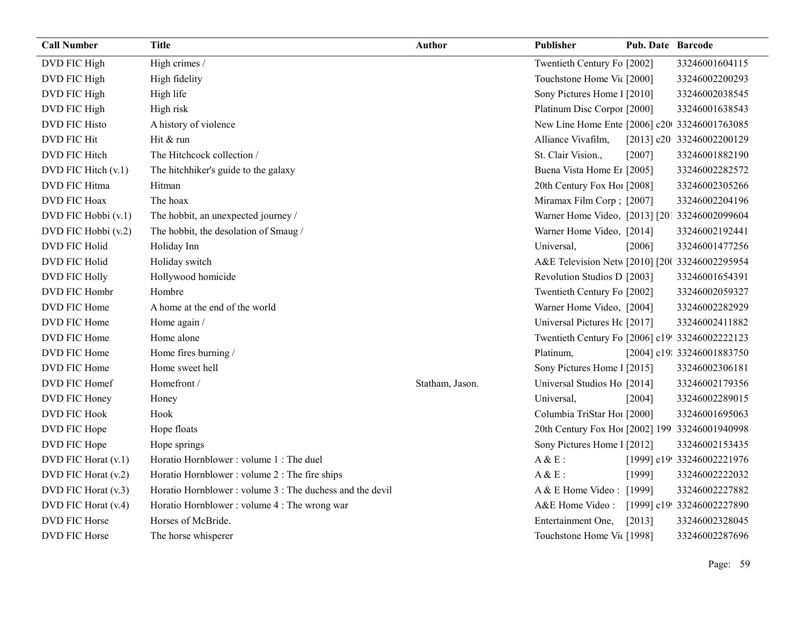| <b>Call Number</b>   | <b>Title</b>                                             | <b>Author</b>   | <b>Publisher</b>                                | <b>Pub. Date Barcode</b> |                            |
|----------------------|----------------------------------------------------------|-----------------|-------------------------------------------------|--------------------------|----------------------------|
| DVD FIC High         | High crimes /                                            |                 | Twentieth Century Fo [2002]                     |                          | 33246001604115             |
| DVD FIC High         | High fidelity                                            |                 | Touchstone Home Vic [2000]                      |                          | 33246002200293             |
| DVD FIC High         | High life                                                |                 | Sony Pictures Home 1 [2010]                     |                          | 33246002038545             |
| DVD FIC High         | High risk                                                |                 | Platinum Disc Corpor [2000]                     |                          | 33246001638543             |
| <b>DVD FIC Histo</b> | A history of violence                                    |                 | New Line Home Ente [2006] c20 33246001763085    |                          |                            |
| <b>DVD FIC Hit</b>   | Hit & run                                                |                 | Alliance Vivafilm,                              |                          | [2013] c20 33246002200129  |
| DVD FIC Hitch        | The Hitchcock collection /                               |                 | St. Clair Vision.,                              | [2007]                   | 33246001882190             |
| DVD FIC Hitch (v.1)  | The hitchhiker's guide to the galaxy                     |                 | Buena Vista Home Et [2005]                      |                          | 33246002282572             |
| DVD FIC Hitma        | Hitman                                                   |                 | 20th Century Fox Ho! [2008]                     |                          | 33246002305266             |
| <b>DVD FIC Hoax</b>  | The hoax                                                 |                 | Miramax Film Corp; [2007]                       |                          | 33246002204196             |
| DVD FIC Hobbi (v.1)  | The hobbit, an unexpected journey /                      |                 | Warner Home Video, [2013] [201 33246002099604   |                          |                            |
| DVD FIC Hobbi (v.2)  | The hobbit, the desolation of Smaug /                    |                 | Warner Home Video, [2014]                       |                          | 33246002192441             |
| <b>DVD FIC Holid</b> | Holiday Inn                                              |                 | Universal,                                      | [2006]                   | 33246001477256             |
| <b>DVD FIC Holid</b> | Holiday switch                                           |                 | A&E Television Netw [2010] [20( 33246002295954  |                          |                            |
| <b>DVD FIC Holly</b> | Hollywood homicide                                       |                 | Revolution Studios D [2003]                     |                          | 33246001654391             |
| DVD FIC Hombr        | Hombre                                                   |                 | Twentieth Century Fo [2002]                     |                          | 33246002059327             |
| DVD FIC Home         | A home at the end of the world                           |                 | Warner Home Video, [2004]                       |                          | 33246002282929             |
| DVD FIC Home         | Home again /                                             |                 | Universal Pictures Hc [2017]                    |                          | 33246002411882             |
| DVD FIC Home         | Home alone                                               |                 | Twentieth Century Fo [2006] c19! 33246002222123 |                          |                            |
| DVD FIC Home         | Home fires burning /                                     |                 | Platinum,                                       |                          | [2004] c19: 33246001883750 |
| DVD FIC Home         | Home sweet hell                                          |                 | Sony Pictures Home 1 [2015]                     |                          | 33246002306181             |
| DVD FIC Homef        | Homefront /                                              | Statham, Jason. | Universal Studios Ho [2014]                     |                          | 33246002179356             |
| DVD FIC Honey        | Honey                                                    |                 | Universal,                                      | [2004]                   | 33246002289015             |
| <b>DVD FIC Hook</b>  | Hook                                                     |                 | Columbia TriStar Ho1 [2000]                     |                          | 33246001695063             |
| DVD FIC Hope         | Hope floats                                              |                 | 20th Century Fox Ho! [2002] 199 33246001940998  |                          |                            |
| DVD FIC Hope         | Hope springs                                             |                 | Sony Pictures Home 1 [2012]                     |                          | 33246002153435             |
| DVD FIC Horat (v.1)  | Horatio Hornblower: volume 1: The duel                   |                 | $A &E$ :                                        |                          | [1999] c19! 33246002221976 |
| DVD FIC Horat (v.2)  | Horatio Hornblower : volume 2 : The fire ships           |                 | $A &E$ :                                        | [1999]                   | 33246002222032             |
| DVD FIC Horat (v.3)  | Horatio Hornblower: volume 3 : The duchess and the devil |                 | A & E Home Video : [1999]                       |                          | 33246002227882             |
| DVD FIC Horat (v.4)  | Horatio Hornblower: volume 4 : The wrong war             |                 | A&E Home Video: [1999] c19! 33246002227890      |                          |                            |
| DVD FIC Horse        | Horses of McBride.                                       |                 | Entertainment One,                              | [2013]                   | 33246002328045             |
| DVD FIC Horse        | The horse whisperer                                      |                 | Touchstone Home Vic [1998]                      |                          | 33246002287696             |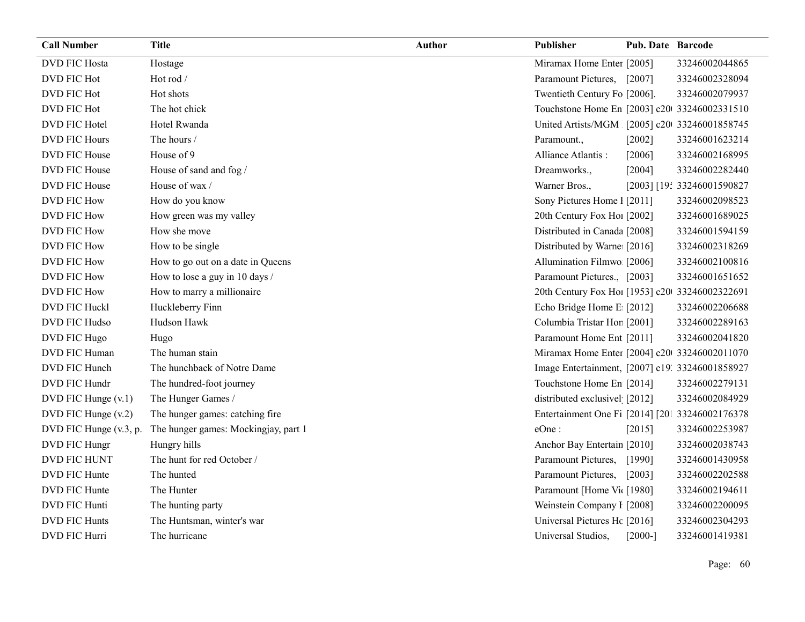| <b>Call Number</b>     | <b>Title</b>                         | <b>Author</b> | Publisher                                       | <b>Pub. Date Barcode</b> |                            |
|------------------------|--------------------------------------|---------------|-------------------------------------------------|--------------------------|----------------------------|
| <b>DVD FIC Hosta</b>   | Hostage                              |               | Miramax Home Enter [2005]                       |                          | 33246002044865             |
| DVD FIC Hot            | Hot rod /                            |               | Paramount Pictures, [2007]                      |                          | 33246002328094             |
| DVD FIC Hot            | Hot shots                            |               | Twentieth Century Fo [2006].                    |                          | 33246002079937             |
| DVD FIC Hot            | The hot chick                        |               | Touchstone Home En [2003] c20 33246002331510    |                          |                            |
| DVD FIC Hotel          | Hotel Rwanda                         |               | United Artists/MGM [2005] c20 33246001858745    |                          |                            |
| <b>DVD FIC Hours</b>   | The hours /                          |               | Paramount.,                                     | [2002]                   | 33246001623214             |
| DVD FIC House          | House of 9                           |               | Alliance Atlantis:                              | [2006]                   | 33246002168995             |
| DVD FIC House          | House of sand and fog /              |               | Dreamworks.,                                    | [2004]                   | 33246002282440             |
| DVD FIC House          | House of wax /                       |               | Warner Bros.,                                   |                          | [2003] [19: 33246001590827 |
| <b>DVD FIC How</b>     | How do you know                      |               | Sony Pictures Home 1 [2011]                     |                          | 33246002098523             |
| <b>DVD FIC How</b>     | How green was my valley              |               | 20th Century Fox Ho! [2002]                     |                          | 33246001689025             |
| <b>DVD FIC How</b>     | How she move                         |               | Distributed in Canada [2008]                    |                          | 33246001594159             |
| DVD FIC How            | How to be single                     |               | Distributed by Warne [2016]                     |                          | 33246002318269             |
| <b>DVD FIC How</b>     | How to go out on a date in Queens    |               | Allumination Filmwo [2006]                      |                          | 33246002100816             |
| <b>DVD FIC How</b>     | How to lose a guy in 10 days /       |               | Paramount Pictures., [2003]                     |                          | 33246001651652             |
| <b>DVD FIC How</b>     | How to marry a millionaire           |               | 20th Century Fox Ho! [1953] c20 33246002322691  |                          |                            |
| DVD FIC Huckl          | Huckleberry Finn                     |               | Echo Bridge Home E [2012]                       |                          | 33246002206688             |
| DVD FIC Hudso          | Hudson Hawk                          |               | Columbia Tristar Hor [2001]                     |                          | 33246002289163             |
| DVD FIC Hugo           | Hugo                                 |               | Paramount Home Ent [2011]                       |                          | 33246002041820             |
| DVD FIC Human          | The human stain                      |               | Miramax Home Enter [2004] c20 33246002011070    |                          |                            |
| DVD FIC Hunch          | The hunchback of Notre Dame          |               | Image Entertainment, [2007] c19. 33246001858927 |                          |                            |
| DVD FIC Hundr          | The hundred-foot journey             |               | Touchstone Home En [2014]                       |                          | 33246002279131             |
| DVD FIC Hunge (v.1)    | The Hunger Games /                   |               | distributed exclusivel [2012]                   |                          | 33246002084929             |
| DVD FIC Hunge $(v.2)$  | The hunger games: catching fire      |               | Entertainment One Fi [2014] [201 33246002176378 |                          |                            |
| DVD FIC Hunge (v.3, p. | The hunger games: Mockingjay, part 1 |               | eOne:                                           | [2015]                   | 33246002253987             |
| DVD FIC Hungr          | Hungry hills                         |               | Anchor Bay Entertain [2010]                     |                          | 33246002038743             |
| DVD FIC HUNT           | The hunt for red October /           |               | Paramount Pictures,                             | [1990]                   | 33246001430958             |
| DVD FIC Hunte          | The hunted                           |               | Paramount Pictures,                             | $[2003]$                 | 33246002202588             |
| DVD FIC Hunte          | The Hunter                           |               | Paramount [Home Vie [1980]                      |                          | 33246002194611             |
| DVD FIC Hunti          | The hunting party                    |               | Weinstein Company I [2008]                      |                          | 33246002200095             |
| <b>DVD FIC Hunts</b>   | The Huntsman, winter's war           |               | Universal Pictures Hc [2016]                    |                          | 33246002304293             |
| DVD FIC Hurri          | The hurricane                        |               | Universal Studios,                              | $[2000-]$                | 33246001419381             |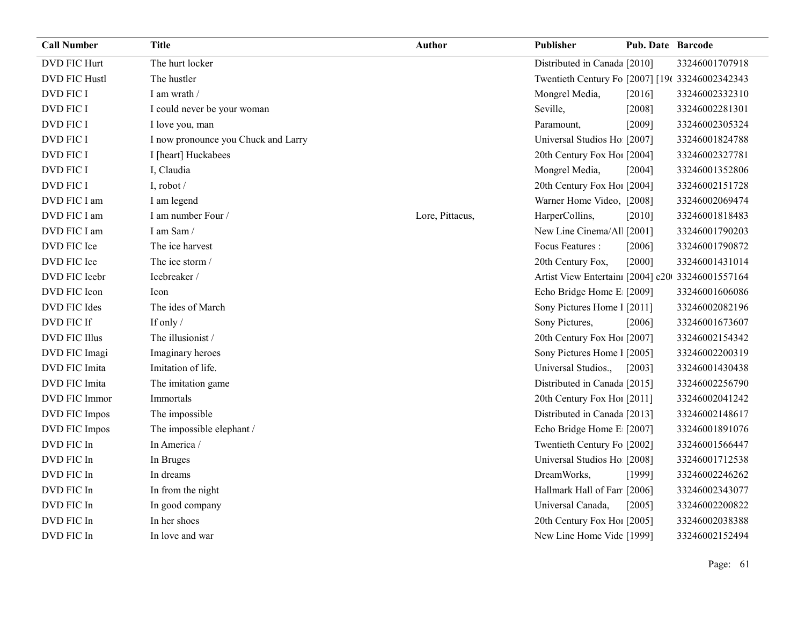| <b>Call Number</b>   | <b>Title</b>                        | <b>Author</b>   | <b>Publisher</b>                                 | Pub. Date Barcode |                |
|----------------------|-------------------------------------|-----------------|--------------------------------------------------|-------------------|----------------|
| <b>DVD FIC Hurt</b>  | The hurt locker                     |                 | Distributed in Canada [2010]                     |                   | 33246001707918 |
| <b>DVD FIC Hustl</b> | The hustler                         |                 | Twentieth Century Fo [2007] [196 33246002342343  |                   |                |
| <b>DVD FIC I</b>     | I am wrath /                        |                 | Mongrel Media,                                   | [2016]            | 33246002332310 |
| <b>DVD FIC I</b>     | I could never be your woman         |                 | Seville,                                         | [2008]            | 33246002281301 |
| <b>DVD FIC I</b>     | I love you, man                     |                 | Paramount,                                       | [2009]            | 33246002305324 |
| <b>DVD FIC I</b>     | I now pronounce you Chuck and Larry |                 | Universal Studios Ho [2007]                      |                   | 33246001824788 |
| DVD FIC I            | I [heart] Huckabees                 |                 | 20th Century Fox Ho! [2004]                      |                   | 33246002327781 |
| <b>DVD FIC I</b>     | I, Claudia                          |                 | Mongrel Media,                                   | [2004]            | 33246001352806 |
| <b>DVD FIC I</b>     | I, robot /                          |                 | 20th Century Fox Ho! [2004]                      |                   | 33246002151728 |
| DVD FIC I am         | I am legend                         |                 | Warner Home Video, [2008]                        |                   | 33246002069474 |
| DVD FIC I am         | I am number Four /                  | Lore, Pittacus, | HarperCollins,                                   | [2010]            | 33246001818483 |
| DVD FIC I am         | I am Sam/                           |                 | New Line Cinema/Al [2001]                        |                   | 33246001790203 |
| DVD FIC Ice          | The ice harvest                     |                 | Focus Features :                                 | [2006]            | 33246001790872 |
| DVD FIC Ice          | The ice storm /                     |                 | 20th Century Fox,                                | [2000]            | 33246001431014 |
| DVD FIC Icebr        | Icebreaker /                        |                 | Artist View Entertain: [2004] c20 33246001557164 |                   |                |
| DVD FIC Icon         | Icon                                |                 | Echo Bridge Home E [2009]                        |                   | 33246001606086 |
| DVD FIC Ides         | The ides of March                   |                 | Sony Pictures Home 1 [2011]                      |                   | 33246002082196 |
| DVD FIC If           | If only /                           |                 | Sony Pictures,                                   | [2006]            | 33246001673607 |
| <b>DVD FIC Illus</b> | The illusionist /                   |                 | 20th Century Fox Ho! [2007]                      |                   | 33246002154342 |
| DVD FIC Imagi        | Imaginary heroes                    |                 | Sony Pictures Home 1 [2005]                      |                   | 33246002200319 |
| DVD FIC Imita        | Imitation of life.                  |                 | Universal Studios.,                              | $[2003]$          | 33246001430438 |
| DVD FIC Imita        | The imitation game                  |                 | Distributed in Canada [2015]                     |                   | 33246002256790 |
| <b>DVD FIC Immor</b> | Immortals                           |                 | 20th Century Fox Ho! [2011]                      |                   | 33246002041242 |
| DVD FIC Impos        | The impossible                      |                 | Distributed in Canada [2013]                     |                   | 33246002148617 |
| DVD FIC Impos        | The impossible elephant /           |                 | Echo Bridge Home E [2007]                        |                   | 33246001891076 |
| DVD FIC In           | In America /                        |                 | Twentieth Century Fo [2002]                      |                   | 33246001566447 |
| DVD FIC In           | In Bruges                           |                 | Universal Studios Ho [2008]                      |                   | 33246001712538 |
| DVD FIC In           | In dreams                           |                 | DreamWorks,                                      | [1999]            | 33246002246262 |
| DVD FIC In           | In from the night                   |                 | Hallmark Hall of Fan [2006]                      |                   | 33246002343077 |
| DVD FIC In           | In good company                     |                 | Universal Canada,                                | [2005]            | 33246002200822 |
| DVD FIC In           | In her shoes                        |                 | 20th Century Fox Ho! [2005]                      |                   | 33246002038388 |
| DVD FIC In           | In love and war                     |                 | New Line Home Vide [1999]                        |                   | 33246002152494 |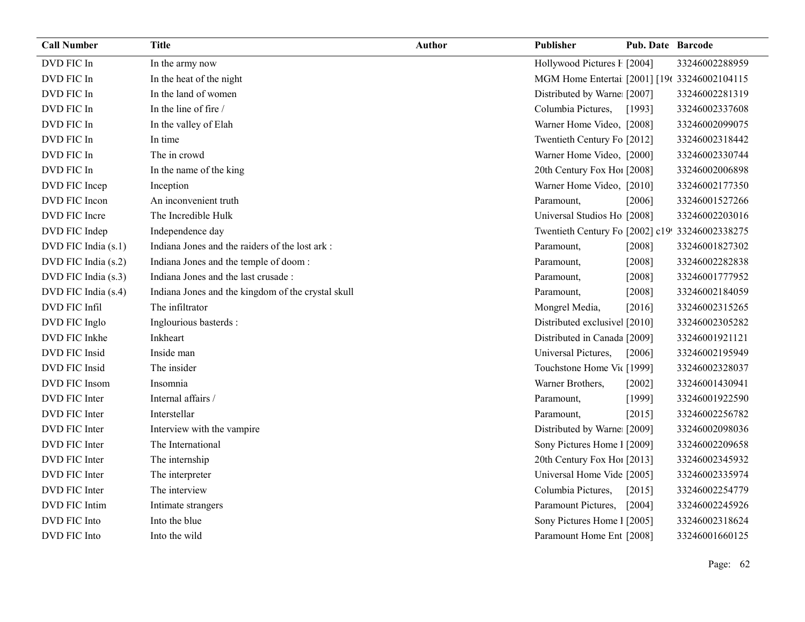| <b>Call Number</b>  | <b>Title</b>                                       | <b>Author</b> | Publisher                                       | <b>Pub. Date Barcode</b> |                |
|---------------------|----------------------------------------------------|---------------|-------------------------------------------------|--------------------------|----------------|
| DVD FIC In          | In the army now                                    |               | Hollywood Pictures F [2004]                     |                          | 33246002288959 |
| DVD FIC In          | In the heat of the night                           |               | MGM Home Entertai [2001] [196 33246002104115    |                          |                |
| DVD FIC In          | In the land of women                               |               | Distributed by Warne [2007]                     |                          | 33246002281319 |
| DVD FIC In          | In the line of fire /                              |               | Columbia Pictures,                              | [1993]                   | 33246002337608 |
| DVD FIC In          | In the valley of Elah                              |               | Warner Home Video, [2008]                       |                          | 33246002099075 |
| DVD FIC In          | In time                                            |               | Twentieth Century Fo [2012]                     |                          | 33246002318442 |
| DVD FIC In          | The in crowd                                       |               | Warner Home Video, [2000]                       |                          | 33246002330744 |
| DVD FIC In          | In the name of the king                            |               | 20th Century Fox Ho! [2008]                     |                          | 33246002006898 |
| DVD FIC Incep       | Inception                                          |               | Warner Home Video, [2010]                       |                          | 33246002177350 |
| DVD FIC Incon       | An inconvenient truth                              |               | Paramount,                                      | [2006]                   | 33246001527266 |
| DVD FIC Incre       | The Incredible Hulk                                |               | Universal Studios Ho [2008]                     |                          | 33246002203016 |
| DVD FIC Indep       | Independence day                                   |               | Twentieth Century Fo [2002] c19! 33246002338275 |                          |                |
| DVD FIC India (s.1) | Indiana Jones and the raiders of the lost ark :    |               | Paramount,                                      | [2008]                   | 33246001827302 |
| DVD FIC India (s.2) | Indiana Jones and the temple of doom:              |               | Paramount,                                      | [2008]                   | 33246002282838 |
| DVD FIC India (s.3) | Indiana Jones and the last crusade :               |               | Paramount,                                      | [2008]                   | 33246001777952 |
| DVD FIC India (s.4) | Indiana Jones and the kingdom of the crystal skull |               | Paramount,                                      | [2008]                   | 33246002184059 |
| DVD FIC Infil       | The infiltrator                                    |               | Mongrel Media,                                  | [2016]                   | 33246002315265 |
| DVD FIC Inglo       | Inglourious basterds :                             |               | Distributed exclusive [2010]                    |                          | 33246002305282 |
| DVD FIC Inkhe       | Inkheart                                           |               | Distributed in Canada [2009]                    |                          | 33246001921121 |
| DVD FIC Insid       | Inside man                                         |               | Universal Pictures,                             | [2006]                   | 33246002195949 |
| DVD FIC Insid       | The insider                                        |               | Touchstone Home Vit [1999]                      |                          | 33246002328037 |
| DVD FIC Insom       | Insomnia                                           |               | Warner Brothers,                                | $[2002]$                 | 33246001430941 |
| DVD FIC Inter       | Internal affairs /                                 |               | Paramount,                                      | [1999]                   | 33246001922590 |
| DVD FIC Inter       | Interstellar                                       |               | Paramount,                                      | [2015]                   | 33246002256782 |
| DVD FIC Inter       | Interview with the vampire                         |               | Distributed by Warne [2009]                     |                          | 33246002098036 |
| DVD FIC Inter       | The International                                  |               | Sony Pictures Home 1 [2009]                     |                          | 33246002209658 |
| DVD FIC Inter       | The internship                                     |               | 20th Century Fox Ho! [2013]                     |                          | 33246002345932 |
| DVD FIC Inter       | The interpreter                                    |               | Universal Home Vide [2005]                      |                          | 33246002335974 |
| DVD FIC Inter       | The interview                                      |               | Columbia Pictures,                              | $[2015]$                 | 33246002254779 |
| DVD FIC Intim       | Intimate strangers                                 |               | Paramount Pictures,                             | $[2004]$                 | 33246002245926 |
| DVD FIC Into        | Into the blue                                      |               | Sony Pictures Home 1 [2005]                     |                          | 33246002318624 |
| DVD FIC Into        | Into the wild                                      |               | Paramount Home Ent [2008]                       |                          | 33246001660125 |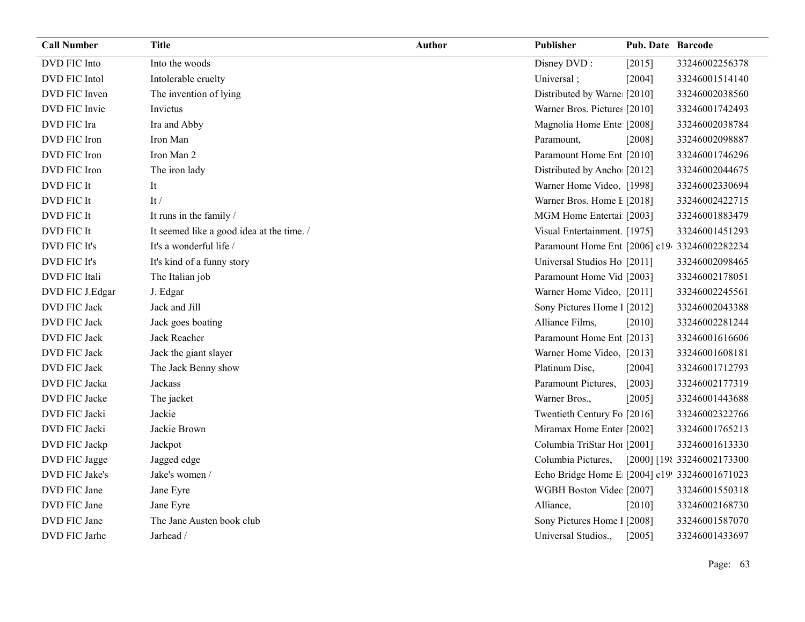| <b>Call Number</b>   | <b>Title</b>                              | <b>Author</b> | <b>Publisher</b>                              | <b>Pub. Date Barcode</b> |                            |
|----------------------|-------------------------------------------|---------------|-----------------------------------------------|--------------------------|----------------------------|
| DVD FIC Into         | Into the woods                            |               | Disney DVD:                                   | [2015]                   | 33246002256378             |
| DVD FIC Intol        | Intolerable cruelty                       |               | Universal;                                    | [2004]                   | 33246001514140             |
| DVD FIC Inven        | The invention of lying                    |               | Distributed by Warne [2010]                   |                          | 33246002038560             |
| DVD FIC Invic        | Invictus                                  |               | Warner Bros. Pictures [2010]                  |                          | 33246001742493             |
| DVD FIC Ira          | Ira and Abby                              |               | Magnolia Home Ente [2008]                     |                          | 33246002038784             |
| DVD FIC Iron         | Iron Man                                  |               | Paramount,                                    | [2008]                   | 33246002098887             |
| DVD FIC Iron         | Iron Man 2                                |               | Paramount Home Ent [2010]                     |                          | 33246001746296             |
| DVD FIC Iron         | The iron lady                             |               | Distributed by Ancho [2012]                   |                          | 33246002044675             |
| DVD FIC It           | It                                        |               | Warner Home Video, [1998]                     |                          | 33246002330694             |
| DVD FIC It           | It $/$                                    |               | Warner Bros. Home I [2018]                    |                          | 33246002422715             |
| DVD FIC It           | It runs in the family /                   |               | MGM Home Entertai [2003]                      |                          | 33246001883479             |
| DVD FIC It           | It seemed like a good idea at the time. / |               | Visual Entertainment. [1975]                  |                          | 33246001451293             |
| DVD FIC It's         | It's a wonderful life /                   |               | Paramount Home Ent [2006] c19 33246002282234  |                          |                            |
| DVD FIC It's         | It's kind of a funny story                |               | Universal Studios Ho [2011]                   |                          | 33246002098465             |
| <b>DVD FIC Itali</b> | The Italian job                           |               | Paramount Home Vid [2003]                     |                          | 33246002178051             |
| DVD FIC J.Edgar      | J. Edgar                                  |               | Warner Home Video, [2011]                     |                          | 33246002245561             |
| DVD FIC Jack         | Jack and Jill                             |               | Sony Pictures Home 1 [2012]                   |                          | 33246002043388             |
| DVD FIC Jack         | Jack goes boating                         |               | Alliance Films,                               | [2010]                   | 33246002281244             |
| DVD FIC Jack         | Jack Reacher                              |               | Paramount Home Ent [2013]                     |                          | 33246001616606             |
| DVD FIC Jack         | Jack the giant slayer                     |               | Warner Home Video, [2013]                     |                          | 33246001608181             |
| DVD FIC Jack         | The Jack Benny show                       |               | Platinum Disc,                                | [2004]                   | 33246001712793             |
| DVD FIC Jacka        | Jackass                                   |               | Paramount Pictures,                           | $[2003]$                 | 33246002177319             |
| DVD FIC Jacke        | The jacket                                |               | Warner Bros.,                                 | [2005]                   | 33246001443688             |
| DVD FIC Jacki        | Jackie                                    |               | Twentieth Century Fo [2016]                   |                          | 33246002322766             |
| DVD FIC Jacki        | Jackie Brown                              |               | Miramax Home Enter [2002]                     |                          | 33246001765213             |
| DVD FIC Jackp        | Jackpot                                   |               | Columbia TriStar Hoi [2001]                   |                          | 33246001613330             |
| DVD FIC Jagge        | Jagged edge                               |               | Columbia Pictures,                            |                          | [2000] [198 33246002173300 |
| DVD FIC Jake's       | Jake's women /                            |               | Echo Bridge Home E [2004] c19! 33246001671023 |                          |                            |
| DVD FIC Jane         | Jane Eyre                                 |               | WGBH Boston Videc [2007]                      |                          | 33246001550318             |
| DVD FIC Jane         | Jane Eyre                                 |               | Alliance,                                     | $[2010]$                 | 33246002168730             |
| DVD FIC Jane         | The Jane Austen book club                 |               | Sony Pictures Home 1 [2008]                   |                          | 33246001587070             |
| DVD FIC Jarhe        | Jarhead /                                 |               | Universal Studios.,                           | [2005]                   | 33246001433697             |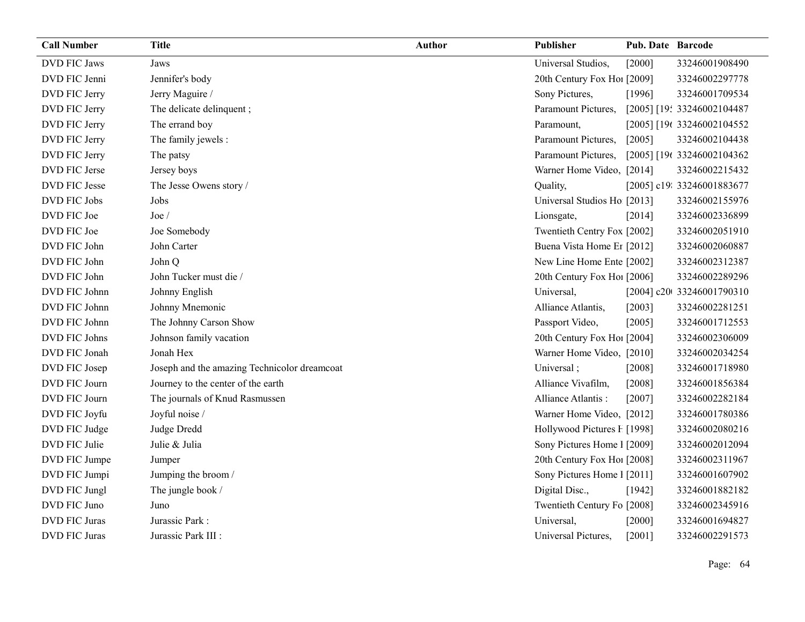| <b>Call Number</b>   | <b>Title</b>                                 | <b>Author</b> | Publisher                   | <b>Pub. Date Barcode</b> |                            |
|----------------------|----------------------------------------------|---------------|-----------------------------|--------------------------|----------------------------|
| <b>DVD FIC Jaws</b>  | Jaws                                         |               | Universal Studios,          | [2000]                   | 33246001908490             |
| DVD FIC Jenni        | Jennifer's body                              |               | 20th Century Fox Ho! [2009] |                          | 33246002297778             |
| DVD FIC Jerry        | Jerry Maguire /                              |               | Sony Pictures,              | [1996]                   | 33246001709534             |
| DVD FIC Jerry        | The delicate delinquent;                     |               | Paramount Pictures,         |                          | [2005] [19: 33246002104487 |
| DVD FIC Jerry        | The errand boy                               |               | Paramount,                  |                          | [2005] [196 33246002104552 |
| DVD FIC Jerry        | The family jewels :                          |               | Paramount Pictures,         | [2005]                   | 33246002104438             |
| DVD FIC Jerry        | The patsy                                    |               | Paramount Pictures,         |                          | [2005] [196 33246002104362 |
| DVD FIC Jerse        | Jersey boys                                  |               | Warner Home Video, [2014]   |                          | 33246002215432             |
| DVD FIC Jesse        | The Jesse Owens story /                      |               | Quality,                    |                          | [2005] c19: 33246001883677 |
| DVD FIC Jobs         | Jobs                                         |               | Universal Studios Ho [2013] |                          | 33246002155976             |
| DVD FIC Joe          | $\text{Joe }$                                |               | Lionsgate,                  | [2014]                   | 33246002336899             |
| DVD FIC Joe          | Joe Somebody                                 |               | Twentieth Centry Fox [2002] |                          | 33246002051910             |
| DVD FIC John         | John Carter                                  |               | Buena Vista Home Er [2012]  |                          | 33246002060887             |
| DVD FIC John         | John Q                                       |               | New Line Home Ente [2002]   |                          | 33246002312387             |
| DVD FIC John         | John Tucker must die /                       |               | 20th Century Fox Ho! [2006] |                          | 33246002289296             |
| DVD FIC Johnn        | Johnny English                               |               | Universal,                  |                          | [2004] c20t 33246001790310 |
| DVD FIC Johnn        | Johnny Mnemonic                              |               | Alliance Atlantis,          | [2003]                   | 33246002281251             |
| DVD FIC Johnn        | The Johnny Carson Show                       |               | Passport Video,             | [2005]                   | 33246001712553             |
| DVD FIC Johns        | Johnson family vacation                      |               | 20th Century Fox Ho! [2004] |                          | 33246002306009             |
| DVD FIC Jonah        | Jonah Hex                                    |               | Warner Home Video, [2010]   |                          | 33246002034254             |
| DVD FIC Josep        | Joseph and the amazing Technicolor dreamcoat |               | Universal;                  | $[2008]$                 | 33246001718980             |
| DVD FIC Journ        | Journey to the center of the earth           |               | Alliance Vivafilm,          | [2008]                   | 33246001856384             |
| DVD FIC Journ        | The journals of Knud Rasmussen               |               | Alliance Atlantis:          | [2007]                   | 33246002282184             |
| DVD FIC Joyfu        | Joyful noise /                               |               | Warner Home Video, [2012]   |                          | 33246001780386             |
| DVD FIC Judge        | Judge Dredd                                  |               | Hollywood Pictures F [1998] |                          | 33246002080216             |
| DVD FIC Julie        | Julie & Julia                                |               | Sony Pictures Home 1 [2009] |                          | 33246002012094             |
| DVD FIC Jumpe        | Jumper                                       |               | 20th Century Fox Ho! [2008] |                          | 33246002311967             |
| DVD FIC Jumpi        | Jumping the broom /                          |               | Sony Pictures Home 1 [2011] |                          | 33246001607902             |
| DVD FIC Jungl        | The jungle book /                            |               | Digital Disc.,              | [1942]                   | 33246001882182             |
| DVD FIC Juno         | Juno                                         |               | Twentieth Century Fo [2008] |                          | 33246002345916             |
| <b>DVD FIC Juras</b> | Jurassic Park:                               |               | Universal,                  | $[2000]$                 | 33246001694827             |
| <b>DVD FIC Juras</b> | Jurassic Park III :                          |               | Universal Pictures,         | [2001]                   | 33246002291573             |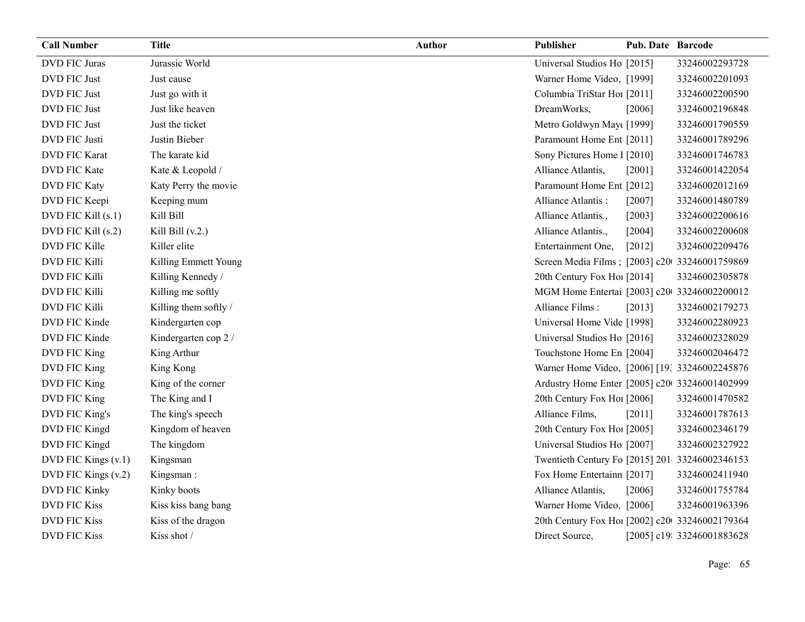| <b>Call Number</b>   | <b>Title</b>          | <b>Author</b> | Publisher                                      | <b>Pub. Date Barcode</b> |                            |
|----------------------|-----------------------|---------------|------------------------------------------------|--------------------------|----------------------------|
| <b>DVD FIC Juras</b> | Jurassic World        |               | Universal Studios Ho [2015]                    |                          | 33246002293728             |
| <b>DVD FIC Just</b>  | Just cause            |               | Warner Home Video, [1999]                      |                          | 33246002201093             |
| DVD FIC Just         | Just go with it       |               | Columbia TriStar Hoi [2011]                    |                          | 33246002200590             |
| DVD FIC Just         | Just like heaven      |               | DreamWorks,                                    | [2006]                   | 33246002196848             |
| DVD FIC Just         | Just the ticket       |               | Metro Goldwyn May([1999]                       |                          | 33246001790559             |
| DVD FIC Justi        | Justin Bieber         |               | Paramount Home Ent [2011]                      |                          | 33246001789296             |
| <b>DVD FIC Karat</b> | The karate kid        |               | Sony Pictures Home 1 [2010]                    |                          | 33246001746783             |
| <b>DVD FIC Kate</b>  | Kate & Leopold /      |               | Alliance Atlantis,                             | [2001]                   | 33246001422054             |
| <b>DVD FIC Katy</b>  | Katy Perry the movie  |               | Paramount Home Ent [2012]                      |                          | 33246002012169             |
| DVD FIC Keepi        | Keeping mum           |               | Alliance Atlantis:                             | $[2007]$                 | 33246001480789             |
| DVD FIC Kill (s.1)   | Kill Bill             |               | Alliance Atlantis.,                            | [2003]                   | 33246002200616             |
| DVD FIC Kill (s.2)   | Kill Bill $(v.2.)$    |               | Alliance Atlantis.,                            | [2004]                   | 33246002200608             |
| DVD FIC Kille        | Killer elite          |               | Entertainment One,                             | $[2012]$                 | 33246002209476             |
| <b>DVD FIC Killi</b> | Killing Emmett Young  |               | Screen Media Films; [2003] c20 33246001759869  |                          |                            |
| DVD FIC Killi        | Killing Kennedy /     |               | 20th Century Fox Ho! [2014]                    |                          | 33246002305878             |
| DVD FIC Killi        | Killing me softly     |               | MGM Home Entertai [2003] c20 33246002200012    |                          |                            |
| DVD FIC Killi        | Killing them softly / |               | Alliance Films:                                | [2013]                   | 33246002179273             |
| DVD FIC Kinde        | Kindergarten cop      |               | Universal Home Vide [1998]                     |                          | 33246002280923             |
| DVD FIC Kinde        | Kindergarten cop 2 /  |               | Universal Studios Ho [2016]                    |                          | 33246002328029             |
| DVD FIC King         | King Arthur           |               | Touchstone Home En [2004]                      |                          | 33246002046472             |
| DVD FIC King         | King Kong             |               | Warner Home Video, [2006] [19: 33246002245876  |                          |                            |
| DVD FIC King         | King of the corner    |               | Ardustry Home Enter [2005] c20 33246001402999  |                          |                            |
| DVD FIC King         | The King and I        |               | 20th Century Fox Ho! [2006]                    |                          | 33246001470582             |
| DVD FIC King's       | The king's speech     |               | Alliance Films,                                | [2011]                   | 33246001787613             |
| DVD FIC Kingd        | Kingdom of heaven     |               | 20th Century Fox Ho! [2005]                    |                          | 33246002346179             |
| DVD FIC Kingd        | The kingdom           |               | Universal Studios Ho [2007]                    |                          | 33246002327922             |
| DVD FIC Kings (v.1)  | Kingsman              |               | Twentieth Century Fo [2015] 201 33246002346153 |                          |                            |
| DVD FIC Kings (v.2)  | Kingsman:             |               | Fox Home Entertainn [2017]                     |                          | 33246002411940             |
| DVD FIC Kinky        | Kinky boots           |               | Alliance Atlantis,                             | [2006]                   | 33246001755784             |
| <b>DVD FIC Kiss</b>  | Kiss kiss bang bang   |               | Warner Home Video, [2006]                      |                          | 33246001963396             |
| <b>DVD FIC Kiss</b>  | Kiss of the dragon    |               | 20th Century Fox Ho! [2002] c20 33246002179364 |                          |                            |
| <b>DVD FIC Kiss</b>  | Kiss shot /           |               | Direct Source,                                 |                          | [2005] c19: 33246001883628 |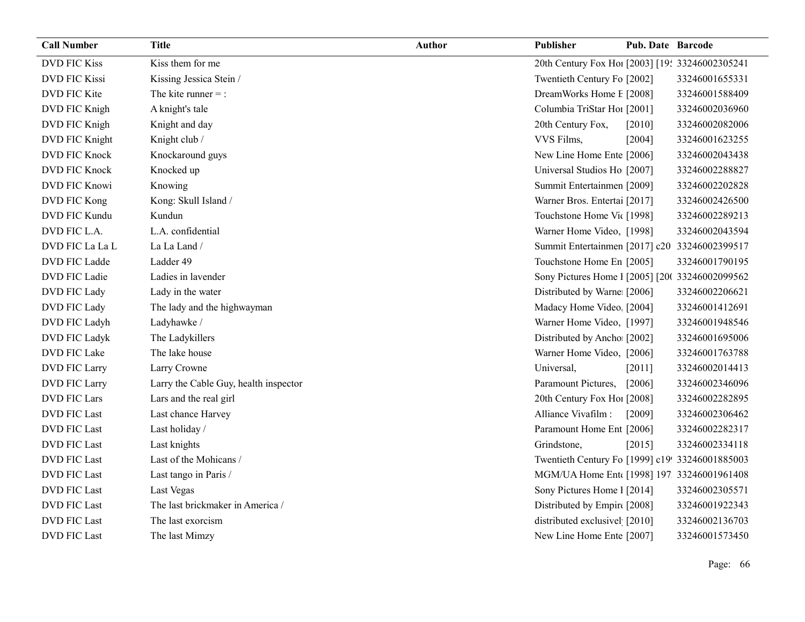| <b>Call Number</b>   | Title                                 | <b>Author</b> | Publisher                                       | <b>Pub. Date Barcode</b> |                |
|----------------------|---------------------------------------|---------------|-------------------------------------------------|--------------------------|----------------|
| <b>DVD FIC Kiss</b>  | Kiss them for me                      |               | 20th Century Fox Ho! [2003] [19: 33246002305241 |                          |                |
| <b>DVD FIC Kissi</b> | Kissing Jessica Stein /               |               | Twentieth Century Fo [2002]                     |                          | 33246001655331 |
| DVD FIC Kite         | The kite runner $=$ :                 |               | DreamWorks Home E [2008]                        |                          | 33246001588409 |
| DVD FIC Knigh        | A knight's tale                       |               | Columbia TriStar Hoi [2001]                     |                          | 33246002036960 |
| DVD FIC Knigh        | Knight and day                        |               | 20th Century Fox,                               | [2010]                   | 33246002082006 |
| DVD FIC Knight       | Knight club /                         |               | VVS Films,                                      | [2004]                   | 33246001623255 |
| DVD FIC Knock        | Knockaround guys                      |               | New Line Home Ente [2006]                       |                          | 33246002043438 |
| DVD FIC Knock        | Knocked up                            |               | Universal Studios Ho [2007]                     |                          | 33246002288827 |
| DVD FIC Knowi        | Knowing                               |               | Summit Entertainmen [2009]                      |                          | 33246002202828 |
| DVD FIC Kong         | Kong: Skull Island /                  |               | Warner Bros. Entertai [2017]                    |                          | 33246002426500 |
| DVD FIC Kundu        | Kundun                                |               | Touchstone Home Vic [1998]                      |                          | 33246002289213 |
| DVD FIC L.A.         | L.A. confidential                     |               | Warner Home Video, [1998]                       |                          | 33246002043594 |
| DVD FIC La La L      | La La Land /                          |               | Summit Entertainmen [2017] c20 33246002399517   |                          |                |
| DVD FIC Ladde        | Ladder 49                             |               | Touchstone Home En [2005]                       |                          | 33246001790195 |
| DVD FIC Ladie        | Ladies in lavender                    |               | Sony Pictures Home 1 [2005] [200 33246002099562 |                          |                |
| DVD FIC Lady         | Lady in the water                     |               | Distributed by Warne [2006]                     |                          | 33246002206621 |
| DVD FIC Lady         | The lady and the highwayman           |               | Madacy Home Video [2004]                        |                          | 33246001412691 |
| DVD FIC Ladyh        | Ladyhawke /                           |               | Warner Home Video, [1997]                       |                          | 33246001948546 |
| DVD FIC Ladyk        | The Ladykillers                       |               | Distributed by Ancho [2002]                     |                          | 33246001695006 |
| DVD FIC Lake         | The lake house                        |               | Warner Home Video, [2006]                       |                          | 33246001763788 |
| DVD FIC Larry        | Larry Crowne                          |               | Universal,                                      | [2011]                   | 33246002014413 |
| DVD FIC Larry        | Larry the Cable Guy, health inspector |               | Paramount Pictures,                             | [2006]                   | 33246002346096 |
| <b>DVD FIC Lars</b>  | Lars and the real girl                |               | 20th Century Fox Ho! [2008]                     |                          | 33246002282895 |
| <b>DVD FIC Last</b>  | Last chance Harvey                    |               | Alliance Vivafilm :                             | [2009]                   | 33246002306462 |
| <b>DVD FIC Last</b>  | Last holiday /                        |               | Paramount Home Ent [2006]                       |                          | 33246002282317 |
| <b>DVD FIC Last</b>  | Last knights                          |               | Grindstone,                                     | [2015]                   | 33246002334118 |
| <b>DVD FIC Last</b>  | Last of the Mohicans /                |               | Twentieth Century Fo [1999] c19! 33246001885003 |                          |                |
| <b>DVD FIC Last</b>  | Last tango in Paris /                 |               | MGM/UA Home Ent [1998] 197 33246001961408       |                          |                |
| <b>DVD FIC Last</b>  | Last Vegas                            |               | Sony Pictures Home 1 [2014]                     |                          | 33246002305571 |
| <b>DVD FIC Last</b>  | The last brickmaker in America /      |               | Distributed by Empire [2008]                    |                          | 33246001922343 |
| DVD FIC Last         | The last exorcism                     |               | distributed exclusivel [2010]                   |                          | 33246002136703 |
| <b>DVD FIC Last</b>  | The last Mimzy                        |               | New Line Home Ente [2007]                       |                          | 33246001573450 |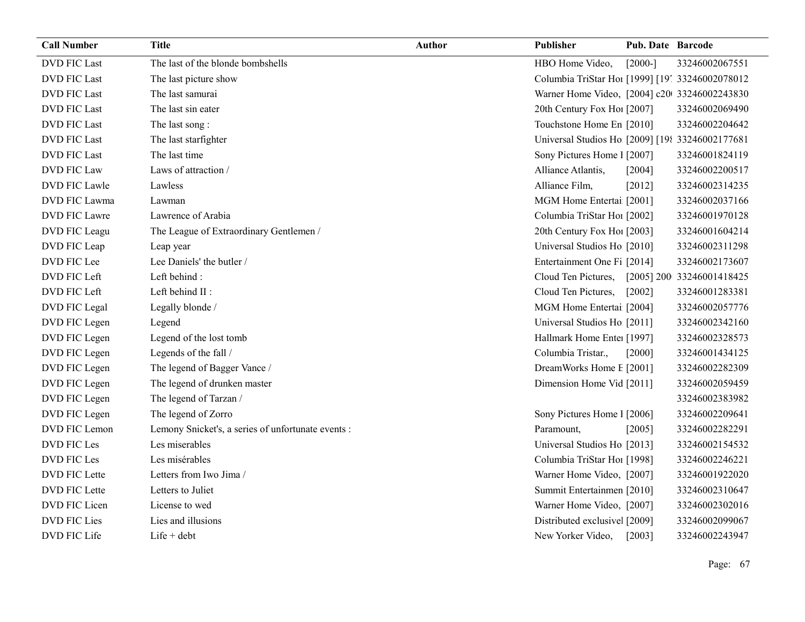| <b>Call Number</b>  | Title                                              | Author | Publisher                                        | <b>Pub. Date Barcode</b> |                           |
|---------------------|----------------------------------------------------|--------|--------------------------------------------------|--------------------------|---------------------------|
| <b>DVD FIC Last</b> | The last of the blonde bombshells                  |        | HBO Home Video,                                  | $[2000-]$                | 33246002067551            |
| <b>DVD FIC Last</b> | The last picture show                              |        | Columbia TriStar Hoi [1999] [19] 33246002078012  |                          |                           |
| <b>DVD FIC Last</b> | The last samurai                                   |        | Warner Home Video, [2004] c20 33246002243830     |                          |                           |
| <b>DVD FIC Last</b> | The last sin eater                                 |        | 20th Century Fox Ho! [2007]                      |                          | 33246002069490            |
| <b>DVD FIC Last</b> | The last song:                                     |        | Touchstone Home En [2010]                        |                          | 33246002204642            |
| <b>DVD FIC Last</b> | The last starfighter                               |        | Universal Studios Ho [2009] [198 33246002177681] |                          |                           |
| <b>DVD FIC Last</b> | The last time                                      |        | Sony Pictures Home 1 [2007]                      |                          | 33246001824119            |
| <b>DVD FIC Law</b>  | Laws of attraction /                               |        | Alliance Atlantis,                               | [2004]                   | 33246002200517            |
| DVD FIC Lawle       | Lawless                                            |        | Alliance Film,                                   | [2012]                   | 33246002314235            |
| DVD FIC Lawma       | Lawman                                             |        | MGM Home Entertai [2001]                         |                          | 33246002037166            |
| DVD FIC Lawre       | Lawrence of Arabia                                 |        | Columbia TriStar Hoi [2002]                      |                          | 33246001970128            |
| DVD FIC Leagu       | The League of Extraordinary Gentlemen /            |        | 20th Century Fox Ho! [2003]                      |                          | 33246001604214            |
| DVD FIC Leap        | Leap year                                          |        | Universal Studios Ho [2010]                      |                          | 33246002311298            |
| DVD FIC Lee         | Lee Daniels' the butler /                          |        | Entertainment One Fi [2014]                      |                          | 33246002173607            |
| DVD FIC Left        | Left behind:                                       |        | Cloud Ten Pictures,                              |                          | [2005] 200 33246001418425 |
| DVD FIC Left        | Left behind II :                                   |        | Cloud Ten Pictures,                              | $[2002]$                 | 33246001283381            |
| DVD FIC Legal       | Legally blonde /                                   |        | MGM Home Entertai [2004]                         |                          | 33246002057776            |
| DVD FIC Legen       | Legend                                             |        | Universal Studios Ho [2011]                      |                          | 33246002342160            |
| DVD FIC Legen       | Legend of the lost tomb                            |        | Hallmark Home Enter [1997]                       |                          | 33246002328573            |
| DVD FIC Legen       | Legends of the fall /                              |        | Columbia Tristar.,                               | [2000]                   | 33246001434125            |
| DVD FIC Legen       | The legend of Bagger Vance /                       |        | DreamWorks Home E [2001]                         |                          | 33246002282309            |
| DVD FIC Legen       | The legend of drunken master                       |        | Dimension Home Vid [2011]                        |                          | 33246002059459            |
| DVD FIC Legen       | The legend of Tarzan /                             |        |                                                  |                          | 33246002383982            |
| DVD FIC Legen       | The legend of Zorro                                |        | Sony Pictures Home 1 [2006]                      |                          | 33246002209641            |
| DVD FIC Lemon       | Lemony Snicket's, a series of unfortunate events : |        | Paramount,                                       | [2005]                   | 33246002282291            |
| DVD FIC Les         | Les miserables                                     |        | Universal Studios Ho [2013]                      |                          | 33246002154532            |
| DVD FIC Les         | Les misérables                                     |        | Columbia TriStar Hoi [1998]                      |                          | 33246002246221            |
| DVD FIC Lette       | Letters from Iwo Jima /                            |        | Warner Home Video, [2007]                        |                          | 33246001922020            |
| DVD FIC Lette       | Letters to Juliet                                  |        | Summit Entertainmen [2010]                       |                          | 33246002310647            |
| DVD FIC Licen       | License to wed                                     |        | Warner Home Video, [2007]                        |                          | 33246002302016            |
| <b>DVD FIC Lies</b> | Lies and illusions                                 |        | Distributed exclusive [2009]                     |                          | 33246002099067            |
| DVD FIC Life        | $Life + debt$                                      |        | New Yorker Video,                                | [2003]                   | 33246002243947            |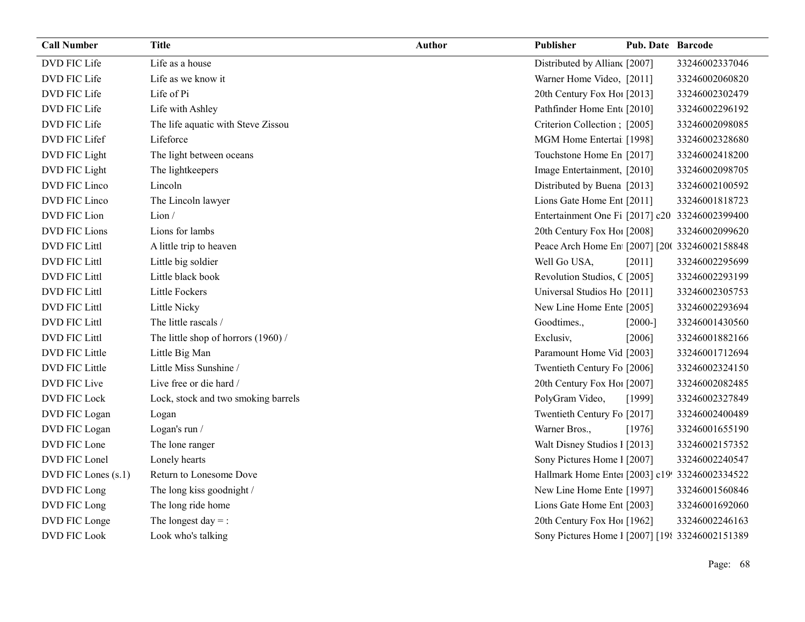| <b>Call Number</b>   | <b>Title</b>                        | <b>Author</b> | Publisher                                        | <b>Pub. Date Barcode</b> |                |
|----------------------|-------------------------------------|---------------|--------------------------------------------------|--------------------------|----------------|
| DVD FIC Life         | Life as a house                     |               | Distributed by Allian [2007]                     |                          | 33246002337046 |
| DVD FIC Life         | Life as we know it                  |               | Warner Home Video, [2011]                        |                          | 33246002060820 |
| DVD FIC Life         | Life of Pi                          |               | 20th Century Fox Ho! [2013]                      |                          | 33246002302479 |
| DVD FIC Life         | Life with Ashley                    |               | Pathfinder Home Ent [2010]                       |                          | 33246002296192 |
| DVD FIC Life         | The life aquatic with Steve Zissou  |               | Criterion Collection; [2005]                     |                          | 33246002098085 |
| DVD FIC Lifef        | Lifeforce                           |               | MGM Home Entertai [1998]                         |                          | 33246002328680 |
| DVD FIC Light        | The light between oceans            |               | Touchstone Home En [2017]                        |                          | 33246002418200 |
| DVD FIC Light        | The lightkeepers                    |               | Image Entertainment, [2010]                      |                          | 33246002098705 |
| DVD FIC Linco        | Lincoln                             |               | Distributed by Buena [2013]                      |                          | 33246002100592 |
| DVD FIC Linco        | The Lincoln lawyer                  |               | Lions Gate Home Ent [2011]                       |                          | 33246001818723 |
| DVD FIC Lion         | Lion/                               |               | Entertainment One Fi [2017] c20 33246002399400   |                          |                |
| DVD FIC Lions        | Lions for lambs                     |               | 20th Century Fox Ho! [2008]                      |                          | 33246002099620 |
| DVD FIC Littl        | A little trip to heaven             |               | Peace Arch Home En [2007] [200 33246002158848    |                          |                |
| DVD FIC Littl        | Little big soldier                  |               | Well Go USA,                                     | [2011]                   | 33246002295699 |
| <b>DVD FIC Littl</b> | Little black book                   |               | Revolution Studios, C [2005]                     |                          | 33246002293199 |
| DVD FIC Littl        | Little Fockers                      |               | Universal Studios Ho [2011]                      |                          | 33246002305753 |
| DVD FIC Littl        | Little Nicky                        |               | New Line Home Ente [2005]                        |                          | 33246002293694 |
| <b>DVD FIC Littl</b> | The little rascals /                |               | Goodtimes.,                                      | $[2000-]$                | 33246001430560 |
| DVD FIC Littl        | The little shop of horrors (1960) / |               | Exclusiv,                                        | [2006]                   | 33246001882166 |
| DVD FIC Little       | Little Big Man                      |               | Paramount Home Vid [2003]                        |                          | 33246001712694 |
| DVD FIC Little       | Little Miss Sunshine /              |               | Twentieth Century Fo [2006]                      |                          | 33246002324150 |
| DVD FIC Live         | Live free or die hard /             |               | 20th Century Fox Ho! [2007]                      |                          | 33246002082485 |
| DVD FIC Lock         | Lock, stock and two smoking barrels |               | PolyGram Video,                                  | [1999]                   | 33246002327849 |
| DVD FIC Logan        | Logan                               |               | Twentieth Century Fo [2017]                      |                          | 33246002400489 |
| DVD FIC Logan        | Logan's run /                       |               | Warner Bros.,                                    | [1976]                   | 33246001655190 |
| DVD FIC Lone         | The lone ranger                     |               | Walt Disney Studios 1 [2013]                     |                          | 33246002157352 |
| DVD FIC Lonel        | Lonely hearts                       |               | Sony Pictures Home 1 [2007]                      |                          | 33246002240547 |
| DVD FIC Lones (s.1)  | Return to Lonesome Dove             |               | Hallmark Home Ente: [2003] c19! 33246002334522   |                          |                |
| DVD FIC Long         | The long kiss goodnight /           |               | New Line Home Ente [1997]                        |                          | 33246001560846 |
| DVD FIC Long         | The long ride home                  |               | Lions Gate Home Ent [2003]                       |                          | 33246001692060 |
| DVD FIC Longe        | The longest day $=$ :               |               | 20th Century Fox Hol [1962]                      |                          | 33246002246163 |
| <b>DVD FIC Look</b>  | Look who's talking                  |               | Sony Pictures Home 1 [2007] [198 33246002151389] |                          |                |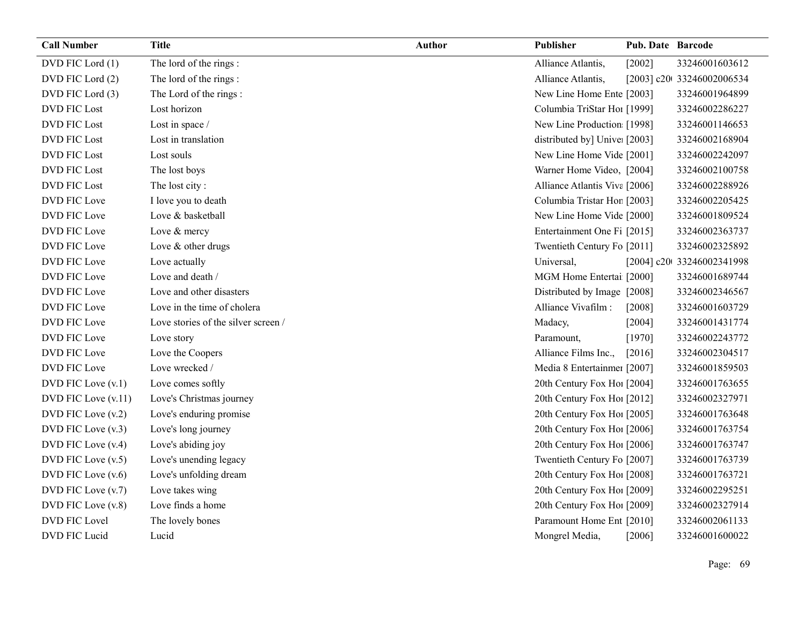| <b>Call Number</b>     | <b>Title</b>                        | <b>Author</b> | Publisher                     | <b>Pub. Date Barcode</b> |                            |
|------------------------|-------------------------------------|---------------|-------------------------------|--------------------------|----------------------------|
| DVD FIC Lord (1)       | The lord of the rings:              |               | Alliance Atlantis,            | [2002]                   | 33246001603612             |
| DVD FIC Lord (2)       | The lord of the rings:              |               | Alliance Atlantis,            |                          | [2003] c20t 33246002006534 |
| DVD FIC Lord (3)       | The Lord of the rings:              |               | New Line Home Ente [2003]     |                          | 33246001964899             |
| <b>DVD FIC Lost</b>    | Lost horizon                        |               | Columbia TriStar Hoi [1999]   |                          | 33246002286227             |
| <b>DVD FIC Lost</b>    | Lost in space /                     |               | New Line Production [1998]    |                          | 33246001146653             |
| <b>DVD FIC Lost</b>    | Lost in translation                 |               | distributed by] Unive: [2003] |                          | 33246002168904             |
| <b>DVD FIC Lost</b>    | Lost souls                          |               | New Line Home Vide [2001]     |                          | 33246002242097             |
| <b>DVD FIC Lost</b>    | The lost boys                       |               | Warner Home Video, [2004]     |                          | 33246002100758             |
| <b>DVD FIC Lost</b>    | The lost city:                      |               | Alliance Atlantis Viva [2006] |                          | 33246002288926             |
| DVD FIC Love           | I love you to death                 |               | Columbia Tristar Hor [2003]   |                          | 33246002205425             |
| DVD FIC Love           | Love & basketball                   |               | New Line Home Vide [2000]     |                          | 33246001809524             |
| <b>DVD FIC Love</b>    | Love & mercy                        |               | Entertainment One Fi [2015]   |                          | 33246002363737             |
| DVD FIC Love           | Love & other drugs                  |               | Twentieth Century Fo [2011]   |                          | 33246002325892             |
| DVD FIC Love           | Love actually                       |               | Universal,                    |                          | [2004] c20t 33246002341998 |
| <b>DVD FIC Love</b>    | Love and death /                    |               | MGM Home Entertai [2000]      |                          | 33246001689744             |
| DVD FIC Love           | Love and other disasters            |               | Distributed by Image [2008]   |                          | 33246002346567             |
| DVD FIC Love           | Love in the time of cholera         |               | Alliance Vivafilm :           | [2008]                   | 33246001603729             |
| DVD FIC Love           | Love stories of the silver screen / |               | Madacy,                       | [2004]                   | 33246001431774             |
| DVD FIC Love           | Love story                          |               | Paramount,                    | [1970]                   | 33246002243772             |
| DVD FIC Love           | Love the Coopers                    |               | Alliance Films Inc.,          | [2016]                   | 33246002304517             |
| <b>DVD FIC Love</b>    | Love wrecked /                      |               | Media 8 Entertainmer [2007]   |                          | 33246001859503             |
| DVD FIC Love (v.1)     | Love comes softly                   |               | 20th Century Fox Hol [2004]   |                          | 33246001763655             |
| DVD FIC Love (v.11)    | Love's Christmas journey            |               | 20th Century Fox Hol [2012]   |                          | 33246002327971             |
| DVD FIC Love (v.2)     | Love's enduring promise             |               | 20th Century Fox Ho! [2005]   |                          | 33246001763648             |
| $DVD$ FIC Love $(v.3)$ | Love's long journey                 |               | 20th Century Fox Hol [2006]   |                          | 33246001763754             |
| DVD FIC Love (v.4)     | Love's abiding joy                  |               | 20th Century Fox Hol [2006]   |                          | 33246001763747             |
| DVD FIC Love (v.5)     | Love's unending legacy              |               | Twentieth Century Fo [2007]   |                          | 33246001763739             |
| $DVD$ FIC Love $(v.6)$ | Love's unfolding dream              |               | 20th Century Fox Ho! [2008]   |                          | 33246001763721             |
| DVD FIC Love (v.7)     | Love takes wing                     |               | 20th Century Fox Ho! [2009]   |                          | 33246002295251             |
| DVD FIC Love (v.8)     | Love finds a home                   |               | 20th Century Fox Ho! [2009]   |                          | 33246002327914             |
| <b>DVD FIC Lovel</b>   | The lovely bones                    |               | Paramount Home Ent [2010]     |                          | 33246002061133             |
| DVD FIC Lucid          | Lucid                               |               | Mongrel Media,                | [2006]                   | 33246001600022             |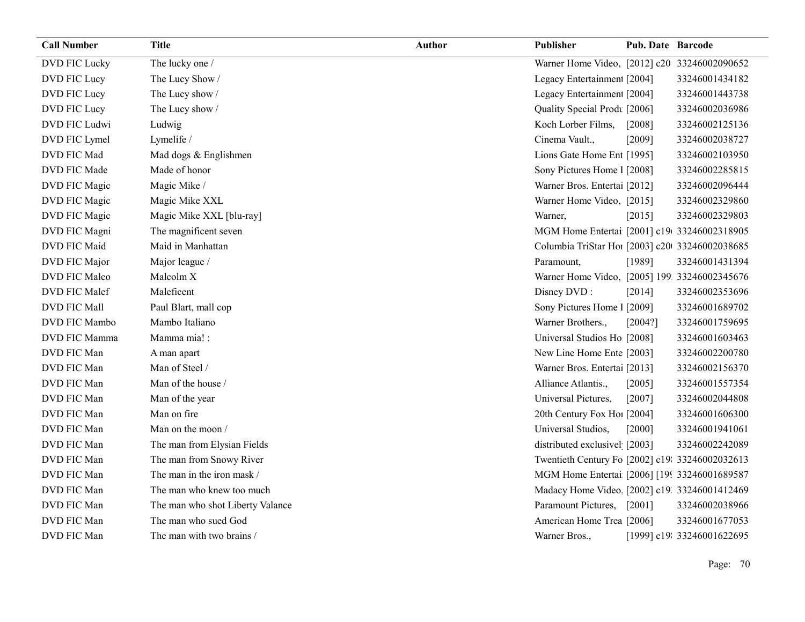| <b>Call Number</b> | <b>Title</b>                     | <b>Author</b> | <b>Publisher</b>                                | <b>Pub. Date Barcode</b> |                            |
|--------------------|----------------------------------|---------------|-------------------------------------------------|--------------------------|----------------------------|
| DVD FIC Lucky      | The lucky one /                  |               | Warner Home Video, [2012] c20 33246002090652    |                          |                            |
| DVD FIC Lucy       | The Lucy Show /                  |               | Legacy Entertainmen [2004]                      |                          | 33246001434182             |
| DVD FIC Lucy       | The Lucy show /                  |               | Legacy Entertainmen [2004]                      |                          | 33246001443738             |
| DVD FIC Lucy       | The Lucy show /                  |               | Quality Special Prodt [2006]                    |                          | 33246002036986             |
| DVD FIC Ludwi      | Ludwig                           |               | Koch Lorber Films,                              | [2008]                   | 33246002125136             |
| DVD FIC Lymel      | Lymelife /                       |               | Cinema Vault.,                                  | [2009]                   | 33246002038727             |
| DVD FIC Mad        | Mad dogs & Englishmen            |               | Lions Gate Home Ent [1995]                      |                          | 33246002103950             |
| DVD FIC Made       | Made of honor                    |               | Sony Pictures Home 1 [2008]                     |                          | 33246002285815             |
| DVD FIC Magic      | Magic Mike /                     |               | Warner Bros. Entertai [2012]                    |                          | 33246002096444             |
| DVD FIC Magic      | Magic Mike XXL                   |               | Warner Home Video, [2015]                       |                          | 33246002329860             |
| DVD FIC Magic      | Magic Mike XXL [blu-ray]         |               | Warner,                                         | [2015]                   | 33246002329803             |
| DVD FIC Magni      | The magnificent seven            |               | MGM Home Entertai [2001] c19 33246002318905     |                          |                            |
| DVD FIC Maid       | Maid in Manhattan                |               | Columbia TriStar Ho1 [2003] c20 33246002038685  |                          |                            |
| DVD FIC Major      | Major league /                   |               | Paramount,                                      | [1989]                   | 33246001431394             |
| DVD FIC Malco      | Malcolm X                        |               | Warner Home Video, [2005] 199 33246002345676    |                          |                            |
| DVD FIC Malef      | Maleficent                       |               | Disney DVD:                                     | [2014]                   | 33246002353696             |
| DVD FIC Mall       | Paul Blart, mall cop             |               | Sony Pictures Home 1 [2009]                     |                          | 33246001689702             |
| DVD FIC Mambo      | Mambo Italiano                   |               | Warner Brothers.,                               | [2004?]                  | 33246001759695             |
| DVD FIC Mamma      | Mamma mia! :                     |               | Universal Studios Ho [2008]                     |                          | 33246001603463             |
| DVD FIC Man        | A man apart                      |               | New Line Home Ente [2003]                       |                          | 33246002200780             |
| DVD FIC Man        | Man of Steel /                   |               | Warner Bros. Entertai [2013]                    |                          | 33246002156370             |
| DVD FIC Man        | Man of the house /               |               | Alliance Atlantis.,                             | [2005]                   | 33246001557354             |
| DVD FIC Man        | Man of the year                  |               | Universal Pictures,                             | [2007]                   | 33246002044808             |
| DVD FIC Man        | Man on fire                      |               | 20th Century Fox Ho! [2004]                     |                          | 33246001606300             |
| DVD FIC Man        | Man on the moon /                |               | Universal Studios,                              | [2000]                   | 33246001941061             |
| DVD FIC Man        | The man from Elysian Fields      |               | distributed exclusivel [2003]                   |                          | 33246002242089             |
| DVD FIC Man        | The man from Snowy River         |               | Twentieth Century Fo [2002] c19: 33246002032613 |                          |                            |
| DVD FIC Man        | The man in the iron mask /       |               | MGM Home Entertai [2006] [199 33246001689587    |                          |                            |
| DVD FIC Man        | The man who knew too much        |               | Madacy Home Video [2002] c19. 33246001412469    |                          |                            |
| DVD FIC Man        | The man who shot Liberty Valance |               | Paramount Pictures,                             | $[2001]$                 | 33246002038966             |
| DVD FIC Man        | The man who sued God             |               | American Home Trea [2006]                       |                          | 33246001677053             |
| DVD FIC Man        | The man with two brains /        |               | Warner Bros.,                                   |                          | [1999] c19: 33246001622695 |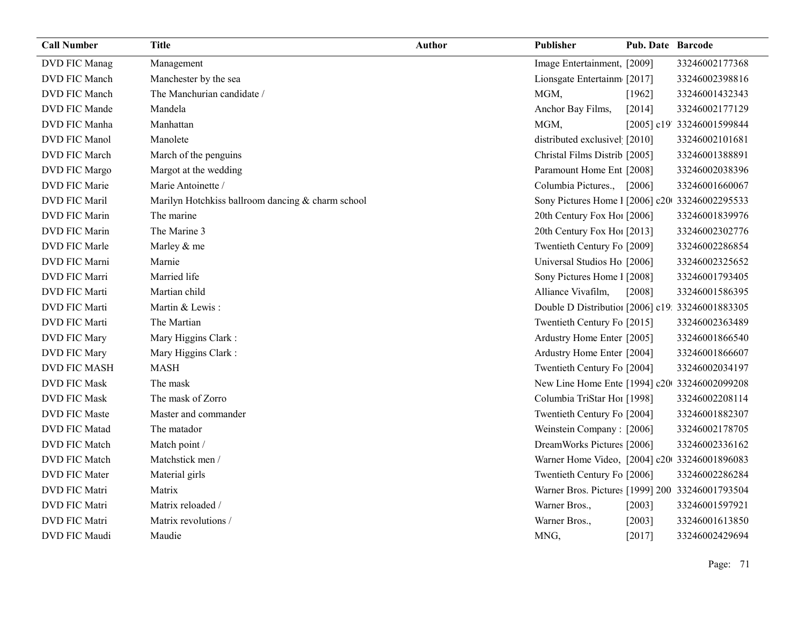| <b>Call Number</b>   | <b>Title</b>                                      | <b>Author</b> | <b>Publisher</b>                                 | <b>Pub. Date Barcode</b> |                            |
|----------------------|---------------------------------------------------|---------------|--------------------------------------------------|--------------------------|----------------------------|
| DVD FIC Manag        | Management                                        |               | Image Entertainment, [2009]                      |                          | 33246002177368             |
| DVD FIC Manch        | Manchester by the sea                             |               | Lionsgate Entertainm [2017]                      |                          | 33246002398816             |
| <b>DVD FIC Manch</b> | The Manchurian candidate /                        |               | MGM,                                             | [1962]                   | 33246001432343             |
| DVD FIC Mande        | Mandela                                           |               | Anchor Bay Films,                                | [2014]                   | 33246002177129             |
| DVD FIC Manha        | Manhattan                                         |               | MGM,                                             |                          | [2005] c19' 33246001599844 |
| <b>DVD FIC Manol</b> | Manolete                                          |               | distributed exclusivel [2010]                    |                          | 33246002101681             |
| DVD FIC March        | March of the penguins                             |               | Christal Films Distrib [2005]                    |                          | 33246001388891             |
| DVD FIC Margo        | Margot at the wedding                             |               | Paramount Home Ent [2008]                        |                          | 33246002038396             |
| DVD FIC Marie        | Marie Antoinette /                                |               | Columbia Pictures.,                              | $[2006]$                 | 33246001660067             |
| <b>DVD FIC Maril</b> | Marilyn Hotchkiss ballroom dancing & charm school |               | Sony Pictures Home 1 [2006] c20 33246002295533   |                          |                            |
| DVD FIC Marin        | The marine                                        |               | 20th Century Fox Ho! [2006]                      |                          | 33246001839976             |
| DVD FIC Marin        | The Marine 3                                      |               | 20th Century Fox Ho! [2013]                      |                          | 33246002302776             |
| DVD FIC Marle        | Marley & me                                       |               | Twentieth Century Fo [2009]                      |                          | 33246002286854             |
| DVD FIC Marni        | Marnie                                            |               | Universal Studios Ho [2006]                      |                          | 33246002325652             |
| DVD FIC Marri        | Married life                                      |               | Sony Pictures Home 1 [2008]                      |                          | 33246001793405             |
| DVD FIC Marti        | Martian child                                     |               | Alliance Vivafilm,                               | [2008]                   | 33246001586395             |
| <b>DVD FIC Marti</b> | Martin & Lewis:                                   |               | Double D Distribution [2006] c19: 33246001883305 |                          |                            |
| <b>DVD FIC Marti</b> | The Martian                                       |               | Twentieth Century Fo [2015]                      |                          | 33246002363489             |
| DVD FIC Mary         | Mary Higgins Clark:                               |               | Ardustry Home Enter [2005]                       |                          | 33246001866540             |
| DVD FIC Mary         | Mary Higgins Clark:                               |               | Ardustry Home Enter [2004]                       |                          | 33246001866607             |
| <b>DVD FIC MASH</b>  | <b>MASH</b>                                       |               | Twentieth Century Fo [2004]                      |                          | 33246002034197             |
| <b>DVD FIC Mask</b>  | The mask                                          |               | New Line Home Ente [1994] c20 33246002099208     |                          |                            |
| <b>DVD FIC Mask</b>  | The mask of Zorro                                 |               | Columbia TriStar Hoi [1998]                      |                          | 33246002208114             |
| <b>DVD FIC Maste</b> | Master and commander                              |               | Twentieth Century Fo [2004]                      |                          | 33246001882307             |
| <b>DVD FIC Matad</b> | The matador                                       |               | Weinstein Company: [2006]                        |                          | 33246002178705             |
| DVD FIC Match        | Match point /                                     |               | DreamWorks Pictures [2006]                       |                          | 33246002336162             |
| DVD FIC Match        | Matchstick men /                                  |               | Warner Home Video, [2004] c20 33246001896083     |                          |                            |
| <b>DVD FIC Mater</b> | Material girls                                    |               | Twentieth Century Fo [2006]                      |                          | 33246002286284             |
| <b>DVD FIC Matri</b> | Matrix                                            |               | Warner Bros. Pictures [1999] 200 33246001793504  |                          |                            |
| <b>DVD FIC Matri</b> | Matrix reloaded /                                 |               | Warner Bros.,                                    | [2003]                   | 33246001597921             |
| <b>DVD FIC Matri</b> | Matrix revolutions /                              |               | Warner Bros.,                                    | [2003]                   | 33246001613850             |
| DVD FIC Maudi        | Maudie                                            |               | MNG,                                             | [2017]                   | 33246002429694             |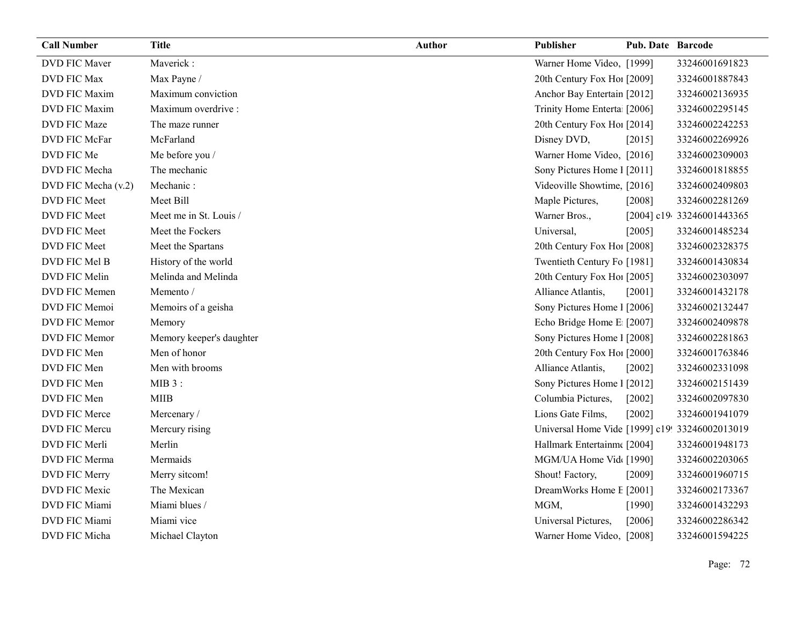| <b>Call Number</b>   | <b>Title</b>             | <b>Author</b> | Publisher                                      | <b>Pub. Date Barcode</b> |                           |
|----------------------|--------------------------|---------------|------------------------------------------------|--------------------------|---------------------------|
| <b>DVD FIC Maver</b> | Maverick:                |               | Warner Home Video, [1999]                      |                          | 33246001691823            |
| <b>DVD FIC Max</b>   | Max Payne /              |               | 20th Century Fox Ho! [2009]                    |                          | 33246001887843            |
| <b>DVD FIC Maxim</b> | Maximum conviction       |               | Anchor Bay Entertain [2012]                    |                          | 33246002136935            |
| <b>DVD FIC Maxim</b> | Maximum overdrive :      |               | Trinity Home Enterta [2006]                    |                          | 33246002295145            |
| DVD FIC Maze         | The maze runner          |               | 20th Century Fox Ho! [2014]                    |                          | 33246002242253            |
| DVD FIC McFar        | McFarland                |               | Disney DVD,                                    | [2015]                   | 33246002269926            |
| DVD FIC Me           | Me before you /          |               | Warner Home Video, [2016]                      |                          | 33246002309003            |
| DVD FIC Mecha        | The mechanic             |               | Sony Pictures Home 1 [2011]                    |                          | 33246001818855            |
| DVD FIC Mecha (v.2)  | Mechanic:                |               | Videoville Showtime, [2016]                    |                          | 33246002409803            |
| DVD FIC Meet         | Meet Bill                |               | Maple Pictures,                                | [2008]                   | 33246002281269            |
| DVD FIC Meet         | Meet me in St. Louis /   |               | Warner Bros.,                                  |                          | [2004] c19 33246001443365 |
| DVD FIC Meet         | Meet the Fockers         |               | Universal,                                     | [2005]                   | 33246001485234            |
| DVD FIC Meet         | Meet the Spartans        |               | 20th Century Fox Hol [2008]                    |                          | 33246002328375            |
| DVD FIC Mel B        | History of the world     |               | Twentieth Century Fo [1981]                    |                          | 33246001430834            |
| DVD FIC Melin        | Melinda and Melinda      |               | 20th Century Fox Ho! [2005]                    |                          | 33246002303097            |
| DVD FIC Memen        | Memento /                |               | Alliance Atlantis,                             | [2001]                   | 33246001432178            |
| DVD FIC Memoi        | Memoirs of a geisha      |               | Sony Pictures Home 1 [2006]                    |                          | 33246002132447            |
| DVD FIC Memor        | Memory                   |               | Echo Bridge Home E [2007]                      |                          | 33246002409878            |
| DVD FIC Memor        | Memory keeper's daughter |               | Sony Pictures Home 1 [2008]                    |                          | 33246002281863            |
| DVD FIC Men          | Men of honor             |               | 20th Century Fox Ho! [2000]                    |                          | 33246001763846            |
| DVD FIC Men          | Men with brooms          |               | Alliance Atlantis,                             | $[2002]$                 | 33246002331098            |
| DVD FIC Men          | $MIB3$ :                 |               | Sony Pictures Home 1 [2012]                    |                          | 33246002151439            |
| DVD FIC Men          | <b>MIIB</b>              |               | Columbia Pictures,                             | [2002]                   | 33246002097830            |
| DVD FIC Merce        | Mercenary/               |               | Lions Gate Films,                              | [2002]                   | 33246001941079            |
| DVD FIC Mercu        | Mercury rising           |               | Universal Home Vide [1999] c19! 33246002013019 |                          |                           |
| DVD FIC Merli        | Merlin                   |               | Hallmark Entertainm [2004]                     |                          | 33246001948173            |
| DVD FIC Merma        | Mermaids                 |               | MGM/UA Home Vid [1990]                         |                          | 33246002203065            |
| DVD FIC Merry        | Merry sitcom!            |               | Shout! Factory,                                | [2009]                   | 33246001960715            |
| DVD FIC Mexic        | The Mexican              |               | DreamWorks Home E [2001]                       |                          | 33246002173367            |
| DVD FIC Miami        | Miami blues /            |               | MGM,                                           | [1990]                   | 33246001432293            |
| DVD FIC Miami        | Miami vice               |               | Universal Pictures,                            | [2006]                   | 33246002286342            |
| DVD FIC Micha        | Michael Clayton          |               | Warner Home Video, [2008]                      |                          | 33246001594225            |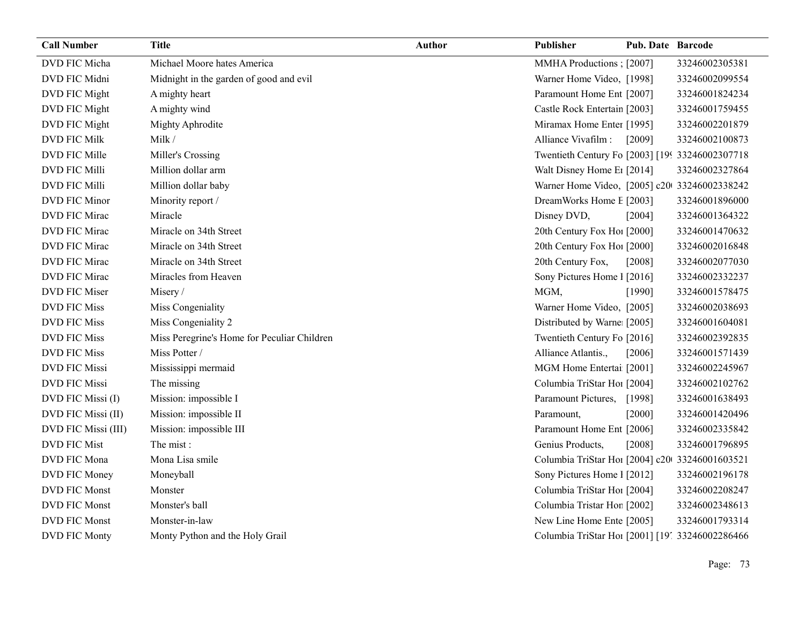| <b>Call Number</b>   | <b>Title</b>                                | <b>Author</b> | Publisher                                       | <b>Pub. Date Barcode</b> |                |
|----------------------|---------------------------------------------|---------------|-------------------------------------------------|--------------------------|----------------|
| DVD FIC Micha        | Michael Moore hates America                 |               | MMHA Productions : [2007]                       |                          | 33246002305381 |
| DVD FIC Midni        | Midnight in the garden of good and evil     |               | Warner Home Video, [1998]                       |                          | 33246002099554 |
| DVD FIC Might        | A mighty heart                              |               | Paramount Home Ent [2007]                       |                          | 33246001824234 |
| DVD FIC Might        | A mighty wind                               |               | Castle Rock Entertain [2003]                    |                          | 33246001759455 |
| DVD FIC Might        | Mighty Aphrodite                            |               | Miramax Home Enter [1995]                       |                          | 33246002201879 |
| DVD FIC Milk         | Milk /                                      |               | Alliance Vivafilm :                             | [2009]                   | 33246002100873 |
| DVD FIC Mille        | Miller's Crossing                           |               | Twentieth Century Fo [2003] [199 33246002307718 |                          |                |
| <b>DVD FIC Milli</b> | Million dollar arm                          |               | Walt Disney Home E <sub>1</sub> [2014]          |                          | 33246002327864 |
| DVD FIC Milli        | Million dollar baby                         |               | Warner Home Video, [2005] c20 33246002338242    |                          |                |
| DVD FIC Minor        | Minority report /                           |               | DreamWorks Home E [2003]                        |                          | 33246001896000 |
| DVD FIC Mirac        | Miracle                                     |               | Disney DVD,                                     | [2004]                   | 33246001364322 |
| DVD FIC Mirac        | Miracle on 34th Street                      |               | 20th Century Fox Ho! [2000]                     |                          | 33246001470632 |
| DVD FIC Mirac        | Miracle on 34th Street                      |               | 20th Century Fox Ho! [2000]                     |                          | 33246002016848 |
| DVD FIC Mirac        | Miracle on 34th Street                      |               | 20th Century Fox,                               | [2008]                   | 33246002077030 |
| DVD FIC Mirac        | Miracles from Heaven                        |               | Sony Pictures Home 1 [2016]                     |                          | 33246002332237 |
| DVD FIC Miser        | Misery/                                     |               | MGM,                                            | [1990]                   | 33246001578475 |
| <b>DVD FIC Miss</b>  | Miss Congeniality                           |               | Warner Home Video, [2005]                       |                          | 33246002038693 |
| <b>DVD FIC Miss</b>  | Miss Congeniality 2                         |               | Distributed by Warne [2005]                     |                          | 33246001604081 |
| <b>DVD FIC Miss</b>  | Miss Peregrine's Home for Peculiar Children |               | Twentieth Century Fo [2016]                     |                          | 33246002392835 |
| <b>DVD FIC Miss</b>  | Miss Potter /                               |               | Alliance Atlantis.,                             | [2006]                   | 33246001571439 |
| <b>DVD FIC Missi</b> | Mississippi mermaid                         |               | MGM Home Entertai [2001]                        |                          | 33246002245967 |
| <b>DVD FIC Missi</b> | The missing                                 |               | Columbia TriStar Ho1 [2004]                     |                          | 33246002102762 |
| DVD FIC Missi (I)    | Mission: impossible I                       |               | Paramount Pictures,                             | [1998]                   | 33246001638493 |
| DVD FIC Missi (II)   | Mission: impossible II                      |               | Paramount,                                      | [2000]                   | 33246001420496 |
| DVD FIC Missi (III)  | Mission: impossible III                     |               | Paramount Home Ent [2006]                       |                          | 33246002335842 |
| <b>DVD FIC Mist</b>  | The mist:                                   |               | Genius Products,                                | [2008]                   | 33246001796895 |
| DVD FIC Mona         | Mona Lisa smile                             |               | Columbia TriStar Hoi [2004] c20 33246001603521  |                          |                |
| DVD FIC Money        | Moneyball                                   |               | Sony Pictures Home 1 [2012]                     |                          | 33246002196178 |
| <b>DVD FIC Monst</b> | Monster                                     |               | Columbia TriStar Hoi [2004]                     |                          | 33246002208247 |
| DVD FIC Monst        | Monster's ball                              |               | Columbia Tristar Hor [2002]                     |                          | 33246002348613 |
| <b>DVD FIC Monst</b> | Monster-in-law                              |               | New Line Home Ente [2005]                       |                          | 33246001793314 |
| DVD FIC Monty        | Monty Python and the Holy Grail             |               | Columbia TriStar Hoi [2001] [19] 33246002286466 |                          |                |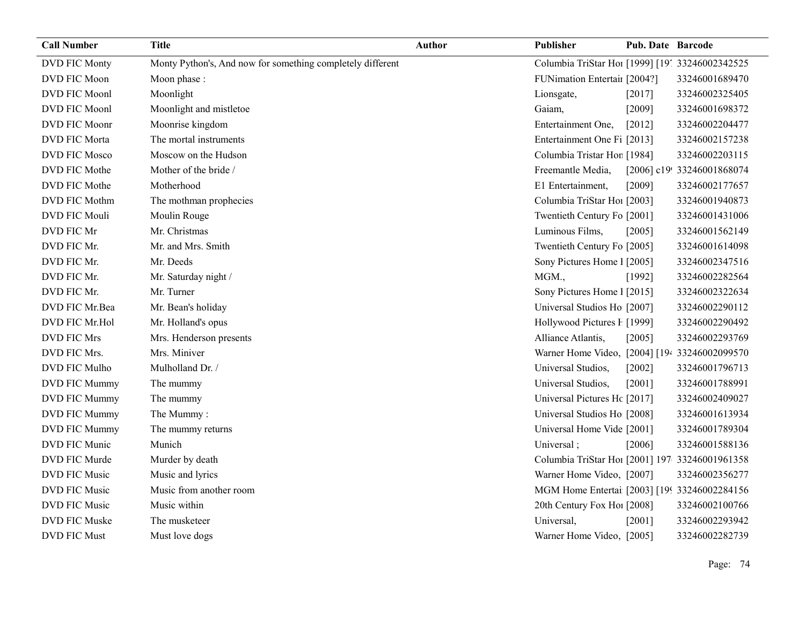| <b>Call Number</b>   | <b>Title</b>                                               | <b>Author</b> | Publisher                                       | <b>Pub. Date Barcode</b> |                            |
|----------------------|------------------------------------------------------------|---------------|-------------------------------------------------|--------------------------|----------------------------|
| DVD FIC Monty        | Monty Python's, And now for something completely different |               | Columbia TriStar Hoi [1999] [19] 33246002342525 |                          |                            |
| DVD FIC Moon         | Moon phase :                                               |               | FUNimation Entertail [2004?]                    |                          | 33246001689470             |
| DVD FIC Moonl        | Moonlight                                                  |               | Lionsgate,                                      | [2017]                   | 33246002325405             |
| DVD FIC Moonl        | Moonlight and mistletoe                                    |               | Gaiam,                                          | [2009]                   | 33246001698372             |
| DVD FIC Moonr        | Moonrise kingdom                                           |               | Entertainment One,                              | [2012]                   | 33246002204477             |
| <b>DVD FIC Morta</b> | The mortal instruments                                     |               | Entertainment One Fi [2013]                     |                          | 33246002157238             |
| DVD FIC Mosco        | Moscow on the Hudson                                       |               | Columbia Tristar Hor [1984]                     |                          | 33246002203115             |
| DVD FIC Mothe        | Mother of the bride /                                      |               | Freemantle Media,                               |                          | [2006] c19! 33246001868074 |
| DVD FIC Mothe        | Motherhood                                                 |               | E1 Entertainment,                               | [2009]                   | 33246002177657             |
| DVD FIC Mothm        | The mothman prophecies                                     |               | Columbia TriStar Hoi [2003]                     |                          | 33246001940873             |
| DVD FIC Mouli        | Moulin Rouge                                               |               | Twentieth Century Fo [2001]                     |                          | 33246001431006             |
| DVD FIC Mr           | Mr. Christmas                                              |               | Luminous Films,                                 | [2005]                   | 33246001562149             |
| DVD FIC Mr.          | Mr. and Mrs. Smith                                         |               | Twentieth Century Fo [2005]                     |                          | 33246001614098             |
| DVD FIC Mr.          | Mr. Deeds                                                  |               | Sony Pictures Home 1 [2005]                     |                          | 33246002347516             |
| DVD FIC Mr.          | Mr. Saturday night /                                       |               | MGM.,                                           | [1992]                   | 33246002282564             |
| DVD FIC Mr.          | Mr. Turner                                                 |               | Sony Pictures Home 1 [2015]                     |                          | 33246002322634             |
| DVD FIC Mr.Bea       | Mr. Bean's holiday                                         |               | Universal Studios Ho [2007]                     |                          | 33246002290112             |
| DVD FIC Mr.Hol       | Mr. Holland's opus                                         |               | Hollywood Pictures F [1999]                     |                          | 33246002290492             |
| <b>DVD FIC Mrs</b>   | Mrs. Henderson presents                                    |               | Alliance Atlantis,                              | [2005]                   | 33246002293769             |
| DVD FIC Mrs.         | Mrs. Miniver                                               |               | Warner Home Video, [2004] [194 33246002099570   |                          |                            |
| DVD FIC Mulho        | Mulholland Dr. /                                           |               | Universal Studios,                              | [2002]                   | 33246001796713             |
| DVD FIC Mummy        | The mummy                                                  |               | Universal Studios,                              | [2001]                   | 33246001788991             |
| DVD FIC Mummy        | The mummy                                                  |               | Universal Pictures Hc [2017]                    |                          | 33246002409027             |
| DVD FIC Mummy        | The Mummy:                                                 |               | Universal Studios Ho [2008]                     |                          | 33246001613934             |
| DVD FIC Mummy        | The mummy returns                                          |               | Universal Home Vide [2001]                      |                          | 33246001789304             |
| DVD FIC Munic        | Munich                                                     |               | Universal;                                      | [2006]                   | 33246001588136             |
| DVD FIC Murde        | Murder by death                                            |               | Columbia TriStar Hoi [2001] 197 33246001961358  |                          |                            |
| <b>DVD FIC Music</b> | Music and lyrics                                           |               | Warner Home Video, [2007]                       |                          | 33246002356277             |
| DVD FIC Music        | Music from another room                                    |               | MGM Home Entertai [2003] [199 33246002284156    |                          |                            |
| DVD FIC Music        | Music within                                               |               | 20th Century Fox Hol [2008]                     |                          | 33246002100766             |
| DVD FIC Muske        | The musketeer                                              |               | Universal,                                      | [2001]                   | 33246002293942             |
| <b>DVD FIC Must</b>  | Must love dogs                                             |               | Warner Home Video, [2005]                       |                          | 33246002282739             |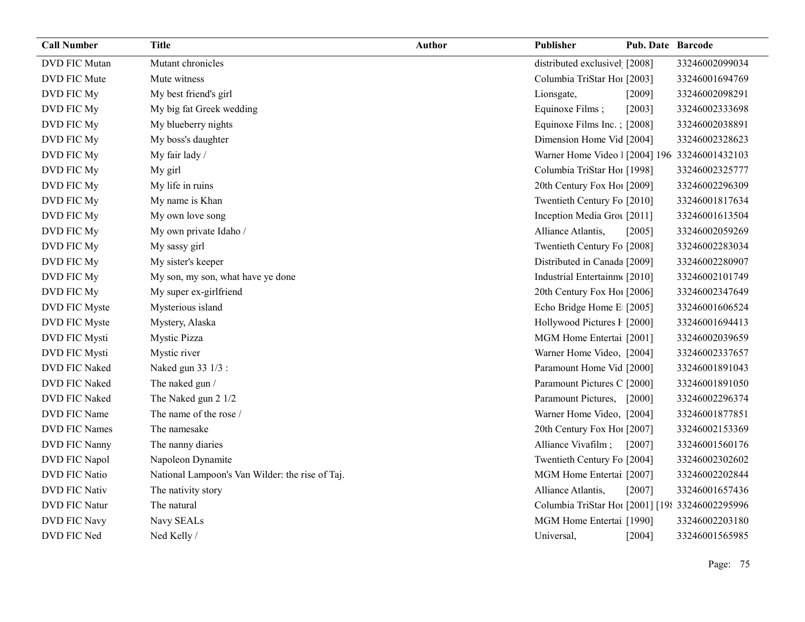| <b>Call Number</b>   | <b>Title</b>                                    | <b>Author</b> | Publisher                                       | <b>Pub. Date Barcode</b> |                |
|----------------------|-------------------------------------------------|---------------|-------------------------------------------------|--------------------------|----------------|
| <b>DVD FIC Mutan</b> | Mutant chronicles                               |               | distributed exclusivel [2008]                   |                          | 33246002099034 |
| DVD FIC Mute         | Mute witness                                    |               | Columbia TriStar Hoi [2003]                     |                          | 33246001694769 |
| DVD FIC My           | My best friend's girl                           |               | Lionsgate,                                      | [2009]                   | 33246002098291 |
| DVD FIC My           | My big fat Greek wedding                        |               | Equinoxe Films;                                 | [2003]                   | 33246002333698 |
| DVD FIC My           | My blueberry nights                             |               | Equinoxe Films Inc.; [2008]                     |                          | 33246002038891 |
| DVD FIC My           | My boss's daughter                              |               | Dimension Home Vid [2004]                       |                          | 33246002328623 |
| DVD FIC My           | My fair lady /                                  |               | Warner Home Video   [2004] 196 33246001432103   |                          |                |
| DVD FIC My           | My girl                                         |               | Columbia TriStar Hoi [1998]                     |                          | 33246002325777 |
| DVD FIC My           | My life in ruins                                |               | 20th Century Fox Hol [2009]                     |                          | 33246002296309 |
| DVD FIC My           | My name is Khan                                 |               | Twentieth Century Fo [2010]                     |                          | 33246001817634 |
| DVD FIC My           | My own love song                                |               | Inception Media Grou [2011]                     |                          | 33246001613504 |
| DVD FIC My           | My own private Idaho /                          |               | Alliance Atlantis,                              | [2005]                   | 33246002059269 |
| DVD FIC My           | My sassy girl                                   |               | Twentieth Century Fo [2008]                     |                          | 33246002283034 |
| DVD FIC My           | My sister's keeper                              |               | Distributed in Canada [2009]                    |                          | 33246002280907 |
| DVD FIC My           | My son, my son, what have ye done               |               | Industrial Entertainm([2010]                    |                          | 33246002101749 |
| DVD FIC My           | My super ex-girlfriend                          |               | 20th Century Fox Ho! [2006]                     |                          | 33246002347649 |
| DVD FIC Myste        | Mysterious island                               |               | Echo Bridge Home E [2005]                       |                          | 33246001606524 |
| DVD FIC Myste        | Mystery, Alaska                                 |               | Hollywood Pictures F [2000]                     |                          | 33246001694413 |
| DVD FIC Mysti        | Mystic Pizza                                    |               | MGM Home Entertai [2001]                        |                          | 33246002039659 |
| DVD FIC Mysti        | Mystic river                                    |               | Warner Home Video, [2004]                       |                          | 33246002337657 |
| DVD FIC Naked        | Naked gun 33 1/3 :                              |               | Paramount Home Vid [2000]                       |                          | 33246001891043 |
| DVD FIC Naked        | The naked gun /                                 |               | Paramount Pictures C [2000]                     |                          | 33246001891050 |
| DVD FIC Naked        | The Naked gun 2 1/2                             |               | Paramount Pictures,                             | [2000]                   | 33246002296374 |
| DVD FIC Name         | The name of the rose /                          |               | Warner Home Video, [2004]                       |                          | 33246001877851 |
| DVD FIC Names        | The namesake                                    |               | 20th Century Fox Ho! [2007]                     |                          | 33246002153369 |
| DVD FIC Nanny        | The nanny diaries                               |               | Alliance Vivafilm;                              | [2007]                   | 33246001560176 |
| DVD FIC Napol        | Napoleon Dynamite                               |               | Twentieth Century Fo [2004]                     |                          | 33246002302602 |
| DVD FIC Natio        | National Lampoon's Van Wilder: the rise of Taj. |               | MGM Home Entertai [2007]                        |                          | 33246002202844 |
| <b>DVD FIC Nativ</b> | The nativity story                              |               | Alliance Atlantis,                              | [2007]                   | 33246001657436 |
| <b>DVD FIC Natur</b> | The natural                                     |               | Columbia TriStar Hoi [2001] [198 33246002295996 |                          |                |
| <b>DVD FIC Navy</b>  | Navy SEALs                                      |               | MGM Home Entertai [1990]                        |                          | 33246002203180 |
| DVD FIC Ned          | Ned Kelly /                                     |               | Universal,                                      | $[2004]$                 | 33246001565985 |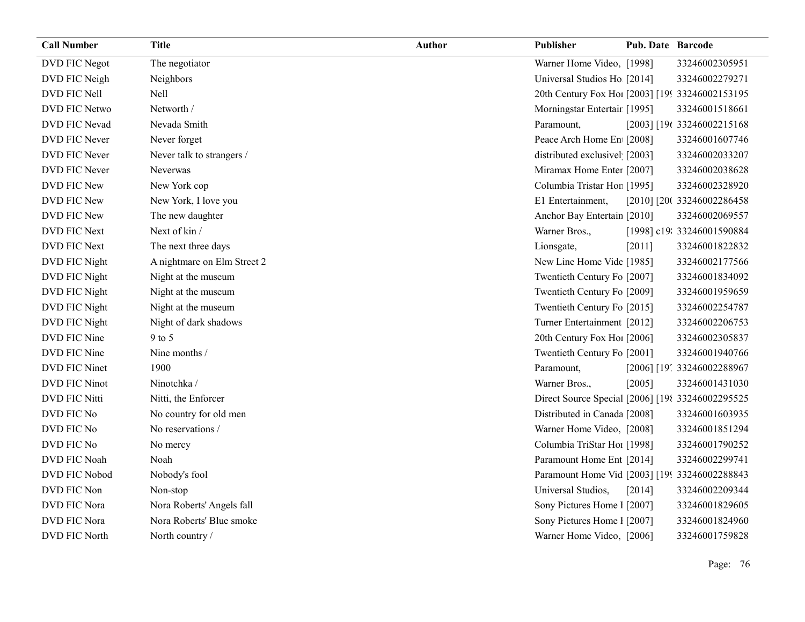| <b>Call Number</b>   | <b>Title</b>                | <b>Author</b> | Publisher                                        | <b>Pub. Date Barcode</b> |                             |
|----------------------|-----------------------------|---------------|--------------------------------------------------|--------------------------|-----------------------------|
| DVD FIC Negot        | The negotiator              |               | Warner Home Video, [1998]                        |                          | 33246002305951              |
| DVD FIC Neigh        | Neighbors                   |               | Universal Studios Ho [2014]                      |                          | 33246002279271              |
| DVD FIC Nell         | Nell                        |               | 20th Century Fox Ho! [2003] [199 33246002153195  |                          |                             |
| DVD FIC Netwo        | Networth /                  |               | Morningstar Entertair [1995]                     |                          | 33246001518661              |
| DVD FIC Nevad        | Nevada Smith                |               | Paramount,                                       |                          | [2003] [196 33246002215168  |
| DVD FIC Never        | Never forget                |               | Peace Arch Home En [2008]                        |                          | 33246001607746              |
| DVD FIC Never        | Never talk to strangers /   |               | distributed exclusivel [2003]                    |                          | 33246002033207              |
| DVD FIC Never        | <b>Neverwas</b>             |               | Miramax Home Enter [2007]                        |                          | 33246002038628              |
| DVD FIC New          | New York cop                |               | Columbia Tristar Hor [1995]                      |                          | 33246002328920              |
| DVD FIC New          | New York, I love you        |               | E1 Entertainment,                                |                          | [2010] [20( 33246002286458  |
| DVD FIC New          | The new daughter            |               | Anchor Bay Entertain [2010]                      |                          | 33246002069557              |
| DVD FIC Next         | Next of kin /               |               | Warner Bros.,                                    |                          | [1998] c19: 33246001590884  |
| DVD FIC Next         | The next three days         |               | Lionsgate,                                       | [2011]                   | 33246001822832              |
| DVD FIC Night        | A nightmare on Elm Street 2 |               | New Line Home Vide [1985]                        |                          | 33246002177566              |
| DVD FIC Night        | Night at the museum         |               | Twentieth Century Fo [2007]                      |                          | 33246001834092              |
| DVD FIC Night        | Night at the museum         |               | Twentieth Century Fo [2009]                      |                          | 33246001959659              |
| DVD FIC Night        | Night at the museum         |               | Twentieth Century Fo [2015]                      |                          | 33246002254787              |
| DVD FIC Night        | Night of dark shadows       |               | Turner Entertainment [2012]                      |                          | 33246002206753              |
| DVD FIC Nine         | $9$ to 5                    |               | 20th Century Fox Ho! [2006]                      |                          | 33246002305837              |
| DVD FIC Nine         | Nine months /               |               | Twentieth Century Fo [2001]                      |                          | 33246001940766              |
| DVD FIC Ninet        | 1900                        |               | Paramount,                                       |                          | [2006] [19', 33246002288967 |
| <b>DVD FIC Ninot</b> | Ninotchka /                 |               | Warner Bros.,                                    | [2005]                   | 33246001431030              |
| DVD FIC Nitti        | Nitti, the Enforcer         |               | Direct Source Special [2006] [198 33246002295525 |                          |                             |
| DVD FIC No           | No country for old men      |               | Distributed in Canada [2008]                     |                          | 33246001603935              |
| DVD FIC No           | No reservations /           |               | Warner Home Video, [2008]                        |                          | 33246001851294              |
| DVD FIC No           | No mercy                    |               | Columbia TriStar Hoi [1998]                      |                          | 33246001790252              |
| DVD FIC Noah         | Noah                        |               | Paramount Home Ent [2014]                        |                          | 33246002299741              |
| DVD FIC Nobod        | Nobody's fool               |               | Paramount Home Vid [2003] [199 33246002288843    |                          |                             |
| DVD FIC Non          | Non-stop                    |               | Universal Studios,                               | [2014]                   | 33246002209344              |
| DVD FIC Nora         | Nora Roberts' Angels fall   |               | Sony Pictures Home 1 [2007]                      |                          | 33246001829605              |
| DVD FIC Nora         | Nora Roberts' Blue smoke    |               | Sony Pictures Home 1 [2007]                      |                          | 33246001824960              |
| DVD FIC North        | North country /             |               | Warner Home Video, [2006]                        |                          | 33246001759828              |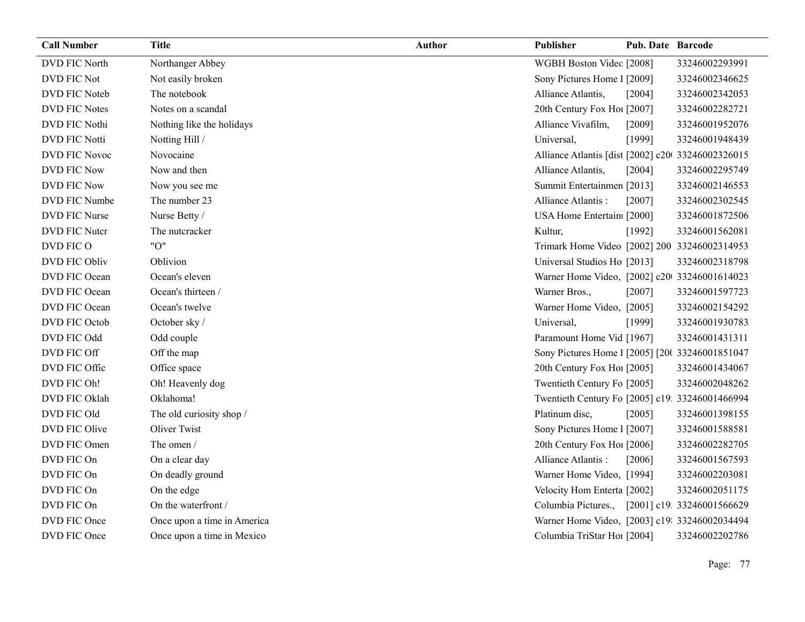| <b>Call Number</b>   | <b>Title</b>                | <b>Author</b> | Publisher                                         | <b>Pub. Date Barcode</b> |                            |
|----------------------|-----------------------------|---------------|---------------------------------------------------|--------------------------|----------------------------|
| <b>DVD FIC North</b> | Northanger Abbey            |               | WGBH Boston Videc [2008]                          |                          | 33246002293991             |
| DVD FIC Not          | Not easily broken           |               | Sony Pictures Home 1 [2009]                       |                          | 33246002346625             |
| DVD FIC Noteb        | The notebook                |               | Alliance Atlantis,                                | [2004]                   | 33246002342053             |
| <b>DVD FIC Notes</b> | Notes on a scandal          |               | 20th Century Fox Ho! [2007]                       |                          | 33246002282721             |
| DVD FIC Nothi        | Nothing like the holidays   |               | Alliance Vivafilm,                                | [2009]                   | 33246001952076             |
| <b>DVD FIC Notti</b> | Notting Hill /              |               | Universal,                                        | [1999]                   | 33246001948439             |
| DVD FIC Novoc        | Novocaine                   |               | Alliance Atlantis [dist [2002] c20 33246002326015 |                          |                            |
| <b>DVD FIC Now</b>   | Now and then                |               | Alliance Atlantis,                                | [2004]                   | 33246002295749             |
| <b>DVD FIC Now</b>   | Now you see me              |               | Summit Entertainmen [2013]                        |                          | 33246002146553             |
| DVD FIC Numbe        | The number 23               |               | Alliance Atlantis:                                | [2007]                   | 33246002302545             |
| DVD FIC Nurse        | Nurse Betty /               |               | USA Home Entertain: [2000]                        |                          | 33246001872506             |
| DVD FIC Nutcr        | The nutcracker              |               | Kultur,                                           | [1992]                   | 33246001562081             |
| DVD FIC O            | "O"                         |               | Trimark Home Video [2002] 200 33246002314953      |                          |                            |
| DVD FIC Obliv        | Oblivion                    |               | Universal Studios Ho [2013]                       |                          | 33246002318798             |
| DVD FIC Ocean        | Ocean's eleven              |               | Warner Home Video, [2002] c20 33246001614023      |                          |                            |
| DVD FIC Ocean        | Ocean's thirteen /          |               | Warner Bros.,                                     | $[2007]$                 | 33246001597723             |
| DVD FIC Ocean        | Ocean's twelve              |               | Warner Home Video, [2005]                         |                          | 33246002154292             |
| DVD FIC Octob        | October sky /               |               | Universal,                                        | [1999]                   | 33246001930783             |
| DVD FIC Odd          | Odd couple                  |               | Paramount Home Vid [1967]                         |                          | 33246001431311             |
| DVD FIC Off          | Off the map                 |               | Sony Pictures Home 1 [2005] [20( 33246001851047   |                          |                            |
| DVD FIC Offic        | Office space                |               | 20th Century Fox Ho! [2005]                       |                          | 33246001434067             |
| DVD FIC Oh!          | Oh! Heavenly dog            |               | Twentieth Century Fo [2005]                       |                          | 33246002048262             |
| DVD FIC Oklah        | Oklahoma!                   |               | Twentieth Century Fo [2005] c19: 33246001466994   |                          |                            |
| DVD FIC Old          | The old curiosity shop /    |               | Platinum disc,                                    | [2005]                   | 33246001398155             |
| DVD FIC Olive        | <b>Oliver Twist</b>         |               | Sony Pictures Home 1 [2007]                       |                          | 33246001588581             |
| DVD FIC Omen         | The omen /                  |               | 20th Century Fox Ho! [2006]                       |                          | 33246002282705             |
| DVD FIC On           | On a clear day              |               | Alliance Atlantis:                                | [2006]                   | 33246001567593             |
| DVD FIC On           | On deadly ground            |               | Warner Home Video, [1994]                         |                          | 33246002203081             |
| DVD FIC On           | On the edge                 |               | Velocity Hom Enterta [2002]                       |                          | 33246002051175             |
| DVD FIC On           | On the waterfront /         |               | Columbia Pictures.,                               |                          | [2001] c19: 33246001566629 |
| DVD FIC Once         | Once upon a time in America |               | Warner Home Video, [2003] c19: 33246002034494     |                          |                            |
| DVD FIC Once         | Once upon a time in Mexico  |               | Columbia TriStar Ho1 [2004]                       |                          | 33246002202786             |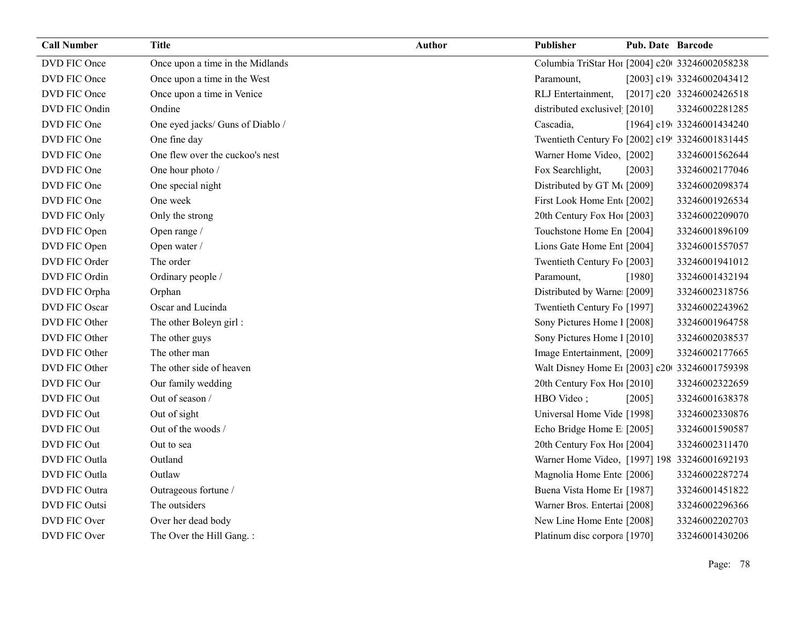| <b>Call Number</b> | <b>Title</b>                     | Author | Publisher                                       | Pub. Date Barcode |                           |
|--------------------|----------------------------------|--------|-------------------------------------------------|-------------------|---------------------------|
| DVD FIC Once       | Once upon a time in the Midlands |        | Columbia TriStar Ho1 [2004] c20 33246002058238  |                   |                           |
| DVD FIC Once       | Once upon a time in the West     |        | Paramount,                                      |                   | [2003] c19(33246002043412 |
| DVD FIC Once       | Once upon a time in Venice       |        | RLJ Entertainment,                              |                   | [2017] c20 33246002426518 |
| DVD FIC Ondin      | Ondine                           |        | distributed exclusivel [2010]                   |                   | 33246002281285            |
| DVD FIC One        | One eyed jacks/ Guns of Diablo / |        | Cascadia,                                       |                   | [1964] c19(33246001434240 |
| DVD FIC One        | One fine day                     |        | Twentieth Century Fo [2002] c19! 33246001831445 |                   |                           |
| DVD FIC One        | One flew over the cuckoo's nest  |        | Warner Home Video, [2002]                       |                   | 33246001562644            |
| DVD FIC One        | One hour photo /                 |        | Fox Searchlight,                                | [2003]            | 33246002177046            |
| DVD FIC One        | One special night                |        | Distributed by GT M([2009]                      |                   | 33246002098374            |
| DVD FIC One        | One week                         |        | First Look Home Ent [2002]                      |                   | 33246001926534            |
| DVD FIC Only       | Only the strong                  |        | 20th Century Fox Ho! [2003]                     |                   | 33246002209070            |
| DVD FIC Open       | Open range /                     |        | Touchstone Home En [2004]                       |                   | 33246001896109            |
| DVD FIC Open       | Open water /                     |        | Lions Gate Home Ent [2004]                      |                   | 33246001557057            |
| DVD FIC Order      | The order                        |        | Twentieth Century Fo [2003]                     |                   | 33246001941012            |
| DVD FIC Ordin      | Ordinary people /                |        | Paramount,                                      | [1980]            | 33246001432194            |
| DVD FIC Orpha      | Orphan                           |        | Distributed by Warne [2009]                     |                   | 33246002318756            |
| DVD FIC Oscar      | Oscar and Lucinda                |        | Twentieth Century Fo [1997]                     |                   | 33246002243962            |
| DVD FIC Other      | The other Boleyn girl:           |        | Sony Pictures Home 1 [2008]                     |                   | 33246001964758            |
| DVD FIC Other      | The other guys                   |        | Sony Pictures Home 1 [2010]                     |                   | 33246002038537            |
| DVD FIC Other      | The other man                    |        | Image Entertainment, [2009]                     |                   | 33246002177665            |
| DVD FIC Other      | The other side of heaven         |        | Walt Disney Home E1 [2003] c20 33246001759398   |                   |                           |
| DVD FIC Our        | Our family wedding               |        | 20th Century Fox Ho! [2010]                     |                   | 33246002322659            |
| DVD FIC Out        | Out of season /                  |        | HBO Video;                                      | [2005]            | 33246001638378            |
| DVD FIC Out        | Out of sight                     |        | Universal Home Vide [1998]                      |                   | 33246002330876            |
| DVD FIC Out        | Out of the woods /               |        | Echo Bridge Home E [2005]                       |                   | 33246001590587            |
| DVD FIC Out        | Out to sea                       |        | 20th Century Fox Ho! [2004]                     |                   | 33246002311470            |
| DVD FIC Outla      | Outland                          |        | Warner Home Video, [1997] 198 33246001692193    |                   |                           |
| DVD FIC Outla      | Outlaw                           |        | Magnolia Home Ente [2006]                       |                   | 33246002287274            |
| DVD FIC Outra      | Outrageous fortune /             |        | Buena Vista Home Er [1987]                      |                   | 33246001451822            |
| DVD FIC Outsi      | The outsiders                    |        | Warner Bros. Entertai [2008]                    |                   | 33246002296366            |
| DVD FIC Over       | Over her dead body               |        | New Line Home Ente [2008]                       |                   | 33246002202703            |
| DVD FIC Over       | The Over the Hill Gang.:         |        | Platinum disc corpora [1970]                    |                   | 33246001430206            |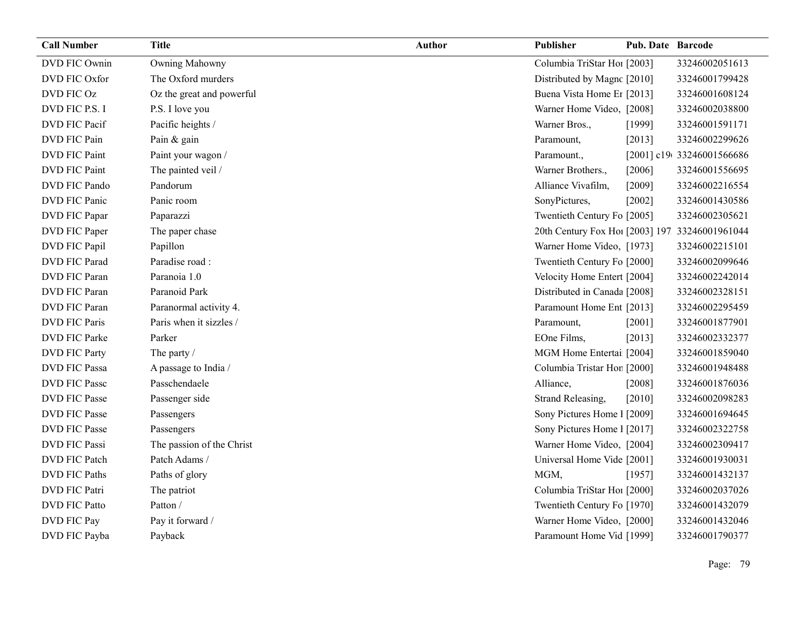| <b>Call Number</b>   | <b>Title</b>              | <b>Author</b> | Publisher                                       | <b>Pub. Date Barcode</b> |                           |
|----------------------|---------------------------|---------------|-------------------------------------------------|--------------------------|---------------------------|
| DVD FIC Ownin        | Owning Mahowny            |               | Columbia TriStar Hoi [2003]                     |                          | 33246002051613            |
| DVD FIC Oxfor        | The Oxford murders        |               | Distributed by Magnc [2010]                     |                          | 33246001799428            |
| DVD FIC Oz           | Oz the great and powerful |               | Buena Vista Home Er [2013]                      |                          | 33246001608124            |
| DVD FIC P.S. I       | P.S. I love you           |               | Warner Home Video, [2008]                       |                          | 33246002038800            |
| DVD FIC Pacif        | Pacific heights /         |               | Warner Bros.,                                   | [1999]                   | 33246001591171            |
| DVD FIC Pain         | Pain & gain               |               | Paramount,                                      | [2013]                   | 33246002299626            |
| <b>DVD FIC Paint</b> | Paint your wagon /        |               | Paramount.,                                     |                          | [2001] c19(33246001566686 |
| <b>DVD FIC Paint</b> | The painted veil /        |               | Warner Brothers.,                               | [2006]                   | 33246001556695            |
| DVD FIC Pando        | Pandorum                  |               | Alliance Vivafilm,                              | [2009]                   | 33246002216554            |
| DVD FIC Panic        | Panic room                |               | SonyPictures,                                   | [2002]                   | 33246001430586            |
| DVD FIC Papar        | Paparazzi                 |               | Twentieth Century Fo [2005]                     |                          | 33246002305621            |
| DVD FIC Paper        | The paper chase           |               | 20th Century Fox Ho! [2003] 197. 33246001961044 |                          |                           |
| DVD FIC Papil        | Papillon                  |               | Warner Home Video, [1973]                       |                          | 33246002215101            |
| DVD FIC Parad        | Paradise road:            |               | Twentieth Century Fo [2000]                     |                          | 33246002099646            |
| <b>DVD FIC Paran</b> | Paranoia 1.0              |               | Velocity Home Entert [2004]                     |                          | 33246002242014            |
| DVD FIC Paran        | Paranoid Park             |               | Distributed in Canada [2008]                    |                          | 33246002328151            |
| DVD FIC Paran        | Paranormal activity 4.    |               | Paramount Home Ent [2013]                       |                          | 33246002295459            |
| <b>DVD FIC Paris</b> | Paris when it sizzles /   |               | Paramount,                                      | [2001]                   | 33246001877901            |
| DVD FIC Parke        | Parker                    |               | EOne Films,                                     | [2013]                   | 33246002332377            |
| <b>DVD FIC Party</b> | The party /               |               | MGM Home Entertai [2004]                        |                          | 33246001859040            |
| <b>DVD FIC Passa</b> | A passage to India /      |               | Columbia Tristar Hor [2000]                     |                          | 33246001948488            |
| <b>DVD FIC Passe</b> | Passchendaele             |               | Alliance,                                       | [2008]                   | 33246001876036            |
| <b>DVD FIC Passe</b> | Passenger side            |               | Strand Releasing,                               | [2010]                   | 33246002098283            |
| <b>DVD FIC Passe</b> | Passengers                |               | Sony Pictures Home 1 [2009]                     |                          | 33246001694645            |
| <b>DVD FIC Passe</b> | Passengers                |               | Sony Pictures Home 1 [2017]                     |                          | 33246002322758            |
| <b>DVD FIC Passi</b> | The passion of the Christ |               | Warner Home Video, [2004]                       |                          | 33246002309417            |
| DVD FIC Patch        | Patch Adams /             |               | Universal Home Vide [2001]                      |                          | 33246001930031            |
| <b>DVD FIC Paths</b> | Paths of glory            |               | MGM,                                            | [1957]                   | 33246001432137            |
| <b>DVD FIC Patri</b> | The patriot               |               | Columbia TriStar Hoi [2000]                     |                          | 33246002037026            |
| <b>DVD FIC Patto</b> | Patton /                  |               | Twentieth Century Fo [1970]                     |                          | 33246001432079            |
| DVD FIC Pay          | Pay it forward /          |               | Warner Home Video, [2000]                       |                          | 33246001432046            |
| DVD FIC Payba        | Payback                   |               | Paramount Home Vid [1999]                       |                          | 33246001790377            |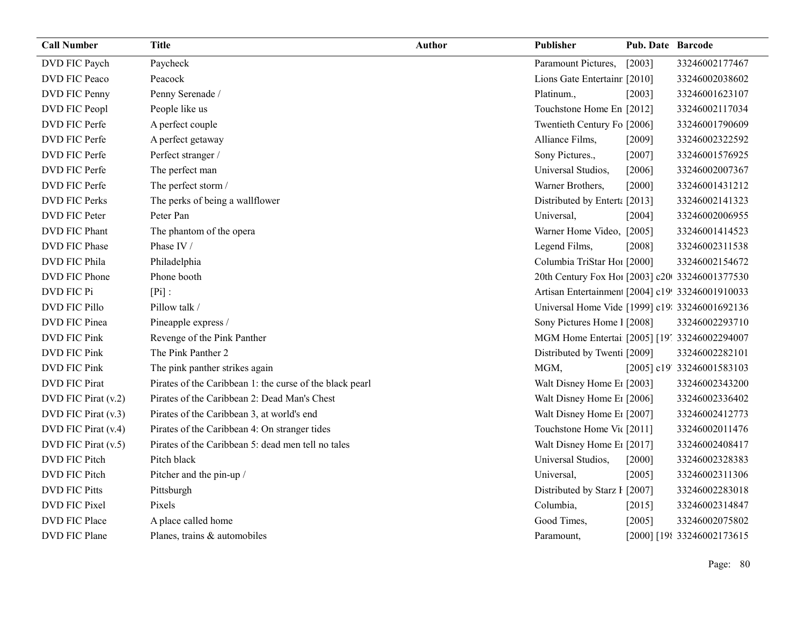| <b>Call Number</b>   | <b>Title</b>                                             | Author | Publisher                                       | <b>Pub. Date Barcode</b> |                            |
|----------------------|----------------------------------------------------------|--------|-------------------------------------------------|--------------------------|----------------------------|
| DVD FIC Paych        | Paycheck                                                 |        | Paramount Pictures,                             | [2003]                   | 33246002177467             |
| DVD FIC Peaco        | Peacock                                                  |        | Lions Gate Entertainr [2010]                    |                          | 33246002038602             |
| DVD FIC Penny        | Penny Serenade /                                         |        | Platinum.,                                      | [2003]                   | 33246001623107             |
| DVD FIC Peopl        | People like us                                           |        | Touchstone Home En [2012]                       |                          | 33246002117034             |
| DVD FIC Perfe        | A perfect couple                                         |        | Twentieth Century Fo [2006]                     |                          | 33246001790609             |
| DVD FIC Perfe        | A perfect getaway                                        |        | Alliance Films,                                 | [2009]                   | 33246002322592             |
| DVD FIC Perfe        | Perfect stranger /                                       |        | Sony Pictures.,                                 | $[2007]$                 | 33246001576925             |
| DVD FIC Perfe        | The perfect man                                          |        | Universal Studios,                              | [2006]                   | 33246002007367             |
| DVD FIC Perfe        | The perfect storm /                                      |        | Warner Brothers,                                | $[2000]$                 | 33246001431212             |
| <b>DVD FIC Perks</b> | The perks of being a wallflower                          |        | Distributed by Enterta [2013]                   |                          | 33246002141323             |
| DVD FIC Peter        | Peter Pan                                                |        | Universal,                                      | [2004]                   | 33246002006955             |
| DVD FIC Phant        | The phantom of the opera                                 |        | Warner Home Video, [2005]                       |                          | 33246001414523             |
| DVD FIC Phase        | Phase IV /                                               |        | Legend Films,                                   | [2008]                   | 33246002311538             |
| DVD FIC Phila        | Philadelphia                                             |        | Columbia TriStar Hoi [2000]                     |                          | 33246002154672             |
| DVD FIC Phone        | Phone booth                                              |        | 20th Century Fox Ho! [2003] c20 33246001377530  |                          |                            |
| DVD FIC Pi           | $[Pi]$ :                                                 |        | Artisan Entertainmen [2004] c19! 33246001910033 |                          |                            |
| DVD FIC Pillo        | Pillow talk /                                            |        | Universal Home Vide [1999] c19: 33246001692136  |                          |                            |
| DVD FIC Pinea        | Pineapple express /                                      |        | Sony Pictures Home 1 [2008]                     |                          | 33246002293710             |
| <b>DVD FIC Pink</b>  | Revenge of the Pink Panther                              |        | MGM Home Entertai [2005] [19] 33246002294007    |                          |                            |
| <b>DVD FIC Pink</b>  | The Pink Panther 2                                       |        | Distributed by Twenti [2009]                    |                          | 33246002282101             |
| DVD FIC Pink         | The pink panther strikes again                           |        | MGM,                                            |                          | [2005] c19' 33246001583103 |
| <b>DVD FIC Pirat</b> | Pirates of the Caribbean 1: the curse of the black pearl |        | Walt Disney Home E <sub>1</sub> [2003]          |                          | 33246002343200             |
| DVD FIC Pirat (v.2)  | Pirates of the Caribbean 2: Dead Man's Chest             |        | Walt Disney Home E1 [2006]                      |                          | 33246002336402             |
| DVD FIC Pirat (v.3)  | Pirates of the Caribbean 3, at world's end               |        | Walt Disney Home E <sub>1</sub> [2007]          |                          | 33246002412773             |
| DVD FIC Pirat (v.4)  | Pirates of the Caribbean 4: On stranger tides            |        | Touchstone Home Vic [2011]                      |                          | 33246002011476             |
| DVD FIC Pirat (v.5)  | Pirates of the Caribbean 5: dead men tell no tales       |        | Walt Disney Home E <sub>1</sub> [2017]          |                          | 33246002408417             |
| DVD FIC Pitch        | Pitch black                                              |        | Universal Studios,                              | $[2000]$                 | 33246002328383             |
| DVD FIC Pitch        | Pitcher and the pin-up /                                 |        | Universal,                                      | $[2005]$                 | 33246002311306             |
| <b>DVD FIC Pitts</b> | Pittsburgh                                               |        | Distributed by Starz I [2007]                   |                          | 33246002283018             |
| DVD FIC Pixel        | Pixels                                                   |        | Columbia,                                       | [2015]                   | 33246002314847             |
| DVD FIC Place        | A place called home                                      |        | Good Times,                                     | $[2005]$                 | 33246002075802             |
| DVD FIC Plane        | Planes, trains & automobiles                             |        | Paramount,                                      |                          | [2000] [198 33246002173615 |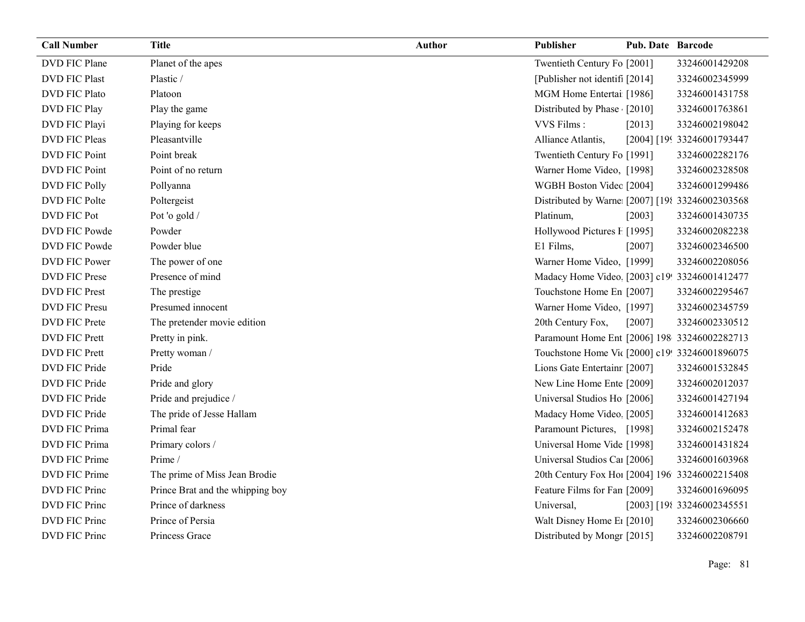| <b>Call Number</b>   | <b>Title</b>                     | <b>Author</b> | Publisher                                       | <b>Pub. Date Barcode</b> |                            |
|----------------------|----------------------------------|---------------|-------------------------------------------------|--------------------------|----------------------------|
| DVD FIC Plane        | Planet of the apes               |               | Twentieth Century Fo [2001]                     |                          | 33246001429208             |
| <b>DVD FIC Plast</b> | Plastic /                        |               | [Publisher not identif] [2014]                  |                          | 33246002345999             |
| <b>DVD FIC Plato</b> | Platoon                          |               | MGM Home Entertai [1986]                        |                          | 33246001431758             |
| DVD FIC Play         | Play the game                    |               | Distributed by Phase [2010]                     |                          | 33246001763861             |
| DVD FIC Playi        | Playing for keeps                |               | VVS Films:                                      | [2013]                   | 33246002198042             |
| DVD FIC Pleas        | Pleasantville                    |               | Alliance Atlantis,                              |                          | [2004] [199 33246001793447 |
| DVD FIC Point        | Point break                      |               | Twentieth Century Fo [1991]                     |                          | 33246002282176             |
| DVD FIC Point        | Point of no return               |               | Warner Home Video, [1998]                       |                          | 33246002328508             |
| <b>DVD FIC Polly</b> | Pollyanna                        |               | WGBH Boston Videc [2004]                        |                          | 33246001299486             |
| DVD FIC Polte        | Poltergeist                      |               | Distributed by Warne [2007] [198 33246002303568 |                          |                            |
| <b>DVD FIC Pot</b>   | Pot 'o gold /                    |               | Platinum,                                       | [2003]                   | 33246001430735             |
| DVD FIC Powde        | Powder                           |               | Hollywood Pictures F [1995]                     |                          | 33246002082238             |
| DVD FIC Powde        | Powder blue                      |               | E1 Films,                                       | [2007]                   | 33246002346500             |
| DVD FIC Power        | The power of one                 |               | Warner Home Video, [1999]                       |                          | 33246002208056             |
| <b>DVD FIC Prese</b> | Presence of mind                 |               | Madacy Home Video [2003] c19! 33246001412477    |                          |                            |
| <b>DVD FIC Prest</b> | The prestige                     |               | Touchstone Home En [2007]                       |                          | 33246002295467             |
| <b>DVD FIC Presu</b> | Presumed innocent                |               | Warner Home Video, [1997]                       |                          | 33246002345759             |
| DVD FIC Prete        | The pretender movie edition      |               | 20th Century Fox,                               | [2007]                   | 33246002330512             |
| <b>DVD FIC Prett</b> | Pretty in pink.                  |               | Paramount Home Ent [2006] 198 33246002282713    |                          |                            |
| <b>DVD FIC Prett</b> | Pretty woman /                   |               | Touchstone Home Vic [2000] c19! 33246001896075  |                          |                            |
| DVD FIC Pride        | Pride                            |               | Lions Gate Entertainr [2007]                    |                          | 33246001532845             |
| DVD FIC Pride        | Pride and glory                  |               | New Line Home Ente [2009]                       |                          | 33246002012037             |
| DVD FIC Pride        | Pride and prejudice /            |               | Universal Studios Ho [2006]                     |                          | 33246001427194             |
| DVD FIC Pride        | The pride of Jesse Hallam        |               | Madacy Home Video. [2005]                       |                          | 33246001412683             |
| DVD FIC Prima        | Primal fear                      |               | Paramount Pictures, [1998]                      |                          | 33246002152478             |
| DVD FIC Prima        | Primary colors /                 |               | Universal Home Vide [1998]                      |                          | 33246001431824             |
| DVD FIC Prime        | Prime /                          |               | Universal Studios Ca1 [2006]                    |                          | 33246001603968             |
| DVD FIC Prime        | The prime of Miss Jean Brodie    |               | 20th Century Fox Ho! [2004] 196 33246002215408  |                          |                            |
| DVD FIC Princ        | Prince Brat and the whipping boy |               | Feature Films for Fan [2009]                    |                          | 33246001696095             |
| DVD FIC Princ        | Prince of darkness               |               | Universal,                                      |                          | [2003] [198 33246002345551 |
| <b>DVD FIC Princ</b> | Prince of Persia                 |               | Walt Disney Home E1 [2010]                      |                          | 33246002306660             |
| DVD FIC Princ        | Princess Grace                   |               | Distributed by Mongr [2015]                     |                          | 33246002208791             |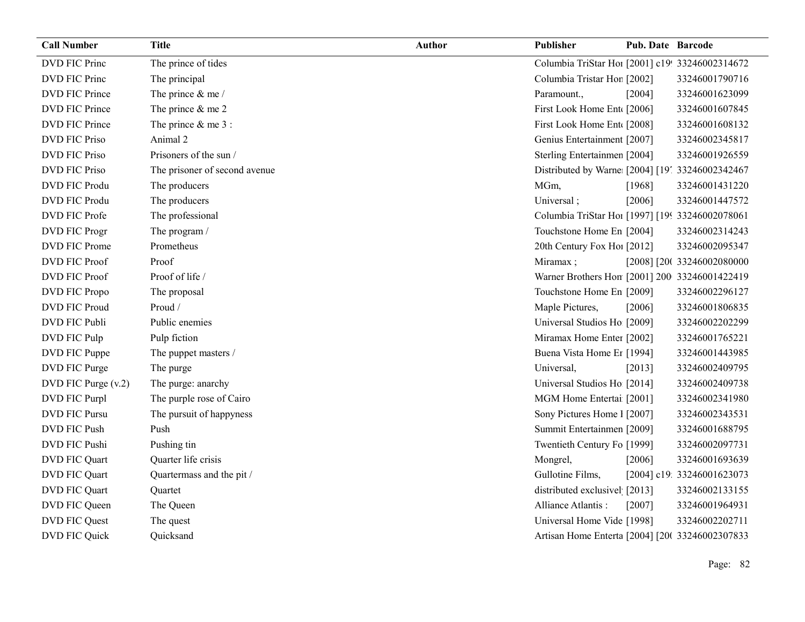| <b>Call Number</b>    | <b>Title</b>                  | <b>Author</b> | <b>Publisher</b>                                | Pub. Date Barcode |                            |
|-----------------------|-------------------------------|---------------|-------------------------------------------------|-------------------|----------------------------|
| DVD FIC Princ         | The prince of tides           |               | Columbia TriStar Hoi [2001] c19! 33246002314672 |                   |                            |
| <b>DVD FIC Princ</b>  | The principal                 |               | Columbia Tristar Hor [2002]                     |                   | 33246001790716             |
| <b>DVD FIC Prince</b> | The prince $&$ me /           |               | Paramount.,                                     | [2004]            | 33246001623099             |
| DVD FIC Prince        | The prince $&$ me 2           |               | First Look Home Ent [2006]                      |                   | 33246001607845             |
| <b>DVD FIC Prince</b> | The prince $&$ me 3 :         |               | First Look Home Ent [2008]                      |                   | 33246001608132             |
| <b>DVD FIC Priso</b>  | Animal 2                      |               | Genius Entertainment [2007]                     |                   | 33246002345817             |
| <b>DVD FIC Priso</b>  | Prisoners of the sun /        |               | Sterling Entertainmen [2004]                    |                   | 33246001926559             |
| <b>DVD FIC Priso</b>  | The prisoner of second avenue |               | Distributed by Warne [2004] [19] 33246002342467 |                   |                            |
| DVD FIC Produ         | The producers                 |               | MGm,                                            | [1968]            | 33246001431220             |
| <b>DVD FIC Produ</b>  | The producers                 |               | Universal;                                      | [2006]            | 33246001447572             |
| DVD FIC Profe         | The professional              |               | Columbia TriStar Hoi [1997] [199 33246002078061 |                   |                            |
| DVD FIC Progr         | The program /                 |               | Touchstone Home En [2004]                       |                   | 33246002314243             |
| DVD FIC Prome         | Prometheus                    |               | 20th Century Fox Ho! [2012]                     |                   | 33246002095347             |
| <b>DVD FIC Proof</b>  | Proof                         |               | Miramax;                                        |                   | [2008] [20( 33246002080000 |
| <b>DVD FIC Proof</b>  | Proof of life /               |               | Warner Brothers Hon [2001] 200 33246001422419   |                   |                            |
| DVD FIC Propo         | The proposal                  |               | Touchstone Home En [2009]                       |                   | 33246002296127             |
| <b>DVD FIC Proud</b>  | Proud /                       |               | Maple Pictures,                                 | [2006]            | 33246001806835             |
| DVD FIC Publi         | Public enemies                |               | Universal Studios Ho [2009]                     |                   | 33246002202299             |
| DVD FIC Pulp          | Pulp fiction                  |               | Miramax Home Enter [2002]                       |                   | 33246001765221             |
| DVD FIC Puppe         | The puppet masters /          |               | Buena Vista Home Et [1994]                      |                   | 33246001443985             |
| DVD FIC Purge         | The purge                     |               | Universal,                                      | [2013]            | 33246002409795             |
| DVD FIC Purge (v.2)   | The purge: anarchy            |               | Universal Studios Ho [2014]                     |                   | 33246002409738             |
| DVD FIC Purpl         | The purple rose of Cairo      |               | MGM Home Entertai [2001]                        |                   | 33246002341980             |
| DVD FIC Pursu         | The pursuit of happyness      |               | Sony Pictures Home 1 [2007]                     |                   | 33246002343531             |
| DVD FIC Push          | Push                          |               | Summit Entertainmen [2009]                      |                   | 33246001688795             |
| DVD FIC Pushi         | Pushing tin                   |               | Twentieth Century Fo [1999]                     |                   | 33246002097731             |
| DVD FIC Quart         | Quarter life crisis           |               | Mongrel,                                        | [2006]            | 33246001693639             |
| DVD FIC Quart         | Quartermass and the pit /     |               | Gullotine Films,                                |                   | [2004] c19: 33246001623073 |
| DVD FIC Quart         | Quartet                       |               | distributed exclusivel [2013]                   |                   | 33246002133155             |
| DVD FIC Queen         | The Queen                     |               | Alliance Atlantis:                              | [2007]            | 33246001964931             |
| DVD FIC Quest         | The quest                     |               | Universal Home Vide [1998]                      |                   | 33246002202711             |
| DVD FIC Quick         | Quicksand                     |               | Artisan Home Enterta [2004] [200 33246002307833 |                   |                            |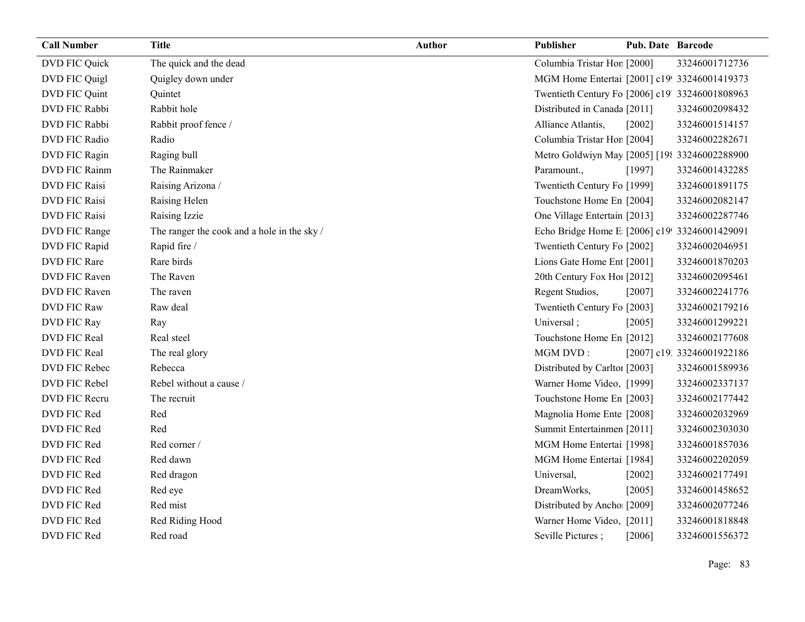| <b>Call Number</b>   | <b>Title</b>                                | <b>Author</b> | Publisher                                       | <b>Pub. Date Barcode</b> |                            |
|----------------------|---------------------------------------------|---------------|-------------------------------------------------|--------------------------|----------------------------|
| DVD FIC Quick        | The quick and the dead                      |               | Columbia Tristar Hor [2000]                     |                          | 33246001712736             |
| DVD FIC Quigl        | Quigley down under                          |               | MGM Home Entertai [2001] c19! 33246001419373    |                          |                            |
| DVD FIC Quint        | Quintet                                     |               | Twentieth Century Fo [2006] c19' 33246001808963 |                          |                            |
| DVD FIC Rabbi        | Rabbit hole                                 |               | Distributed in Canada [2011]                    |                          | 33246002098432             |
| DVD FIC Rabbi        | Rabbit proof fence /                        |               | Alliance Atlantis,                              | [2002]                   | 33246001514157             |
| DVD FIC Radio        | Radio                                       |               | Columbia Tristar Hor [2004]                     |                          | 33246002282671             |
| DVD FIC Ragin        | Raging bull                                 |               | Metro Goldwiyn May [2005] [198 33246002288900   |                          |                            |
| DVD FIC Rainm        | The Rainmaker                               |               | Paramount.,                                     | [1997]                   | 33246001432285             |
| <b>DVD FIC Raisi</b> | Raising Arizona /                           |               | Twentieth Century Fo [1999]                     |                          | 33246001891175             |
| <b>DVD FIC Raisi</b> | Raising Helen                               |               | Touchstone Home En [2004]                       |                          | 33246002082147             |
| <b>DVD FIC Raisi</b> | Raising Izzie                               |               | One Village Entertain [2013]                    |                          | 33246002287746             |
| DVD FIC Range        | The ranger the cook and a hole in the sky / |               | Echo Bridge Home E [2006] c19! 33246001429091   |                          |                            |
| DVD FIC Rapid        | Rapid fire /                                |               | Twentieth Century Fo [2002]                     |                          | 33246002046951             |
| DVD FIC Rare         | Rare birds                                  |               | Lions Gate Home Ent [2001]                      |                          | 33246001870203             |
| DVD FIC Raven        | The Raven                                   |               | 20th Century Fox Ho! [2012]                     |                          | 33246002095461             |
| DVD FIC Raven        | The raven                                   |               | Regent Studios,                                 | [2007]                   | 33246002241776             |
| <b>DVD FIC Raw</b>   | Raw deal                                    |               | Twentieth Century Fo [2003]                     |                          | 33246002179216             |
| DVD FIC Ray          | Ray                                         |               | Universal;                                      | [2005]                   | 33246001299221             |
| DVD FIC Real         | Real steel                                  |               | Touchstone Home En [2012]                       |                          | 33246002177608             |
| DVD FIC Real         | The real glory                              |               | MGM DVD:                                        |                          | [2007] c19. 33246001922186 |
| DVD FIC Rebec        | Rebecca                                     |               | Distributed by Carlto1 [2003]                   |                          | 33246001589936             |
| DVD FIC Rebel        | Rebel without a cause /                     |               | Warner Home Video, [1999]                       |                          | 33246002337137             |
| DVD FIC Recru        | The recruit                                 |               | Touchstone Home En [2003]                       |                          | 33246002177442             |
| DVD FIC Red          | Red                                         |               | Magnolia Home Ente [2008]                       |                          | 33246002032969             |
| DVD FIC Red          | Red                                         |               | Summit Entertainmen [2011]                      |                          | 33246002303030             |
| DVD FIC Red          | Red corner /                                |               | MGM Home Entertai [1998]                        |                          | 33246001857036             |
| DVD FIC Red          | Red dawn                                    |               | MGM Home Entertai [1984]                        |                          | 33246002202059             |
| DVD FIC Red          | Red dragon                                  |               | Universal,                                      | $[2002]$                 | 33246002177491             |
| DVD FIC Red          | Red eye                                     |               | DreamWorks,                                     | [2005]                   | 33246001458652             |
| DVD FIC Red          | Red mist                                    |               | Distributed by Ancho [2009]                     |                          | 33246002077246             |
| DVD FIC Red          | Red Riding Hood                             |               | Warner Home Video, [2011]                       |                          | 33246001818848             |
| DVD FIC Red          | Red road                                    |               | Seville Pictures;                               | [2006]                   | 33246001556372             |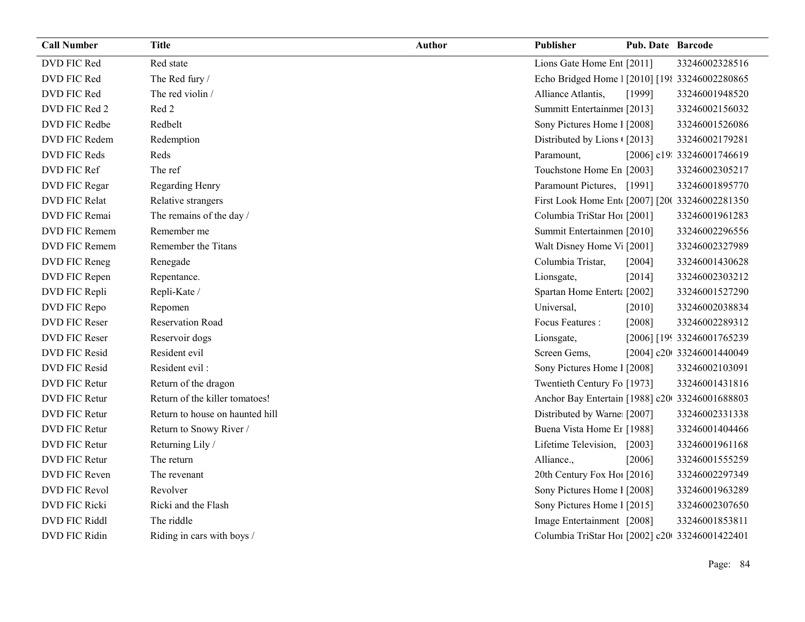| <b>Call Number</b>   | <b>Title</b>                    | <b>Author</b> | Publisher                                      | <b>Pub. Date Barcode</b> |                             |
|----------------------|---------------------------------|---------------|------------------------------------------------|--------------------------|-----------------------------|
| DVD FIC Red          | Red state                       |               | Lions Gate Home Ent [2011]                     |                          | 33246002328516              |
| DVD FIC Red          | The Red fury /                  |               | Echo Bridged Home 1 [2010] [198 33246002280865 |                          |                             |
| DVD FIC Red          | The red violin /                |               | Alliance Atlantis,                             | [1999]                   | 33246001948520              |
| DVD FIC Red 2        | Red 2                           |               | Summitt Entertainme: [2013]                    |                          | 33246002156032              |
| DVD FIC Redbe        | Redbelt                         |               | Sony Pictures Home 1 [2008]                    |                          | 33246001526086              |
| DVD FIC Redem        | Redemption                      |               | Distributed by Lions (2013)                    |                          | 33246002179281              |
| DVD FIC Reds         | Reds                            |               | Paramount,                                     |                          | [2006] c19: 33246001746619  |
| DVD FIC Ref          | The ref                         |               | Touchstone Home En [2003]                      |                          | 33246002305217              |
| DVD FIC Regar        | Regarding Henry                 |               | Paramount Pictures, [1991]                     |                          | 33246001895770              |
| DVD FIC Relat        | Relative strangers              |               | First Look Home Ent [2007] [200 33246002281350 |                          |                             |
| DVD FIC Remai        | The remains of the day /        |               | Columbia TriStar Hoi [2001]                    |                          | 33246001961283              |
| DVD FIC Remem        | Remember me                     |               | Summit Entertainmen [2010]                     |                          | 33246002296556              |
| <b>DVD FIC Remem</b> | Remember the Titans             |               | Walt Disney Home V <sub>1</sub> [2001]         |                          | 33246002327989              |
| DVD FIC Reneg        | Renegade                        |               | Columbia Tristar,                              | [2004]                   | 33246001430628              |
| DVD FIC Repen        | Repentance.                     |               | Lionsgate,                                     | [2014]                   | 33246002303212              |
| DVD FIC Repli        | Repli-Kate /                    |               | Spartan Home Entert: [2002]                    |                          | 33246001527290              |
| DVD FIC Repo         | Repomen                         |               | Universal,                                     | $[2010]$                 | 33246002038834              |
| DVD FIC Reser        | <b>Reservation Road</b>         |               | Focus Features :                               | [2008]                   | 33246002289312              |
| DVD FIC Reser        | Reservoir dogs                  |               | Lionsgate,                                     |                          | [2006] [199 33246001765239] |
| DVD FIC Resid        | Resident evil                   |               | Screen Gems,                                   |                          | [2004] c20t 33246001440049  |
| DVD FIC Resid        | Resident evil:                  |               | Sony Pictures Home 1 [2008]                    |                          | 33246002103091              |
| DVD FIC Retur        | Return of the dragon            |               | Twentieth Century Fo [1973]                    |                          | 33246001431816              |
| DVD FIC Retur        | Return of the killer tomatoes!  |               | Anchor Bay Entertain [1988] c20 33246001688803 |                          |                             |
| DVD FIC Retur        | Return to house on haunted hill |               | Distributed by Warne [2007]                    |                          | 33246002331338              |
| DVD FIC Retur        | Return to Snowy River /         |               | Buena Vista Home Er [1988]                     |                          | 33246001404466              |
| DVD FIC Retur        | Returning Lily /                |               | Lifetime Television,                           | $[2003]$                 | 33246001961168              |
| DVD FIC Retur        | The return                      |               | Alliance.,                                     | [2006]                   | 33246001555259              |
| DVD FIC Reven        | The revenant                    |               | 20th Century Fox Ho! [2016]                    |                          | 33246002297349              |
| DVD FIC Revol        | Revolver                        |               | Sony Pictures Home 1 [2008]                    |                          | 33246001963289              |
| DVD FIC Ricki        | Ricki and the Flash             |               | Sony Pictures Home 1 [2015]                    |                          | 33246002307650              |
| DVD FIC Riddl        | The riddle                      |               | Image Entertainment [2008]                     |                          | 33246001853811              |
| DVD FIC Ridin        | Riding in cars with boys /      |               | Columbia TriStar Hoi [2002] c20 33246001422401 |                          |                             |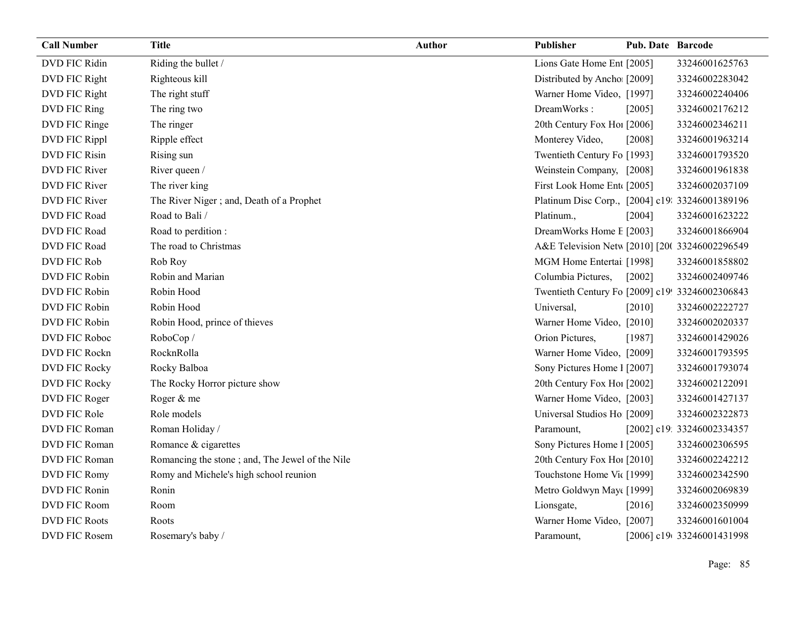| <b>Call Number</b>   | <b>Title</b>                                    | <b>Author</b> | Publisher                                       | <b>Pub. Date Barcode</b> |                            |
|----------------------|-------------------------------------------------|---------------|-------------------------------------------------|--------------------------|----------------------------|
| DVD FIC Ridin        | Riding the bullet /                             |               | Lions Gate Home Ent [2005]                      |                          | 33246001625763             |
| DVD FIC Right        | Righteous kill                                  |               | Distributed by Ancho [2009]                     |                          | 33246002283042             |
| DVD FIC Right        | The right stuff                                 |               | Warner Home Video, [1997]                       |                          | 33246002240406             |
| DVD FIC Ring         | The ring two                                    |               | DreamWorks:                                     | [2005]                   | 33246002176212             |
| DVD FIC Ringe        | The ringer                                      |               | 20th Century Fox Hol [2006]                     |                          | 33246002346211             |
| DVD FIC Rippl        | Ripple effect                                   |               | Monterey Video,                                 | [2008]                   | 33246001963214             |
| <b>DVD FIC Risin</b> | Rising sun                                      |               | Twentieth Century Fo [1993]                     |                          | 33246001793520             |
| DVD FIC River        | River queen /                                   |               | Weinstein Company, [2008]                       |                          | 33246001961838             |
| DVD FIC River        | The river king                                  |               | First Look Home Ent [2005]                      |                          | 33246002037109             |
| DVD FIC River        | The River Niger; and, Death of a Prophet        |               | Platinum Disc Corp., [2004] c19: 33246001389196 |                          |                            |
| DVD FIC Road         | Road to Bali /                                  |               | Platinum.,                                      | [2004]                   | 33246001623222             |
| DVD FIC Road         | Road to perdition :                             |               | DreamWorks Home E [2003]                        |                          | 33246001866904             |
| DVD FIC Road         | The road to Christmas                           |               | A&E Television Netw [2010] [20( 33246002296549  |                          |                            |
| DVD FIC Rob          | Rob Roy                                         |               | MGM Home Entertai [1998]                        |                          | 33246001858802             |
| DVD FIC Robin        | Robin and Marian                                |               | Columbia Pictures,                              | [2002]                   | 33246002409746             |
| DVD FIC Robin        | Robin Hood                                      |               | Twentieth Century Fo [2009] c19! 33246002306843 |                          |                            |
| DVD FIC Robin        | Robin Hood                                      |               | Universal,                                      | [2010]                   | 33246002222727             |
| DVD FIC Robin        | Robin Hood, prince of thieves                   |               | Warner Home Video, [2010]                       |                          | 33246002020337             |
| DVD FIC Roboc        | RoboCop/                                        |               | Orion Pictures,                                 | [1987]                   | 33246001429026             |
| DVD FIC Rockn        | RocknRolla                                      |               | Warner Home Video, [2009]                       |                          | 33246001793595             |
| <b>DVD FIC Rocky</b> | Rocky Balboa                                    |               | Sony Pictures Home 1 [2007]                     |                          | 33246001793074             |
| <b>DVD FIC Rocky</b> | The Rocky Horror picture show                   |               | 20th Century Fox Ho! [2002]                     |                          | 33246002122091             |
| DVD FIC Roger        | Roger & me                                      |               | Warner Home Video, [2003]                       |                          | 33246001427137             |
| DVD FIC Role         | Role models                                     |               | Universal Studios Ho [2009]                     |                          | 33246002322873             |
| DVD FIC Roman        | Roman Holiday /                                 |               | Paramount,                                      |                          | [2002] c19: 33246002334357 |
| DVD FIC Roman        | Romance & cigarettes                            |               | Sony Pictures Home 1 [2005]                     |                          | 33246002306595             |
| DVD FIC Roman        | Romancing the stone; and, The Jewel of the Nile |               | 20th Century Fox Ho! [2010]                     |                          | 33246002242212             |
| DVD FIC Romy         | Romy and Michele's high school reunion          |               | Touchstone Home Vic [1999]                      |                          | 33246002342590             |
| DVD FIC Ronin        | Ronin                                           |               | Metro Goldwyn May([1999]                        |                          | 33246002069839             |
| DVD FIC Room         | Room                                            |               | Lionsgate,                                      | [2016]                   | 33246002350999             |
| <b>DVD FIC Roots</b> | Roots                                           |               | Warner Home Video, [2007]                       |                          | 33246001601004             |
| <b>DVD FIC Rosem</b> | Rosemary's baby /                               |               | Paramount,                                      |                          | [2006] c19(33246001431998  |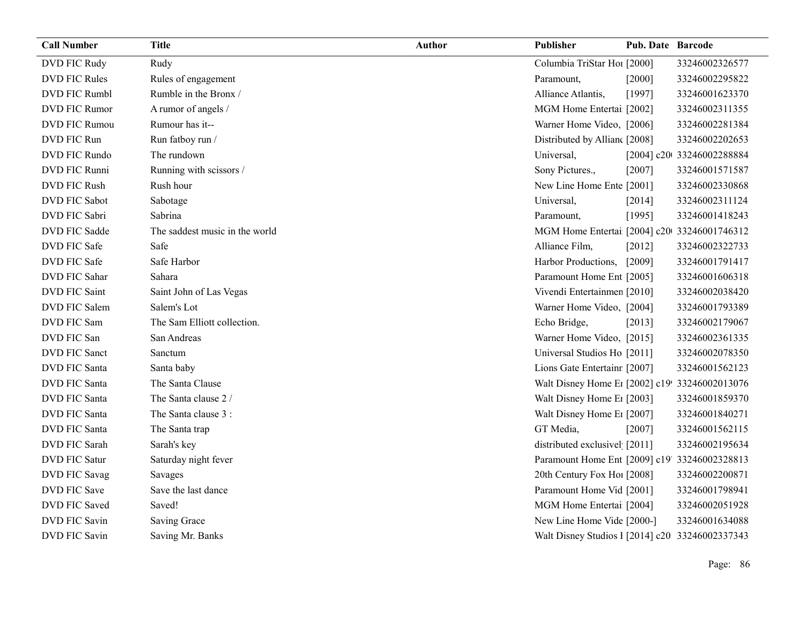| <b>Call Number</b>   | <b>Title</b>                   | <b>Author</b> | Publisher                                       | <b>Pub. Date Barcode</b> |                            |
|----------------------|--------------------------------|---------------|-------------------------------------------------|--------------------------|----------------------------|
| DVD FIC Rudy         | Rudy                           |               | Columbia TriStar Hoi [2000]                     |                          | 33246002326577             |
| <b>DVD FIC Rules</b> | Rules of engagement            |               | Paramount,                                      | [2000]                   | 33246002295822             |
| <b>DVD FIC Rumbl</b> | Rumble in the Bronx /          |               | Alliance Atlantis,                              | [1997]                   | 33246001623370             |
| <b>DVD FIC Rumor</b> | A rumor of angels /            |               | MGM Home Entertai [2002]                        |                          | 33246002311355             |
| <b>DVD FIC Rumou</b> | Rumour has it--                |               | Warner Home Video, [2006]                       |                          | 33246002281384             |
| DVD FIC Run          | Run fatboy run /               |               | Distributed by Allian [2008]                    |                          | 33246002202653             |
| DVD FIC Rundo        | The rundown                    |               | Universal,                                      |                          | [2004] c20t 33246002288884 |
| DVD FIC Runni        | Running with scissors /        |               | Sony Pictures.,                                 | [2007]                   | 33246001571587             |
| <b>DVD FIC Rush</b>  | Rush hour                      |               | New Line Home Ente [2001]                       |                          | 33246002330868             |
| <b>DVD FIC Sabot</b> | Sabotage                       |               | Universal,                                      | [2014]                   | 33246002311124             |
| DVD FIC Sabri        | Sabrina                        |               | Paramount,                                      | [1995]                   | 33246001418243             |
| <b>DVD FIC Sadde</b> | The saddest music in the world |               | MGM Home Entertai [2004] c20 33246001746312     |                          |                            |
| DVD FIC Safe         | Safe                           |               | Alliance Film,                                  | $[2012]$                 | 33246002322733             |
| <b>DVD FIC Safe</b>  | Safe Harbor                    |               | Harbor Productions,                             | [2009]                   | 33246001791417             |
| <b>DVD FIC Sahar</b> | Sahara                         |               | Paramount Home Ent [2005]                       |                          | 33246001606318             |
| <b>DVD FIC Saint</b> | Saint John of Las Vegas        |               | Vivendi Entertainmen [2010]                     |                          | 33246002038420             |
| DVD FIC Salem        | Salem's Lot                    |               | Warner Home Video, [2004]                       |                          | 33246001793389             |
| DVD FIC Sam          | The Sam Elliott collection.    |               | Echo Bridge,                                    | [2013]                   | 33246002179067             |
| DVD FIC San          | San Andreas                    |               | Warner Home Video, [2015]                       |                          | 33246002361335             |
| DVD FIC Sanct        | Sanctum                        |               | Universal Studios Ho [2011]                     |                          | 33246002078350             |
| DVD FIC Santa        | Santa baby                     |               | Lions Gate Entertainr [2007]                    |                          | 33246001562123             |
| <b>DVD FIC Santa</b> | The Santa Clause               |               | Walt Disney Home E1 [2002] c19! 33246002013076  |                          |                            |
| DVD FIC Santa        | The Santa clause 2 /           |               | Walt Disney Home E1 [2003]                      |                          | 33246001859370             |
| <b>DVD FIC Santa</b> | The Santa clause 3 :           |               | Walt Disney Home E <sub>1</sub> [2007]          |                          | 33246001840271             |
| <b>DVD FIC Santa</b> | The Santa trap                 |               | GT Media,                                       | [2007]                   | 33246001562115             |
| DVD FIC Sarah        | Sarah's key                    |               | distributed exclusivel [2011]                   |                          | 33246002195634             |
| <b>DVD FIC Satur</b> | Saturday night fever           |               | Paramount Home Ent [2009] c19' 33246002328813   |                          |                            |
| DVD FIC Savag        | Savages                        |               | 20th Century Fox Ho! [2008]                     |                          | 33246002200871             |
| DVD FIC Save         | Save the last dance            |               | Paramount Home Vid [2001]                       |                          | 33246001798941             |
| DVD FIC Saved        | Saved!                         |               | MGM Home Entertai [2004]                        |                          | 33246002051928             |
| <b>DVD FIC Savin</b> | Saving Grace                   |               | New Line Home Vide [2000-]                      |                          | 33246001634088             |
| DVD FIC Savin        | Saving Mr. Banks               |               | Walt Disney Studios 1 [2014] c20 33246002337343 |                          |                            |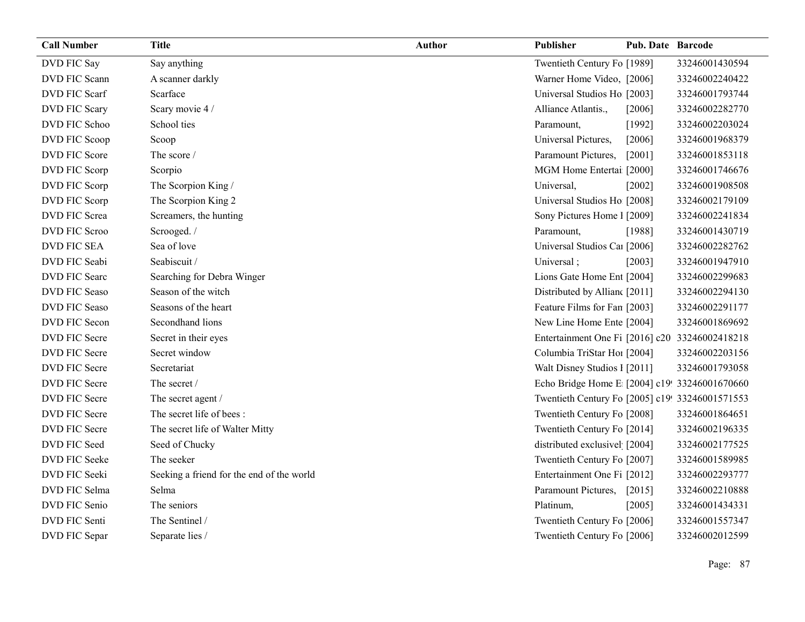| <b>Call Number</b>   | <b>Title</b>                              | <b>Author</b> | Publisher                                       | <b>Pub. Date Barcode</b> |                |
|----------------------|-------------------------------------------|---------------|-------------------------------------------------|--------------------------|----------------|
| DVD FIC Say          | Say anything                              |               | Twentieth Century Fo [1989]                     |                          | 33246001430594 |
| DVD FIC Scann        | A scanner darkly                          |               | Warner Home Video, [2006]                       |                          | 33246002240422 |
| DVD FIC Scarf        | Scarface                                  |               | Universal Studios Ho [2003]                     |                          | 33246001793744 |
| DVD FIC Scary        | Scary movie 4 /                           |               | Alliance Atlantis.,                             | [2006]                   | 33246002282770 |
| DVD FIC Schoo        | School ties                               |               | Paramount,                                      | [1992]                   | 33246002203024 |
| DVD FIC Scoop        | Scoop                                     |               | Universal Pictures,                             | [2006]                   | 33246001968379 |
| DVD FIC Score        | The score /                               |               | Paramount Pictures,                             | $[2001]$                 | 33246001853118 |
| DVD FIC Scorp        | Scorpio                                   |               | MGM Home Entertai [2000]                        |                          | 33246001746676 |
| DVD FIC Scorp        | The Scorpion King /                       |               | Universal,                                      | $[2002]$                 | 33246001908508 |
| DVD FIC Scorp        | The Scorpion King 2                       |               | Universal Studios Ho [2008]                     |                          | 33246002179109 |
| DVD FIC Screa        | Screamers, the hunting                    |               | Sony Pictures Home 1 [2009]                     |                          | 33246002241834 |
| DVD FIC Scroo        | Scrooged./                                |               | Paramount,                                      | [1988]                   | 33246001430719 |
| <b>DVD FIC SEA</b>   | Sea of love                               |               | Universal Studios Ca1 [2006]                    |                          | 33246002282762 |
| DVD FIC Seabi        | Seabiscuit /                              |               | Universal;                                      | [2003]                   | 33246001947910 |
| DVD FIC Searc        | Searching for Debra Winger                |               | Lions Gate Home Ent [2004]                      |                          | 33246002299683 |
| DVD FIC Seaso        | Season of the witch                       |               | Distributed by Allian [2011]                    |                          | 33246002294130 |
| <b>DVD FIC Seaso</b> | Seasons of the heart                      |               | Feature Films for Fan [2003]                    |                          | 33246002291177 |
| DVD FIC Secon        | Secondhand lions                          |               | New Line Home Ente [2004]                       |                          | 33246001869692 |
| DVD FIC Secre        | Secret in their eyes                      |               | Entertainment One Fi [2016] c20 33246002418218  |                          |                |
| DVD FIC Secre        | Secret window                             |               | Columbia TriStar Hoi [2004]                     |                          | 33246002203156 |
| DVD FIC Secre        | Secretariat                               |               | Walt Disney Studios 1 [2011]                    |                          | 33246001793058 |
| DVD FIC Secre        | The secret /                              |               | Echo Bridge Home E [2004] c19! 33246001670660   |                          |                |
| DVD FIC Secre        | The secret agent /                        |               | Twentieth Century Fo [2005] c19! 33246001571553 |                          |                |
| DVD FIC Secre        | The secret life of bees:                  |               | Twentieth Century Fo [2008]                     |                          | 33246001864651 |
| DVD FIC Secre        | The secret life of Walter Mitty           |               | Twentieth Century Fo [2014]                     |                          | 33246002196335 |
| DVD FIC Seed         | Seed of Chucky                            |               | distributed exclusivel [2004]                   |                          | 33246002177525 |
| <b>DVD FIC Seeke</b> | The seeker                                |               | Twentieth Century Fo [2007]                     |                          | 33246001589985 |
| DVD FIC Seeki        | Seeking a friend for the end of the world |               | Entertainment One Fi [2012]                     |                          | 33246002293777 |
| DVD FIC Selma        | Selma                                     |               | Paramount Pictures,                             | [2015]                   | 33246002210888 |
| DVD FIC Senio        | The seniors                               |               | Platinum,                                       | [2005]                   | 33246001434331 |
| DVD FIC Senti        | The Sentinel /                            |               | Twentieth Century Fo [2006]                     |                          | 33246001557347 |
| DVD FIC Separ        | Separate lies /                           |               | Twentieth Century Fo [2006]                     |                          | 33246002012599 |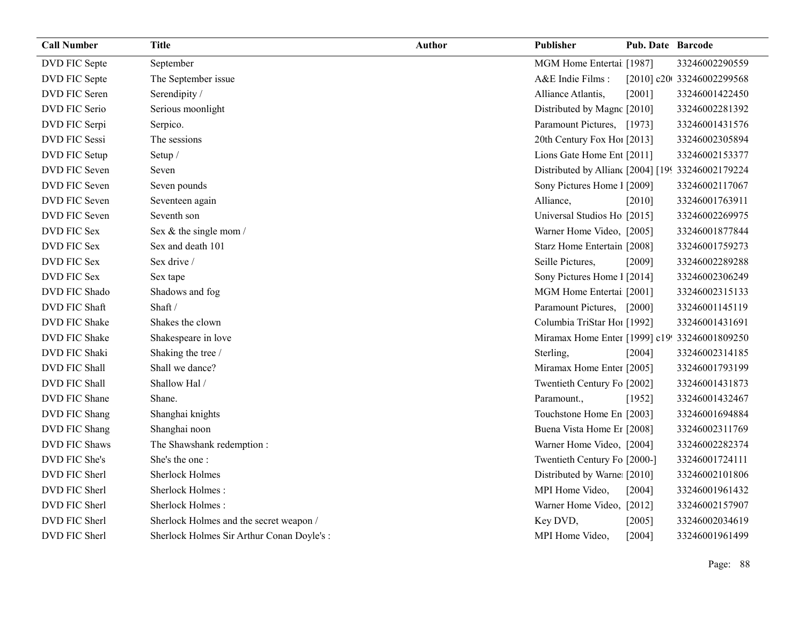| <b>Call Number</b>   | <b>Title</b>                              | <b>Author</b> | Publisher                                        | <b>Pub. Date Barcode</b> |                            |
|----------------------|-------------------------------------------|---------------|--------------------------------------------------|--------------------------|----------------------------|
| DVD FIC Septe        | September                                 |               | MGM Home Entertai [1987]                         |                          | 33246002290559             |
| DVD FIC Septe        | The September issue                       |               | A&E Indie Films:                                 |                          | [2010] c20t 33246002299568 |
| DVD FIC Seren        | Serendipity /                             |               | Alliance Atlantis,                               | [2001]                   | 33246001422450             |
| DVD FIC Serio        | Serious moonlight                         |               | Distributed by Magne [2010]                      |                          | 33246002281392             |
| DVD FIC Serpi        | Serpico.                                  |               | Paramount Pictures, [1973]                       |                          | 33246001431576             |
| DVD FIC Sessi        | The sessions                              |               | 20th Century Fox Ho! [2013]                      |                          | 33246002305894             |
| DVD FIC Setup        | Setup /                                   |               | Lions Gate Home Ent [2011]                       |                          | 33246002153377             |
| DVD FIC Seven        | Seven                                     |               | Distributed by Allian [2004] [199 33246002179224 |                          |                            |
| DVD FIC Seven        | Seven pounds                              |               | Sony Pictures Home 1 [2009]                      |                          | 33246002117067             |
| DVD FIC Seven        | Seventeen again                           |               | Alliance,                                        | [2010]                   | 33246001763911             |
| DVD FIC Seven        | Seventh son                               |               | Universal Studios Ho [2015]                      |                          | 33246002269975             |
| DVD FIC Sex          | Sex & the single mom /                    |               | Warner Home Video, [2005]                        |                          | 33246001877844             |
| DVD FIC Sex          | Sex and death 101                         |               | Starz Home Entertain [2008]                      |                          | 33246001759273             |
| DVD FIC Sex          | Sex drive /                               |               | Seille Pictures,                                 | [2009]                   | 33246002289288             |
| DVD FIC Sex          | Sex tape                                  |               | Sony Pictures Home 1 [2014]                      |                          | 33246002306249             |
| DVD FIC Shado        | Shadows and fog                           |               | MGM Home Entertai [2001]                         |                          | 33246002315133             |
| DVD FIC Shaft        | Shaft /                                   |               | Paramount Pictures, [2000]                       |                          | 33246001145119             |
| DVD FIC Shake        | Shakes the clown                          |               | Columbia TriStar Hoi [1992]                      |                          | 33246001431691             |
| DVD FIC Shake        | Shakespeare in love                       |               | Miramax Home Enter [1999] c19! 33246001809250    |                          |                            |
| DVD FIC Shaki        | Shaking the tree /                        |               | Sterling,                                        | [2004]                   | 33246002314185             |
| DVD FIC Shall        | Shall we dance?                           |               | Miramax Home Enter [2005]                        |                          | 33246001793199             |
| DVD FIC Shall        | Shallow Hal /                             |               | Twentieth Century Fo [2002]                      |                          | 33246001431873             |
| DVD FIC Shane        | Shane.                                    |               | Paramount.,                                      | [1952]                   | 33246001432467             |
| DVD FIC Shang        | Shanghai knights                          |               | Touchstone Home En [2003]                        |                          | 33246001694884             |
| DVD FIC Shang        | Shanghai noon                             |               | Buena Vista Home Er [2008]                       |                          | 33246002311769             |
| <b>DVD FIC Shaws</b> | The Shawshank redemption:                 |               | Warner Home Video, [2004]                        |                          | 33246002282374             |
| DVD FIC She's        | She's the one:                            |               | Twentieth Century Fo [2000-]                     |                          | 33246001724111             |
| DVD FIC Sherl        | <b>Sherlock Holmes</b>                    |               | Distributed by Warne: [2010]                     |                          | 33246002101806             |
| DVD FIC Sherl        | Sherlock Holmes:                          |               | MPI Home Video,                                  | [2004]                   | 33246001961432             |
| DVD FIC Sherl        | Sherlock Holmes:                          |               | Warner Home Video, [2012]                        |                          | 33246002157907             |
| DVD FIC Sherl        | Sherlock Holmes and the secret weapon /   |               | Key DVD,                                         | [2005]                   | 33246002034619             |
| DVD FIC Sherl        | Sherlock Holmes Sir Arthur Conan Doyle's: |               | MPI Home Video,                                  | [2004]                   | 33246001961499             |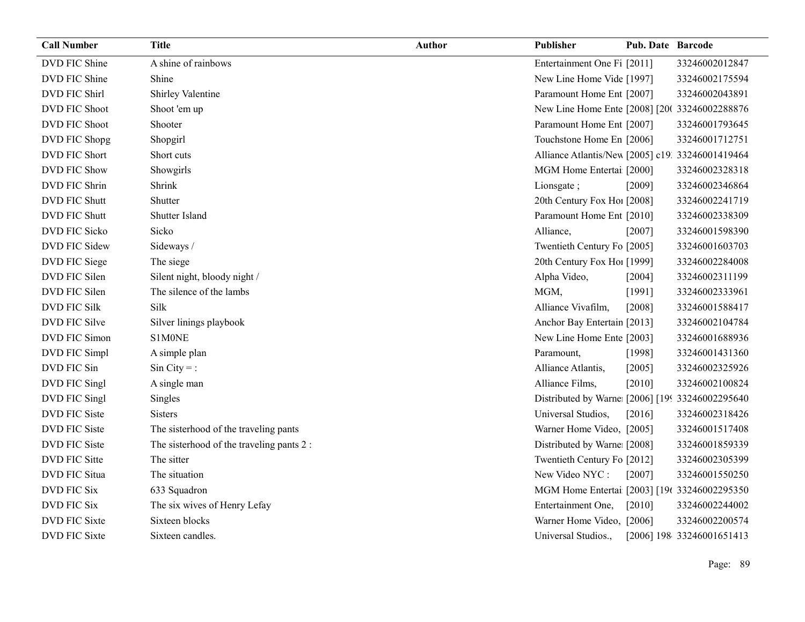| <b>Call Number</b>   | <b>Title</b>                              | <b>Author</b> | Publisher                                        | Pub. Date Barcode |                           |
|----------------------|-------------------------------------------|---------------|--------------------------------------------------|-------------------|---------------------------|
| DVD FIC Shine        | A shine of rainbows                       |               | Entertainment One Fi [2011]                      |                   | 33246002012847            |
| DVD FIC Shine        | Shine                                     |               | New Line Home Vide [1997]                        |                   | 33246002175594            |
| DVD FIC Shirl        | Shirley Valentine                         |               | Paramount Home Ent [2007]                        |                   | 33246002043891            |
| DVD FIC Shoot        | Shoot 'em up                              |               | New Line Home Ente [2008] [20( 33246002288876    |                   |                           |
| DVD FIC Shoot        | Shooter                                   |               | Paramount Home Ent [2007]                        |                   | 33246001793645            |
| DVD FIC Shopg        | Shopgirl                                  |               | Touchstone Home En [2006]                        |                   | 33246001712751            |
| DVD FIC Short        | Short cuts                                |               | Alliance Atlantis/New [2005] c19. 33246001419464 |                   |                           |
| <b>DVD FIC Show</b>  | Showgirls                                 |               | MGM Home Entertai [2000]                         |                   | 33246002328318            |
| DVD FIC Shrin        | Shrink                                    |               | Lionsgate;                                       | [2009]            | 33246002346864            |
| DVD FIC Shutt        | Shutter                                   |               | 20th Century Fox Ho! [2008]                      |                   | 33246002241719            |
| DVD FIC Shutt        | Shutter Island                            |               | Paramount Home Ent [2010]                        |                   | 33246002338309            |
| DVD FIC Sicko        | Sicko                                     |               | Alliance,                                        | [2007]            | 33246001598390            |
| DVD FIC Sidew        | Sideways /                                |               | Twentieth Century Fo [2005]                      |                   | 33246001603703            |
| DVD FIC Siege        | The siege                                 |               | 20th Century Fox Ho! [1999]                      |                   | 33246002284008            |
| DVD FIC Silen        | Silent night, bloody night /              |               | Alpha Video,                                     | [2004]            | 33246002311199            |
| DVD FIC Silen        | The silence of the lambs                  |               | MGM,                                             | [1991]            | 33246002333961            |
| DVD FIC Silk         | Silk                                      |               | Alliance Vivafilm,                               | [2008]            | 33246001588417            |
| DVD FIC Silve        | Silver linings playbook                   |               | Anchor Bay Entertain [2013]                      |                   | 33246002104784            |
| DVD FIC Simon        | S1M0NE                                    |               | New Line Home Ente [2003]                        |                   | 33246001688936            |
| DVD FIC Simpl        | A simple plan                             |               | Paramount,                                       | [1998]            | 33246001431360            |
| DVD FIC Sin          | $Sin City = :$                            |               | Alliance Atlantis,                               | $[2005]$          | 33246002325926            |
| DVD FIC Singl        | A single man                              |               | Alliance Films,                                  | [2010]            | 33246002100824            |
| DVD FIC Singl        | Singles                                   |               | Distributed by Warne: [2006] [199 33246002295640 |                   |                           |
| DVD FIC Siste        | <b>Sisters</b>                            |               | Universal Studios,                               | [2016]            | 33246002318426            |
| DVD FIC Siste        | The sisterhood of the traveling pants     |               | Warner Home Video, [2005]                        |                   | 33246001517408            |
| <b>DVD FIC Siste</b> | The sisterhood of the traveling pants 2 : |               | Distributed by Warne [2008]                      |                   | 33246001859339            |
| DVD FIC Sitte        | The sitter                                |               | Twentieth Century Fo [2012]                      |                   | 33246002305399            |
| DVD FIC Situa        | The situation                             |               | New Video NYC:                                   | [2007]            | 33246001550250            |
| DVD FIC Six          | 633 Squadron                              |               | MGM Home Entertai [2003] [19t 33246002295350     |                   |                           |
| DVD FIC Six          | The six wives of Henry Lefay              |               | Entertainment One,                               | $[2010]$          | 33246002244002            |
| DVD FIC Sixte        | Sixteen blocks                            |               | Warner Home Video, [2006]                        |                   | 33246002200574            |
| DVD FIC Sixte        | Sixteen candles.                          |               | Universal Studios.,                              |                   | [2006] 198 33246001651413 |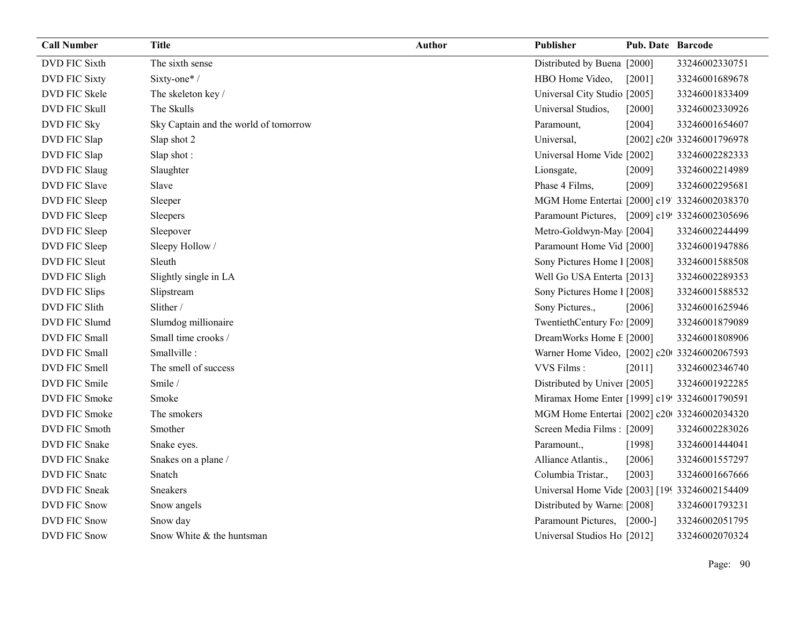| <b>Call Number</b>   | <b>Title</b>                          | <b>Author</b> | Publisher                                      | <b>Pub. Date Barcode</b> |                            |
|----------------------|---------------------------------------|---------------|------------------------------------------------|--------------------------|----------------------------|
| <b>DVD FIC Sixth</b> | The sixth sense                       |               | Distributed by Buena [2000]                    |                          | 33246002330751             |
| <b>DVD FIC Sixty</b> | Sixty-one*/                           |               | HBO Home Video,                                | [2001]                   | 33246001689678             |
| DVD FIC Skele        | The skeleton key/                     |               | Universal City Studio [2005]                   |                          | 33246001833409             |
| <b>DVD FIC Skull</b> | The Skulls                            |               | Universal Studios,                             | $[2000]$                 | 33246002330926             |
| DVD FIC Sky          | Sky Captain and the world of tomorrow |               | Paramount,                                     | [2004]                   | 33246001654607             |
| DVD FIC Slap         | Slap shot 2                           |               | Universal,                                     |                          | [2002] c20t 33246001796978 |
| DVD FIC Slap         | Slap shot:                            |               | Universal Home Vide [2002]                     |                          | 33246002282333             |
| DVD FIC Slaug        | Slaughter                             |               | Lionsgate,                                     | [2009]                   | 33246002214989             |
| DVD FIC Slave        | Slave                                 |               | Phase 4 Films,                                 | [2009]                   | 33246002295681             |
| DVD FIC Sleep        | Sleeper                               |               | MGM Home Entertai [2000] c19' 33246002038370   |                          |                            |
| DVD FIC Sleep        | Sleepers                              |               | Paramount Pictures, [2009] c19! 33246002305696 |                          |                            |
| DVD FIC Sleep        | Sleepover                             |               | Metro-Goldwyn-May [2004]                       |                          | 33246002244499             |
| DVD FIC Sleep        | Sleepy Hollow /                       |               | Paramount Home Vid [2000]                      |                          | 33246001947886             |
| <b>DVD FIC Sleut</b> | Sleuth                                |               | Sony Pictures Home 1 [2008]                    |                          | 33246001588508             |
| DVD FIC Sligh        | Slightly single in LA                 |               | Well Go USA Enterta [2013]                     |                          | 33246002289353             |
| DVD FIC Slips        | Slipstream                            |               | Sony Pictures Home 1 [2008]                    |                          | 33246001588532             |
| DVD FIC Slith        | Slither /                             |               | Sony Pictures.,                                | [2006]                   | 33246001625946             |
| DVD FIC Slumd        | Slumdog millionaire                   |               | TwentiethCentury Fo: [2009]                    |                          | 33246001879089             |
| DVD FIC Small        | Small time crooks /                   |               | DreamWorks Home E [2000]                       |                          | 33246001808906             |
| DVD FIC Small        | Smallville:                           |               | Warner Home Video, [2002] c20 33246002067593   |                          |                            |
| DVD FIC Smell        | The smell of success                  |               | VVS Films:                                     | [2011]                   | 33246002346740             |
| DVD FIC Smile        | Smile /                               |               | Distributed by Univer [2005]                   |                          | 33246001922285             |
| DVD FIC Smoke        | Smoke                                 |               | Miramax Home Enter [1999] c19! 33246001790591  |                          |                            |
| DVD FIC Smoke        | The smokers                           |               | MGM Home Entertai [2002] c20 33246002034320    |                          |                            |
| DVD FIC Smoth        | Smother                               |               | Screen Media Films: [2009]                     |                          | 33246002283026             |
| DVD FIC Snake        | Snake eyes.                           |               | Paramount.,                                    | [1998]                   | 33246001444041             |
| DVD FIC Snake        | Snakes on a plane /                   |               | Alliance Atlantis.,                            | [2006]                   | 33246001557297             |
| DVD FIC Snate        | Snatch                                |               | Columbia Tristar.,                             | [2003]                   | 33246001667666             |
| DVD FIC Sneak        | Sneakers                              |               | Universal Home Vide [2003] [199 33246002154409 |                          |                            |
| <b>DVD FIC Snow</b>  | Snow angels                           |               | Distributed by Warne [2008]                    |                          | 33246001793231             |
| <b>DVD FIC Snow</b>  | Snow day                              |               | Paramount Pictures,                            | $[2000-]$                | 33246002051795             |
| <b>DVD FIC Snow</b>  | Snow White & the huntsman             |               | Universal Studios Ho [2012]                    |                          | 33246002070324             |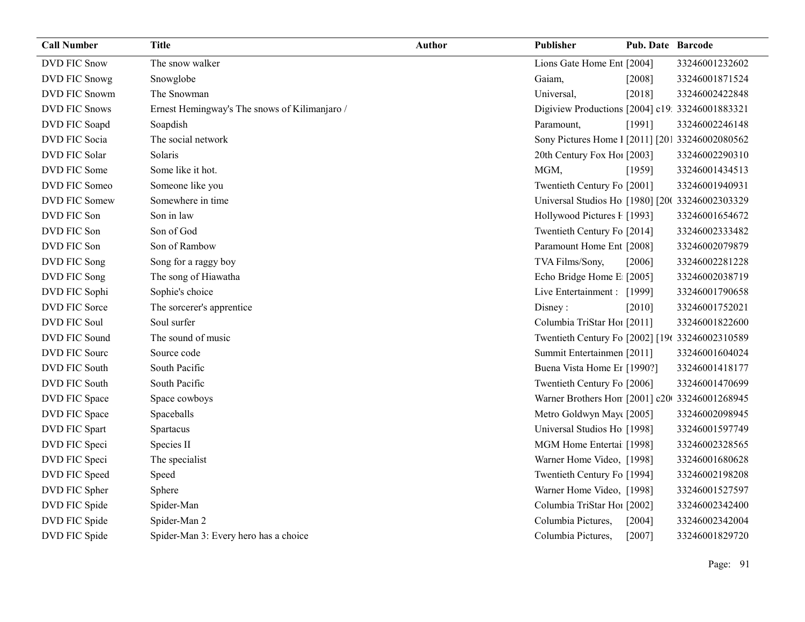| <b>Call Number</b>   | <b>Title</b>                                  | <b>Author</b> | Publisher                                       | <b>Pub. Date Barcode</b> |                |
|----------------------|-----------------------------------------------|---------------|-------------------------------------------------|--------------------------|----------------|
| <b>DVD FIC Snow</b>  | The snow walker                               |               | Lions Gate Home Ent [2004]                      |                          | 33246001232602 |
| DVD FIC Snowg        | Snowglobe                                     |               | Gaiam,                                          | [2008]                   | 33246001871524 |
| DVD FIC Snowm        | The Snowman                                   |               | Universal,                                      | [2018]                   | 33246002422848 |
| <b>DVD FIC Snows</b> | Ernest Hemingway's The snows of Kilimanjaro / |               | Digiview Productions [2004] c19: 33246001883321 |                          |                |
| DVD FIC Soapd        | Soapdish                                      |               | Paramount,                                      | [1991]                   | 33246002246148 |
| DVD FIC Socia        | The social network                            |               | Sony Pictures Home 1 [2011] [201 33246002080562 |                          |                |
| DVD FIC Solar        | Solaris                                       |               | 20th Century Fox Hol [2003]                     |                          | 33246002290310 |
| DVD FIC Some         | Some like it hot.                             |               | MGM,                                            | [1959]                   | 33246001434513 |
| DVD FIC Someo        | Someone like you                              |               | Twentieth Century Fo [2001]                     |                          | 33246001940931 |
| DVD FIC Somew        | Somewhere in time                             |               | Universal Studios Ho [1980] [20( 33246002303329 |                          |                |
| DVD FIC Son          | Son in law                                    |               | Hollywood Pictures F [1993]                     |                          | 33246001654672 |
| DVD FIC Son          | Son of God                                    |               | Twentieth Century Fo [2014]                     |                          | 33246002333482 |
| DVD FIC Son          | Son of Rambow                                 |               | Paramount Home Ent [2008]                       |                          | 33246002079879 |
| DVD FIC Song         | Song for a raggy boy                          |               | TVA Films/Sony,                                 | [2006]                   | 33246002281228 |
| DVD FIC Song         | The song of Hiawatha                          |               | Echo Bridge Home E [2005]                       |                          | 33246002038719 |
| DVD FIC Sophi        | Sophie's choice                               |               | Live Entertainment : [1999]                     |                          | 33246001790658 |
| DVD FIC Sorce        | The sorcerer's apprentice                     |               | Disney:                                         | [2010]                   | 33246001752021 |
| DVD FIC Soul         | Soul surfer                                   |               | Columbia TriStar Hoi [2011]                     |                          | 33246001822600 |
| DVD FIC Sound        | The sound of music                            |               | Twentieth Century Fo [2002] [196 33246002310589 |                          |                |
| DVD FIC Sourc        | Source code                                   |               | Summit Entertainmen [2011]                      |                          | 33246001604024 |
| <b>DVD FIC South</b> | South Pacific                                 |               | Buena Vista Home Et [1990?]                     |                          | 33246001418177 |
| DVD FIC South        | South Pacific                                 |               | Twentieth Century Fo [2006]                     |                          | 33246001470699 |
| DVD FIC Space        | Space cowboys                                 |               | Warner Brothers Hon [2001] c20 33246001268945   |                          |                |
| DVD FIC Space        | Spaceballs                                    |               | Metro Goldwyn May([2005]                        |                          | 33246002098945 |
| DVD FIC Spart        | Spartacus                                     |               | Universal Studios Ho [1998]                     |                          | 33246001597749 |
| DVD FIC Speci        | Species II                                    |               | MGM Home Entertai [1998]                        |                          | 33246002328565 |
| DVD FIC Speci        | The specialist                                |               | Warner Home Video, [1998]                       |                          | 33246001680628 |
| DVD FIC Speed        | Speed                                         |               | Twentieth Century Fo [1994]                     |                          | 33246002198208 |
| DVD FIC Spher        | Sphere                                        |               | Warner Home Video, [1998]                       |                          | 33246001527597 |
| DVD FIC Spide        | Spider-Man                                    |               | Columbia TriStar Hoi [2002]                     |                          | 33246002342400 |
| DVD FIC Spide        | Spider-Man 2                                  |               | Columbia Pictures,                              | [2004]                   | 33246002342004 |
| DVD FIC Spide        | Spider-Man 3: Every hero has a choice         |               | Columbia Pictures,                              | [2007]                   | 33246001829720 |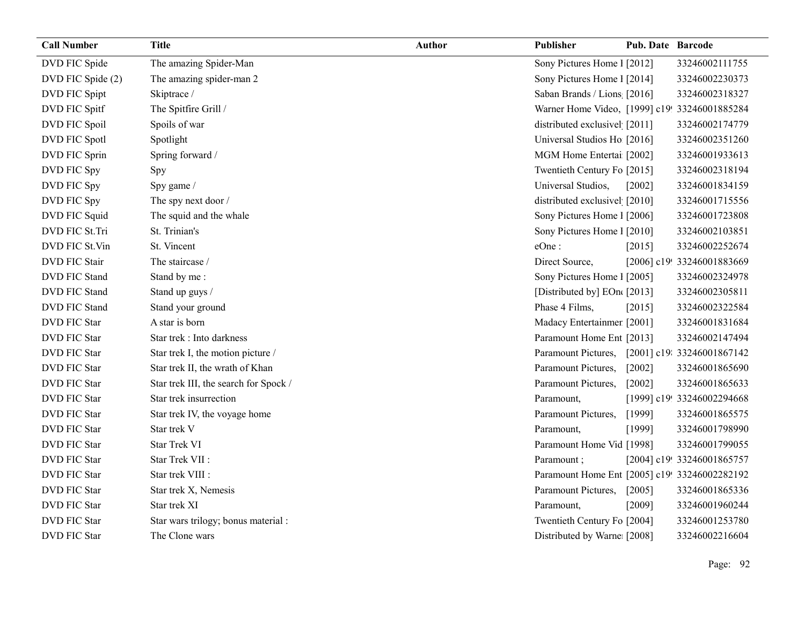| <b>Call Number</b>  | <b>Title</b>                          | <b>Author</b> | Publisher                                     | Pub. Date Barcode |                            |
|---------------------|---------------------------------------|---------------|-----------------------------------------------|-------------------|----------------------------|
| DVD FIC Spide       | The amazing Spider-Man                |               | Sony Pictures Home 1 [2012]                   |                   | 33246002111755             |
| DVD FIC Spide (2)   | The amazing spider-man 2              |               | Sony Pictures Home 1 [2014]                   |                   | 33246002230373             |
| DVD FIC Spipt       | Skiptrace /                           |               | Saban Brands / Lions [2016]                   |                   | 33246002318327             |
| DVD FIC Spitf       | The Spitfire Grill /                  |               | Warner Home Video, [1999] c19! 33246001885284 |                   |                            |
| DVD FIC Spoil       | Spoils of war                         |               | distributed exclusivel [2011]                 |                   | 33246002174779             |
| DVD FIC Spotl       | Spotlight                             |               | Universal Studios Ho [2016]                   |                   | 33246002351260             |
| DVD FIC Sprin       | Spring forward /                      |               | MGM Home Entertai [2002]                      |                   | 33246001933613             |
| DVD FIC Spy         | Spy                                   |               | Twentieth Century Fo [2015]                   |                   | 33246002318194             |
| DVD FIC Spy         | Spy game /                            |               | Universal Studios,                            | [2002]            | 33246001834159             |
| DVD FIC Spy         | The spy next door /                   |               | distributed exclusivel [2010]                 |                   | 33246001715556             |
| DVD FIC Squid       | The squid and the whale               |               | Sony Pictures Home 1 [2006]                   |                   | 33246001723808             |
| DVD FIC St.Tri      | St. Trinian's                         |               | Sony Pictures Home 1 [2010]                   |                   | 33246002103851             |
| DVD FIC St.Vin      | St. Vincent                           |               | eOne:                                         | [2015]            | 33246002252674             |
| DVD FIC Stair       | The staircase /                       |               | Direct Source,                                |                   | [2006] c19! 33246001883669 |
| DVD FIC Stand       | Stand by me:                          |               | Sony Pictures Home 1 [2005]                   |                   | 33246002324978             |
| DVD FIC Stand       | Stand up guys /                       |               | [Distributed by] EOn([2013]                   |                   | 33246002305811             |
| DVD FIC Stand       | Stand your ground                     |               | Phase 4 Films,                                | [2015]            | 33246002322584             |
| <b>DVD FIC Star</b> | A star is born                        |               | Madacy Entertainmer [2001]                    |                   | 33246001831684             |
| <b>DVD FIC Star</b> | Star trek : Into darkness             |               | Paramount Home Ent [2013]                     |                   | 33246002147494             |
| <b>DVD FIC Star</b> | Star trek I, the motion picture /     |               | Paramount Pictures,                           |                   | [2001] c19: 33246001867142 |
| <b>DVD FIC Star</b> | Star trek II, the wrath of Khan       |               | Paramount Pictures,                           | [2002]            | 33246001865690             |
| <b>DVD FIC Star</b> | Star trek III, the search for Spock / |               | Paramount Pictures,                           | $[2002]$          | 33246001865633             |
| DVD FIC Star        | Star trek insurrection                |               | Paramount,                                    |                   | [1999] c19! 33246002294668 |
| <b>DVD FIC Star</b> | Star trek IV, the voyage home         |               | Paramount Pictures,                           | [1999]            | 33246001865575             |
| DVD FIC Star        | Star trek V                           |               | Paramount,                                    | [1999]            | 33246001798990             |
| <b>DVD FIC Star</b> | Star Trek VI                          |               | Paramount Home Vid [1998]                     |                   | 33246001799055             |
| <b>DVD FIC Star</b> | Star Trek VII :                       |               | Paramount;                                    |                   | [2004] c19! 33246001865757 |
| <b>DVD FIC Star</b> | Star trek VIII :                      |               | Paramount Home Ent [2005] c19! 33246002282192 |                   |                            |
| <b>DVD FIC Star</b> | Star trek X, Nemesis                  |               | Paramount Pictures,                           | $[2005]$          | 33246001865336             |
| <b>DVD FIC Star</b> | Star trek XI                          |               | Paramount,                                    | [2009]            | 33246001960244             |
| DVD FIC Star        | Star wars trilogy; bonus material :   |               | Twentieth Century Fo [2004]                   |                   | 33246001253780             |
| <b>DVD FIC Star</b> | The Clone wars                        |               | Distributed by Warne [2008]                   |                   | 33246002216604             |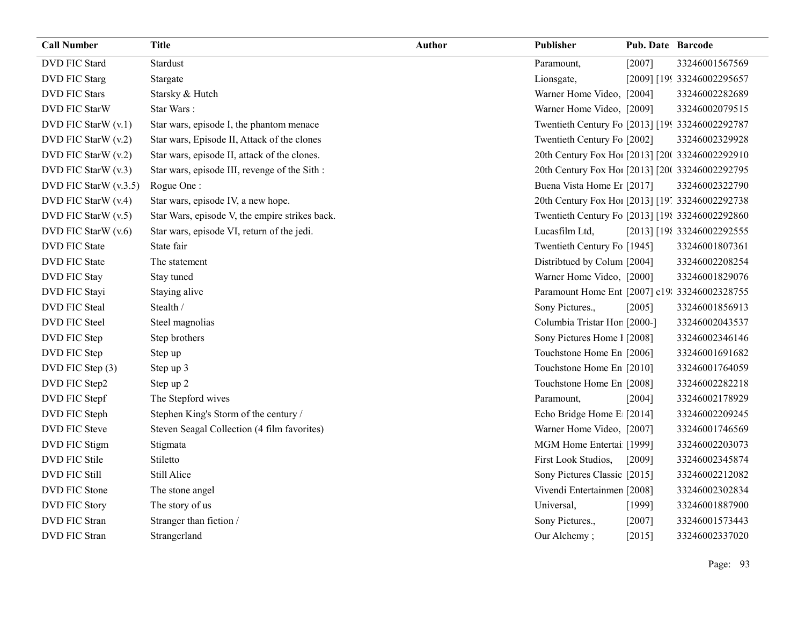| <b>Call Number</b>      | <b>Title</b>                                   | <b>Author</b> | Publisher                                       | <b>Pub. Date Barcode</b> |                            |
|-------------------------|------------------------------------------------|---------------|-------------------------------------------------|--------------------------|----------------------------|
| <b>DVD FIC Stard</b>    | <b>Stardust</b>                                |               | Paramount,                                      | [2007]                   | 33246001567569             |
| <b>DVD FIC Starg</b>    | Stargate                                       |               | Lionsgate,                                      |                          | [2009] [199 33246002295657 |
| <b>DVD FIC Stars</b>    | Starsky & Hutch                                |               | Warner Home Video, [2004]                       |                          | 33246002282689             |
| DVD FIC StarW           | Star Wars:                                     |               | Warner Home Video, [2009]                       |                          | 33246002079515             |
| DVD FIC StarW (v.1)     | Star wars, episode I, the phantom menace       |               | Twentieth Century Fo [2013] [199 33246002292787 |                          |                            |
| DVD FIC StarW (v.2)     | Star wars, Episode II, Attack of the clones    |               | Twentieth Century Fo [2002]                     |                          | 33246002329928             |
| DVD FIC StarW (v.2)     | Star wars, episode II, attack of the clones.   |               | 20th Century Fox Ho! [2013] [20( 33246002292910 |                          |                            |
| DVD FIC StarW (v.3)     | Star wars, episode III, revenge of the Sith :  |               | 20th Century Fox Ho! [2013] [20( 33246002292795 |                          |                            |
| DVD FIC StarW $(v.3.5)$ | Rogue One:                                     |               | Buena Vista Home Er [2017]                      |                          | 33246002322790             |
| DVD FIC StarW (v.4)     | Star wars, episode IV, a new hope.             |               | 20th Century Fox Ho! [2013] [19] 33246002292738 |                          |                            |
| DVD FIC StarW (v.5)     | Star Wars, episode V, the empire strikes back. |               | Twentieth Century Fo [2013] [198 33246002292860 |                          |                            |
| DVD FIC StarW (v.6)     | Star wars, episode VI, return of the jedi.     |               | Lucasfilm Ltd,                                  |                          | [2013] [198 33246002292555 |
| <b>DVD FIC State</b>    | State fair                                     |               | Twentieth Century Fo [1945]                     |                          | 33246001807361             |
| <b>DVD FIC State</b>    | The statement                                  |               | Distributed by Colum [2004]                     |                          | 33246002208254             |
| DVD FIC Stay            | Stay tuned                                     |               | Warner Home Video, [2000]                       |                          | 33246001829076             |
| DVD FIC Stayi           | Staying alive                                  |               | Paramount Home Ent [2007] c19: 33246002328755   |                          |                            |
| <b>DVD FIC Steal</b>    | Stealth /                                      |               | Sony Pictures.,                                 | [2005]                   | 33246001856913             |
| DVD FIC Steel           | Steel magnolias                                |               | Columbia Tristar Hor [2000-]                    |                          | 33246002043537             |
| DVD FIC Step            | Step brothers                                  |               | Sony Pictures Home 1 [2008]                     |                          | 33246002346146             |
| DVD FIC Step            | Step up                                        |               | Touchstone Home En [2006]                       |                          | 33246001691682             |
| DVD FIC Step (3)        | Step up 3                                      |               | Touchstone Home En [2010]                       |                          | 33246001764059             |
| DVD FIC Step2           | Step up 2                                      |               | Touchstone Home En [2008]                       |                          | 33246002282218             |
| DVD FIC Stepf           | The Stepford wives                             |               | Paramount,                                      | [2004]                   | 33246002178929             |
| DVD FIC Steph           | Stephen King's Storm of the century /          |               | Echo Bridge Home E [2014]                       |                          | 33246002209245             |
| DVD FIC Steve           | Steven Seagal Collection (4 film favorites)    |               | Warner Home Video, [2007]                       |                          | 33246001746569             |
| DVD FIC Stigm           | Stigmata                                       |               | MGM Home Entertai [1999]                        |                          | 33246002203073             |
| DVD FIC Stile           | Stiletto                                       |               | First Look Studios,                             | [2009]                   | 33246002345874             |
| <b>DVD FIC Still</b>    | Still Alice                                    |               | Sony Pictures Classic [2015]                    |                          | 33246002212082             |
| DVD FIC Stone           | The stone angel                                |               | Vivendi Entertainmen [2008]                     |                          | 33246002302834             |
| <b>DVD FIC Story</b>    | The story of us                                |               | Universal,                                      | [1999]                   | 33246001887900             |
| <b>DVD FIC Stran</b>    | Stranger than fiction /                        |               | Sony Pictures.,                                 | [2007]                   | 33246001573443             |
| DVD FIC Stran           | Strangerland                                   |               | Our Alchemy;                                    | [2015]                   | 33246002337020             |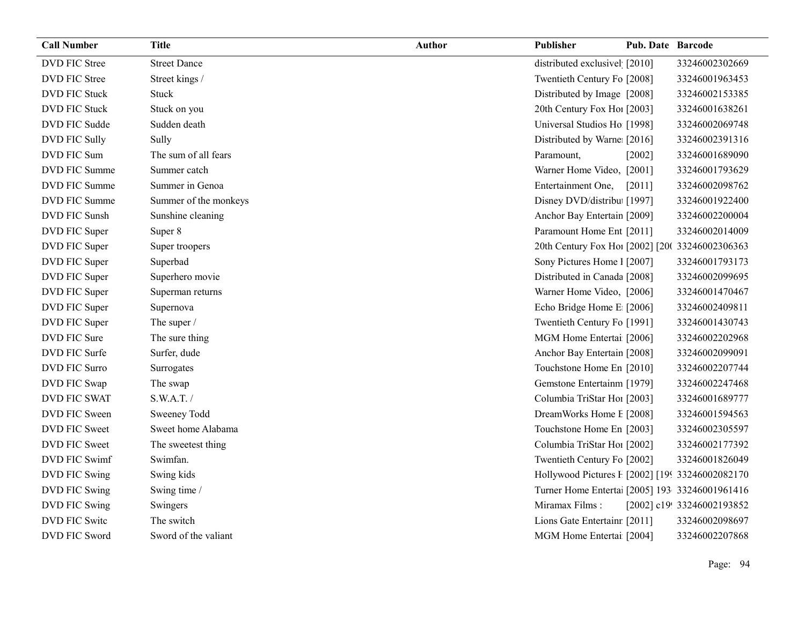| <b>Call Number</b>   | <b>Title</b>          | <b>Author</b> | Publisher                                       | <b>Pub. Date Barcode</b> |                            |
|----------------------|-----------------------|---------------|-------------------------------------------------|--------------------------|----------------------------|
| <b>DVD FIC Stree</b> | <b>Street Dance</b>   |               | distributed exclusivel [2010]                   |                          | 33246002302669             |
| DVD FIC Stree        | Street kings /        |               | Twentieth Century Fo [2008]                     |                          | 33246001963453             |
| <b>DVD FIC Stuck</b> | Stuck                 |               | Distributed by Image [2008]                     |                          | 33246002153385             |
| DVD FIC Stuck        | Stuck on you          |               | 20th Century Fox Ho! [2003]                     |                          | 33246001638261             |
| DVD FIC Sudde        | Sudden death          |               | Universal Studios Ho [1998]                     |                          | 33246002069748             |
| DVD FIC Sully        | Sully                 |               | Distributed by Warne [2016]                     |                          | 33246002391316             |
| DVD FIC Sum          | The sum of all fears  |               | Paramount,                                      | $[2002]$                 | 33246001689090             |
| DVD FIC Summe        | Summer catch          |               | Warner Home Video, [2001]                       |                          | 33246001793629             |
| DVD FIC Summe        | Summer in Genoa       |               | Entertainment One,                              | $[2011]$                 | 33246002098762             |
| DVD FIC Summe        | Summer of the monkeys |               | Disney DVD/distribu [1997]                      |                          | 33246001922400             |
| DVD FIC Sunsh        | Sunshine cleaning     |               | Anchor Bay Entertain [2009]                     |                          | 33246002200004             |
| DVD FIC Super        | Super 8               |               | Paramount Home Ent [2011]                       |                          | 33246002014009             |
| DVD FIC Super        | Super troopers        |               | 20th Century Fox Hoi [2002] [20( 33246002306363 |                          |                            |
| DVD FIC Super        | Superbad              |               | Sony Pictures Home 1 [2007]                     |                          | 33246001793173             |
| DVD FIC Super        | Superhero movie       |               | Distributed in Canada [2008]                    |                          | 33246002099695             |
| DVD FIC Super        | Superman returns      |               | Warner Home Video, [2006]                       |                          | 33246001470467             |
| DVD FIC Super        | Supernova             |               | Echo Bridge Home E [2006]                       |                          | 33246002409811             |
| DVD FIC Super        | The super /           |               | Twentieth Century Fo [1991]                     |                          | 33246001430743             |
| DVD FIC Sure         | The sure thing        |               | MGM Home Entertai [2006]                        |                          | 33246002202968             |
| DVD FIC Surfe        | Surfer, dude          |               | Anchor Bay Entertain [2008]                     |                          | 33246002099091             |
| DVD FIC Surro        | Surrogates            |               | Touchstone Home En [2010]                       |                          | 33246002207744             |
| DVD FIC Swap         | The swap              |               | Gemstone Entertainm [1979]                      |                          | 33246002247468             |
| DVD FIC SWAT         | S.W.A.T./             |               | Columbia TriStar Hoi [2003]                     |                          | 33246001689777             |
| DVD FIC Sween        | Sweeney Todd          |               | DreamWorks Home E [2008]                        |                          | 33246001594563             |
| DVD FIC Sweet        | Sweet home Alabama    |               | Touchstone Home En [2003]                       |                          | 33246002305597             |
| DVD FIC Sweet        | The sweetest thing    |               | Columbia TriStar Hoi [2002]                     |                          | 33246002177392             |
| DVD FIC Swimf        | Swimfan.              |               | Twentieth Century Fo [2002]                     |                          | 33246001826049             |
| DVD FIC Swing        | Swing kids            |               | Hollywood Pictures F [2002] [199 33246002082170 |                          |                            |
| DVD FIC Swing        | Swing time /          |               | Turner Home Enterta [2005] 193 33246001961416   |                          |                            |
| DVD FIC Swing        | Swingers              |               | Miramax Films:                                  |                          | [2002] c19! 33246002193852 |
| <b>DVD FIC Switc</b> | The switch            |               | Lions Gate Entertainr [2011]                    |                          | 33246002098697             |
| DVD FIC Sword        | Sword of the valiant  |               | MGM Home Entertai [2004]                        |                          | 33246002207868             |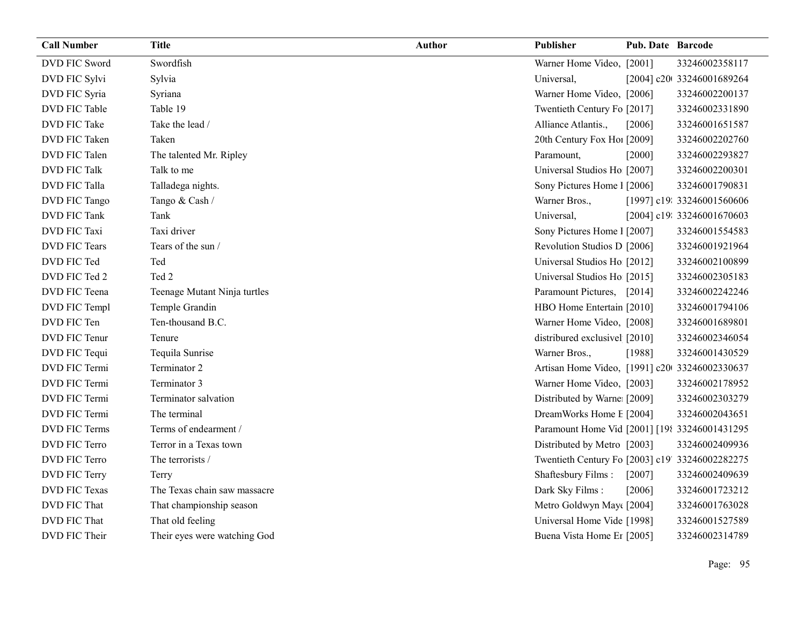| <b>Call Number</b>   | <b>Title</b>                 | <b>Author</b> | Publisher                                       | <b>Pub. Date Barcode</b> |                            |
|----------------------|------------------------------|---------------|-------------------------------------------------|--------------------------|----------------------------|
| DVD FIC Sword        | Swordfish                    |               | Warner Home Video, [2001]                       |                          | 33246002358117             |
| DVD FIC Sylvi        | Sylvia                       |               | Universal,                                      |                          | [2004] c20t 33246001689264 |
| DVD FIC Syria        | Syriana                      |               | Warner Home Video, [2006]                       |                          | 33246002200137             |
| DVD FIC Table        | Table 19                     |               | Twentieth Century Fo [2017]                     |                          | 33246002331890             |
| <b>DVD FIC Take</b>  | Take the lead /              |               | Alliance Atlantis.,                             | [2006]                   | 33246001651587             |
| DVD FIC Taken        | Taken                        |               | 20th Century Fox Ho! [2009]                     |                          | 33246002202760             |
| DVD FIC Talen        | The talented Mr. Ripley      |               | Paramount,                                      | $[2000]$                 | 33246002293827             |
| DVD FIC Talk         | Talk to me                   |               | Universal Studios Ho [2007]                     |                          | 33246002200301             |
| DVD FIC Talla        | Talladega nights.            |               | Sony Pictures Home 1 [2006]                     |                          | 33246001790831             |
| DVD FIC Tango        | Tango & Cash /               |               | Warner Bros.,                                   |                          | [1997] c19: 33246001560606 |
| <b>DVD FIC Tank</b>  | Tank                         |               | Universal,                                      |                          | [2004] c19: 33246001670603 |
| DVD FIC Taxi         | Taxi driver                  |               | Sony Pictures Home 1 [2007]                     |                          | 33246001554583             |
| DVD FIC Tears        | Tears of the sun /           |               | Revolution Studios D [2006]                     |                          | 33246001921964             |
| DVD FIC Ted          | Ted                          |               | Universal Studios Ho [2012]                     |                          | 33246002100899             |
| DVD FIC Ted 2        | Ted 2                        |               | Universal Studios Ho [2015]                     |                          | 33246002305183             |
| DVD FIC Teena        | Teenage Mutant Ninja turtles |               | Paramount Pictures, [2014]                      |                          | 33246002242246             |
| DVD FIC Templ        | Temple Grandin               |               | HBO Home Entertain [2010]                       |                          | 33246001794106             |
| DVD FIC Ten          | Ten-thousand B.C.            |               | Warner Home Video, [2008]                       |                          | 33246001689801             |
| DVD FIC Tenur        | Tenure                       |               | distribured exclusivel [2010]                   |                          | 33246002346054             |
| DVD FIC Tequi        | Tequila Sunrise              |               | Warner Bros.,                                   | [1988]                   | 33246001430529             |
| DVD FIC Termi        | Terminator 2                 |               | Artisan Home Video, [1991] c20 33246002330637   |                          |                            |
| DVD FIC Termi        | Terminator 3                 |               | Warner Home Video, [2003]                       |                          | 33246002178952             |
| DVD FIC Termi        | Terminator salvation         |               | Distributed by Warne: [2009]                    |                          | 33246002303279             |
| DVD FIC Termi        | The terminal                 |               | DreamWorks Home E [2004]                        |                          | 33246002043651             |
| DVD FIC Terms        | Terms of endearment /        |               | Paramount Home Vid [2001] [198 33246001431295   |                          |                            |
| DVD FIC Terro        | Terror in a Texas town       |               | Distributed by Metro [2003]                     |                          | 33246002409936             |
| DVD FIC Terro        | The terrorists /             |               | Twentieth Century Fo [2003] c19' 33246002282275 |                          |                            |
| DVD FIC Terry        | Terry                        |               | Shaftesbury Films:                              | $[2007]$                 | 33246002409639             |
| <b>DVD FIC Texas</b> | The Texas chain saw massacre |               | Dark Sky Films:                                 | [2006]                   | 33246001723212             |
| DVD FIC That         | That championship season     |               | Metro Goldwyn May([2004]                        |                          | 33246001763028             |
| DVD FIC That         | That old feeling             |               | Universal Home Vide [1998]                      |                          | 33246001527589             |
| DVD FIC Their        | Their eyes were watching God |               | Buena Vista Home Et [2005]                      |                          | 33246002314789             |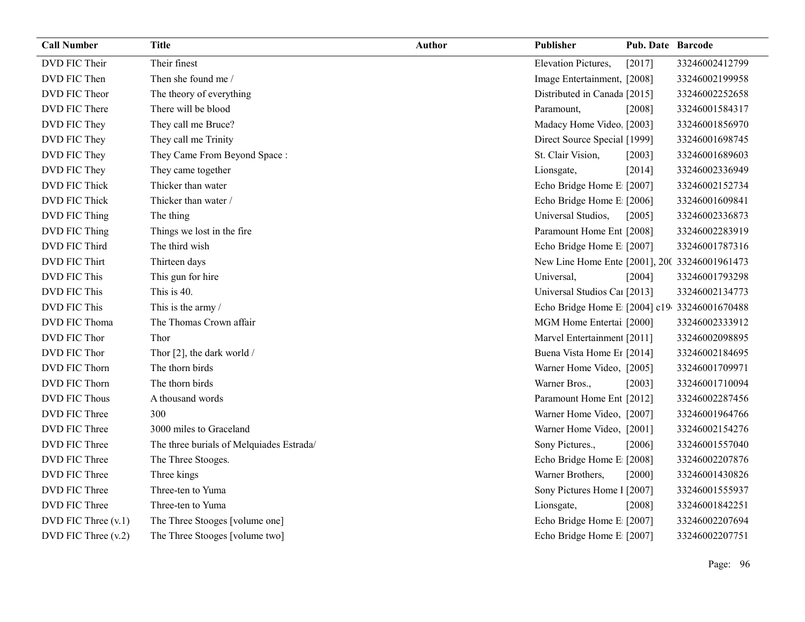| <b>Call Number</b>   | <b>Title</b>                             | <b>Author</b> | Publisher                                     | <b>Pub. Date Barcode</b> |                |
|----------------------|------------------------------------------|---------------|-----------------------------------------------|--------------------------|----------------|
| DVD FIC Their        | Their finest                             |               | <b>Elevation Pictures,</b>                    | [2017]                   | 33246002412799 |
| DVD FIC Then         | Then she found me /                      |               | Image Entertainment, [2008]                   |                          | 33246002199958 |
| DVD FIC Theor        | The theory of everything                 |               | Distributed in Canada [2015]                  |                          | 33246002252658 |
| DVD FIC There        | There will be blood                      |               | Paramount,                                    | [2008]                   | 33246001584317 |
| DVD FIC They         | They call me Bruce?                      |               | Madacy Home Video, [2003]                     |                          | 33246001856970 |
| DVD FIC They         | They call me Trinity                     |               | Direct Source Special [1999]                  |                          | 33246001698745 |
| DVD FIC They         | They Came From Beyond Space:             |               | St. Clair Vision,                             | [2003]                   | 33246001689603 |
| DVD FIC They         | They came together                       |               | Lionsgate,                                    | $[2014]$                 | 33246002336949 |
| DVD FIC Thick        | Thicker than water                       |               | Echo Bridge Home E [2007]                     |                          | 33246002152734 |
| DVD FIC Thick        | Thicker than water /                     |               | Echo Bridge Home E [2006]                     |                          | 33246001609841 |
| DVD FIC Thing        | The thing                                |               | Universal Studios,                            | [2005]                   | 33246002336873 |
| DVD FIC Thing        | Things we lost in the fire               |               | Paramount Home Ent [2008]                     |                          | 33246002283919 |
| DVD FIC Third        | The third wish                           |               | Echo Bridge Home E [2007]                     |                          | 33246001787316 |
| DVD FIC Thirt        | Thirteen days                            |               | New Line Home Ente [2001], 200 33246001961473 |                          |                |
| DVD FIC This         | This gun for hire                        |               | Universal,                                    | [2004]                   | 33246001793298 |
| DVD FIC This         | This is 40.                              |               | Universal Studios Caı [2013]                  |                          | 33246002134773 |
| DVD FIC This         | This is the army /                       |               | Echo Bridge Home E [2004] c19 33246001670488  |                          |                |
| DVD FIC Thoma        | The Thomas Crown affair                  |               | MGM Home Entertai [2000]                      |                          | 33246002333912 |
| DVD FIC Thor         | Thor                                     |               | Marvel Entertainment [2011]                   |                          | 33246002098895 |
| DVD FIC Thor         | Thor [2], the dark world /               |               | Buena Vista Home Er [2014]                    |                          | 33246002184695 |
| DVD FIC Thorn        | The thorn birds                          |               | Warner Home Video, [2005]                     |                          | 33246001709971 |
| DVD FIC Thorn        | The thorn birds                          |               | Warner Bros.,                                 | [2003]                   | 33246001710094 |
| <b>DVD FIC Thous</b> | A thousand words                         |               | Paramount Home Ent [2012]                     |                          | 33246002287456 |
| DVD FIC Three        | 300                                      |               | Warner Home Video, [2007]                     |                          | 33246001964766 |
| DVD FIC Three        | 3000 miles to Graceland                  |               | Warner Home Video, [2001]                     |                          | 33246002154276 |
| DVD FIC Three        | The three burials of Melquiades Estrada/ |               | Sony Pictures.,                               | [2006]                   | 33246001557040 |
| DVD FIC Three        | The Three Stooges.                       |               | Echo Bridge Home E [2008]                     |                          | 33246002207876 |
| DVD FIC Three        | Three kings                              |               | Warner Brothers,                              | $[2000]$                 | 33246001430826 |
| DVD FIC Three        | Three-ten to Yuma                        |               | Sony Pictures Home 1 [2007]                   |                          | 33246001555937 |
| DVD FIC Three        | Three-ten to Yuma                        |               | Lionsgate,                                    | $[2008]$                 | 33246001842251 |
| DVD FIC Three (v.1)  | The Three Stooges [volume one]           |               | Echo Bridge Home E [2007]                     |                          | 33246002207694 |
| DVD FIC Three (v.2)  | The Three Stooges [volume two]           |               | Echo Bridge Home E [2007]                     |                          | 33246002207751 |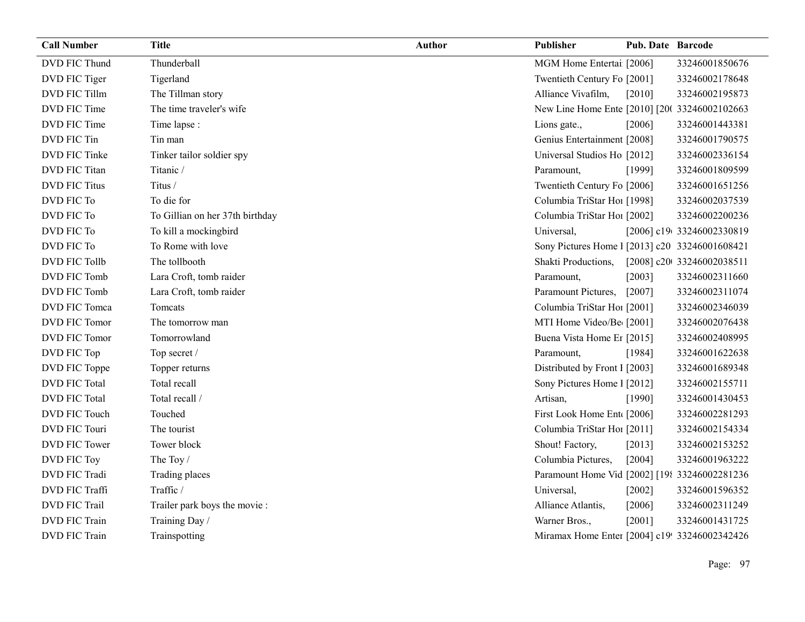| <b>Call Number</b>   | <b>Title</b>                    | <b>Author</b> | <b>Publisher</b>                               | <b>Pub. Date Barcode</b> |                            |
|----------------------|---------------------------------|---------------|------------------------------------------------|--------------------------|----------------------------|
| DVD FIC Thund        | Thunderball                     |               | MGM Home Entertai [2006]                       |                          | 33246001850676             |
| DVD FIC Tiger        | Tigerland                       |               | Twentieth Century Fo [2001]                    |                          | 33246002178648             |
| DVD FIC Tillm        | The Tillman story               |               | Alliance Vivafilm,                             | $[2010]$                 | 33246002195873             |
| DVD FIC Time         | The time traveler's wife        |               | New Line Home Ente [2010] [20( 33246002102663  |                          |                            |
| DVD FIC Time         | Time lapse :                    |               | Lions gate.,                                   | [2006]                   | 33246001443381             |
| DVD FIC Tin          | Tin man                         |               | Genius Entertainment [2008]                    |                          | 33246001790575             |
| DVD FIC Tinke        | Tinker tailor soldier spy       |               | Universal Studios Ho [2012]                    |                          | 33246002336154             |
| DVD FIC Titan        | Titanic /                       |               | Paramount,                                     | [1999]                   | 33246001809599             |
| <b>DVD FIC Titus</b> | Titus /                         |               | Twentieth Century Fo [2006]                    |                          | 33246001651256             |
| DVD FIC To           | To die for                      |               | Columbia TriStar Hoi [1998]                    |                          | 33246002037539             |
| DVD FIC To           | To Gillian on her 37th birthday |               | Columbia TriStar Hoi [2002]                    |                          | 33246002200236             |
| DVD FIC To           | To kill a mockingbird           |               | Universal,                                     |                          | [2006] c19 33246002330819  |
| DVD FIC To           | To Rome with love               |               | Sony Pictures Home 1 [2013] c20 33246001608421 |                          |                            |
| DVD FIC Tollb        | The tollbooth                   |               | Shakti Productions,                            |                          | [2008] c20t 33246002038511 |
| DVD FIC Tomb         | Lara Croft, tomb raider         |               | Paramount,                                     | [2003]                   | 33246002311660             |
| DVD FIC Tomb         | Lara Croft, tomb raider         |               | Paramount Pictures,                            | $[2007]$                 | 33246002311074             |
| DVD FIC Tomca        | Tomcats                         |               | Columbia TriStar Hoi [2001]                    |                          | 33246002346039             |
| DVD FIC Tomor        | The tomorrow man                |               | MTI Home Video/Be [2001]                       |                          | 33246002076438             |
| DVD FIC Tomor        | Tomorrowland                    |               | Buena Vista Home Er [2015]                     |                          | 33246002408995             |
| DVD FIC Top          | Top secret /                    |               | Paramount,                                     | [1984]                   | 33246001622638             |
| DVD FIC Toppe        | Topper returns                  |               | Distributed by Front I [2003]                  |                          | 33246001689348             |
| <b>DVD FIC Total</b> | Total recall                    |               | Sony Pictures Home 1 [2012]                    |                          | 33246002155711             |
| <b>DVD FIC Total</b> | Total recall /                  |               | Artisan,                                       | [1990]                   | 33246001430453             |
| DVD FIC Touch        | Touched                         |               | First Look Home Ent [2006]                     |                          | 33246002281293             |
| DVD FIC Touri        | The tourist                     |               | Columbia TriStar Hoi [2011]                    |                          | 33246002154334             |
| DVD FIC Tower        | Tower block                     |               | Shout! Factory,                                | [2013]                   | 33246002153252             |
| DVD FIC Toy          | The Toy /                       |               | Columbia Pictures,                             | [2004]                   | 33246001963222             |
| DVD FIC Tradi        | Trading places                  |               | Paramount Home Vid [2002] [198 33246002281236  |                          |                            |
| DVD FIC Traffi       | Traffic /                       |               | Universal,                                     | [2002]                   | 33246001596352             |
| <b>DVD FIC Trail</b> | Trailer park boys the movie :   |               | Alliance Atlantis,                             | $[2006]$                 | 33246002311249             |
| <b>DVD FIC Train</b> | Training Day /                  |               | Warner Bros.,                                  | [2001]                   | 33246001431725             |
| <b>DVD FIC Train</b> | Trainspotting                   |               | Miramax Home Enter [2004] c19! 33246002342426  |                          |                            |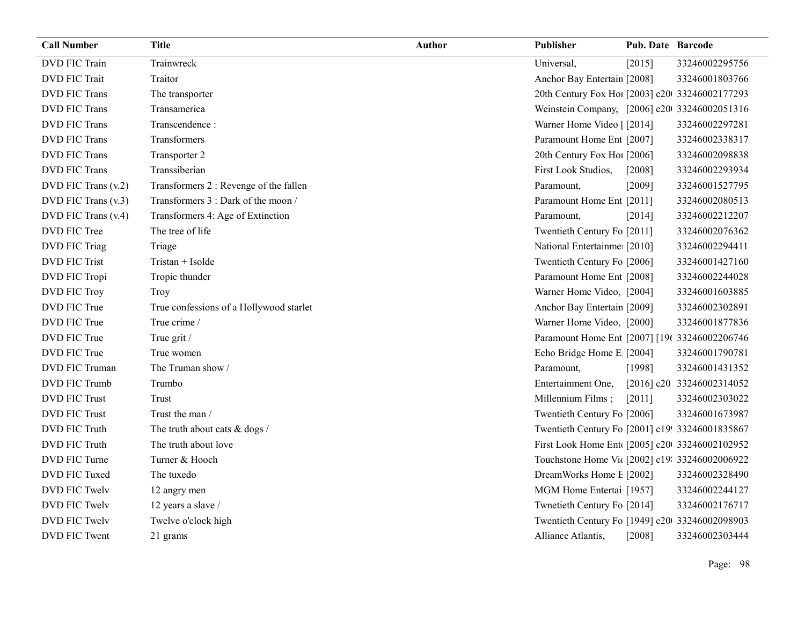| <b>Call Number</b>   | <b>Title</b>                            | <b>Author</b> | Publisher                                       | <b>Pub. Date Barcode</b> |                           |
|----------------------|-----------------------------------------|---------------|-------------------------------------------------|--------------------------|---------------------------|
| <b>DVD FIC Train</b> | Trainwreck                              |               | Universal,                                      | [2015]                   | 33246002295756            |
| <b>DVD FIC Trait</b> | Traitor                                 |               | Anchor Bay Entertain [2008]                     |                          | 33246001803766            |
| <b>DVD FIC Trans</b> | The transporter                         |               | 20th Century Fox Ho! [2003] c20 33246002177293  |                          |                           |
| <b>DVD FIC Trans</b> | Transamerica                            |               | Weinstein Company, [2006] c20 33246002051316    |                          |                           |
| <b>DVD FIC Trans</b> | Transcendence:                          |               | Warner Home Video   [2014]                      |                          | 33246002297281            |
| <b>DVD FIC Trans</b> | Transformers                            |               | Paramount Home Ent [2007]                       |                          | 33246002338317            |
| <b>DVD FIC Trans</b> | Transporter 2                           |               | 20th Century Fox Ho! [2006]                     |                          | 33246002098838            |
| <b>DVD FIC Trans</b> | Transsiberian                           |               | First Look Studios,                             | $[2008]$                 | 33246002293934            |
| DVD FIC Trans (v.2)  | Transformers 2 : Revenge of the fallen  |               | Paramount,                                      | [2009]                   | 33246001527795            |
| DVD FIC Trans (v.3)  | Transformers 3 : Dark of the moon /     |               | Paramount Home Ent [2011]                       |                          | 33246002080513            |
| DVD FIC Trans (v.4)  | Transformers 4: Age of Extinction       |               | Paramount,                                      | [2014]                   | 33246002212207            |
| DVD FIC Tree         | The tree of life                        |               | Twentieth Century Fo [2011]                     |                          | 33246002076362            |
| DVD FIC Triag        | Triage                                  |               | National Entertainme: [2010]                    |                          | 33246002294411            |
| <b>DVD FIC Trist</b> | Tristan + Isolde                        |               | Twentieth Century Fo [2006]                     |                          | 33246001427160            |
| DVD FIC Tropi        | Tropic thunder                          |               | Paramount Home Ent [2008]                       |                          | 33246002244028            |
| <b>DVD FIC Troy</b>  | Troy                                    |               | Warner Home Video, [2004]                       |                          | 33246001603885            |
| DVD FIC True         | True confessions of a Hollywood starlet |               | Anchor Bay Entertain [2009]                     |                          | 33246002302891            |
| DVD FIC True         | True crime /                            |               | Warner Home Video, [2000]                       |                          | 33246001877836            |
| DVD FIC True         | True grit /                             |               | Paramount Home Ent [2007] [19t 33246002206746   |                          |                           |
| DVD FIC True         | True women                              |               | Echo Bridge Home E [2004]                       |                          | 33246001790781            |
| DVD FIC Truman       | The Truman show /                       |               | Paramount,                                      | [1998]                   | 33246001431352            |
| DVD FIC Trumb        | Trumbo                                  |               | Entertainment One,                              |                          | [2016] c20 33246002314052 |
| <b>DVD FIC Trust</b> | Trust                                   |               | Millennium Films;                               | $[2011]$                 | 33246002303022            |
| <b>DVD FIC Trust</b> | Trust the man /                         |               | Twentieth Century Fo [2006]                     |                          | 33246001673987            |
| DVD FIC Truth        | The truth about cats & dogs /           |               | Twentieth Century Fo [2001] c19! 33246001835867 |                          |                           |
| DVD FIC Truth        | The truth about love                    |               | First Look Home Ent [2005] c20 33246002102952   |                          |                           |
| DVD FIC Turne        | Turner & Hooch                          |               | Touchstone Home Vit [2002] c19: 33246002006922  |                          |                           |
| DVD FIC Tuxed        | The tuxedo                              |               | DreamWorks Home E [2002]                        |                          | 33246002328490            |
| <b>DVD FIC Twelv</b> | 12 angry men                            |               | MGM Home Entertai [1957]                        |                          | 33246002244127            |
| DVD FIC Twelv        | 12 years a slave /                      |               | Twnetieth Century Fo [2014]                     |                          | 33246002176717            |
| DVD FIC Twelv        | Twelve o'clock high                     |               | Twentieth Century Fo [1949] c20 33246002098903  |                          |                           |
| DVD FIC Twent        | 21 grams                                |               | Alliance Atlantis,                              | $[2008]$                 | 33246002303444            |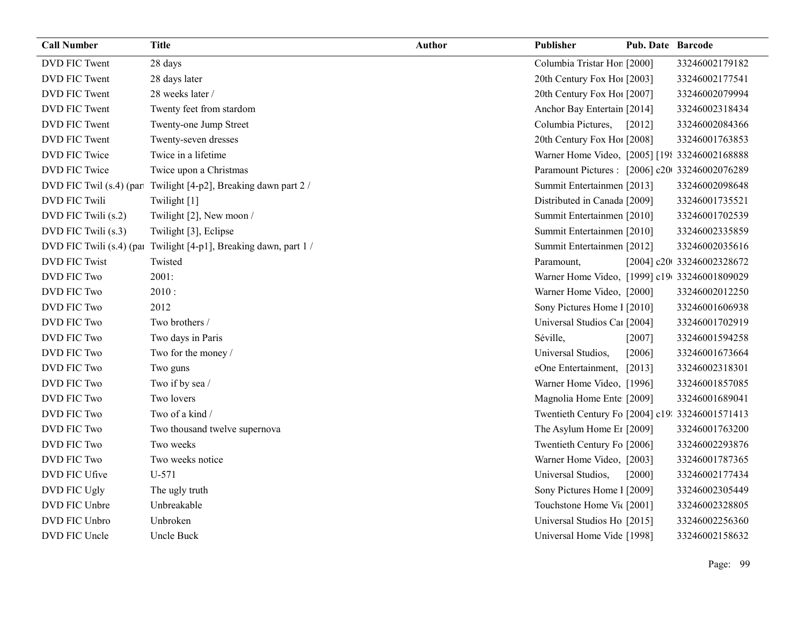| <b>Call Number</b>        | <b>Title</b>                             | <b>Author</b> | Publisher                                       | <b>Pub. Date Barcode</b> |                           |
|---------------------------|------------------------------------------|---------------|-------------------------------------------------|--------------------------|---------------------------|
| DVD FIC Twent             | 28 days                                  |               | Columbia Tristar Hor [2000]                     |                          | 33246002179182            |
| DVD FIC Twent             | 28 days later                            |               | 20th Century Fox Ho! [2003]                     |                          | 33246002177541            |
| DVD FIC Twent             | 28 weeks later /                         |               | 20th Century Fox Ho! [2007]                     |                          | 33246002079994            |
| DVD FIC Twent             | Twenty feet from stardom                 |               | Anchor Bay Entertain [2014]                     |                          | 33246002318434            |
| DVD FIC Twent             | Twenty-one Jump Street                   |               | Columbia Pictures,                              | [2012]                   | 33246002084366            |
| DVD FIC Twent             | Twenty-seven dresses                     |               | 20th Century Fox Hol [2008]                     |                          | 33246001763853            |
| DVD FIC Twice             | Twice in a lifetime                      |               | Warner Home Video, [2005] [198 33246002168888   |                          |                           |
| DVD FIC Twice             | Twice upon a Christmas                   |               | Paramount Pictures : [2006] c20 33246002076289  |                          |                           |
| DVD FIC Twil $(s.4)$ (par | Twilight [4-p2], Breaking dawn part 2 /  |               | Summit Entertainmen [2013]                      |                          | 33246002098648            |
| DVD FIC Twili             | Twilight [1]                             |               | Distributed in Canada [2009]                    |                          | 33246001735521            |
| DVD FIC Twili (s.2)       | Twilight [2], New moon /                 |               | Summit Entertainmen [2010]                      |                          | 33246001702539            |
| DVD FIC Twili (s.3)       | Twilight [3], Eclipse                    |               | Summit Entertainmen [2010]                      |                          | 33246002335859            |
| DVD FIC Twili (s.4) (pa   | Twilight [4-p1], Breaking dawn, part 1 / |               | Summit Entertainmen [2012]                      |                          | 33246002035616            |
| <b>DVD FIC Twist</b>      | Twisted                                  |               | Paramount,                                      |                          | [2004] c20 33246002328672 |
| DVD FIC Two               | 2001:                                    |               | Warner Home Video, [1999] c19 33246001809029    |                          |                           |
| DVD FIC Two               | 2010:                                    |               | Warner Home Video, [2000]                       |                          | 33246002012250            |
| DVD FIC Two               | 2012                                     |               | Sony Pictures Home 1 [2010]                     |                          | 33246001606938            |
| <b>DVD FIC Two</b>        | Two brothers /                           |               | Universal Studios Car [2004]                    |                          | 33246001702919            |
| <b>DVD FIC Two</b>        | Two days in Paris                        |               | Séville,                                        | [2007]                   | 33246001594258            |
| DVD FIC Two               | Two for the money /                      |               | Universal Studios,                              | [2006]                   | 33246001673664            |
| DVD FIC Two               | Two guns                                 |               | eOne Entertainment, [2013]                      |                          | 33246002318301            |
| DVD FIC Two               | Two if by sea /                          |               | Warner Home Video, [1996]                       |                          | 33246001857085            |
| <b>DVD FIC Two</b>        | Two lovers                               |               | Magnolia Home Ente [2009]                       |                          | 33246001689041            |
| <b>DVD FIC Two</b>        | Two of a kind /                          |               | Twentieth Century Fo [2004] c19: 33246001571413 |                          |                           |
| DVD FIC Two               | Two thousand twelve supernova            |               | The Asylum Home Er [2009]                       |                          | 33246001763200            |
| DVD FIC Two               | Two weeks                                |               | Twentieth Century Fo [2006]                     |                          | 33246002293876            |
| DVD FIC Two               | Two weeks notice                         |               | Warner Home Video, [2003]                       |                          | 33246001787365            |
| DVD FIC Ufive             | U-571                                    |               | Universal Studios,                              | [2000]                   | 33246002177434            |
| DVD FIC Ugly              | The ugly truth                           |               | Sony Pictures Home 1 [2009]                     |                          | 33246002305449            |
| DVD FIC Unbre             | Unbreakable                              |               | Touchstone Home Vic [2001]                      |                          | 33246002328805            |
| DVD FIC Unbro             | Unbroken                                 |               | Universal Studios Ho [2015]                     |                          | 33246002256360            |
| DVD FIC Uncle             | Uncle Buck                               |               | Universal Home Vide [1998]                      |                          | 33246002158632            |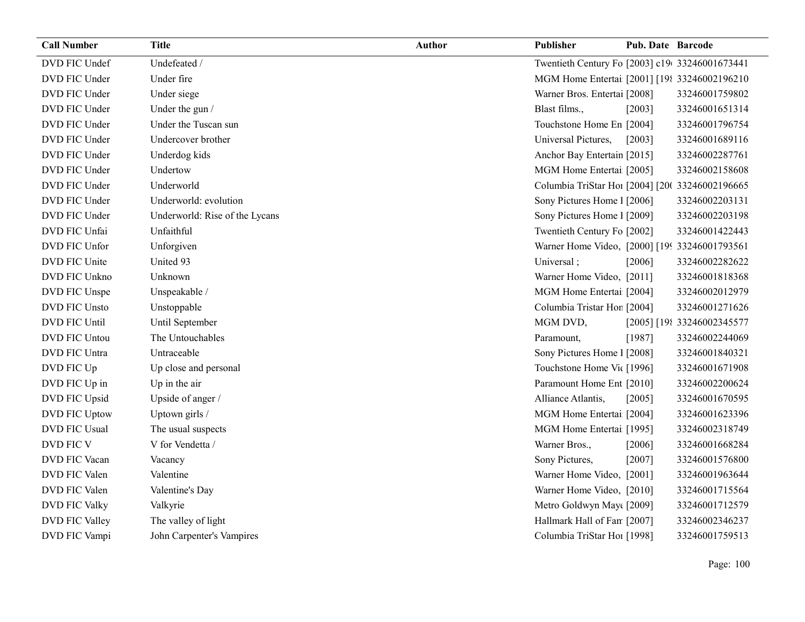| <b>Call Number</b>   | <b>Title</b>                   | <b>Author</b> | Publisher                                       | <b>Pub. Date Barcode</b> |                            |
|----------------------|--------------------------------|---------------|-------------------------------------------------|--------------------------|----------------------------|
| DVD FIC Undef        | Undefeated /                   |               | Twentieth Century Fo [2003] c19 33246001673441  |                          |                            |
| DVD FIC Under        | Under fire                     |               | MGM Home Entertai [2001] [198 33246002196210    |                          |                            |
| DVD FIC Under        | Under siege                    |               | Warner Bros. Entertai [2008]                    |                          | 33246001759802             |
| DVD FIC Under        | Under the gun /                |               | Blast films.,                                   | [2003]                   | 33246001651314             |
| DVD FIC Under        | Under the Tuscan sun           |               | Touchstone Home En [2004]                       |                          | 33246001796754             |
| DVD FIC Under        | Undercover brother             |               | Universal Pictures,                             | [2003]                   | 33246001689116             |
| DVD FIC Under        | Underdog kids                  |               | Anchor Bay Entertain [2015]                     |                          | 33246002287761             |
| DVD FIC Under        | Undertow                       |               | MGM Home Entertai [2005]                        |                          | 33246002158608             |
| DVD FIC Under        | Underworld                     |               | Columbia TriStar Ho1 [2004] [20( 33246002196665 |                          |                            |
| DVD FIC Under        | Underworld: evolution          |               | Sony Pictures Home 1 [2006]                     |                          | 33246002203131             |
| DVD FIC Under        | Underworld: Rise of the Lycans |               | Sony Pictures Home 1 [2009]                     |                          | 33246002203198             |
| DVD FIC Unfai        | Unfaithful                     |               | Twentieth Century Fo [2002]                     |                          | 33246001422443             |
| DVD FIC Unfor        | Unforgiven                     |               | Warner Home Video, [2000] [199 33246001793561]  |                          |                            |
| DVD FIC Unite        | United 93                      |               | Universal;                                      | [2006]                   | 33246002282622             |
| DVD FIC Unkno        | Unknown                        |               | Warner Home Video, [2011]                       |                          | 33246001818368             |
| DVD FIC Unspe        | Unspeakable /                  |               | MGM Home Entertai [2004]                        |                          | 33246002012979             |
| DVD FIC Unsto        | Unstoppable                    |               | Columbia Tristar Hor [2004]                     |                          | 33246001271626             |
| DVD FIC Until        | Until September                |               | MGM DVD,                                        |                          | [2005] [198 33246002345577 |
| DVD FIC Untou        | The Untouchables               |               | Paramount,                                      | [1987]                   | 33246002244069             |
| DVD FIC Untra        | Untraceable                    |               | Sony Pictures Home 1 [2008]                     |                          | 33246001840321             |
| DVD FIC Up           | Up close and personal          |               | Touchstone Home Vic [1996]                      |                          | 33246001671908             |
| DVD FIC Up in        | Up in the air                  |               | Paramount Home Ent [2010]                       |                          | 33246002200624             |
| DVD FIC Upsid        | Upside of anger /              |               | Alliance Atlantis,                              | [2005]                   | 33246001670595             |
| DVD FIC Uptow        | Uptown girls /                 |               | MGM Home Entertai [2004]                        |                          | 33246001623396             |
| <b>DVD FIC Usual</b> | The usual suspects             |               | MGM Home Entertai [1995]                        |                          | 33246002318749             |
| DVD FIC V            | V for Vendetta /               |               | Warner Bros.,                                   | $[2006]$                 | 33246001668284             |
| DVD FIC Vacan        | Vacancy                        |               | Sony Pictures,                                  | [2007]                   | 33246001576800             |
| DVD FIC Valen        | Valentine                      |               | Warner Home Video, [2001]                       |                          | 33246001963644             |
| DVD FIC Valen        | Valentine's Day                |               | Warner Home Video, [2010]                       |                          | 33246001715564             |
| <b>DVD FIC Valky</b> | Valkyrie                       |               | Metro Goldwyn May([2009]                        |                          | 33246001712579             |
| DVD FIC Valley       | The valley of light            |               | Hallmark Hall of Fan [2007]                     |                          | 33246002346237             |
| DVD FIC Vampi        | John Carpenter's Vampires      |               | Columbia TriStar Hoi [1998]                     |                          | 33246001759513             |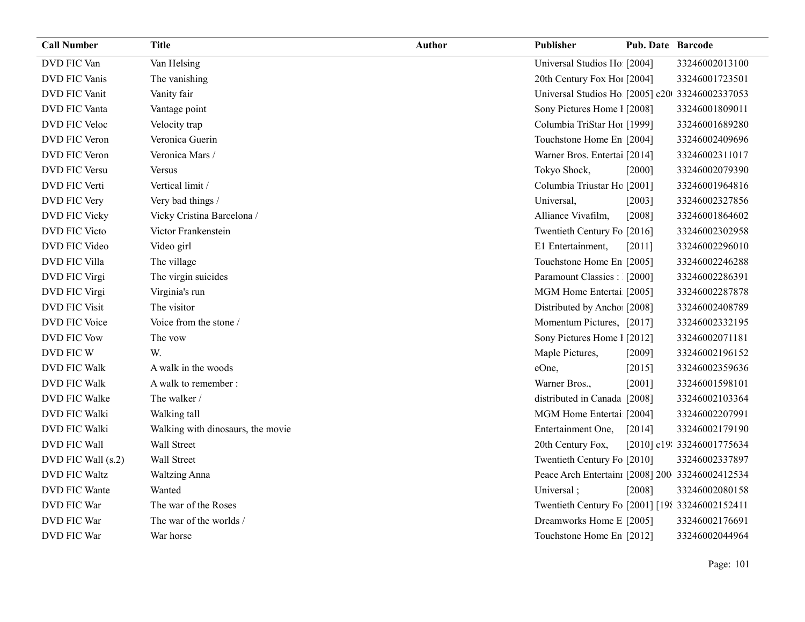| <b>Call Number</b>   | <b>Title</b>                      | <b>Author</b> | Publisher                                       | Pub. Date Barcode |                            |
|----------------------|-----------------------------------|---------------|-------------------------------------------------|-------------------|----------------------------|
| DVD FIC Van          | Van Helsing                       |               | Universal Studios Ho [2004]                     |                   | 33246002013100             |
| DVD FIC Vanis        | The vanishing                     |               | 20th Century Fox Ho! [2004]                     |                   | 33246001723501             |
| DVD FIC Vanit        | Vanity fair                       |               | Universal Studios Ho [2005] c20 33246002337053  |                   |                            |
| DVD FIC Vanta        | Vantage point                     |               | Sony Pictures Home 1 [2008]                     |                   | 33246001809011             |
| DVD FIC Veloc        | Velocity trap                     |               | Columbia TriStar Hoi [1999]                     |                   | 33246001689280             |
| DVD FIC Veron        | Veronica Guerin                   |               | Touchstone Home En [2004]                       |                   | 33246002409696             |
| DVD FIC Veron        | Veronica Mars /                   |               | Warner Bros. Entertai [2014]                    |                   | 33246002311017             |
| DVD FIC Versu        | <b>Versus</b>                     |               | Tokyo Shock,                                    | $[2000]$          | 33246002079390             |
| DVD FIC Verti        | Vertical limit /                  |               | Columbia Triustar Hc [2001]                     |                   | 33246001964816             |
| DVD FIC Very         | Very bad things /                 |               | Universal,                                      | [2003]            | 33246002327856             |
| DVD FIC Vicky        | Vicky Cristina Barcelona /        |               | Alliance Vivafilm,                              | [2008]            | 33246001864602             |
| DVD FIC Victo        | Victor Frankenstein               |               | Twentieth Century Fo [2016]                     |                   | 33246002302958             |
| DVD FIC Video        | Video girl                        |               | E1 Entertainment,                               | [2011]            | 33246002296010             |
| DVD FIC Villa        | The village                       |               | Touchstone Home En [2005]                       |                   | 33246002246288             |
| DVD FIC Virgi        | The virgin suicides               |               | Paramount Classics : [2000]                     |                   | 33246002286391             |
| DVD FIC Virgi        | Virginia's run                    |               | MGM Home Entertai [2005]                        |                   | 33246002287878             |
| <b>DVD FIC Visit</b> | The visitor                       |               | Distributed by Ancho [2008]                     |                   | 33246002408789             |
| DVD FIC Voice        | Voice from the stone /            |               | Momentum Pictures, [2017]                       |                   | 33246002332195             |
| <b>DVD FIC Vow</b>   | The vow                           |               | Sony Pictures Home 1 [2012]                     |                   | 33246002071181             |
| DVD FIC W            | W.                                |               | Maple Pictures,                                 | $[2009]$          | 33246002196152             |
| <b>DVD FIC Walk</b>  | A walk in the woods               |               | eOne,                                           | [2015]            | 33246002359636             |
| <b>DVD FIC Walk</b>  | A walk to remember :              |               | Warner Bros.,                                   | [2001]            | 33246001598101             |
| DVD FIC Walke        | The walker /                      |               | distributed in Canada [2008]                    |                   | 33246002103364             |
| DVD FIC Walki        | Walking tall                      |               | MGM Home Entertai [2004]                        |                   | 33246002207991             |
| DVD FIC Walki        | Walking with dinosaurs, the movie |               | Entertainment One,                              | $[2014]$          | 33246002179190             |
| DVD FIC Wall         | Wall Street                       |               | 20th Century Fox,                               |                   | [2010] c19: 33246001775634 |
| DVD FIC Wall (s.2)   | Wall Street                       |               | Twentieth Century Fo [2010]                     |                   | 33246002337897             |
| <b>DVD FIC Waltz</b> | <b>Waltzing Anna</b>              |               | Peace Arch Entertain: [2008] 200 33246002412534 |                   |                            |
| DVD FIC Wante        | Wanted                            |               | Universal;                                      | [2008]            | 33246002080158             |
| DVD FIC War          | The war of the Roses              |               | Twentieth Century Fo [2001] [198 33246002152411 |                   |                            |
| DVD FIC War          | The war of the worlds /           |               | Dreamworks Home E [2005]                        |                   | 33246002176691             |
| DVD FIC War          | War horse                         |               | Touchstone Home En [2012]                       |                   | 33246002044964             |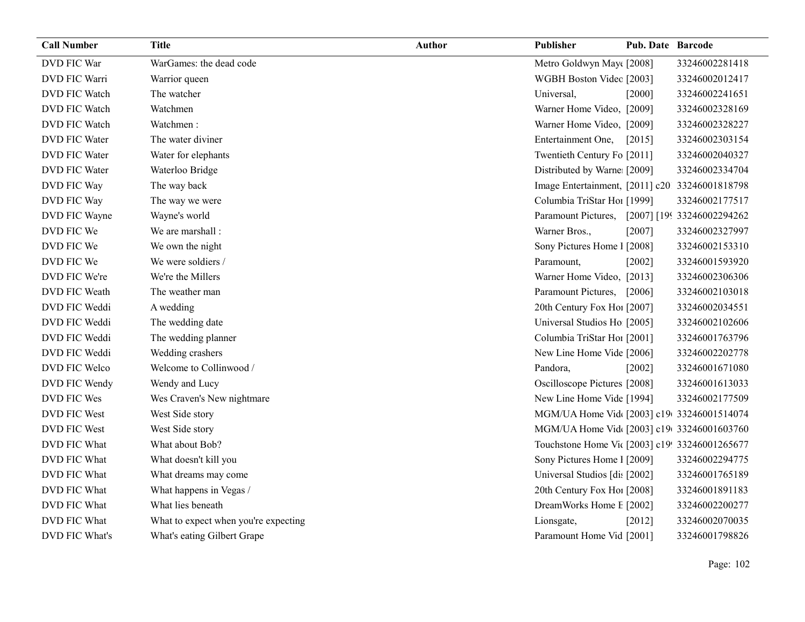| <b>Call Number</b>   | <b>Title</b>                         | <b>Author</b> | Publisher                                      | <b>Pub. Date Barcode</b> |                |
|----------------------|--------------------------------------|---------------|------------------------------------------------|--------------------------|----------------|
| DVD FIC War          | WarGames: the dead code              |               | Metro Goldwyn May([2008]                       |                          | 33246002281418 |
| DVD FIC Warri        | Warrior queen                        |               | WGBH Boston Videc [2003]                       |                          | 33246002012417 |
| DVD FIC Watch        | The watcher                          |               | Universal,                                     | $[2000]$                 | 33246002241651 |
| <b>DVD FIC Watch</b> | Watchmen                             |               | Warner Home Video, [2009]                      |                          | 33246002328169 |
| DVD FIC Watch        | Watchmen:                            |               | Warner Home Video, [2009]                      |                          | 33246002328227 |
| DVD FIC Water        | The water diviner                    |               | Entertainment One,                             | [2015]                   | 33246002303154 |
| <b>DVD FIC Water</b> | Water for elephants                  |               | Twentieth Century Fo [2011]                    |                          | 33246002040327 |
| <b>DVD FIC Water</b> | Waterloo Bridge                      |               | Distributed by Warne: [2009]                   |                          | 33246002334704 |
| DVD FIC Way          | The way back                         |               | Image Entertainment, [2011] c20 33246001818798 |                          |                |
| DVD FIC Way          | The way we were                      |               | Columbia TriStar Hoi [1999]                    |                          | 33246002177517 |
| DVD FIC Wayne        | Wayne's world                        |               | Paramount Pictures, [2007] [199 33246002294262 |                          |                |
| DVD FIC We           | We are marshall :                    |               | Warner Bros.,                                  | [2007]                   | 33246002327997 |
| DVD FIC We           | We own the night                     |               | Sony Pictures Home 1 [2008]                    |                          | 33246002153310 |
| DVD FIC We           | We were soldiers /                   |               | Paramount,                                     | [2002]                   | 33246001593920 |
| DVD FIC We're        | We're the Millers                    |               | Warner Home Video, [2013]                      |                          | 33246002306306 |
| DVD FIC Weath        | The weather man                      |               | Paramount Pictures, [2006]                     |                          | 33246002103018 |
| DVD FIC Weddi        | A wedding                            |               | 20th Century Fox Ho! [2007]                    |                          | 33246002034551 |
| DVD FIC Weddi        | The wedding date                     |               | Universal Studios Ho [2005]                    |                          | 33246002102606 |
| DVD FIC Weddi        | The wedding planner                  |               | Columbia TriStar Hoi [2001]                    |                          | 33246001763796 |
| DVD FIC Weddi        | Wedding crashers                     |               | New Line Home Vide [2006]                      |                          | 33246002202778 |
| DVD FIC Welco        | Welcome to Collinwood /              |               | Pandora,                                       | $[2002]$                 | 33246001671080 |
| DVD FIC Wendy        | Wendy and Lucy                       |               | Oscilloscope Pictures [2008]                   |                          | 33246001613033 |
| DVD FIC Wes          | Wes Craven's New nightmare           |               | New Line Home Vide [1994]                      |                          | 33246002177509 |
| DVD FIC West         | West Side story                      |               | MGM/UA Home Vid [2003] c19 33246001514074      |                          |                |
| DVD FIC West         | West Side story                      |               | MGM/UA Home Vid [2003] c19 33246001603760      |                          |                |
| DVD FIC What         | What about Bob?                      |               | Touchstone Home Vit [2003] c19! 33246001265677 |                          |                |
| DVD FIC What         | What doesn't kill you                |               | Sony Pictures Home 1 [2009]                    |                          | 33246002294775 |
| DVD FIC What         | What dreams may come                 |               | Universal Studios [di: [2002]                  |                          | 33246001765189 |
| DVD FIC What         | What happens in Vegas /              |               | 20th Century Fox Ho! [2008]                    |                          | 33246001891183 |
| DVD FIC What         | What lies beneath                    |               | DreamWorks Home E [2002]                       |                          | 33246002200277 |
| DVD FIC What         | What to expect when you're expecting |               | Lionsgate,                                     | [2012]                   | 33246002070035 |
| DVD FIC What's       | What's eating Gilbert Grape          |               | Paramount Home Vid [2001]                      |                          | 33246001798826 |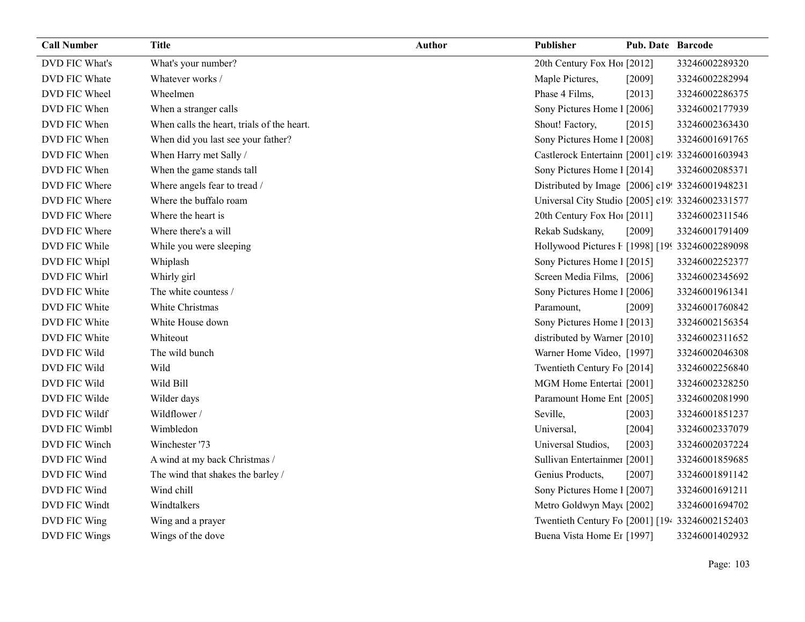| <b>Call Number</b> | <b>Title</b>                               | <b>Author</b> | Publisher                                        | <b>Pub. Date Barcode</b> |                |
|--------------------|--------------------------------------------|---------------|--------------------------------------------------|--------------------------|----------------|
| DVD FIC What's     | What's your number?                        |               | 20th Century Fox Hol [2012]                      |                          | 33246002289320 |
| DVD FIC Whate      | Whatever works /                           |               | Maple Pictures,                                  | [2009]                   | 33246002282994 |
| DVD FIC Wheel      | Wheelmen                                   |               | Phase 4 Films,                                   | [2013]                   | 33246002286375 |
| DVD FIC When       | When a stranger calls                      |               | Sony Pictures Home 1 [2006]                      |                          | 33246002177939 |
| DVD FIC When       | When calls the heart, trials of the heart. |               | Shout! Factory,                                  | [2015]                   | 33246002363430 |
| DVD FIC When       | When did you last see your father?         |               | Sony Pictures Home 1 [2008]                      |                          | 33246001691765 |
| DVD FIC When       | When Harry met Sally /                     |               | Castlerock Entertainn [2001] c19: 33246001603943 |                          |                |
| DVD FIC When       | When the game stands tall                  |               | Sony Pictures Home 1 [2014]                      |                          | 33246002085371 |
| DVD FIC Where      | Where angels fear to tread /               |               | Distributed by Image [2006] c19! 33246001948231  |                          |                |
| DVD FIC Where      | Where the buffalo roam                     |               | Universal City Studio [2005] c19: 33246002331577 |                          |                |
| DVD FIC Where      | Where the heart is                         |               | 20th Century Fox Ho! [2011]                      |                          | 33246002311546 |
| DVD FIC Where      | Where there's a will                       |               | Rekab Sudskany,                                  | [2009]                   | 33246001791409 |
| DVD FIC While      | While you were sleeping                    |               | Hollywood Pictures F [1998] [19933246002289098]  |                          |                |
| DVD FIC Whipl      | Whiplash                                   |               | Sony Pictures Home 1 [2015]                      |                          | 33246002252377 |
| DVD FIC Whirl      | Whirly girl                                |               | Screen Media Films, [2006]                       |                          | 33246002345692 |
| DVD FIC White      | The white countess /                       |               | Sony Pictures Home 1 [2006]                      |                          | 33246001961341 |
| DVD FIC White      | White Christmas                            |               | Paramount,                                       | [2009]                   | 33246001760842 |
| DVD FIC White      | White House down                           |               | Sony Pictures Home 1 [2013]                      |                          | 33246002156354 |
| DVD FIC White      | Whiteout                                   |               | distributed by Warner [2010]                     |                          | 33246002311652 |
| DVD FIC Wild       | The wild bunch                             |               | Warner Home Video, [1997]                        |                          | 33246002046308 |
| DVD FIC Wild       | Wild                                       |               | Twentieth Century Fo [2014]                      |                          | 33246002256840 |
| DVD FIC Wild       | Wild Bill                                  |               | MGM Home Entertai [2001]                         |                          | 33246002328250 |
| DVD FIC Wilde      | Wilder days                                |               | Paramount Home Ent [2005]                        |                          | 33246002081990 |
| DVD FIC Wildf      | Wildflower /                               |               | Seville,                                         | [2003]                   | 33246001851237 |
| DVD FIC Wimbl      | Wimbledon                                  |               | Universal,                                       | [2004]                   | 33246002337079 |
| DVD FIC Winch      | Winchester '73                             |               | Universal Studios,                               | [2003]                   | 33246002037224 |
| DVD FIC Wind       | A wind at my back Christmas /              |               | Sullivan Entertainmer [2001]                     |                          | 33246001859685 |
| DVD FIC Wind       | The wind that shakes the barley /          |               | Genius Products,                                 | [2007]                   | 33246001891142 |
| DVD FIC Wind       | Wind chill                                 |               | Sony Pictures Home 1 [2007]                      |                          | 33246001691211 |
| DVD FIC Windt      | Windtalkers                                |               | Metro Goldwyn May([2002]                         |                          | 33246001694702 |
| DVD FIC Wing       | Wing and a prayer                          |               | Twentieth Century Fo [2001] [194 33246002152403  |                          |                |
| DVD FIC Wings      | Wings of the dove                          |               | Buena Vista Home Er [1997]                       |                          | 33246001402932 |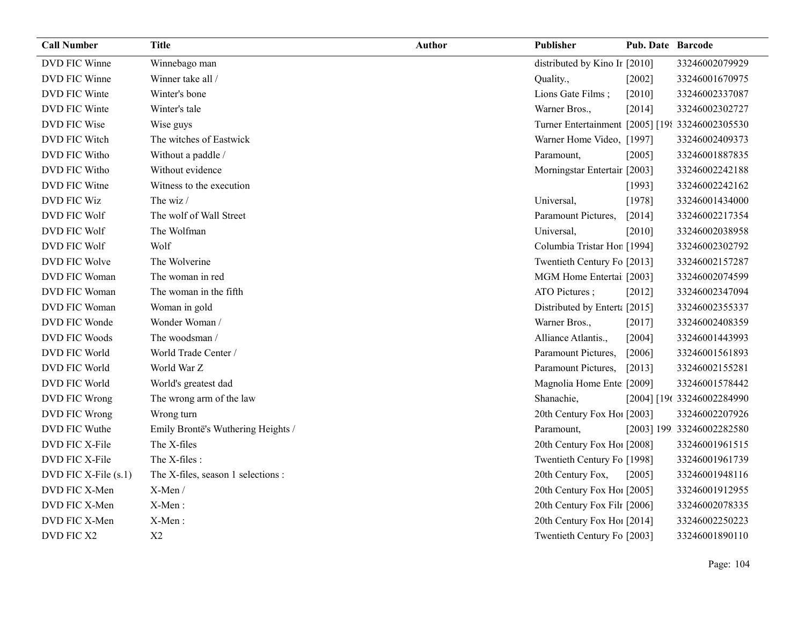| <b>Call Number</b>   | <b>Title</b>                       | <b>Author</b> | Publisher                                       | <b>Pub. Date Barcode</b> |                            |
|----------------------|------------------------------------|---------------|-------------------------------------------------|--------------------------|----------------------------|
| DVD FIC Winne        | Winnebago man                      |               | distributed by Kino Ir [2010]                   |                          | 33246002079929             |
| DVD FIC Winne        | Winner take all /                  |               | Quality.,                                       | [2002]                   | 33246001670975             |
| DVD FIC Winte        | Winter's bone                      |               | Lions Gate Films;                               | $[2010]$                 | 33246002337087             |
| DVD FIC Winte        | Winter's tale                      |               | Warner Bros.,                                   | [2014]                   | 33246002302727             |
| DVD FIC Wise         | Wise guys                          |               | Turner Entertainment [2005] [198 33246002305530 |                          |                            |
| DVD FIC Witch        | The witches of Eastwick            |               | Warner Home Video, [1997]                       |                          | 33246002409373             |
| DVD FIC Witho        | Without a paddle /                 |               | Paramount,                                      | [2005]                   | 33246001887835             |
| DVD FIC Witho        | Without evidence                   |               | Morningstar Entertair [2003]                    |                          | 33246002242188             |
| DVD FIC Witne        | Witness to the execution           |               |                                                 | [1993]                   | 33246002242162             |
| DVD FIC Wiz          | The wiz /                          |               | Universal,                                      | [1978]                   | 33246001434000             |
| DVD FIC Wolf         | The wolf of Wall Street            |               | Paramount Pictures,                             | [2014]                   | 33246002217354             |
| DVD FIC Wolf         | The Wolfman                        |               | Universal,                                      | [2010]                   | 33246002038958             |
| DVD FIC Wolf         | Wolf                               |               | Columbia Tristar Hor [1994]                     |                          | 33246002302792             |
| DVD FIC Wolve        | The Wolverine                      |               | Twentieth Century Fo [2013]                     |                          | 33246002157287             |
| DVD FIC Woman        | The woman in red                   |               | MGM Home Entertai [2003]                        |                          | 33246002074599             |
| DVD FIC Woman        | The woman in the fifth             |               | ATO Pictures;                                   | $[2012]$                 | 33246002347094             |
| DVD FIC Woman        | Woman in gold                      |               | Distributed by Enterta [2015]                   |                          | 33246002355337             |
| DVD FIC Wonde        | Wonder Woman /                     |               | Warner Bros.,                                   | [2017]                   | 33246002408359             |
| DVD FIC Woods        | The woodsman /                     |               | Alliance Atlantis.,                             | [2004]                   | 33246001443993             |
| DVD FIC World        | World Trade Center /               |               | Paramount Pictures,                             | [2006]                   | 33246001561893             |
| DVD FIC World        | World War Z                        |               | Paramount Pictures,                             | $[2013]$                 | 33246002155281             |
| DVD FIC World        | World's greatest dad               |               | Magnolia Home Ente [2009]                       |                          | 33246001578442             |
| DVD FIC Wrong        | The wrong arm of the law           |               | Shanachie,                                      |                          | [2004] [196 33246002284990 |
| DVD FIC Wrong        | Wrong turn                         |               | 20th Century Fox Ho! [2003]                     |                          | 33246002207926             |
| DVD FIC Wuthe        | Emily Brontë's Wuthering Heights / |               | Paramount,                                      |                          | [2003] 199 33246002282580  |
| DVD FIC X-File       | The X-files                        |               | 20th Century Fox Hol [2008]                     |                          | 33246001961515             |
| DVD FIC X-File       | The X-files :                      |               | Twentieth Century Fo [1998]                     |                          | 33246001961739             |
| DVD FIC X-File (s.1) | The X-files, season 1 selections : |               | 20th Century Fox,                               | [2005]                   | 33246001948116             |
| DVD FIC X-Men        | X-Men/                             |               | 20th Century Fox Ho! [2005]                     |                          | 33246001912955             |
| DVD FIC X-Men        | X-Men:                             |               | 20th Century Fox Filt [2006]                    |                          | 33246002078335             |
| DVD FIC X-Men        | X-Men:                             |               | 20th Century Fox Ho! [2014]                     |                          | 33246002250223             |
| DVD FIC X2           | X2                                 |               | Twentieth Century Fo [2003]                     |                          | 33246001890110             |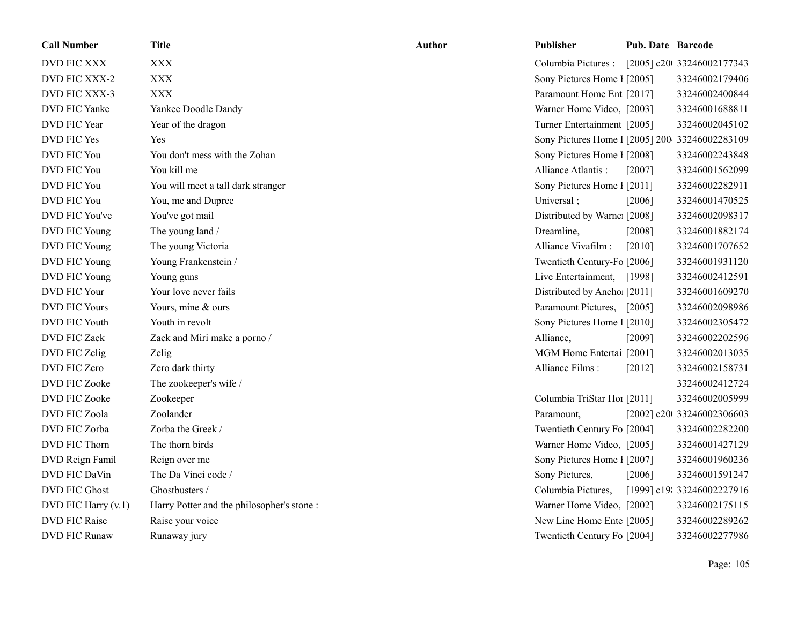| <b>Call Number</b>   | <b>Title</b>                              | <b>Author</b> | <b>Publisher</b>                               | <b>Pub. Date Barcode</b> |                            |
|----------------------|-------------------------------------------|---------------|------------------------------------------------|--------------------------|----------------------------|
| <b>DVD FIC XXX</b>   | <b>XXX</b>                                |               | Columbia Pictures :                            |                          | [2005] c20t 33246002177343 |
| DVD FIC XXX-2        | <b>XXX</b>                                |               | Sony Pictures Home 1 [2005]                    |                          | 33246002179406             |
| DVD FIC XXX-3        | <b>XXX</b>                                |               | Paramount Home Ent [2017]                      |                          | 33246002400844             |
| DVD FIC Yanke        | Yankee Doodle Dandy                       |               | Warner Home Video, [2003]                      |                          | 33246001688811             |
| <b>DVD FIC Year</b>  | Year of the dragon                        |               | Turner Entertainment [2005]                    |                          | 33246002045102             |
| DVD FIC Yes          | <b>Yes</b>                                |               | Sony Pictures Home 1 [2005] 200 33246002283109 |                          |                            |
| DVD FIC You          | You don't mess with the Zohan             |               | Sony Pictures Home 1 [2008]                    |                          | 33246002243848             |
| DVD FIC You          | You kill me                               |               | Alliance Atlantis:                             | [2007]                   | 33246001562099             |
| DVD FIC You          | You will meet a tall dark stranger        |               | Sony Pictures Home 1 [2011]                    |                          | 33246002282911             |
| DVD FIC You          | You, me and Dupree                        |               | Universal;                                     | [2006]                   | 33246001470525             |
| DVD FIC You've       | You've got mail                           |               | Distributed by Warne [2008]                    |                          | 33246002098317             |
| DVD FIC Young        | The young land /                          |               | Dreamline,                                     | [2008]                   | 33246001882174             |
| DVD FIC Young        | The young Victoria                        |               | Alliance Vivafilm :                            | $[2010]$                 | 33246001707652             |
| DVD FIC Young        | Young Frankenstein /                      |               | Twentieth Century-Fc [2006]                    |                          | 33246001931120             |
| DVD FIC Young        | Young guns                                |               | Live Entertainment, [1998]                     |                          | 33246002412591             |
| DVD FIC Your         | Your love never fails                     |               | Distributed by Ancho [2011]                    |                          | 33246001609270             |
| <b>DVD FIC Yours</b> | Yours, mine & ours                        |               | Paramount Pictures,                            | [2005]                   | 33246002098986             |
| <b>DVD FIC Youth</b> | Youth in revolt                           |               | Sony Pictures Home 1 [2010]                    |                          | 33246002305472             |
| <b>DVD FIC Zack</b>  | Zack and Miri make a porno /              |               | Alliance,                                      | [2009]                   | 33246002202596             |
| DVD FIC Zelig        | Zelig                                     |               | MGM Home Entertai [2001]                       |                          | 33246002013035             |
| DVD FIC Zero         | Zero dark thirty                          |               | Alliance Films:                                | [2012]                   | 33246002158731             |
| <b>DVD FIC Zooke</b> | The zookeeper's wife /                    |               |                                                |                          | 33246002412724             |
| <b>DVD FIC Zooke</b> | Zookeeper                                 |               | Columbia TriStar Hoi [2011]                    |                          | 33246002005999             |
| DVD FIC Zoola        | Zoolander                                 |               | Paramount,                                     |                          | [2002] c20t 33246002306603 |
| DVD FIC Zorba        | Zorba the Greek /                         |               | Twentieth Century Fo [2004]                    |                          | 33246002282200             |
| DVD FIC Thorn        | The thorn birds                           |               | Warner Home Video, [2005]                      |                          | 33246001427129             |
| DVD Reign Famil      | Reign over me                             |               | Sony Pictures Home 1 [2007]                    |                          | 33246001960236             |
| DVD FIC DaVin        | The Da Vinci code /                       |               | Sony Pictures,                                 | [2006]                   | 33246001591247             |
| <b>DVD FIC Ghost</b> | Ghostbusters /                            |               | Columbia Pictures,                             |                          | [1999] c19: 33246002227916 |
| DVD FIC Harry (v.1)  | Harry Potter and the philosopher's stone: |               | Warner Home Video, [2002]                      |                          | 33246002175115             |
| <b>DVD FIC Raise</b> | Raise your voice                          |               | New Line Home Ente [2005]                      |                          | 33246002289262             |
| <b>DVD FIC Runaw</b> | Runaway jury                              |               | Twentieth Century Fo [2004]                    |                          | 33246002277986             |